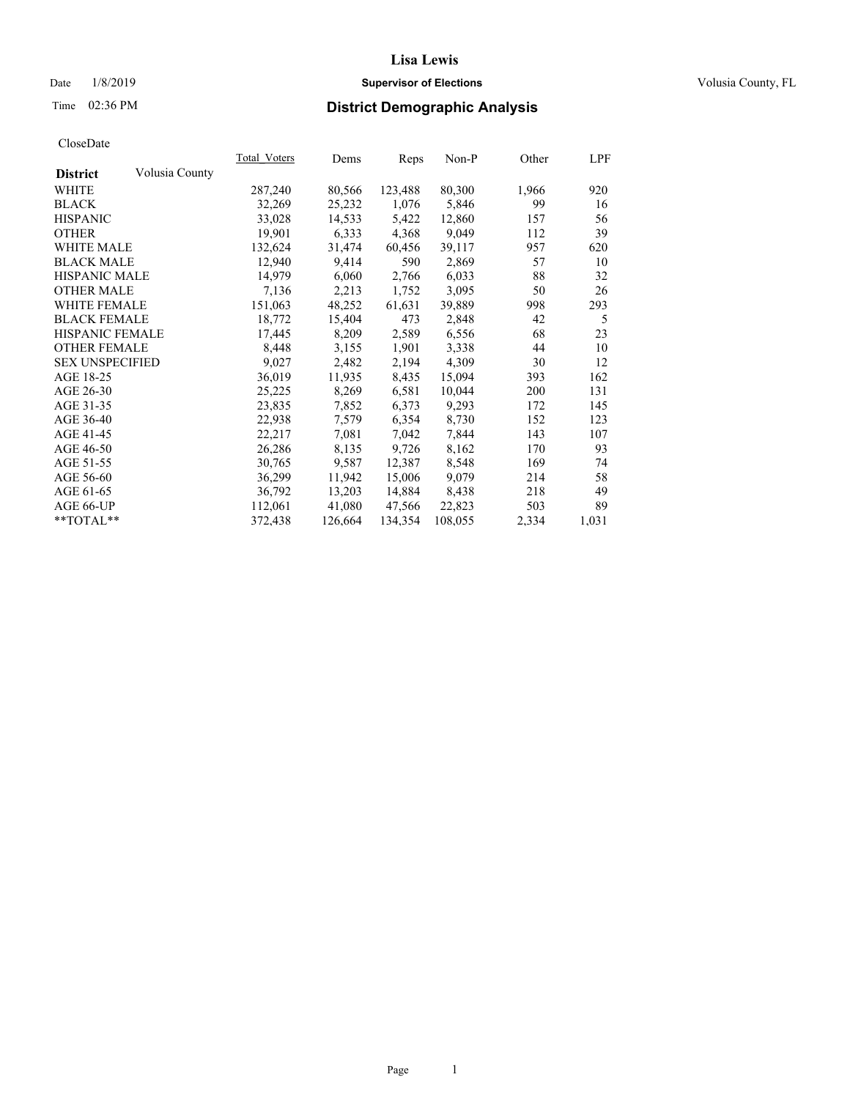#### Date  $1/8/2019$  **Supervisor of Elections Supervisor of Elections** Volusia County, FL

## Time 02:36 PM **District Demographic Analysis**

|                        |                | Total Voters | Dems    | Reps    | Non-P   | Other | LPF   |
|------------------------|----------------|--------------|---------|---------|---------|-------|-------|
| <b>District</b>        | Volusia County |              |         |         |         |       |       |
| WHITE                  |                | 287,240      | 80,566  | 123,488 | 80,300  | 1,966 | 920   |
| <b>BLACK</b>           |                | 32,269       | 25,232  | 1,076   | 5,846   | 99    | 16    |
| <b>HISPANIC</b>        |                | 33,028       | 14,533  | 5,422   | 12,860  | 157   | 56    |
| <b>OTHER</b>           |                | 19,901       | 6,333   | 4,368   | 9,049   | 112   | 39    |
| WHITE MALE             |                | 132,624      | 31,474  | 60,456  | 39,117  | 957   | 620   |
| <b>BLACK MALE</b>      |                | 12,940       | 9,414   | 590     | 2,869   | 57    | 10    |
| <b>HISPANIC MALE</b>   |                | 14,979       | 6,060   | 2,766   | 6,033   | 88    | 32    |
| <b>OTHER MALE</b>      |                | 7,136        | 2,213   | 1,752   | 3,095   | 50    | 26    |
| <b>WHITE FEMALE</b>    |                | 151,063      | 48,252  | 61,631  | 39,889  | 998   | 293   |
| <b>BLACK FEMALE</b>    |                | 18,772       | 15,404  | 473     | 2,848   | 42    | 5     |
| <b>HISPANIC FEMALE</b> |                | 17,445       | 8,209   | 2,589   | 6,556   | 68    | 23    |
| <b>OTHER FEMALE</b>    |                | 8,448        | 3,155   | 1,901   | 3,338   | 44    | 10    |
| <b>SEX UNSPECIFIED</b> |                | 9,027        | 2,482   | 2,194   | 4,309   | 30    | 12    |
| AGE 18-25              |                | 36,019       | 11,935  | 8,435   | 15,094  | 393   | 162   |
| AGE 26-30              |                | 25,225       | 8,269   | 6,581   | 10,044  | 200   | 131   |
| AGE 31-35              |                | 23,835       | 7,852   | 6,373   | 9,293   | 172   | 145   |
| AGE 36-40              |                | 22,938       | 7,579   | 6,354   | 8,730   | 152   | 123   |
| AGE 41-45              |                | 22,217       | 7,081   | 7,042   | 7,844   | 143   | 107   |
| AGE 46-50              |                | 26,286       | 8,135   | 9,726   | 8,162   | 170   | 93    |
| AGE 51-55              |                | 30,765       | 9,587   | 12,387  | 8,548   | 169   | 74    |
| AGE 56-60              |                | 36,299       | 11,942  | 15,006  | 9,079   | 214   | 58    |
| AGE 61-65              |                | 36,792       | 13,203  | 14,884  | 8,438   | 218   | 49    |
| AGE 66-UP              |                | 112,061      | 41,080  | 47,566  | 22,823  | 503   | 89    |
| $*$ $TOTAL**$          |                | 372,438      | 126,664 | 134,354 | 108,055 | 2,334 | 1,031 |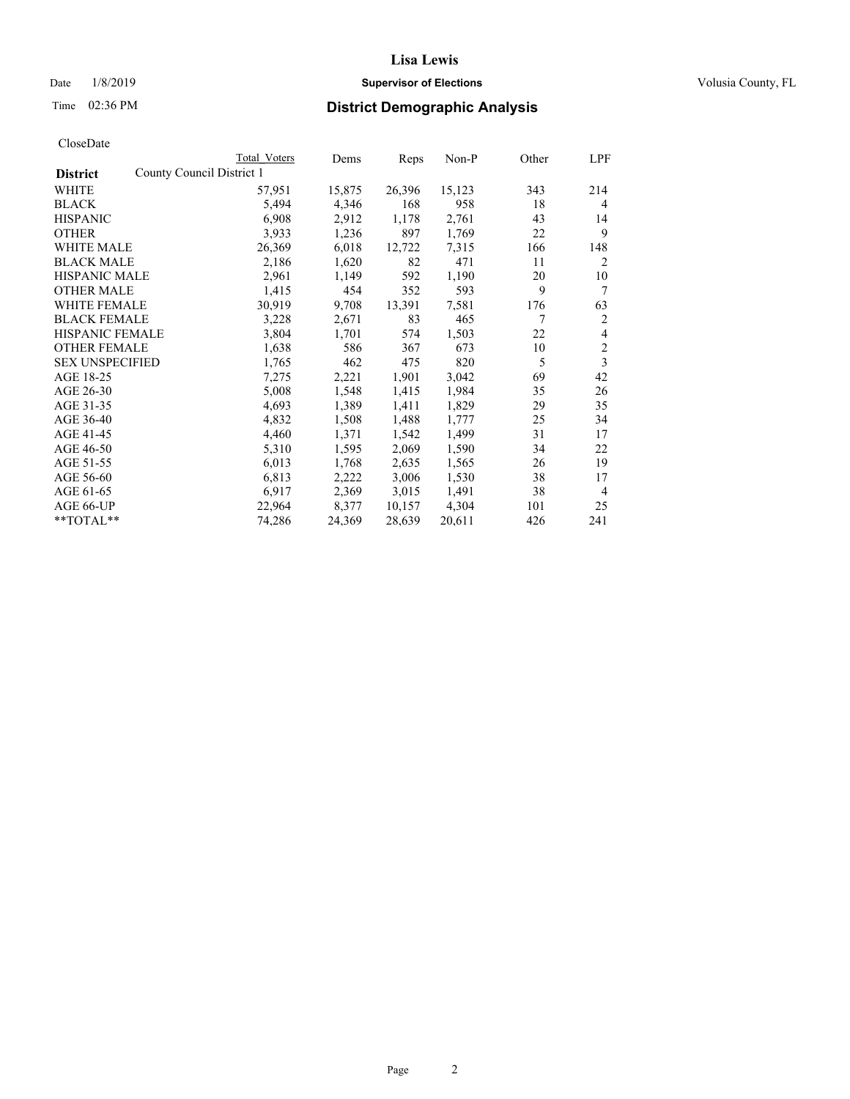## Date  $1/8/2019$  **Supervisor of Elections Supervisor of Elections** Volusia County, FL

| CloseDate |
|-----------|
|-----------|

|                                              | Total Voters | Dems   | Reps   | Non-P  | Other | <b>LPF</b>     |
|----------------------------------------------|--------------|--------|--------|--------|-------|----------------|
| County Council District 1<br><b>District</b> |              |        |        |        |       |                |
| WHITE                                        | 57,951       | 15,875 | 26,396 | 15,123 | 343   | 214            |
| <b>BLACK</b>                                 | 5,494        | 4,346  | 168    | 958    | 18    | 4              |
| <b>HISPANIC</b>                              | 6,908        | 2,912  | 1,178  | 2,761  | 43    | 14             |
| <b>OTHER</b>                                 | 3,933        | 1,236  | 897    | 1,769  | 22    | 9              |
| WHITE MALE                                   | 26,369       | 6,018  | 12,722 | 7,315  | 166   | 148            |
| <b>BLACK MALE</b>                            | 2,186        | 1,620  | 82     | 471    | 11    | 2              |
| <b>HISPANIC MALE</b>                         | 2,961        | 1,149  | 592    | 1,190  | 20    | 10             |
| <b>OTHER MALE</b>                            | 1,415        | 454    | 352    | 593    | 9     | 7              |
| <b>WHITE FEMALE</b>                          | 30,919       | 9,708  | 13,391 | 7,581  | 176   | 63             |
| <b>BLACK FEMALE</b>                          | 3,228        | 2,671  | 83     | 465    | 7     | 2              |
| <b>HISPANIC FEMALE</b>                       | 3,804        | 1,701  | 574    | 1,503  | 22    | 4              |
| <b>OTHER FEMALE</b>                          | 1,638        | 586    | 367    | 673    | 10    | $\overline{2}$ |
| <b>SEX UNSPECIFIED</b>                       | 1,765        | 462    | 475    | 820    | 5     | 3              |
| AGE 18-25                                    | 7,275        | 2,221  | 1,901  | 3,042  | 69    | 42             |
| AGE 26-30                                    | 5,008        | 1,548  | 1,415  | 1,984  | 35    | 26             |
| AGE 31-35                                    | 4,693        | 1,389  | 1,411  | 1,829  | 29    | 35             |
| AGE 36-40                                    | 4,832        | 1,508  | 1,488  | 1,777  | 25    | 34             |
| AGE 41-45                                    | 4,460        | 1,371  | 1,542  | 1,499  | 31    | 17             |
| AGE 46-50                                    | 5,310        | 1,595  | 2,069  | 1,590  | 34    | 22             |
| AGE 51-55                                    | 6,013        | 1,768  | 2,635  | 1,565  | 26    | 19             |
| AGE 56-60                                    | 6,813        | 2,222  | 3,006  | 1,530  | 38    | 17             |
| AGE 61-65                                    | 6,917        | 2,369  | 3,015  | 1,491  | 38    | 4              |
| AGE 66-UP                                    | 22,964       | 8,377  | 10,157 | 4,304  | 101   | 25             |
| **TOTAL**                                    | 74,286       | 24,369 | 28,639 | 20,611 | 426   | 241            |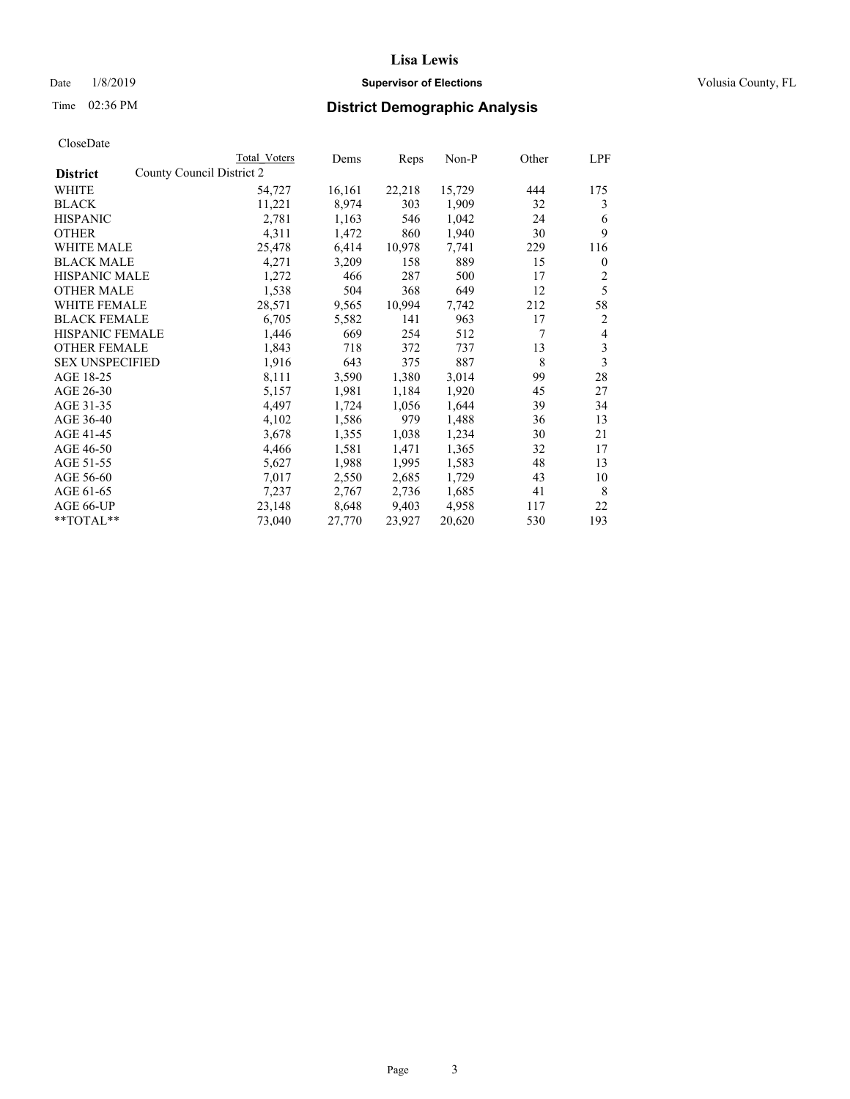#### Date  $1/8/2019$  **Supervisor of Elections Supervisor of Elections** Volusia County, FL

| CloseDate |
|-----------|
|-----------|

|                                              | Total Voters | Dems   | Reps   | Non-P  | Other | LPF          |
|----------------------------------------------|--------------|--------|--------|--------|-------|--------------|
| County Council District 2<br><b>District</b> |              |        |        |        |       |              |
| WHITE                                        | 54,727       | 16,161 | 22,218 | 15,729 | 444   | 175          |
| <b>BLACK</b>                                 | 11,221       | 8,974  | 303    | 1,909  | 32    | 3            |
| <b>HISPANIC</b>                              | 2,781        | 1,163  | 546    | 1,042  | 24    | 6            |
| <b>OTHER</b>                                 | 4,311        | 1,472  | 860    | 1,940  | 30    | 9            |
| WHITE MALE                                   | 25,478       | 6,414  | 10,978 | 7,741  | 229   | 116          |
| <b>BLACK MALE</b>                            | 4,271        | 3,209  | 158    | 889    | 15    | $\mathbf{0}$ |
| <b>HISPANIC MALE</b>                         | 1,272        | 466    | 287    | 500    | 17    | 2            |
| <b>OTHER MALE</b>                            | 1,538        | 504    | 368    | 649    | 12    | 5            |
| <b>WHITE FEMALE</b>                          | 28,571       | 9,565  | 10,994 | 7,742  | 212   | 58           |
| <b>BLACK FEMALE</b>                          | 6,705        | 5,582  | 141    | 963    | 17    | 2            |
| HISPANIC FEMALE                              | 1,446        | 669    | 254    | 512    | 7     | 4            |
| <b>OTHER FEMALE</b>                          | 1,843        | 718    | 372    | 737    | 13    | 3            |
| <b>SEX UNSPECIFIED</b>                       | 1,916        | 643    | 375    | 887    | 8     | 3            |
| AGE 18-25                                    | 8,111        | 3,590  | 1,380  | 3,014  | 99    | 28           |
| AGE 26-30                                    | 5,157        | 1,981  | 1,184  | 1,920  | 45    | 27           |
| AGE 31-35                                    | 4,497        | 1,724  | 1,056  | 1,644  | 39    | 34           |
| AGE 36-40                                    | 4,102        | 1,586  | 979    | 1,488  | 36    | 13           |
| AGE 41-45                                    | 3,678        | 1,355  | 1,038  | 1,234  | 30    | 21           |
| AGE 46-50                                    | 4,466        | 1,581  | 1,471  | 1,365  | 32    | 17           |
| AGE 51-55                                    | 5,627        | 1,988  | 1,995  | 1,583  | 48    | 13           |
| AGE 56-60                                    | 7,017        | 2,550  | 2,685  | 1,729  | 43    | 10           |
| AGE 61-65                                    | 7,237        | 2,767  | 2,736  | 1,685  | 41    | 8            |
| AGE 66-UP                                    | 23,148       | 8,648  | 9,403  | 4,958  | 117   | 22           |
| **TOTAL**                                    | 73,040       | 27,770 | 23,927 | 20,620 | 530   | 193          |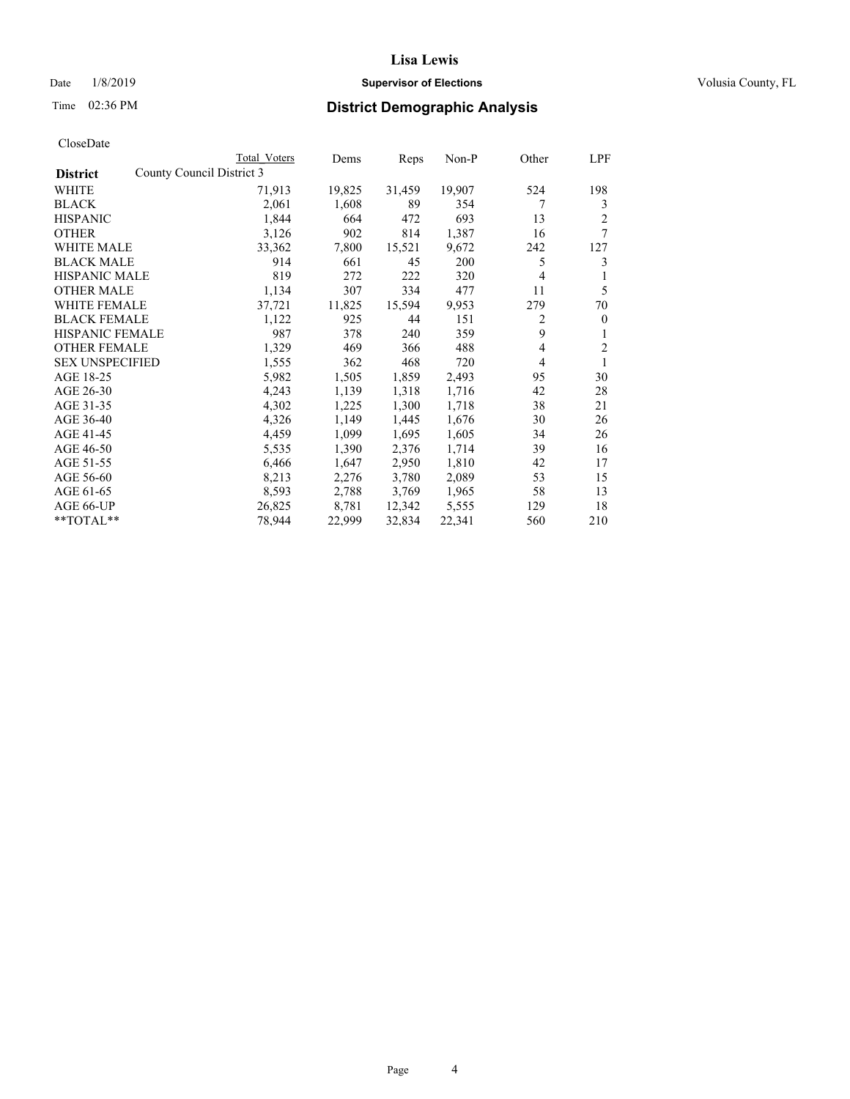#### Date  $1/8/2019$  **Supervisor of Elections Supervisor of Elections** Volusia County, FL

|                                              | Total Voters | Dems   | Reps   | Non-P  | Other          | LPF          |
|----------------------------------------------|--------------|--------|--------|--------|----------------|--------------|
| County Council District 3<br><b>District</b> |              |        |        |        |                |              |
| WHITE                                        | 71,913       | 19,825 | 31,459 | 19,907 | 524            | 198          |
| <b>BLACK</b>                                 | 2,061        | 1,608  | 89     | 354    | 7              | 3            |
| <b>HISPANIC</b>                              | 1,844        | 664    | 472    | 693    | 13             | 2            |
| <b>OTHER</b>                                 | 3,126        | 902    | 814    | 1,387  | 16             | 7            |
| WHITE MALE                                   | 33,362       | 7,800  | 15,521 | 9,672  | 242            | 127          |
| <b>BLACK MALE</b>                            | 914          | 661    | 45     | 200    | 5              | 3            |
| <b>HISPANIC MALE</b>                         | 819          | 272    | 222    | 320    | 4              | 1            |
| <b>OTHER MALE</b>                            | 1,134        | 307    | 334    | 477    | 11             | 5            |
| <b>WHITE FEMALE</b>                          | 37,721       | 11,825 | 15,594 | 9,953  | 279            | 70           |
| <b>BLACK FEMALE</b>                          | 1,122        | 925    | 44     | 151    | 2              | $\mathbf{0}$ |
| <b>HISPANIC FEMALE</b>                       | 987          | 378    | 240    | 359    | 9              | 1            |
| <b>OTHER FEMALE</b>                          | 1,329        | 469    | 366    | 488    | $\overline{4}$ | 2            |
| <b>SEX UNSPECIFIED</b>                       | 1,555        | 362    | 468    | 720    | 4              | 1            |
| AGE 18-25                                    | 5,982        | 1,505  | 1,859  | 2,493  | 95             | 30           |
| AGE 26-30                                    | 4,243        | 1,139  | 1,318  | 1,716  | 42             | 28           |
| AGE 31-35                                    | 4,302        | 1,225  | 1,300  | 1,718  | 38             | 21           |
| AGE 36-40                                    | 4,326        | 1,149  | 1,445  | 1,676  | 30             | 26           |
| AGE 41-45                                    | 4,459        | 1,099  | 1,695  | 1,605  | 34             | 26           |
| AGE 46-50                                    | 5,535        | 1,390  | 2,376  | 1,714  | 39             | 16           |
| AGE 51-55                                    | 6,466        | 1,647  | 2,950  | 1,810  | 42             | 17           |
| AGE 56-60                                    | 8,213        | 2,276  | 3,780  | 2,089  | 53             | 15           |
| AGE 61-65                                    | 8,593        | 2,788  | 3,769  | 1,965  | 58             | 13           |
| AGE 66-UP                                    | 26,825       | 8,781  | 12,342 | 5,555  | 129            | 18           |
| $*$ $TOTAL**$                                | 78,944       | 22,999 | 32,834 | 22,341 | 560            | 210          |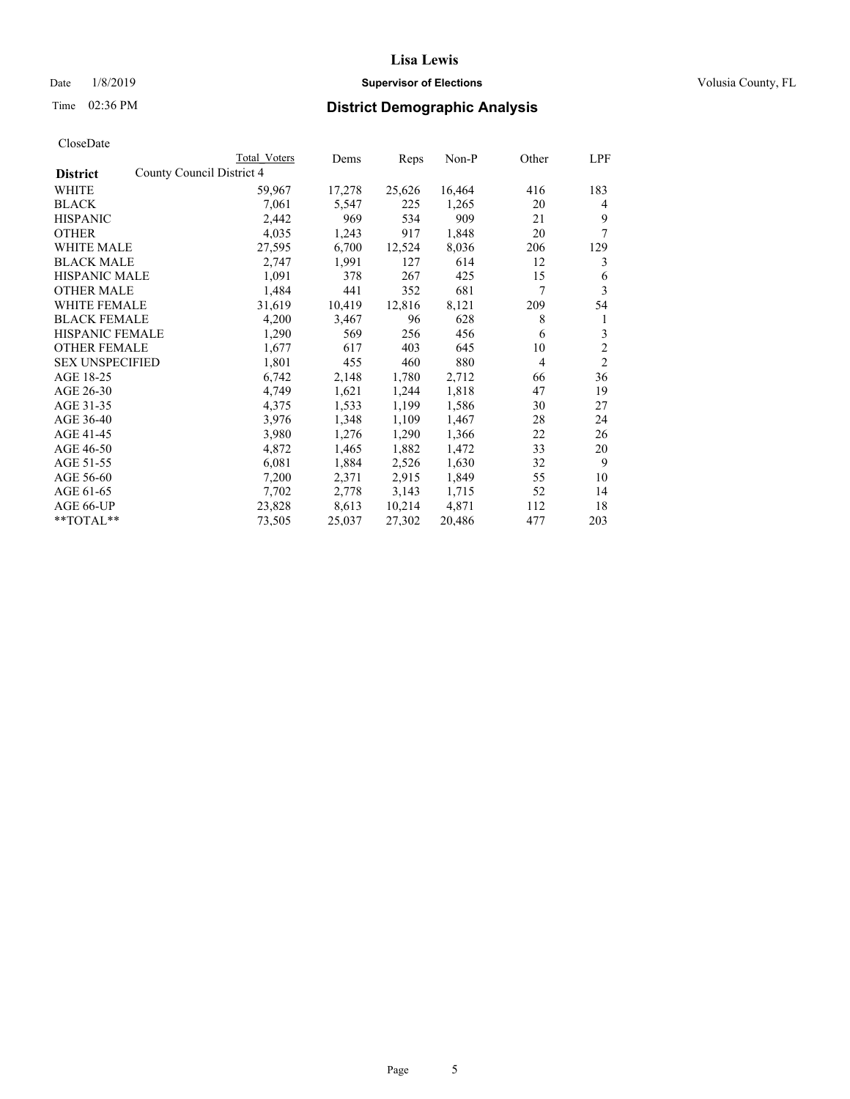#### Date  $1/8/2019$  **Supervisor of Elections Supervisor of Elections** Volusia County, FL

| CloseDate |
|-----------|
|-----------|

|                                              | Total Voters | Dems   | Reps   | Non-P  | Other          | LPF            |
|----------------------------------------------|--------------|--------|--------|--------|----------------|----------------|
| County Council District 4<br><b>District</b> |              |        |        |        |                |                |
| WHITE                                        | 59,967       | 17,278 | 25,626 | 16,464 | 416            | 183            |
| <b>BLACK</b>                                 | 7,061        | 5,547  | 225    | 1,265  | 20             | 4              |
| <b>HISPANIC</b>                              | 2,442        | 969    | 534    | 909    | 21             | 9              |
| <b>OTHER</b>                                 | 4,035        | 1,243  | 917    | 1,848  | 20             | 7              |
| WHITE MALE                                   | 27,595       | 6,700  | 12,524 | 8,036  | 206            | 129            |
| <b>BLACK MALE</b>                            | 2,747        | 1,991  | 127    | 614    | 12             | 3              |
| <b>HISPANIC MALE</b>                         | 1,091        | 378    | 267    | 425    | 15             | 6              |
| <b>OTHER MALE</b>                            | 1,484        | 441    | 352    | 681    | 7              | 3              |
| <b>WHITE FEMALE</b>                          | 31,619       | 10,419 | 12,816 | 8,121  | 209            | 54             |
| <b>BLACK FEMALE</b>                          | 4,200        | 3,467  | 96     | 628    | 8              | 1              |
| <b>HISPANIC FEMALE</b>                       | 1,290        | 569    | 256    | 456    | 6              | 3              |
| <b>OTHER FEMALE</b>                          | 1,677        | 617    | 403    | 645    | 10             | $\overline{c}$ |
| <b>SEX UNSPECIFIED</b>                       | 1,801        | 455    | 460    | 880    | $\overline{4}$ | $\overline{2}$ |
| AGE 18-25                                    | 6,742        | 2,148  | 1,780  | 2,712  | 66             | 36             |
| AGE 26-30                                    | 4,749        | 1,621  | 1,244  | 1,818  | 47             | 19             |
| AGE 31-35                                    | 4,375        | 1,533  | 1,199  | 1,586  | 30             | 27             |
| AGE 36-40                                    | 3,976        | 1,348  | 1,109  | 1,467  | 28             | 24             |
| AGE 41-45                                    | 3,980        | 1,276  | 1,290  | 1,366  | 22             | 26             |
| AGE 46-50                                    | 4,872        | 1,465  | 1,882  | 1,472  | 33             | 20             |
| AGE 51-55                                    | 6,081        | 1,884  | 2,526  | 1,630  | 32             | 9              |
| AGE 56-60                                    | 7,200        | 2,371  | 2,915  | 1,849  | 55             | 10             |
| AGE 61-65                                    | 7,702        | 2,778  | 3,143  | 1,715  | 52             | 14             |
| AGE 66-UP                                    | 23,828       | 8,613  | 10,214 | 4,871  | 112            | 18             |
| $*$ $TOTAL**$                                | 73,505       | 25,037 | 27,302 | 20,486 | 477            | 203            |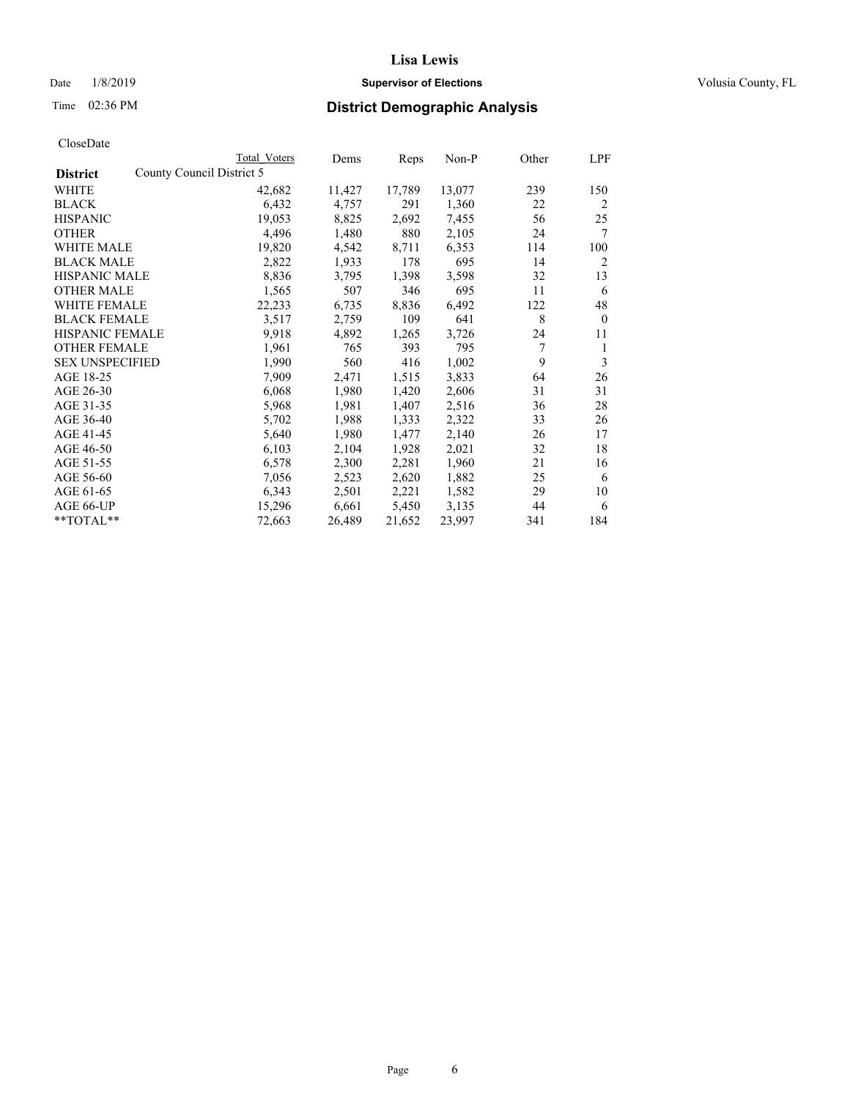## Date  $1/8/2019$  **Supervisor of Elections Supervisor of Elections** Volusia County, FL

| CloseDate |
|-----------|
|-----------|

|                                              | <b>Total Voters</b> | Dems   | Reps   | Non-P  | Other | LPF            |
|----------------------------------------------|---------------------|--------|--------|--------|-------|----------------|
| County Council District 5<br><b>District</b> |                     |        |        |        |       |                |
| WHITE                                        | 42,682              | 11,427 | 17,789 | 13,077 | 239   | 150            |
| <b>BLACK</b>                                 | 6,432               | 4,757  | 291    | 1,360  | 22    | $\overline{2}$ |
| <b>HISPANIC</b>                              | 19,053              | 8,825  | 2,692  | 7,455  | 56    | 25             |
| <b>OTHER</b>                                 | 4,496               | 1,480  | 880    | 2,105  | 24    | 7              |
| WHITE MALE                                   | 19,820              | 4,542  | 8,711  | 6,353  | 114   | 100            |
| <b>BLACK MALE</b>                            | 2,822               | 1,933  | 178    | 695    | 14    | 2              |
| HISPANIC MALE                                | 8,836               | 3,795  | 1,398  | 3,598  | 32    | 13             |
| OTHER MALE                                   | 1,565               | 507    | 346    | 695    | 11    | 6              |
| WHITE FEMALE                                 | 22,233              | 6,735  | 8,836  | 6,492  | 122   | 48             |
| <b>BLACK FEMALE</b>                          | 3,517               | 2,759  | 109    | 641    | 8     | $\theta$       |
| HISPANIC FEMALE                              | 9,918               | 4,892  | 1,265  | 3,726  | 24    | 11             |
| <b>OTHER FEMALE</b>                          | 1,961               | 765    | 393    | 795    | 7     | 1              |
| <b>SEX UNSPECIFIED</b>                       | 1,990               | 560    | 416    | 1,002  | 9     | 3              |
| AGE 18-25                                    | 7,909               | 2,471  | 1,515  | 3,833  | 64    | 26             |
| AGE 26-30                                    | 6,068               | 1,980  | 1,420  | 2,606  | 31    | 31             |
| AGE 31-35                                    | 5,968               | 1,981  | 1,407  | 2,516  | 36    | 28             |
| AGE 36-40                                    | 5,702               | 1,988  | 1,333  | 2,322  | 33    | 26             |
| AGE 41-45                                    | 5,640               | 1,980  | 1,477  | 2,140  | 26    | 17             |
| AGE 46-50                                    | 6,103               | 2,104  | 1,928  | 2,021  | 32    | 18             |
| AGE 51-55                                    | 6,578               | 2,300  | 2,281  | 1,960  | 21    | 16             |
| AGE 56-60                                    | 7,056               | 2,523  | 2,620  | 1,882  | 25    | 6              |
| AGE 61-65                                    | 6,343               | 2,501  | 2,221  | 1,582  | 29    | 10             |
| AGE 66-UP                                    | 15,296              | 6,661  | 5,450  | 3,135  | 44    | 6              |
| **TOTAL**                                    | 72,663              | 26,489 | 21,652 | 23,997 | 341   | 184            |
|                                              |                     |        |        |        |       |                |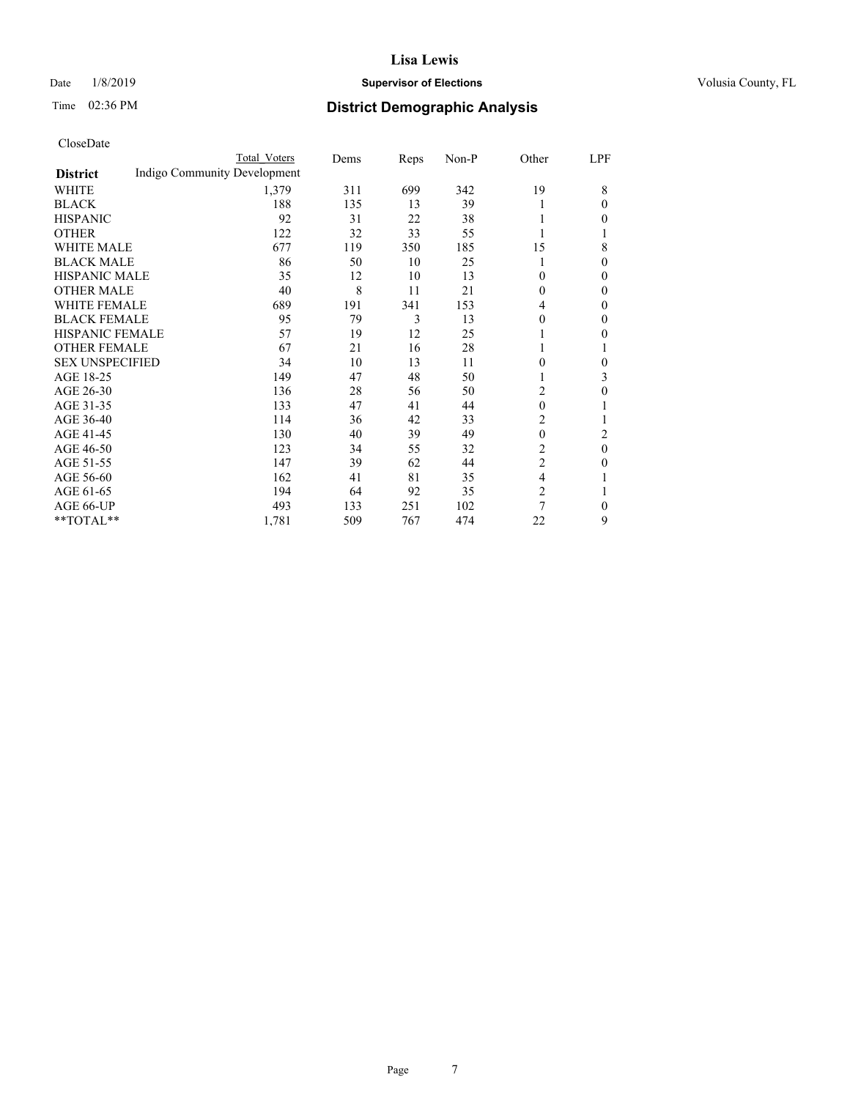## Date  $1/8/2019$  **Supervisor of Elections Supervisor of Elections** Volusia County, FL

|                        |                              | Total Voters | Dems | Reps | Non-P | Other        | LPF          |
|------------------------|------------------------------|--------------|------|------|-------|--------------|--------------|
| <b>District</b>        | Indigo Community Development |              |      |      |       |              |              |
| WHITE                  |                              | 1,379        | 311  | 699  | 342   | 19           | 8            |
| BLACK                  |                              | 188          | 135  | 13   | 39    |              | 0            |
| <b>HISPANIC</b>        |                              | 92           | 31   | 22   | 38    |              | 0            |
| OTHER                  |                              | 122          | 32   | 33   | 55    |              |              |
| <b>WHITE MALE</b>      |                              | 677          | 119  | 350  | 185   | 15           | 8            |
| <b>BLACK MALE</b>      |                              | 86           | 50   | 10   | 25    |              | 0            |
| <b>HISPANIC MALE</b>   |                              | 35           | 12   | 10   | 13    | 0            | 0            |
| OTHER MALE             |                              | 40           | 8    | 11   | 21    | 0            | 0            |
| <b>WHITE FEMALE</b>    |                              | 689          | 191  | 341  | 153   | 4            | 0            |
| <b>BLACK FEMALE</b>    |                              | 95           | 79   | 3    | 13    | 0            | 0            |
| <b>HISPANIC FEMALE</b> |                              | 57           | 19   | 12   | 25    |              | 0            |
| <b>OTHER FEMALE</b>    |                              | 67           | 21   | 16   | 28    |              |              |
| <b>SEX UNSPECIFIED</b> |                              | 34           | 10   | 13   | 11    | 0            | 0            |
| AGE 18-25              |                              | 149          | 47   | 48   | 50    |              | 3            |
| AGE 26-30              |                              | 136          | 28   | 56   | 50    | 2            | 0            |
| AGE 31-35              |                              | 133          | 47   | 41   | 44    | $\mathbf{0}$ |              |
| AGE 36-40              |                              | 114          | 36   | 42   | 33    | 2            |              |
| AGE 41-45              |                              | 130          | 40   | 39   | 49    | $\mathbf{0}$ | 2            |
| AGE 46-50              |                              | 123          | 34   | 55   | 32    | 2            | $\mathbf{0}$ |
| AGE 51-55              |                              | 147          | 39   | 62   | 44    | 2            | 0            |
| AGE 56-60              |                              | 162          | 41   | 81   | 35    | 4            |              |
| AGE 61-65              |                              | 194          | 64   | 92   | 35    | 2            |              |
| AGE 66-UP              |                              | 493          | 133  | 251  | 102   | 7            | 0            |
| **TOTAL**              |                              | 1,781        | 509  | 767  | 474   | 22           | 9            |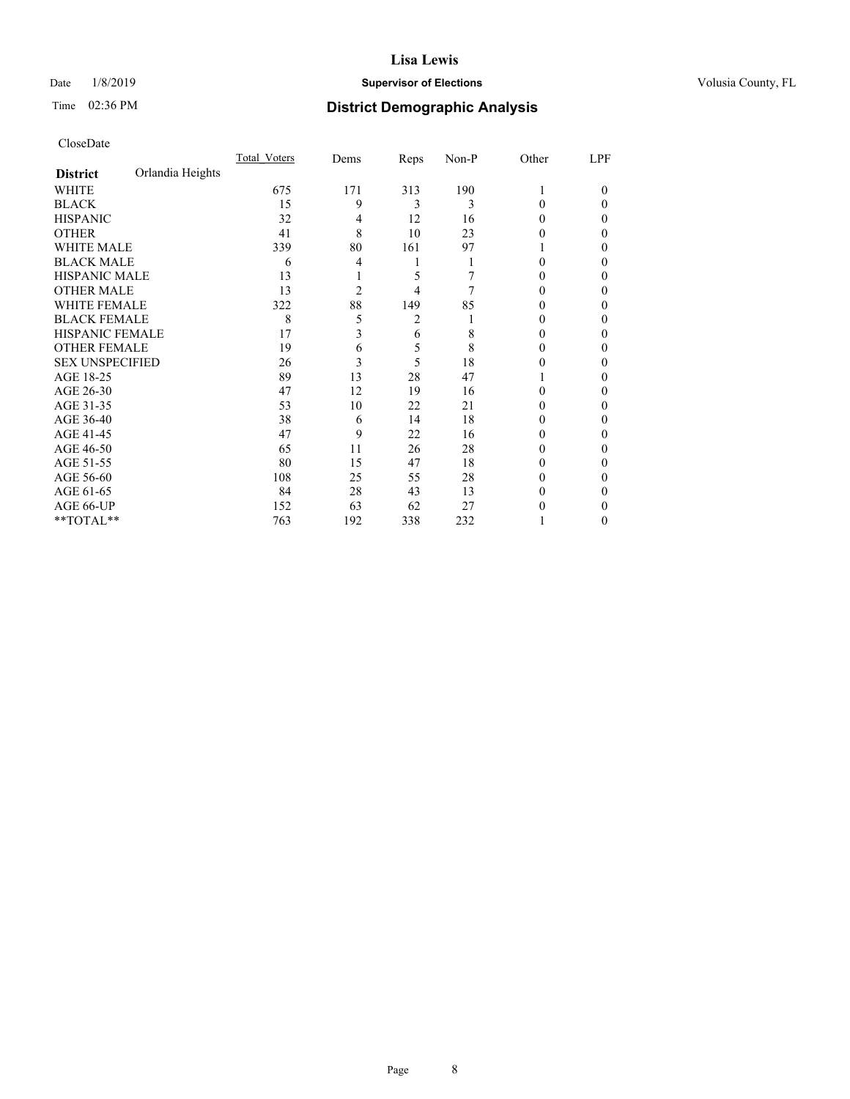#### Date  $1/8/2019$  **Supervisor of Elections Supervisor of Elections** Volusia County, FL

## Time 02:36 PM **District Demographic Analysis**

|                        |                  | Total Voters | Dems | Reps | Non-P | Other    | LPF    |
|------------------------|------------------|--------------|------|------|-------|----------|--------|
| <b>District</b>        | Orlandia Heights |              |      |      |       |          |        |
| WHITE                  |                  | 675          | 171  | 313  | 190   |          | $_{0}$ |
| <b>BLACK</b>           |                  | 15           | 9    | 3    | 3     | 0        | 0      |
| <b>HISPANIC</b>        |                  | 32           | 4    | 12   | 16    | $_{0}$   | 0      |
| <b>OTHER</b>           |                  | 41           | 8    | 10   | 23    |          | 0      |
| <b>WHITE MALE</b>      |                  | 339          | 80   | 161  | 97    |          | 0      |
| <b>BLACK MALE</b>      |                  | 6            | 4    |      |       |          | 0      |
| <b>HISPANIC MALE</b>   |                  | 13           |      | 5    |       |          | 0      |
| <b>OTHER MALE</b>      |                  | 13           | 2    | 4    | 7     | 0        | 0      |
| <b>WHITE FEMALE</b>    |                  | 322          | 88   | 149  | 85    |          | 0      |
| <b>BLACK FEMALE</b>    |                  | 8            | 5    | 2    |       | $_{0}$   | 0      |
| HISPANIC FEMALE        |                  | 17           | 3    | 6    | 8     | $_{0}$   | 0      |
| <b>OTHER FEMALE</b>    |                  | 19           | 6    | 5    | 8     | $_{0}$   | 0      |
| <b>SEX UNSPECIFIED</b> |                  | 26           | 3    | 5    | 18    |          | 0      |
| AGE 18-25              |                  | 89           | 13   | 28   | 47    |          | 0      |
| AGE 26-30              |                  | 47           | 12   | 19   | 16    | 0        | 0      |
| AGE 31-35              |                  | 53           | 10   | 22   | 21    |          | 0      |
| AGE 36-40              |                  | 38           | 6    | 14   | 18    | 0        | 0      |
| AGE 41-45              |                  | 47           | 9    | 22   | 16    |          | 0      |
| AGE 46-50              |                  | 65           | 11   | 26   | 28    | $_{0}$   | 0      |
| AGE 51-55              |                  | 80           | 15   | 47   | 18    | $^{(1)}$ | 0      |
| AGE 56-60              |                  | 108          | 25   | 55   | 28    | $\theta$ | 0      |
| AGE 61-65              |                  | 84           | 28   | 43   | 13    |          | 0      |
| AGE 66-UP              |                  | 152          | 63   | 62   | 27    |          | 0      |
| **TOTAL**              |                  | 763          | 192  | 338  | 232   |          | 0      |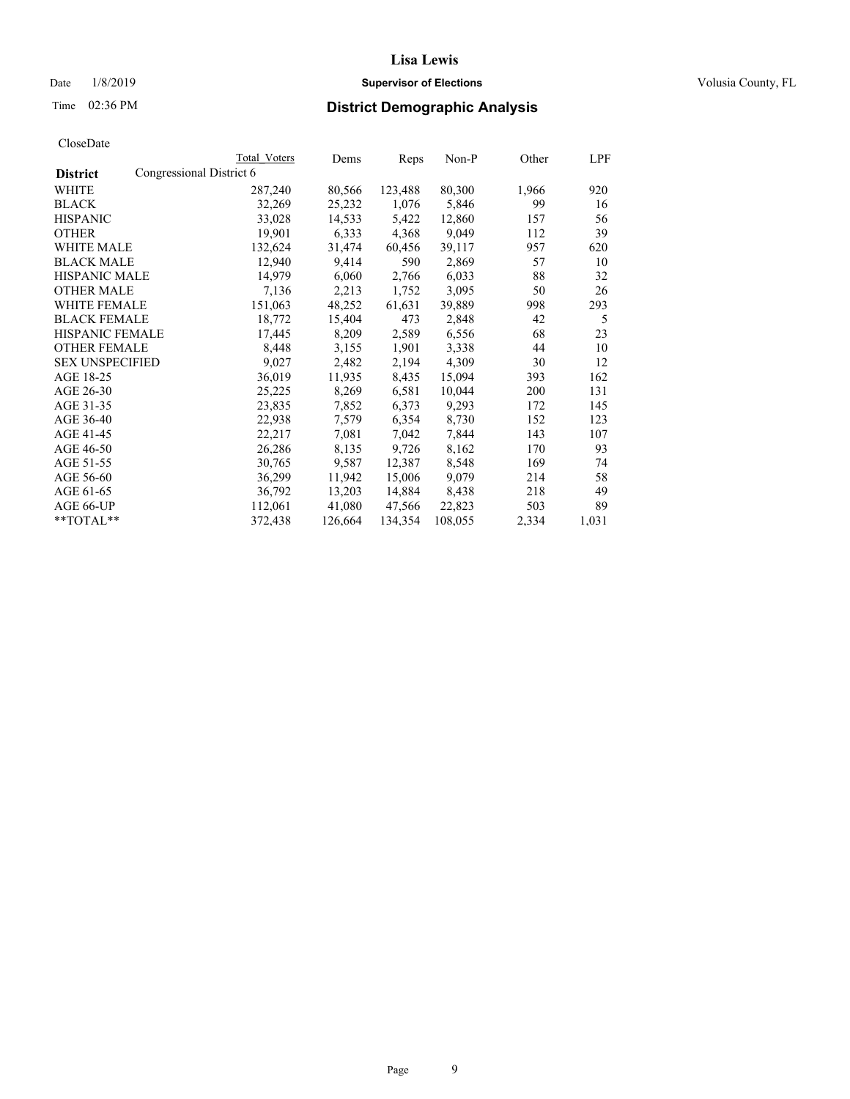#### Date  $1/8/2019$  **Supervisor of Elections Supervisor of Elections** Volusia County, FL

## Time 02:36 PM **District Demographic Analysis**

|                        |                          | <b>Total Voters</b> | Dems    | Reps    | Non-P   | Other | LPF   |
|------------------------|--------------------------|---------------------|---------|---------|---------|-------|-------|
| <b>District</b>        | Congressional District 6 |                     |         |         |         |       |       |
| WHITE                  |                          | 287,240             | 80,566  | 123,488 | 80,300  | 1,966 | 920   |
| <b>BLACK</b>           |                          | 32,269              | 25,232  | 1,076   | 5,846   | 99    | 16    |
| <b>HISPANIC</b>        |                          | 33,028              | 14,533  | 5,422   | 12,860  | 157   | 56    |
| <b>OTHER</b>           |                          | 19,901              | 6,333   | 4,368   | 9,049   | 112   | 39    |
| <b>WHITE MALE</b>      |                          | 132,624             | 31,474  | 60,456  | 39,117  | 957   | 620   |
| <b>BLACK MALE</b>      |                          | 12,940              | 9,414   | 590     | 2,869   | 57    | 10    |
| <b>HISPANIC MALE</b>   |                          | 14,979              | 6,060   | 2,766   | 6,033   | 88    | 32    |
| <b>OTHER MALE</b>      |                          | 7,136               | 2,213   | 1,752   | 3,095   | 50    | 26    |
| <b>WHITE FEMALE</b>    |                          | 151,063             | 48,252  | 61,631  | 39,889  | 998   | 293   |
| <b>BLACK FEMALE</b>    |                          | 18,772              | 15,404  | 473     | 2,848   | 42    | 5     |
| HISPANIC FEMALE        |                          | 17,445              | 8,209   | 2,589   | 6,556   | 68    | 23    |
| <b>OTHER FEMALE</b>    |                          | 8,448               | 3,155   | 1,901   | 3,338   | 44    | 10    |
| <b>SEX UNSPECIFIED</b> |                          | 9,027               | 2,482   | 2,194   | 4.309   | 30    | 12    |
| AGE 18-25              |                          | 36,019              | 11,935  | 8,435   | 15,094  | 393   | 162   |
| AGE 26-30              |                          | 25,225              | 8,269   | 6,581   | 10,044  | 200   | 131   |
| AGE 31-35              |                          | 23,835              | 7,852   | 6,373   | 9,293   | 172   | 145   |
| AGE 36-40              |                          | 22,938              | 7,579   | 6,354   | 8,730   | 152   | 123   |
| AGE 41-45              |                          | 22,217              | 7,081   | 7,042   | 7,844   | 143   | 107   |
| AGE 46-50              |                          | 26,286              | 8,135   | 9,726   | 8,162   | 170   | 93    |
| AGE 51-55              |                          | 30,765              | 9,587   | 12,387  | 8,548   | 169   | 74    |
| AGE 56-60              |                          | 36,299              | 11,942  | 15,006  | 9,079   | 214   | 58    |
| AGE 61-65              |                          | 36,792              | 13,203  | 14,884  | 8,438   | 218   | 49    |
| AGE 66-UP              |                          | 112,061             | 41,080  | 47,566  | 22,823  | 503   | 89    |
| $*$ $TOTAL**$          |                          | 372,438             | 126,664 | 134,354 | 108,055 | 2,334 | 1,031 |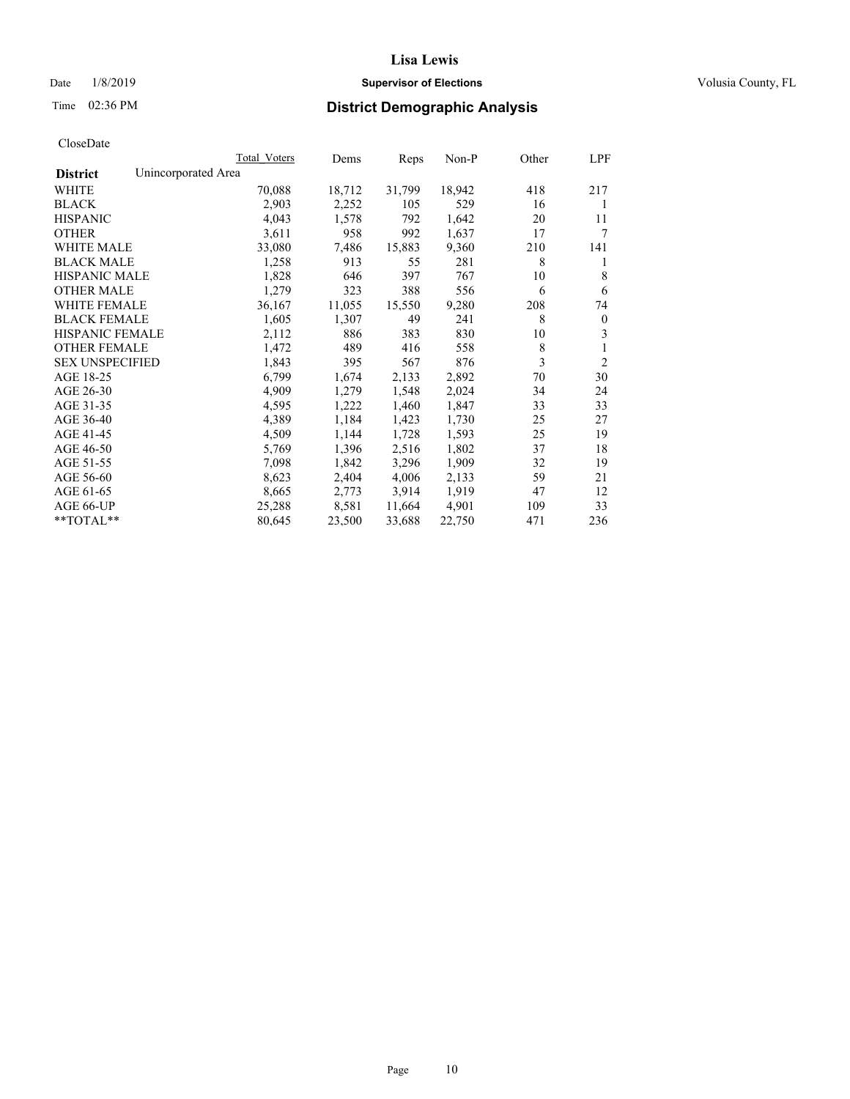## Date  $1/8/2019$  **Supervisor of Elections Supervisor of Elections** Volusia County, FL

# Time 02:36 PM **District Demographic Analysis**

|                        | Total Voters        | Dems   | Reps   | Non-P  | Other | LPF            |
|------------------------|---------------------|--------|--------|--------|-------|----------------|
| <b>District</b>        | Unincorporated Area |        |        |        |       |                |
| WHITE                  | 70,088              | 18,712 | 31,799 | 18,942 | 418   | 217            |
| <b>BLACK</b>           | 2,903               | 2,252  | 105    | 529    | 16    | 1              |
| <b>HISPANIC</b>        | 4,043               | 1,578  | 792    | 1,642  | 20    | 11             |
| <b>OTHER</b>           | 3,611               | 958    | 992    | 1,637  | 17    | 7              |
| WHITE MALE             | 33,080              | 7,486  | 15,883 | 9,360  | 210   | 141            |
| <b>BLACK MALE</b>      | 1,258               | 913    | 55     | 281    | 8     | 1              |
| <b>HISPANIC MALE</b>   | 1,828               | 646    | 397    | 767    | 10    | 8              |
| <b>OTHER MALE</b>      | 1,279               | 323    | 388    | 556    | 6     | 6              |
| WHITE FEMALE           | 36,167              | 11,055 | 15,550 | 9,280  | 208   | 74             |
| <b>BLACK FEMALE</b>    | 1,605               | 1,307  | 49     | 241    | 8     | $\mathbf{0}$   |
| <b>HISPANIC FEMALE</b> | 2,112               | 886    | 383    | 830    | 10    | 3              |
| <b>OTHER FEMALE</b>    | 1,472               | 489    | 416    | 558    | 8     | 1              |
| <b>SEX UNSPECIFIED</b> | 1,843               | 395    | 567    | 876    | 3     | $\overline{2}$ |
| AGE 18-25              | 6,799               | 1,674  | 2,133  | 2,892  | 70    | 30             |
| AGE 26-30              | 4,909               | 1,279  | 1,548  | 2,024  | 34    | 24             |
| AGE 31-35              | 4,595               | 1,222  | 1,460  | 1,847  | 33    | 33             |
| AGE 36-40              | 4,389               | 1,184  | 1,423  | 1,730  | 25    | 27             |
| AGE 41-45              | 4,509               | 1,144  | 1,728  | 1,593  | 25    | 19             |
| AGE 46-50              | 5,769               | 1,396  | 2,516  | 1,802  | 37    | 18             |
| AGE 51-55              | 7,098               | 1,842  | 3,296  | 1,909  | 32    | 19             |
| AGE 56-60              | 8,623               | 2,404  | 4,006  | 2,133  | 59    | 21             |
| AGE 61-65              | 8,665               | 2,773  | 3,914  | 1,919  | 47    | 12             |
| AGE 66-UP              | 25,288              | 8,581  | 11,664 | 4,901  | 109   | 33             |
| $*$ $TOTAL**$          | 80,645              | 23,500 | 33,688 | 22,750 | 471   | 236            |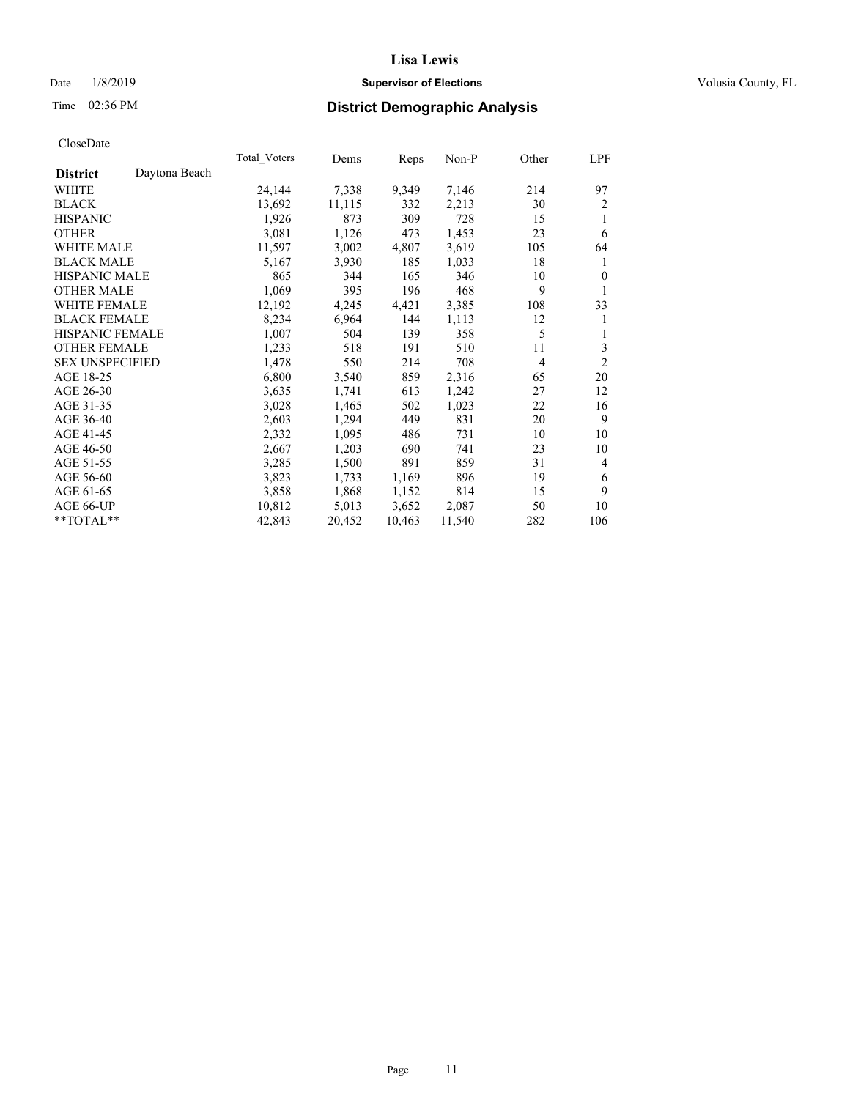## Date  $1/8/2019$  **Supervisor of Elections Supervisor of Elections** Volusia County, FL

# Time 02:36 PM **District Demographic Analysis**

|                        |               | Total Voters | Dems   | Reps   | Non-P  | Other | LPF            |
|------------------------|---------------|--------------|--------|--------|--------|-------|----------------|
| <b>District</b>        | Daytona Beach |              |        |        |        |       |                |
| WHITE                  |               | 24,144       | 7,338  | 9,349  | 7,146  | 214   | 97             |
| <b>BLACK</b>           |               | 13,692       | 11,115 | 332    | 2,213  | 30    | 2              |
| <b>HISPANIC</b>        |               | 1,926        | 873    | 309    | 728    | 15    | 1              |
| <b>OTHER</b>           |               | 3,081        | 1,126  | 473    | 1,453  | 23    | 6              |
| <b>WHITE MALE</b>      |               | 11,597       | 3,002  | 4,807  | 3,619  | 105   | 64             |
| <b>BLACK MALE</b>      |               | 5,167        | 3,930  | 185    | 1,033  | 18    | 1              |
| <b>HISPANIC MALE</b>   |               | 865          | 344    | 165    | 346    | 10    | $\theta$       |
| <b>OTHER MALE</b>      |               | 1,069        | 395    | 196    | 468    | 9     | 1              |
| <b>WHITE FEMALE</b>    |               | 12,192       | 4,245  | 4,421  | 3,385  | 108   | 33             |
| <b>BLACK FEMALE</b>    |               | 8,234        | 6,964  | 144    | 1,113  | 12    | 1              |
| <b>HISPANIC FEMALE</b> |               | 1,007        | 504    | 139    | 358    | 5     | 1              |
| <b>OTHER FEMALE</b>    |               | 1,233        | 518    | 191    | 510    | 11    | 3              |
| <b>SEX UNSPECIFIED</b> |               | 1,478        | 550    | 214    | 708    | 4     | $\overline{2}$ |
| AGE 18-25              |               | 6,800        | 3,540  | 859    | 2,316  | 65    | 20             |
| AGE 26-30              |               | 3,635        | 1,741  | 613    | 1,242  | 27    | 12             |
| AGE 31-35              |               | 3,028        | 1,465  | 502    | 1,023  | 22    | 16             |
| AGE 36-40              |               | 2,603        | 1,294  | 449    | 831    | 20    | 9              |
| AGE 41-45              |               | 2,332        | 1,095  | 486    | 731    | 10    | 10             |
| AGE 46-50              |               | 2,667        | 1,203  | 690    | 741    | 23    | 10             |
| AGE 51-55              |               | 3,285        | 1,500  | 891    | 859    | 31    | $\overline{4}$ |
| AGE 56-60              |               | 3,823        | 1,733  | 1,169  | 896    | 19    | 6              |
| AGE 61-65              |               | 3,858        | 1,868  | 1,152  | 814    | 15    | 9              |
| AGE 66-UP              |               | 10,812       | 5,013  | 3,652  | 2,087  | 50    | 10             |
| $*$ TOTAL $*$          |               | 42,843       | 20,452 | 10,463 | 11,540 | 282   | 106            |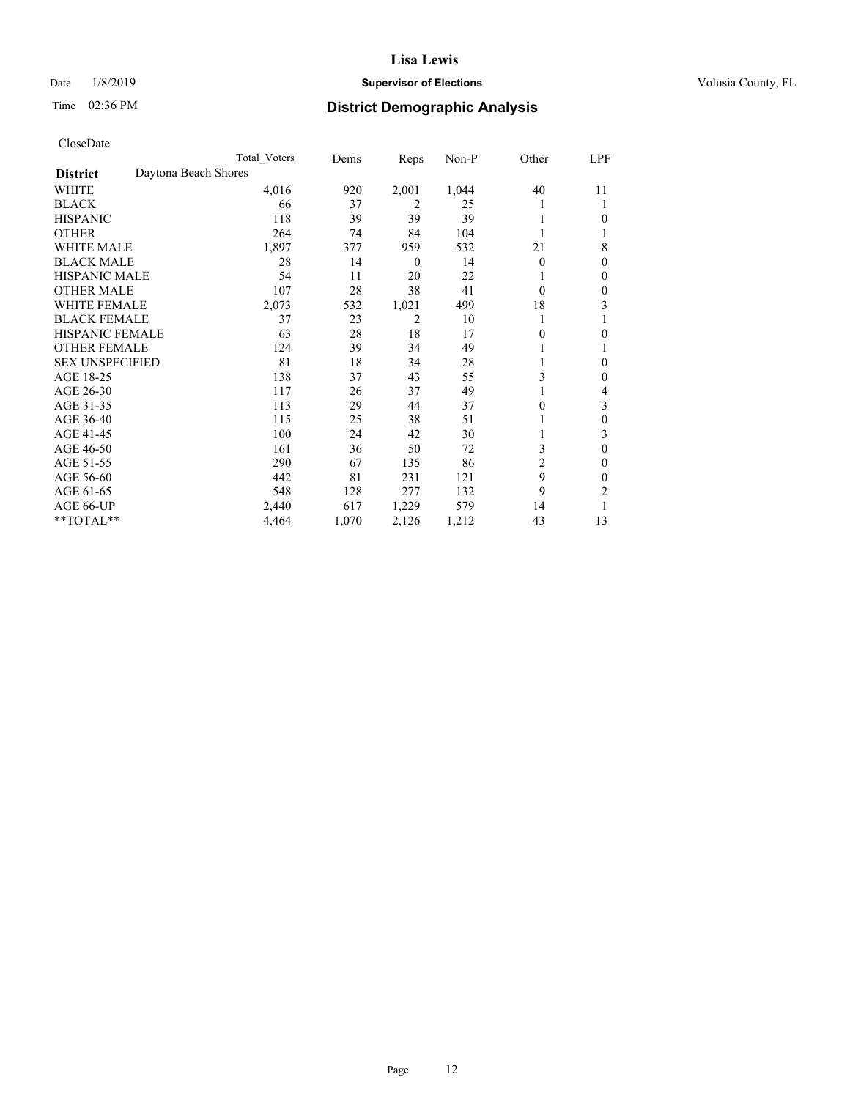## Date  $1/8/2019$  **Supervisor of Elections Supervisor of Elections** Volusia County, FL

# Time 02:36 PM **District Demographic Analysis**

|                        |                      | Total Voters | Dems  | Reps     | Non-P | Other          | LPF          |
|------------------------|----------------------|--------------|-------|----------|-------|----------------|--------------|
| <b>District</b>        | Daytona Beach Shores |              |       |          |       |                |              |
| WHITE                  |                      | 4,016        | 920   | 2,001    | 1,044 | 40             | 11           |
| <b>BLACK</b>           |                      | 66           | 37    | 2        | 25    |                | 1            |
| <b>HISPANIC</b>        |                      | 118          | 39    | 39       | 39    |                | $\theta$     |
| <b>OTHER</b>           |                      | 264          | 74    | 84       | 104   |                |              |
| <b>WHITE MALE</b>      |                      | 1,897        | 377   | 959      | 532   | 21             | 8            |
| <b>BLACK MALE</b>      |                      | 28           | 14    | $\theta$ | 14    | $\theta$       | $\theta$     |
| <b>HISPANIC MALE</b>   |                      | 54           | 11    | 20       | 22    |                | $\theta$     |
| <b>OTHER MALE</b>      |                      | 107          | 28    | 38       | 41    | $\theta$       | $\theta$     |
| <b>WHITE FEMALE</b>    |                      | 2,073        | 532   | 1,021    | 499   | 18             | 3            |
| <b>BLACK FEMALE</b>    |                      | 37           | 23    | 2        | 10    |                |              |
| <b>HISPANIC FEMALE</b> |                      | 63           | 28    | 18       | 17    | 0              | $\theta$     |
| <b>OTHER FEMALE</b>    |                      | 124          | 39    | 34       | 49    |                | 1            |
| <b>SEX UNSPECIFIED</b> |                      | 81           | 18    | 34       | 28    |                | $\mathbf{0}$ |
| AGE 18-25              |                      | 138          | 37    | 43       | 55    | 3              | $\theta$     |
| AGE 26-30              |                      | 117          | 26    | 37       | 49    |                | 4            |
| AGE 31-35              |                      | 113          | 29    | 44       | 37    | 0              | 3            |
| AGE 36-40              |                      | 115          | 25    | 38       | 51    |                | $\theta$     |
| AGE 41-45              |                      | 100          | 24    | 42       | 30    |                | 3            |
| AGE 46-50              |                      | 161          | 36    | 50       | 72    | 3              | $\theta$     |
| AGE 51-55              |                      | 290          | 67    | 135      | 86    | $\overline{c}$ | $\theta$     |
| AGE 56-60              |                      | 442          | 81    | 231      | 121   | 9              | $\theta$     |
| AGE 61-65              |                      | 548          | 128   | 277      | 132   | 9              | 2            |
| AGE 66-UP              |                      | 2,440        | 617   | 1,229    | 579   | 14             |              |
| **TOTAL**              |                      | 4,464        | 1,070 | 2,126    | 1,212 | 43             | 13           |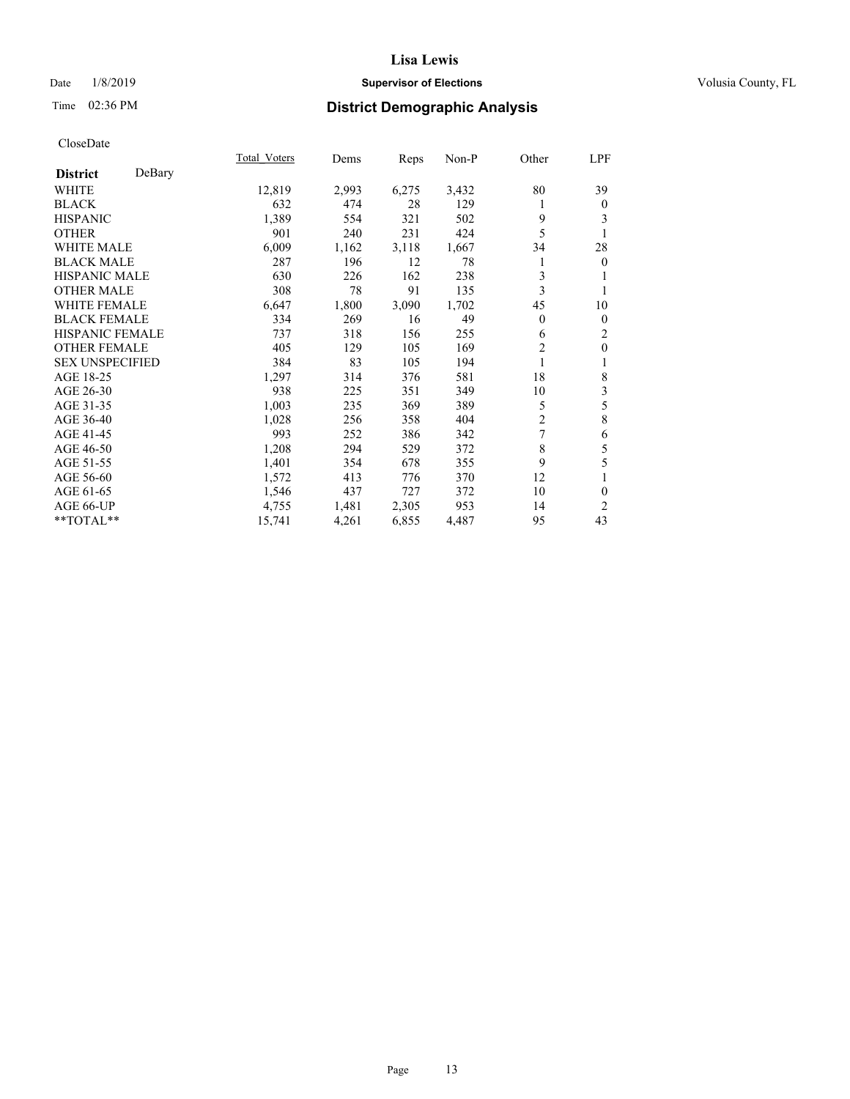## Date  $1/8/2019$  **Supervisor of Elections Supervisor of Elections** Volusia County, FL

## Time 02:36 PM **District Demographic Analysis**

|                        |        | Total Voters | Dems  | Reps  | Non-P | Other          | LPF            |
|------------------------|--------|--------------|-------|-------|-------|----------------|----------------|
| <b>District</b>        | DeBary |              |       |       |       |                |                |
| WHITE                  |        | 12,819       | 2,993 | 6,275 | 3,432 | 80             | 39             |
| <b>BLACK</b>           |        | 632          | 474   | 28    | 129   | 1              | $\mathbf{0}$   |
| <b>HISPANIC</b>        |        | 1,389        | 554   | 321   | 502   | 9              | 3              |
| <b>OTHER</b>           |        | 901          | 240   | 231   | 424   | 5              |                |
| WHITE MALE             |        | 6,009        | 1,162 | 3,118 | 1,667 | 34             | 28             |
| <b>BLACK MALE</b>      |        | 287          | 196   | 12    | 78    | 1              | $\overline{0}$ |
| <b>HISPANIC MALE</b>   |        | 630          | 226   | 162   | 238   | 3              | 1              |
| <b>OTHER MALE</b>      |        | 308          | 78    | 91    | 135   | 3              | 1              |
| <b>WHITE FEMALE</b>    |        | 6,647        | 1,800 | 3,090 | 1,702 | 45             | 10             |
| <b>BLACK FEMALE</b>    |        | 334          | 269   | 16    | 49    | $\overline{0}$ | $\mathbf{0}$   |
| <b>HISPANIC FEMALE</b> |        | 737          | 318   | 156   | 255   | 6              | 2              |
| <b>OTHER FEMALE</b>    |        | 405          | 129   | 105   | 169   | 2              | $\mathbf{0}$   |
| <b>SEX UNSPECIFIED</b> |        | 384          | 83    | 105   | 194   | 1              | 1              |
| AGE 18-25              |        | 1,297        | 314   | 376   | 581   | 18             | 8              |
| AGE 26-30              |        | 938          | 225   | 351   | 349   | 10             | 3              |
| AGE 31-35              |        | 1,003        | 235   | 369   | 389   | 5              | 5              |
| AGE 36-40              |        | 1,028        | 256   | 358   | 404   | $\overline{c}$ | 8              |
| AGE 41-45              |        | 993          | 252   | 386   | 342   | 7              | 6              |
| AGE 46-50              |        | 1,208        | 294   | 529   | 372   | 8              | 5              |
| AGE 51-55              |        | 1,401        | 354   | 678   | 355   | 9              | 5              |
| AGE 56-60              |        | 1,572        | 413   | 776   | 370   | 12             | 1              |
| AGE 61-65              |        | 1,546        | 437   | 727   | 372   | 10             | $\mathbf{0}$   |
| AGE 66-UP              |        | 4,755        | 1,481 | 2,305 | 953   | 14             | $\overline{2}$ |
| **TOTAL**              |        | 15,741       | 4,261 | 6,855 | 4,487 | 95             | 43             |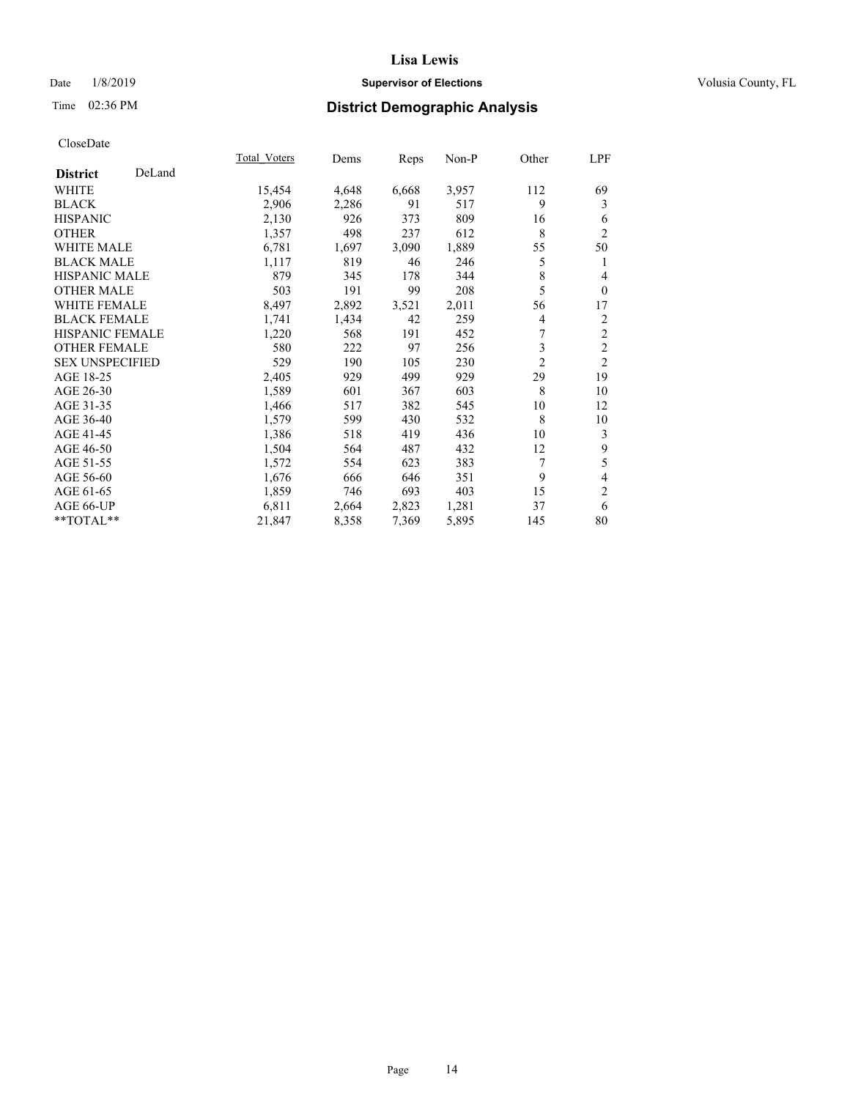## Date  $1/8/2019$  **Supervisor of Elections Supervisor of Elections** Volusia County, FL

## Time 02:36 PM **District Demographic Analysis**

|                        |        | Total Voters | Dems  | Reps  | Non-P | Other          | LPF                      |
|------------------------|--------|--------------|-------|-------|-------|----------------|--------------------------|
| <b>District</b>        | DeLand |              |       |       |       |                |                          |
| WHITE                  |        | 15,454       | 4,648 | 6,668 | 3,957 | 112            | 69                       |
| <b>BLACK</b>           |        | 2,906        | 2,286 | 91    | 517   | 9              | 3                        |
| <b>HISPANIC</b>        |        | 2,130        | 926   | 373   | 809   | 16             | 6                        |
| <b>OTHER</b>           |        | 1,357        | 498   | 237   | 612   | 8              | $\overline{2}$           |
| <b>WHITE MALE</b>      |        | 6,781        | 1,697 | 3,090 | 1,889 | 55             | 50                       |
| <b>BLACK MALE</b>      |        | 1,117        | 819   | 46    | 246   | 5              | 1                        |
| <b>HISPANIC MALE</b>   |        | 879          | 345   | 178   | 344   | 8              | 4                        |
| <b>OTHER MALE</b>      |        | 503          | 191   | 99    | 208   | 5              | $\mathbf{0}$             |
| <b>WHITE FEMALE</b>    |        | 8,497        | 2,892 | 3,521 | 2,011 | 56             | 17                       |
| <b>BLACK FEMALE</b>    |        | 1,741        | 1,434 | 42    | 259   | 4              | $\overline{c}$           |
| <b>HISPANIC FEMALE</b> |        | 1,220        | 568   | 191   | 452   | 7              | $\overline{2}$           |
| <b>OTHER FEMALE</b>    |        | 580          | 222   | 97    | 256   | 3              | $\mathfrak{2}$           |
| <b>SEX UNSPECIFIED</b> |        | 529          | 190   | 105   | 230   | $\overline{2}$ | $\mathfrak{2}$           |
| AGE 18-25              |        | 2,405        | 929   | 499   | 929   | 29             | 19                       |
| AGE 26-30              |        | 1,589        | 601   | 367   | 603   | 8              | 10                       |
| AGE 31-35              |        | 1,466        | 517   | 382   | 545   | 10             | 12                       |
| AGE 36-40              |        | 1,579        | 599   | 430   | 532   | 8              | 10                       |
| AGE 41-45              |        | 1,386        | 518   | 419   | 436   | 10             | 3                        |
| AGE 46-50              |        | 1,504        | 564   | 487   | 432   | 12             | $\boldsymbol{9}$         |
| AGE 51-55              |        | 1,572        | 554   | 623   | 383   | 7              | 5                        |
| AGE 56-60              |        | 1,676        | 666   | 646   | 351   | 9              | $\overline{\mathcal{L}}$ |
| AGE 61-65              |        | 1,859        | 746   | 693   | 403   | 15             | $\mathbf{2}$             |
| AGE 66-UP              |        | 6,811        | 2,664 | 2,823 | 1,281 | 37             | 6                        |
| **TOTAL**              |        | 21,847       | 8,358 | 7,369 | 5,895 | 145            | 80                       |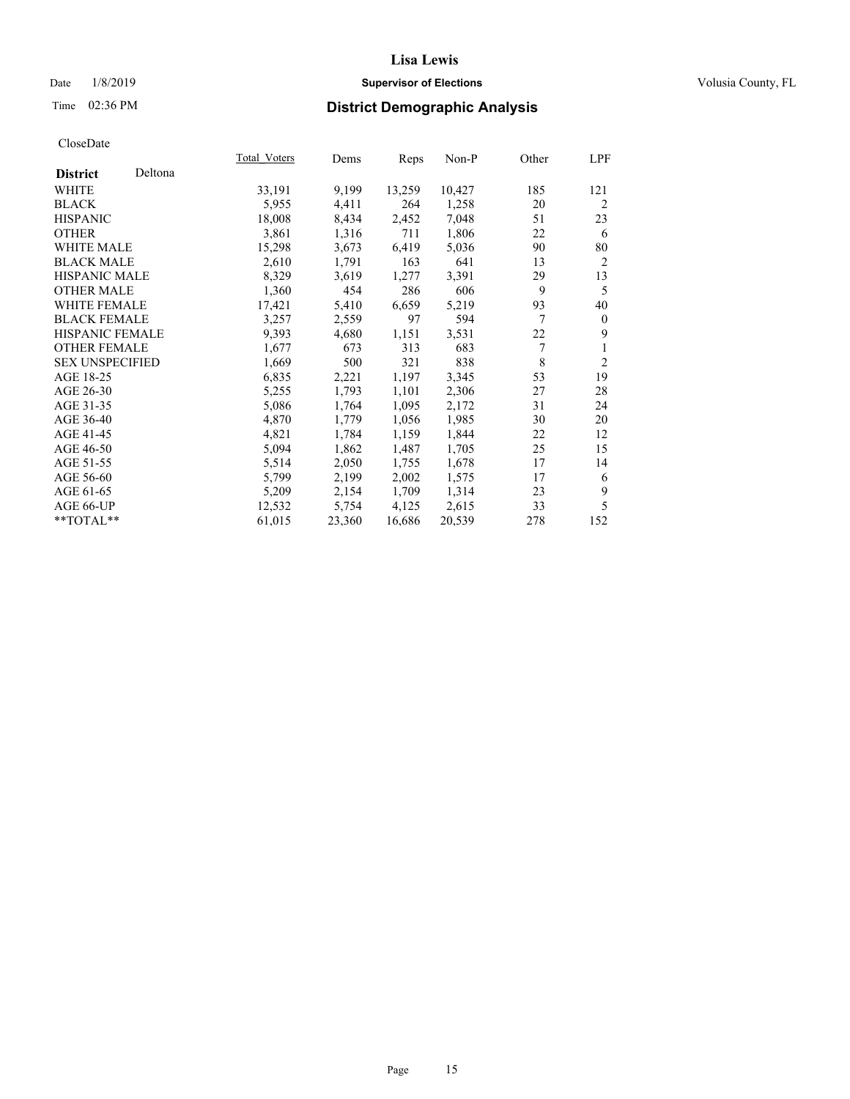## Date  $1/8/2019$  **Supervisor of Elections Supervisor of Elections** Volusia County, FL

# Time 02:36 PM **District Demographic Analysis**

|                        |         | Total Voters | Dems   | Reps   | Non-P  | Other | LPF            |
|------------------------|---------|--------------|--------|--------|--------|-------|----------------|
| <b>District</b>        | Deltona |              |        |        |        |       |                |
| <b>WHITE</b>           |         | 33,191       | 9,199  | 13,259 | 10,427 | 185   | 121            |
| <b>BLACK</b>           |         | 5,955        | 4,411  | 264    | 1,258  | 20    | 2              |
| <b>HISPANIC</b>        |         | 18,008       | 8,434  | 2,452  | 7,048  | 51    | 23             |
| <b>OTHER</b>           |         | 3,861        | 1,316  | 711    | 1,806  | 22    | 6              |
| WHITE MALE             |         | 15,298       | 3,673  | 6,419  | 5,036  | 90    | 80             |
| <b>BLACK MALE</b>      |         | 2,610        | 1,791  | 163    | 641    | 13    | $\overline{2}$ |
| <b>HISPANIC MALE</b>   |         | 8,329        | 3,619  | 1,277  | 3,391  | 29    | 13             |
| <b>OTHER MALE</b>      |         | 1,360        | 454    | 286    | 606    | 9     | 5              |
| <b>WHITE FEMALE</b>    |         | 17,421       | 5,410  | 6,659  | 5,219  | 93    | 40             |
| <b>BLACK FEMALE</b>    |         | 3,257        | 2,559  | 97     | 594    | 7     | $\theta$       |
| HISPANIC FEMALE        |         | 9,393        | 4,680  | 1,151  | 3,531  | 22    | 9              |
| <b>OTHER FEMALE</b>    |         | 1,677        | 673    | 313    | 683    | 7     | 1              |
| <b>SEX UNSPECIFIED</b> |         | 1,669        | 500    | 321    | 838    | 8     | $\overline{2}$ |
| AGE 18-25              |         | 6,835        | 2,221  | 1,197  | 3,345  | 53    | 19             |
| AGE 26-30              |         | 5,255        | 1,793  | 1,101  | 2,306  | 27    | 28             |
| AGE 31-35              |         | 5,086        | 1,764  | 1,095  | 2,172  | 31    | 24             |
| AGE 36-40              |         | 4,870        | 1,779  | 1,056  | 1,985  | 30    | 20             |
| AGE 41-45              |         | 4,821        | 1,784  | 1,159  | 1,844  | 22    | 12             |
| AGE 46-50              |         | 5,094        | 1,862  | 1,487  | 1,705  | 25    | 15             |
| AGE 51-55              |         | 5,514        | 2,050  | 1,755  | 1,678  | 17    | 14             |
| AGE 56-60              |         | 5,799        | 2,199  | 2,002  | 1,575  | 17    | 6              |
| AGE 61-65              |         | 5,209        | 2,154  | 1,709  | 1,314  | 23    | 9              |
| AGE 66-UP              |         | 12,532       | 5,754  | 4,125  | 2,615  | 33    | 5              |
| $*$ $TOTAL**$          |         | 61,015       | 23,360 | 16,686 | 20,539 | 278   | 152            |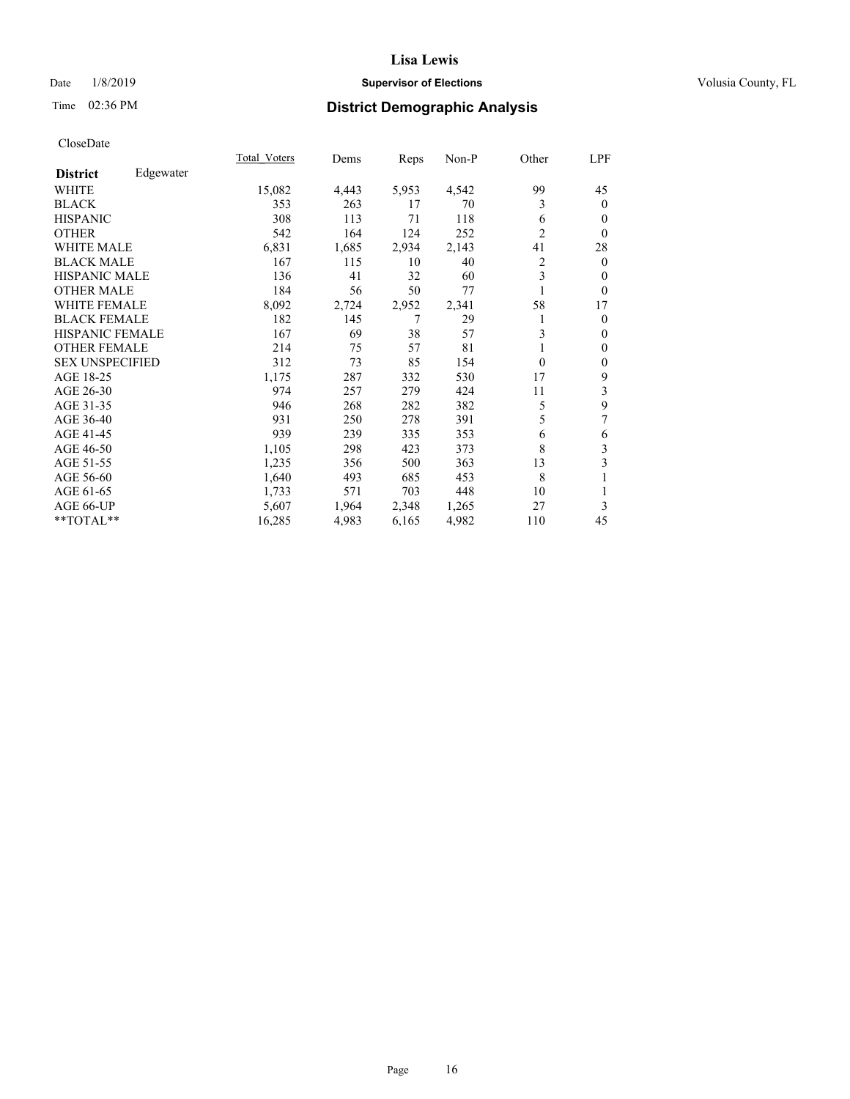## Date  $1/8/2019$  **Supervisor of Elections Supervisor of Elections** Volusia County, FL

## Time 02:36 PM **District Demographic Analysis**

|                        |           | Total Voters | Dems  | Reps  | Non-P | Other          | LPF            |
|------------------------|-----------|--------------|-------|-------|-------|----------------|----------------|
| <b>District</b>        | Edgewater |              |       |       |       |                |                |
| WHITE                  |           | 15,082       | 4,443 | 5,953 | 4,542 | 99             | 45             |
| <b>BLACK</b>           |           | 353          | 263   | 17    | 70    | 3              | $\mathbf{0}$   |
| <b>HISPANIC</b>        |           | 308          | 113   | 71    | 118   | 6              | $\overline{0}$ |
| <b>OTHER</b>           |           | 542          | 164   | 124   | 252   | $\overline{2}$ | $\theta$       |
| <b>WHITE MALE</b>      |           | 6,831        | 1,685 | 2,934 | 2,143 | 41             | 28             |
| <b>BLACK MALE</b>      |           | 167          | 115   | 10    | 40    | $\overline{2}$ | $\mathbf{0}$   |
| <b>HISPANIC MALE</b>   |           | 136          | 41    | 32    | 60    | 3              | $\theta$       |
| <b>OTHER MALE</b>      |           | 184          | 56    | 50    | 77    | 1              | $\theta$       |
| <b>WHITE FEMALE</b>    |           | 8,092        | 2,724 | 2,952 | 2,341 | 58             | 17             |
| <b>BLACK FEMALE</b>    |           | 182          | 145   | 7     | 29    |                | $\overline{0}$ |
| <b>HISPANIC FEMALE</b> |           | 167          | 69    | 38    | 57    | 3              | $\mathbf{0}$   |
| <b>OTHER FEMALE</b>    |           | 214          | 75    | 57    | 81    |                | $\theta$       |
| <b>SEX UNSPECIFIED</b> |           | 312          | 73    | 85    | 154   | $\Omega$       | $\mathbf{0}$   |
| AGE 18-25              |           | 1,175        | 287   | 332   | 530   | 17             | 9              |
| AGE 26-30              |           | 974          | 257   | 279   | 424   | 11             | 3              |
| AGE 31-35              |           | 946          | 268   | 282   | 382   | 5              | 9              |
| AGE 36-40              |           | 931          | 250   | 278   | 391   | 5              | 7              |
| AGE 41-45              |           | 939          | 239   | 335   | 353   | 6              | 6              |
| AGE 46-50              |           | 1,105        | 298   | 423   | 373   | 8              | 3              |
| AGE 51-55              |           | 1,235        | 356   | 500   | 363   | 13             | 3              |
| AGE 56-60              |           | 1,640        | 493   | 685   | 453   | 8              | 1              |
| AGE 61-65              |           | 1,733        | 571   | 703   | 448   | 10             | 1              |
| AGE 66-UP              |           | 5,607        | 1,964 | 2,348 | 1,265 | 27             | 3              |
| **TOTAL**              |           | 16,285       | 4,983 | 6,165 | 4,982 | 110            | 45             |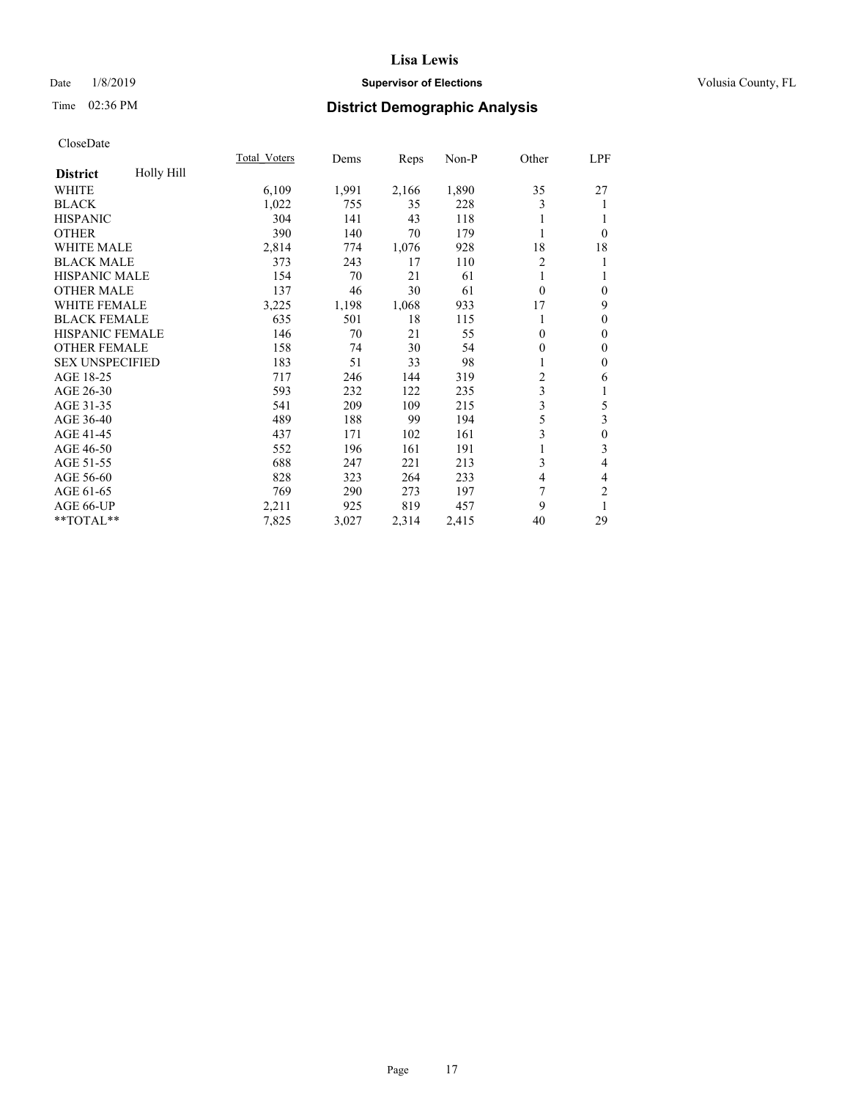## Date  $1/8/2019$  **Supervisor of Elections Supervisor of Elections** Volusia County, FL

# Time 02:36 PM **District Demographic Analysis**

| Total Voters | Dems  | Reps  | Non-P | Other          | LPF              |
|--------------|-------|-------|-------|----------------|------------------|
|              |       |       |       |                |                  |
| 6,109        | 1,991 | 2,166 | 1,890 | 35             | 27               |
| 1,022        | 755   | 35    | 228   | 3              | 1                |
| 304          | 141   | 43    | 118   |                | 1                |
| 390          | 140   | 70    | 179   |                | $\theta$         |
| 2,814        | 774   | 1,076 | 928   | 18             | 18               |
| 373          | 243   | 17    | 110   | $\overline{2}$ | 1                |
| 154          | 70    | 21    | 61    |                | 1                |
| 137          | 46    | 30    | 61    | $\theta$       | $\mathbf{0}$     |
| 3,225        | 1,198 | 1,068 | 933   | 17             | 9                |
| 635          | 501   | 18    | 115   |                | $\mathbf{0}$     |
| 146          | 70    | 21    | 55    | $\theta$       | $\mathbf{0}$     |
| 158          | 74    | 30    | 54    | 0              | $\mathbf{0}$     |
| 183          | 51    | 33    | 98    |                | $\boldsymbol{0}$ |
| 717          | 246   | 144   | 319   | 2              | 6                |
| 593          | 232   | 122   | 235   | 3              | 1                |
| 541          | 209   | 109   | 215   | 3              | 5                |
| 489          | 188   | 99    | 194   | 5              | 3                |
| 437          | 171   | 102   | 161   | 3              | $\boldsymbol{0}$ |
| 552          | 196   | 161   | 191   |                | $\overline{3}$   |
| 688          | 247   | 221   | 213   | 3              | $\overline{4}$   |
| 828          | 323   | 264   | 233   | 4              | $\overline{4}$   |
| 769          | 290   | 273   | 197   | 7              | $\overline{2}$   |
| 2,211        | 925   | 819   | 457   | 9              | 1                |
| 7,825        | 3,027 | 2,314 | 2,415 | 40             | 29               |
|              |       |       |       |                |                  |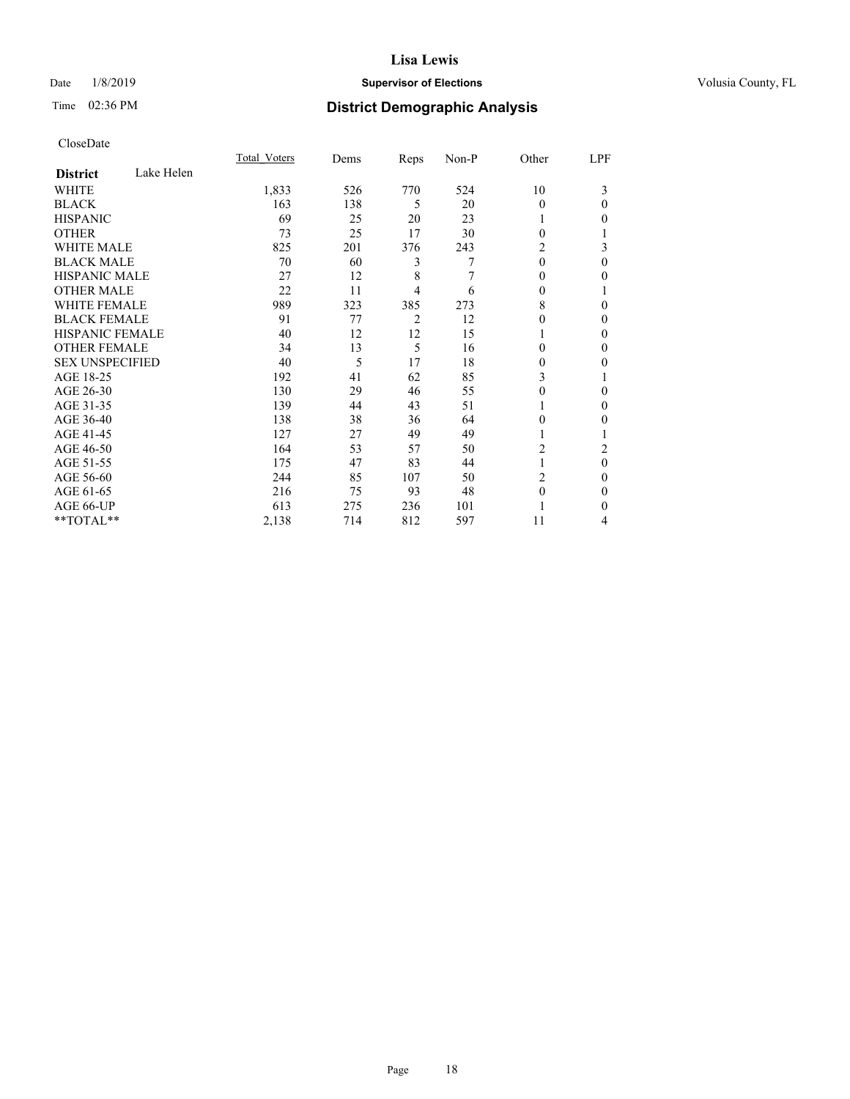## Date  $1/8/2019$  **Supervisor of Elections Supervisor of Elections** Volusia County, FL

## Time 02:36 PM **District Demographic Analysis**

|                        |            | Total Voters | Dems | Reps | Non-P | Other    | LPF              |
|------------------------|------------|--------------|------|------|-------|----------|------------------|
| <b>District</b>        | Lake Helen |              |      |      |       |          |                  |
| WHITE                  |            | 1,833        | 526  | 770  | 524   | 10       | 3                |
| <b>BLACK</b>           |            | 163          | 138  | 5    | 20    | $\theta$ | 0                |
| <b>HISPANIC</b>        |            | 69           | 25   | 20   | 23    |          | 0                |
| <b>OTHER</b>           |            | 73           | 25   | 17   | 30    | $\Omega$ |                  |
| <b>WHITE MALE</b>      |            | 825          | 201  | 376  | 243   | 2        | 3                |
| <b>BLACK MALE</b>      |            | 70           | 60   | 3    | 7     | $\theta$ | 0                |
| <b>HISPANIC MALE</b>   |            | 27           | 12   | 8    | 7     | $\theta$ | 0                |
| <b>OTHER MALE</b>      |            | 22           | 11   | 4    | 6     | 0        | 1                |
| <b>WHITE FEMALE</b>    |            | 989          | 323  | 385  | 273   | 8        | 0                |
| <b>BLACK FEMALE</b>    |            | 91           | 77   | 2    | 12    | 0        | 0                |
| <b>HISPANIC FEMALE</b> |            | 40           | 12   | 12   | 15    | 1        | 0                |
| <b>OTHER FEMALE</b>    |            | 34           | 13   | 5    | 16    | $\Omega$ | 0                |
| <b>SEX UNSPECIFIED</b> |            | 40           | 5    | 17   | 18    | $\theta$ | 0                |
| AGE 18-25              |            | 192          | 41   | 62   | 85    | 3        |                  |
| AGE 26-30              |            | 130          | 29   | 46   | 55    | 0        | 0                |
| AGE 31-35              |            | 139          | 44   | 43   | 51    |          | 0                |
| AGE 36-40              |            | 138          | 38   | 36   | 64    | $\theta$ | 0                |
| AGE 41-45              |            | 127          | 27   | 49   | 49    | 1        |                  |
| AGE 46-50              |            | 164          | 53   | 57   | 50    | 2        | 2                |
| AGE 51-55              |            | 175          | 47   | 83   | 44    | 1        | $\boldsymbol{0}$ |
| AGE 56-60              |            | 244          | 85   | 107  | 50    | 2        | 0                |
| AGE 61-65              |            | 216          | 75   | 93   | 48    | $\theta$ | 0                |
| AGE 66-UP              |            | 613          | 275  | 236  | 101   |          | 0                |
| **TOTAL**              |            | 2,138        | 714  | 812  | 597   | 11       | 4                |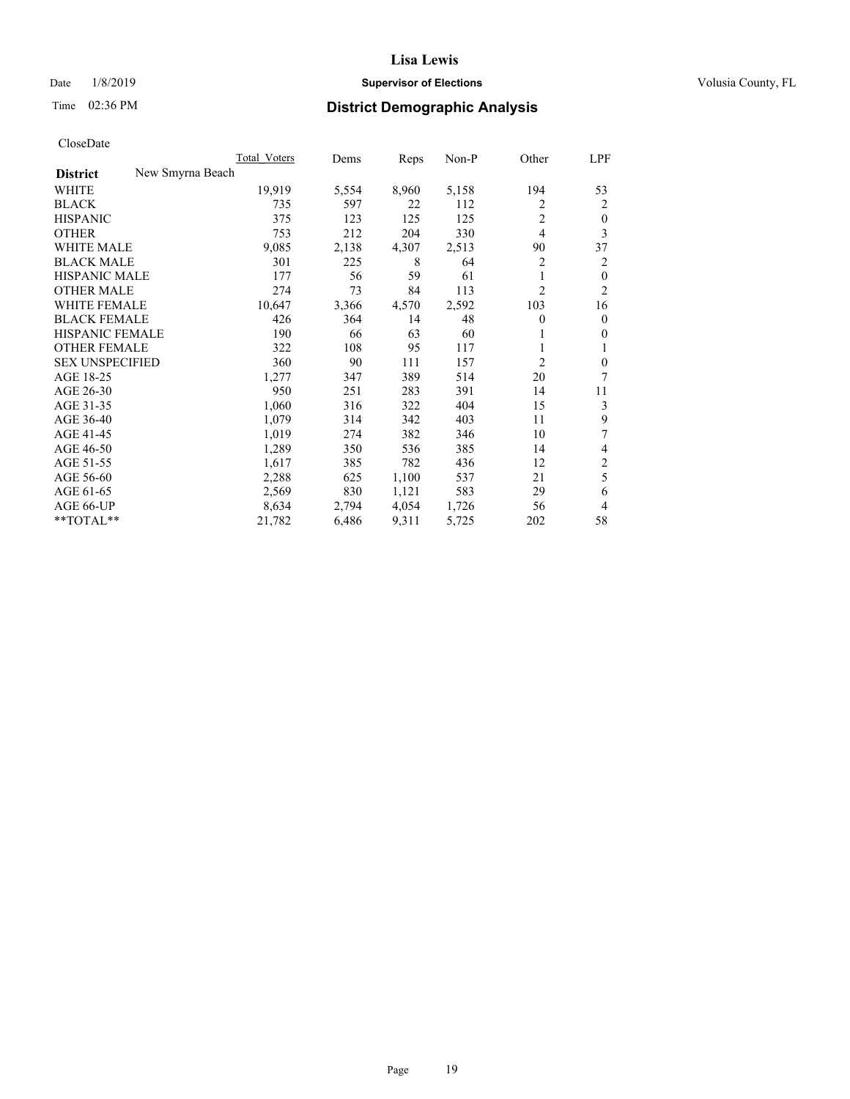## Date  $1/8/2019$  **Supervisor of Elections Supervisor of Elections** Volusia County, FL

# Time 02:36 PM **District Demographic Analysis**

|                        |                  | Total Voters | Dems  | Reps  | Non-P | Other          | LPF            |
|------------------------|------------------|--------------|-------|-------|-------|----------------|----------------|
| <b>District</b>        | New Smyrna Beach |              |       |       |       |                |                |
| WHITE                  |                  | 19,919       | 5,554 | 8,960 | 5,158 | 194            | 53             |
| <b>BLACK</b>           |                  | 735          | 597   | 22    | 112   | 2              | 2              |
| <b>HISPANIC</b>        |                  | 375          | 123   | 125   | 125   | $\overline{c}$ | $\mathbf{0}$   |
| <b>OTHER</b>           |                  | 753          | 212   | 204   | 330   | 4              | 3              |
| <b>WHITE MALE</b>      |                  | 9,085        | 2,138 | 4,307 | 2,513 | 90             | 37             |
| <b>BLACK MALE</b>      |                  | 301          | 225   | 8     | 64    | 2              | 2              |
| <b>HISPANIC MALE</b>   |                  | 177          | 56    | 59    | 61    | 1              | $\mathbf{0}$   |
| <b>OTHER MALE</b>      |                  | 274          | 73    | 84    | 113   | $\overline{c}$ | $\overline{2}$ |
| <b>WHITE FEMALE</b>    |                  | 10,647       | 3,366 | 4,570 | 2,592 | 103            | 16             |
| <b>BLACK FEMALE</b>    |                  | 426          | 364   | 14    | 48    | 0              | $\mathbf{0}$   |
| <b>HISPANIC FEMALE</b> |                  | 190          | 66    | 63    | 60    |                | $\theta$       |
| <b>OTHER FEMALE</b>    |                  | 322          | 108   | 95    | 117   |                | 1              |
| <b>SEX UNSPECIFIED</b> |                  | 360          | 90    | 111   | 157   | 2              | $\mathbf{0}$   |
| AGE 18-25              |                  | 1,277        | 347   | 389   | 514   | 20             | 7              |
| AGE 26-30              |                  | 950          | 251   | 283   | 391   | 14             | 11             |
| AGE 31-35              |                  | 1,060        | 316   | 322   | 404   | 15             | 3              |
| AGE 36-40              |                  | 1,079        | 314   | 342   | 403   | 11             | 9              |
| AGE 41-45              |                  | 1,019        | 274   | 382   | 346   | 10             | 7              |
| AGE 46-50              |                  | 1,289        | 350   | 536   | 385   | 14             | 4              |
| AGE 51-55              |                  | 1,617        | 385   | 782   | 436   | 12             | $\overline{2}$ |
| AGE 56-60              |                  | 2,288        | 625   | 1,100 | 537   | 21             | 5              |
| AGE 61-65              |                  | 2,569        | 830   | 1,121 | 583   | 29             | 6              |
| AGE 66-UP              |                  | 8,634        | 2,794 | 4,054 | 1,726 | 56             | 4              |
| $*$ TOTAL $*$          |                  | 21,782       | 6,486 | 9,311 | 5,725 | 202            | 58             |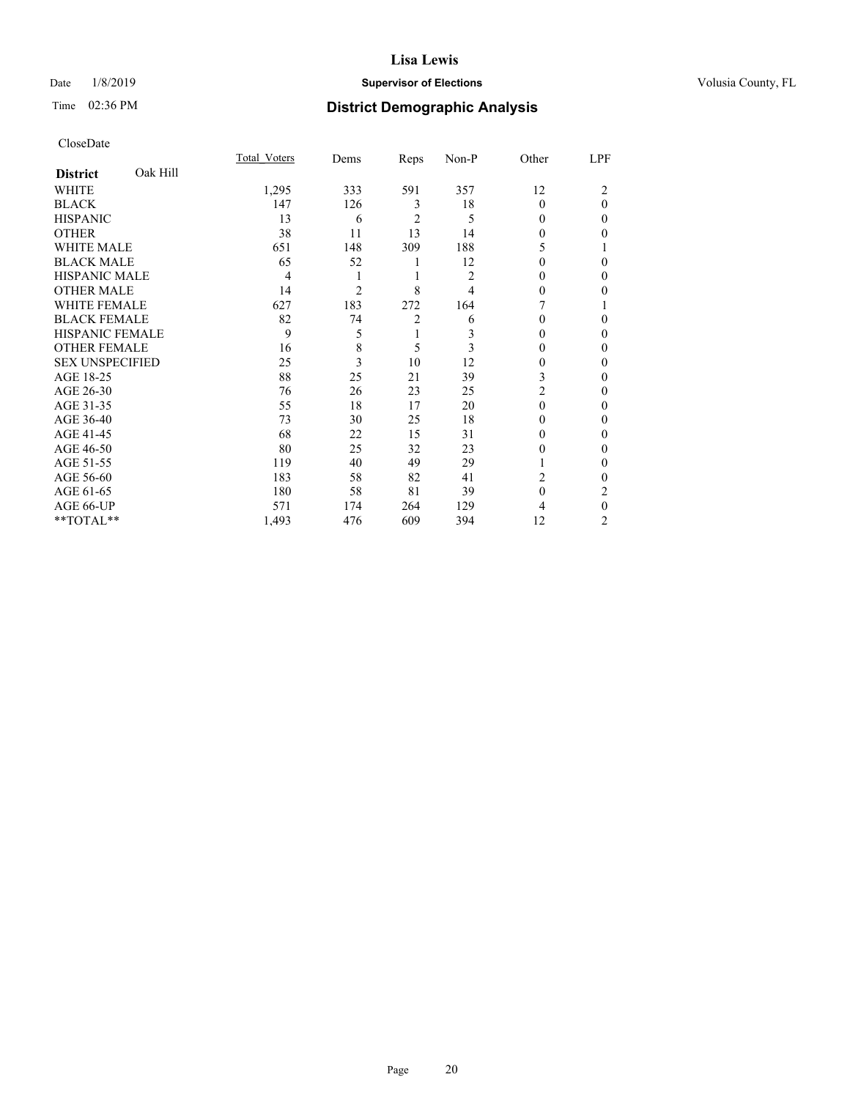## Date  $1/8/2019$  **Supervisor of Elections Supervisor of Elections** Volusia County, FL

# Time 02:36 PM **District Demographic Analysis**

|                        |          | Total Voters | Dems | Reps           | Non-P          | Other    | LPF      |
|------------------------|----------|--------------|------|----------------|----------------|----------|----------|
| <b>District</b>        | Oak Hill |              |      |                |                |          |          |
| WHITE                  |          | 1,295        | 333  | 591            | 357            | 12       | 2        |
| <b>BLACK</b>           |          | 147          | 126  | 3              | 18             | $\Omega$ | $\Omega$ |
| <b>HISPANIC</b>        |          | 13           | 6    | $\overline{2}$ | 5              | 0        | $\Omega$ |
| <b>OTHER</b>           |          | 38           | 11   | 13             | 14             | 0        | 0        |
| <b>WHITE MALE</b>      |          | 651          | 148  | 309            | 188            | 5        |          |
| <b>BLACK MALE</b>      |          | 65           | 52   | 1              | 12             | 0        | 0        |
| <b>HISPANIC MALE</b>   |          | 4            | 1    | 1              | $\overline{2}$ | 0        | 0        |
| <b>OTHER MALE</b>      |          | 14           | 2    | 8              | 4              | 0        | 0        |
| WHITE FEMALE           |          | 627          | 183  | 272            | 164            |          |          |
| <b>BLACK FEMALE</b>    |          | 82           | 74   | $\overline{c}$ | 6              | 0        | 0        |
| <b>HISPANIC FEMALE</b> |          | 9            | 5    | 1              | 3              | 0        | 0        |
| <b>OTHER FEMALE</b>    |          | 16           | 8    | 5              | 3              | 0        | 0        |
| <b>SEX UNSPECIFIED</b> |          | 25           | 3    | 10             | 12             | 0        | 0        |
| AGE 18-25              |          | 88           | 25   | 21             | 39             | 3        | 0        |
| AGE 26-30              |          | 76           | 26   | 23             | 25             | 2        | 0        |
| AGE 31-35              |          | 55           | 18   | 17             | 20             | $\Omega$ | 0        |
| AGE 36-40              |          | 73           | 30   | 25             | 18             | 0        | 0        |
| AGE 41-45              |          | 68           | 22   | 15             | 31             | 0        | 0        |
| AGE 46-50              |          | 80           | 25   | 32             | 23             | 0        | 0        |
| AGE 51-55              |          | 119          | 40   | 49             | 29             |          | $\Omega$ |
| AGE 56-60              |          | 183          | 58   | 82             | 41             | 2        | 0        |
| AGE 61-65              |          | 180          | 58   | 81             | 39             | $\theta$ | 2        |
| AGE 66-UP              |          | 571          | 174  | 264            | 129            | 4        | $\theta$ |
| **TOTAL**              |          | 1,493        | 476  | 609            | 394            | 12       | 2        |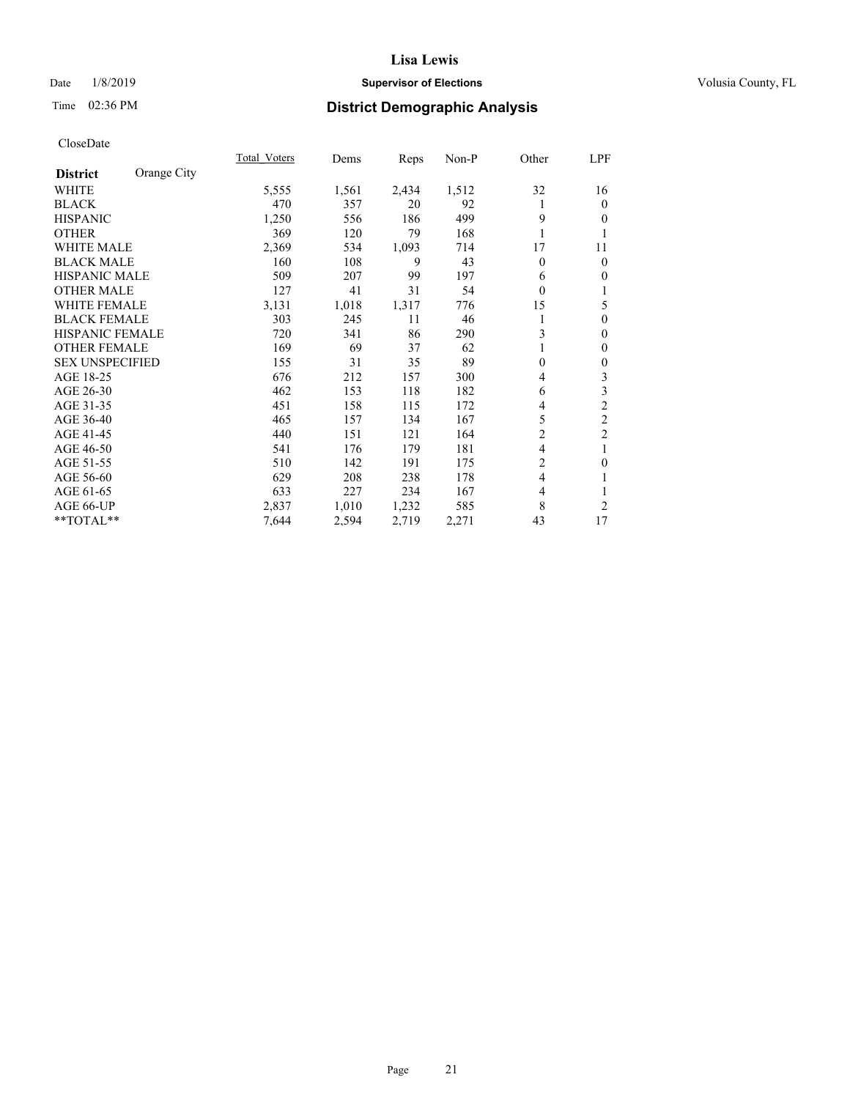## Date  $1/8/2019$  **Supervisor of Elections Supervisor of Elections** Volusia County, FL

## Time 02:36 PM **District Demographic Analysis**

|                        |             | Total Voters | Dems  | Reps  | Non-P | Other          | LPF            |
|------------------------|-------------|--------------|-------|-------|-------|----------------|----------------|
| <b>District</b>        | Orange City |              |       |       |       |                |                |
| WHITE                  |             | 5,555        | 1,561 | 2,434 | 1,512 | 32             | 16             |
| <b>BLACK</b>           |             | 470          | 357   | 20    | 92    | 1              | $\mathbf{0}$   |
| <b>HISPANIC</b>        |             | 1,250        | 556   | 186   | 499   | 9              | $\theta$       |
| <b>OTHER</b>           |             | 369          | 120   | 79    | 168   | 1              | 1              |
| WHITE MALE             |             | 2,369        | 534   | 1,093 | 714   | 17             | 11             |
| <b>BLACK MALE</b>      |             | 160          | 108   | 9     | 43    | 0              | $\theta$       |
| <b>HISPANIC MALE</b>   |             | 509          | 207   | 99    | 197   | 6              | $\theta$       |
| <b>OTHER MALE</b>      |             | 127          | 41    | 31    | 54    | $\overline{0}$ | 1              |
| WHITE FEMALE           |             | 3,131        | 1,018 | 1,317 | 776   | 15             | 5              |
| <b>BLACK FEMALE</b>    |             | 303          | 245   | 11    | 46    | 1              | $\theta$       |
| <b>HISPANIC FEMALE</b> |             | 720          | 341   | 86    | 290   | 3              | $\theta$       |
| <b>OTHER FEMALE</b>    |             | 169          | 69    | 37    | 62    | 1              | $\mathbf{0}$   |
| <b>SEX UNSPECIFIED</b> |             | 155          | 31    | 35    | 89    | 0              | $\theta$       |
| AGE 18-25              |             | 676          | 212   | 157   | 300   | 4              | 3              |
| AGE 26-30              |             | 462          | 153   | 118   | 182   | 6              | 3              |
| AGE 31-35              |             | 451          | 158   | 115   | 172   | 4              | $\overline{c}$ |
| AGE 36-40              |             | 465          | 157   | 134   | 167   | 5              | $\overline{c}$ |
| AGE 41-45              |             | 440          | 151   | 121   | 164   | $\overline{c}$ | $\overline{c}$ |
| AGE 46-50              |             | 541          | 176   | 179   | 181   | 4              | 1              |
| AGE 51-55              |             | 510          | 142   | 191   | 175   | $\overline{c}$ | $\mathbf{0}$   |
| AGE 56-60              |             | 629          | 208   | 238   | 178   | 4              | 1              |
| AGE 61-65              |             | 633          | 227   | 234   | 167   | 4              | 1              |
| AGE 66-UP              |             | 2,837        | 1,010 | 1,232 | 585   | 8              | $\overline{c}$ |
| **TOTAL**              |             | 7,644        | 2,594 | 2,719 | 2,271 | 43             | 17             |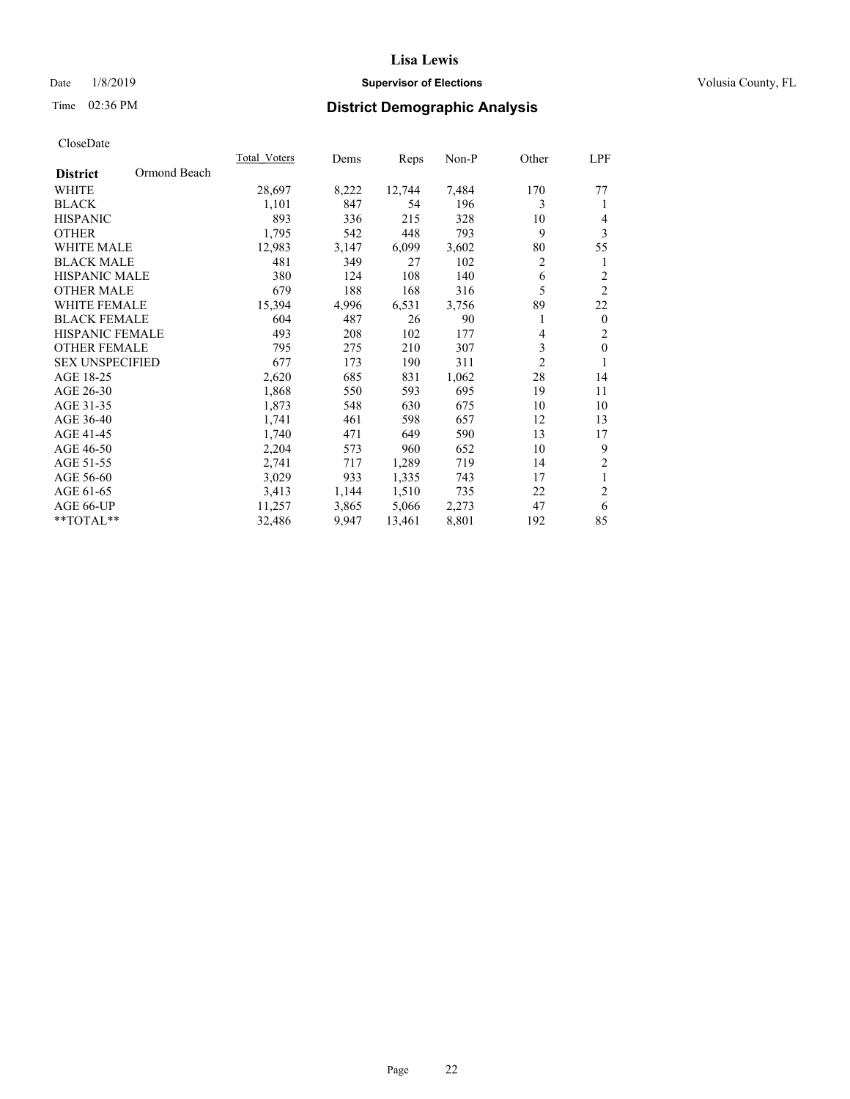## Date  $1/8/2019$  **Supervisor of Elections Supervisor of Elections** Volusia County, FL

## Time 02:36 PM **District Demographic Analysis**

|                        |              | Total Voters | Dems  | Reps   | Non-P | Other          | LPF              |
|------------------------|--------------|--------------|-------|--------|-------|----------------|------------------|
| <b>District</b>        | Ormond Beach |              |       |        |       |                |                  |
| WHITE                  |              | 28,697       | 8,222 | 12,744 | 7,484 | 170            | 77               |
| <b>BLACK</b>           |              | 1,101        | 847   | 54     | 196   | 3              | 1                |
| <b>HISPANIC</b>        |              | 893          | 336   | 215    | 328   | 10             | 4                |
| <b>OTHER</b>           |              | 1,795        | 542   | 448    | 793   | 9              | 3                |
| <b>WHITE MALE</b>      |              | 12,983       | 3,147 | 6,099  | 3,602 | 80             | 55               |
| <b>BLACK MALE</b>      |              | 481          | 349   | 27     | 102   | $\overline{c}$ | 1                |
| <b>HISPANIC MALE</b>   |              | 380          | 124   | 108    | 140   | 6              | $\overline{c}$   |
| <b>OTHER MALE</b>      |              | 679          | 188   | 168    | 316   | 5              | $\overline{2}$   |
| <b>WHITE FEMALE</b>    |              | 15,394       | 4,996 | 6,531  | 3,756 | 89             | 22               |
| <b>BLACK FEMALE</b>    |              | 604          | 487   | 26     | 90    | 1              | $\boldsymbol{0}$ |
| <b>HISPANIC FEMALE</b> |              | 493          | 208   | 102    | 177   | 4              | $\overline{2}$   |
| <b>OTHER FEMALE</b>    |              | 795          | 275   | 210    | 307   | 3              | $\mathbf{0}$     |
| <b>SEX UNSPECIFIED</b> |              | 677          | 173   | 190    | 311   | $\overline{2}$ | 1                |
| AGE 18-25              |              | 2,620        | 685   | 831    | 1,062 | 28             | 14               |
| AGE 26-30              |              | 1,868        | 550   | 593    | 695   | 19             | 11               |
| AGE 31-35              |              | 1,873        | 548   | 630    | 675   | 10             | 10               |
| AGE 36-40              |              | 1,741        | 461   | 598    | 657   | 12             | 13               |
| AGE 41-45              |              | 1,740        | 471   | 649    | 590   | 13             | 17               |
| AGE 46-50              |              | 2,204        | 573   | 960    | 652   | 10             | 9                |
| AGE 51-55              |              | 2,741        | 717   | 1,289  | 719   | 14             | $\sqrt{2}$       |
| AGE 56-60              |              | 3,029        | 933   | 1,335  | 743   | 17             | $\mathbf{1}$     |
| AGE 61-65              |              | 3,413        | 1,144 | 1,510  | 735   | 22             | $\overline{2}$   |
| AGE 66-UP              |              | 11,257       | 3,865 | 5,066  | 2,273 | 47             | 6                |
| **TOTAL**              |              | 32,486       | 9,947 | 13,461 | 8,801 | 192            | 85               |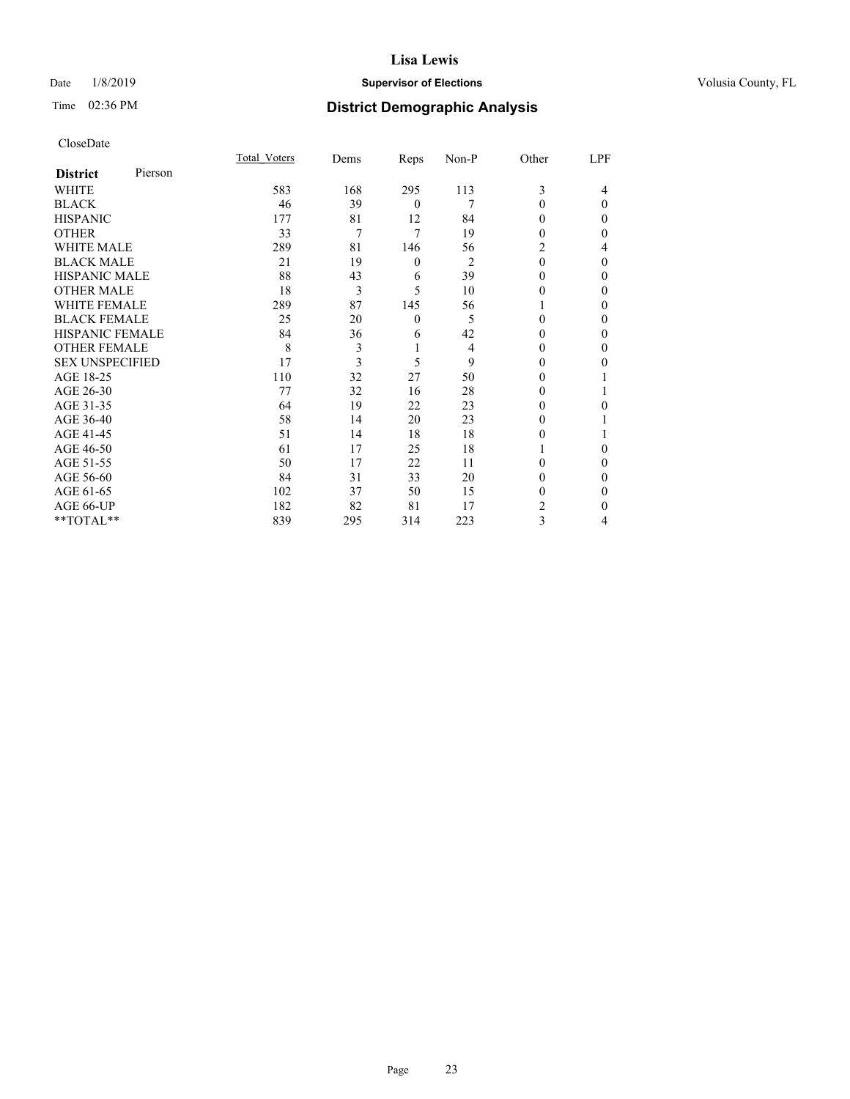## Date  $1/8/2019$  **Supervisor of Elections Supervisor of Elections** Volusia County, FL

| CloseDate |
|-----------|
|-----------|

|                        |         | Total Voters | Dems           | Reps             | Non-P          | Other    | LPF      |
|------------------------|---------|--------------|----------------|------------------|----------------|----------|----------|
| <b>District</b>        | Pierson |              |                |                  |                |          |          |
| WHITE                  |         | 583          | 168            | 295              | 113            | 3        | 4        |
| <b>BLACK</b>           |         | 46           | 39             | $\mathbf{0}$     | 7              | 0        | $\Omega$ |
| <b>HISPANIC</b>        |         | 177          | 81             | 12               | 84             | 0        | 0        |
| <b>OTHER</b>           |         | 33           | $\overline{7}$ | 7                | 19             | 0        | 0        |
| <b>WHITE MALE</b>      |         | 289          | 81             | 146              | 56             | 2        | 4        |
| <b>BLACK MALE</b>      |         | 21           | 19             | $\boldsymbol{0}$ | $\overline{2}$ | $\theta$ | 0        |
| <b>HISPANIC MALE</b>   |         | 88           | 43             | 6                | 39             | 0        | 0        |
| <b>OTHER MALE</b>      |         | 18           | 3              | 5                | 10             | 0        | 0        |
| <b>WHITE FEMALE</b>    |         | 289          | 87             | 145              | 56             |          | 0        |
| <b>BLACK FEMALE</b>    |         | 25           | 20             | $\mathbf{0}$     | 5              | 0        | 0        |
| <b>HISPANIC FEMALE</b> |         | 84           | 36             | 6                | 42             | 0        | 0        |
| <b>OTHER FEMALE</b>    |         | 8            | 3              |                  | 4              | 0        | 0        |
| <b>SEX UNSPECIFIED</b> |         | 17           | 3              | 5                | 9              | 0        | 0        |
| AGE 18-25              |         | 110          | 32             | 27               | 50             | 0        |          |
| AGE 26-30              |         | 77           | 32             | 16               | 28             | $_{0}$   |          |
| AGE 31-35              |         | 64           | 19             | 22               | 23             | 0        | 0        |
| AGE 36-40              |         | 58           | 14             | 20               | 23             | 0        |          |
| AGE 41-45              |         | 51           | 14             | 18               | 18             | 0        |          |
| AGE 46-50              |         | 61           | 17             | 25               | 18             |          | 0        |
| AGE 51-55              |         | 50           | 17             | 22               | 11             | 0        | $_{0}$   |
| AGE 56-60              |         | 84           | 31             | 33               | 20             | 0        | 0        |
| AGE 61-65              |         | 102          | 37             | 50               | 15             | 0        | 0        |
| AGE 66-UP              |         | 182          | 82             | 81               | 17             | 2        | 0        |
| **TOTAL**              |         | 839          | 295            | 314              | 223            | 3        | 4        |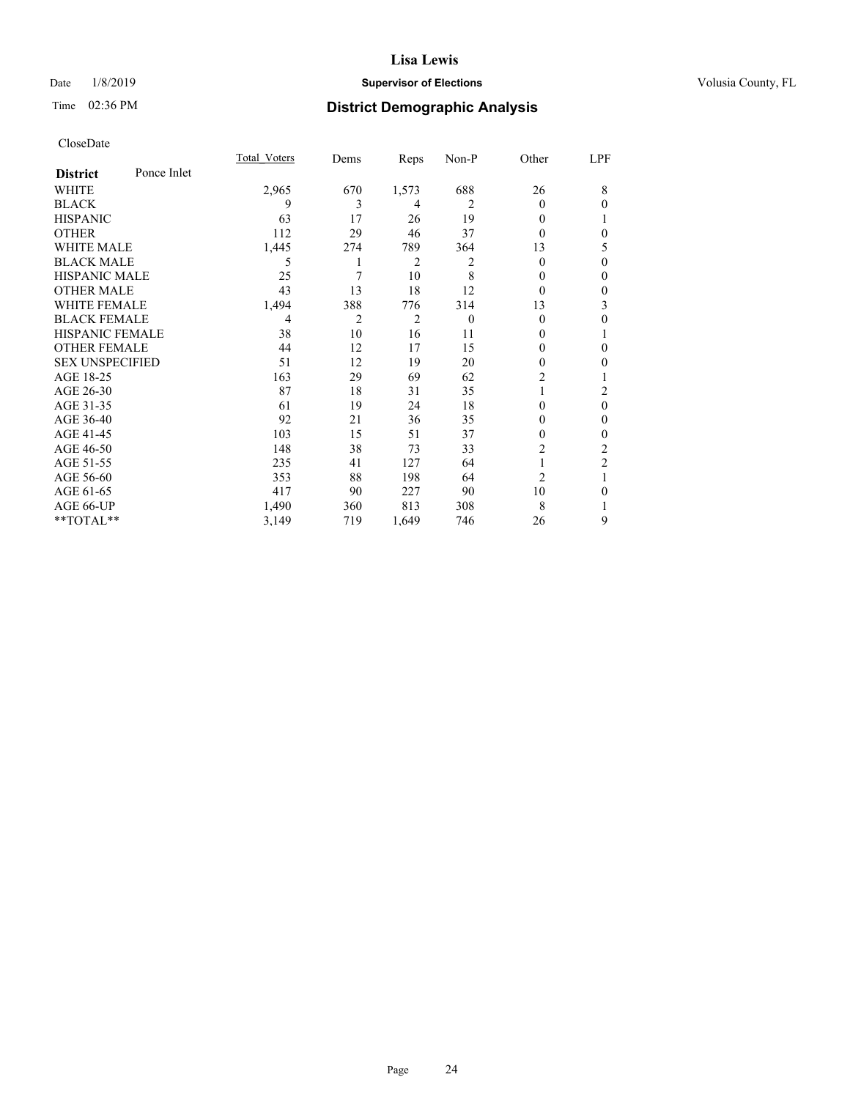## Date  $1/8/2019$  **Supervisor of Elections Supervisor of Elections** Volusia County, FL

# Time 02:36 PM **District Demographic Analysis**

|                        |             | Total Voters | Dems           | Reps           | Non-P    | Other          | LPF            |
|------------------------|-------------|--------------|----------------|----------------|----------|----------------|----------------|
| <b>District</b>        | Ponce Inlet |              |                |                |          |                |                |
| WHITE                  |             | 2,965        | 670            | 1,573          | 688      | 26             | 8              |
| <b>BLACK</b>           |             | 9            | 3              | 4              | 2        | 0              | $\theta$       |
| <b>HISPANIC</b>        |             | 63           | 17             | 26             | 19       | 0              | T              |
| <b>OTHER</b>           |             | 112          | 29             | 46             | 37       | 0              | $\theta$       |
| WHITE MALE             |             | 1,445        | 274            | 789            | 364      | 13             | 5              |
| <b>BLACK MALE</b>      |             | 5            | 1              | 2              | 2        | 0              | $\theta$       |
| <b>HISPANIC MALE</b>   |             | 25           | 7              | 10             | 8        | $_{0}$         | $\theta$       |
| <b>OTHER MALE</b>      |             | 43           | 13             | 18             | 12       | 0              | $\mathbf{0}$   |
| <b>WHITE FEMALE</b>    |             | 1,494        | 388            | 776            | 314      | 13             | 3              |
| <b>BLACK FEMALE</b>    |             | 4            | $\overline{2}$ | $\overline{2}$ | $\theta$ | 0              | $\theta$       |
| <b>HISPANIC FEMALE</b> |             | 38           | 10             | 16             | 11       | 0              | 1              |
| <b>OTHER FEMALE</b>    |             | 44           | 12             | 17             | 15       | 0              | $\theta$       |
| <b>SEX UNSPECIFIED</b> |             | 51           | 12             | 19             | 20       | $\mathbf{0}$   | $\mathbf{0}$   |
| AGE 18-25              |             | 163          | 29             | 69             | 62       | $\overline{2}$ | 1              |
| AGE 26-30              |             | 87           | 18             | 31             | 35       |                | 2              |
| AGE 31-35              |             | 61           | 19             | 24             | 18       | 0              | $\theta$       |
| AGE 36-40              |             | 92           | 21             | 36             | 35       | 0              | $\mathbf{0}$   |
| AGE 41-45              |             | 103          | 15             | 51             | 37       | 0              | $\theta$       |
| AGE 46-50              |             | 148          | 38             | 73             | 33       | $\overline{c}$ | 2              |
| AGE 51-55              |             | 235          | 41             | 127            | 64       | 1              | $\overline{2}$ |
| AGE 56-60              |             | 353          | 88             | 198            | 64       | $\overline{2}$ | 1              |
| AGE 61-65              |             | 417          | 90             | 227            | 90       | 10             | $\theta$       |
| AGE 66-UP              |             | 1,490        | 360            | 813            | 308      | 8              |                |
| **TOTAL**              |             | 3,149        | 719            | 1,649          | 746      | 26             | 9              |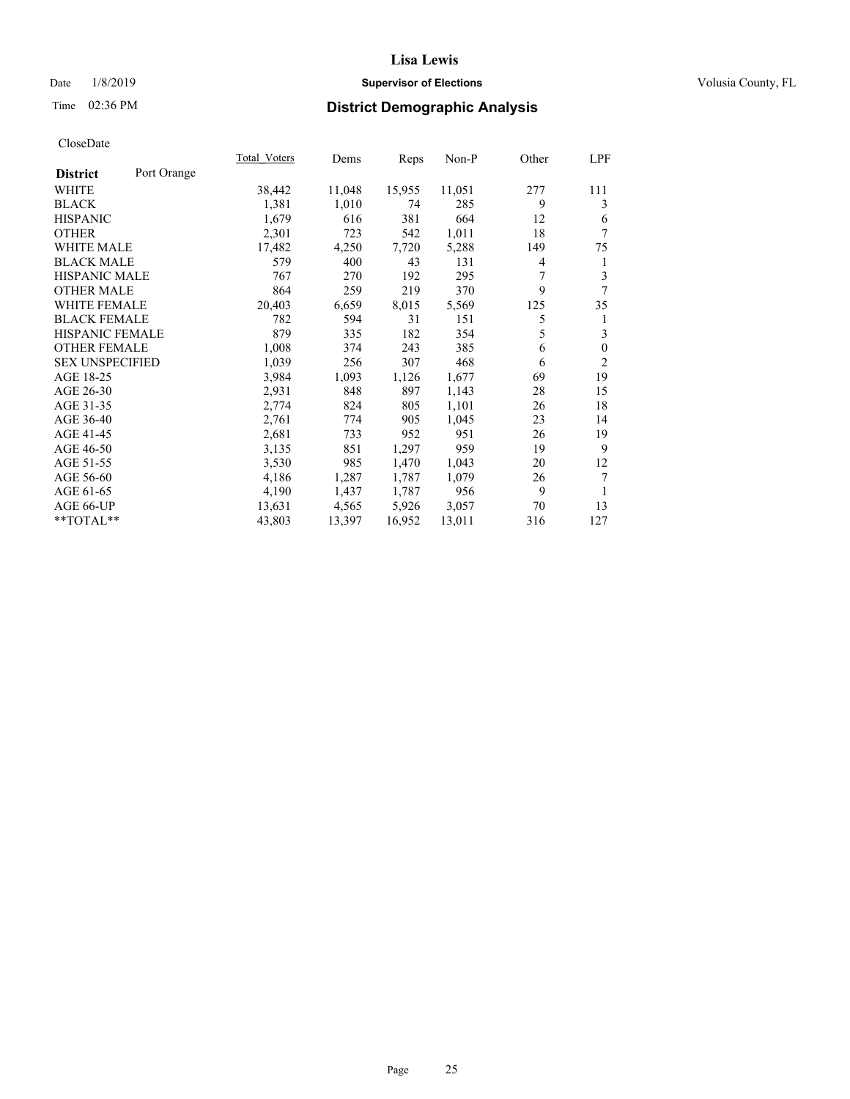## Date  $1/8/2019$  **Supervisor of Elections Supervisor of Elections** Volusia County, FL

# Time 02:36 PM **District Demographic Analysis**

|                        |             | Total Voters | Dems   | Reps   | Non-P  | Other | LPF            |
|------------------------|-------------|--------------|--------|--------|--------|-------|----------------|
| <b>District</b>        | Port Orange |              |        |        |        |       |                |
| WHITE                  |             | 38,442       | 11,048 | 15,955 | 11,051 | 277   | 111            |
| <b>BLACK</b>           |             | 1,381        | 1,010  | 74     | 285    | 9     | 3              |
| <b>HISPANIC</b>        |             | 1,679        | 616    | 381    | 664    | 12    | 6              |
| <b>OTHER</b>           |             | 2,301        | 723    | 542    | 1,011  | 18    | 7              |
| <b>WHITE MALE</b>      |             | 17,482       | 4,250  | 7,720  | 5,288  | 149   | 75             |
| <b>BLACK MALE</b>      |             | 579          | 400    | 43     | 131    | 4     | 1              |
| <b>HISPANIC MALE</b>   |             | 767          | 270    | 192    | 295    | 7     | 3              |
| <b>OTHER MALE</b>      |             | 864          | 259    | 219    | 370    | 9     | 7              |
| <b>WHITE FEMALE</b>    |             | 20,403       | 6,659  | 8,015  | 5,569  | 125   | 35             |
| <b>BLACK FEMALE</b>    |             | 782          | 594    | 31     | 151    | 5     | 1              |
| <b>HISPANIC FEMALE</b> |             | 879          | 335    | 182    | 354    | 5     | 3              |
| <b>OTHER FEMALE</b>    |             | 1,008        | 374    | 243    | 385    | 6     | $\mathbf{0}$   |
| <b>SEX UNSPECIFIED</b> |             | 1,039        | 256    | 307    | 468    | 6     | $\overline{2}$ |
| AGE 18-25              |             | 3,984        | 1,093  | 1,126  | 1,677  | 69    | 19             |
| AGE 26-30              |             | 2,931        | 848    | 897    | 1,143  | 28    | 15             |
| AGE 31-35              |             | 2,774        | 824    | 805    | 1,101  | 26    | 18             |
| AGE 36-40              |             | 2,761        | 774    | 905    | 1,045  | 23    | 14             |
| AGE 41-45              |             | 2,681        | 733    | 952    | 951    | 26    | 19             |
| AGE 46-50              |             | 3,135        | 851    | 1,297  | 959    | 19    | 9              |
| AGE 51-55              |             | 3,530        | 985    | 1,470  | 1,043  | 20    | 12             |
| AGE 56-60              |             | 4,186        | 1,287  | 1,787  | 1,079  | 26    | 7              |
| AGE 61-65              |             | 4,190        | 1,437  | 1,787  | 956    | 9     | 1              |
| AGE 66-UP              |             | 13,631       | 4,565  | 5,926  | 3,057  | 70    | 13             |
| $*$ TOTAL $*$          |             | 43,803       | 13,397 | 16,952 | 13,011 | 316   | 127            |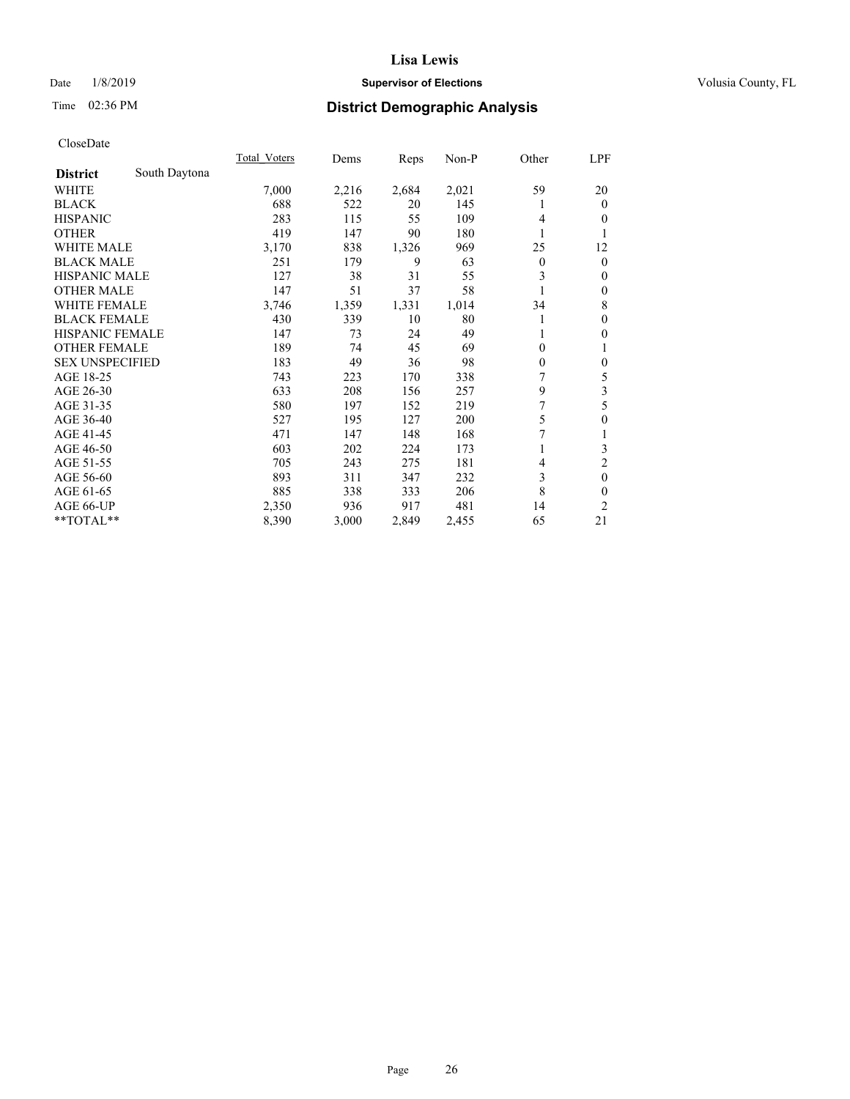## Date  $1/8/2019$  **Supervisor of Elections Supervisor of Elections** Volusia County, FL

## Time 02:36 PM **District Demographic Analysis**

|                        |               | Total Voters | Dems  | Reps  | Non-P | Other    | LPF              |
|------------------------|---------------|--------------|-------|-------|-------|----------|------------------|
| <b>District</b>        | South Daytona |              |       |       |       |          |                  |
| WHITE                  |               | 7,000        | 2,216 | 2,684 | 2,021 | 59       | 20               |
| <b>BLACK</b>           |               | 688          | 522   | 20    | 145   |          | $\mathbf{0}$     |
| <b>HISPANIC</b>        |               | 283          | 115   | 55    | 109   | 4        | $\Omega$         |
| <b>OTHER</b>           |               | 419          | 147   | 90    | 180   |          | 1                |
| WHITE MALE             |               | 3,170        | 838   | 1,326 | 969   | 25       | 12               |
| <b>BLACK MALE</b>      |               | 251          | 179   | 9     | 63    | $\theta$ | $\mathbf{0}$     |
| <b>HISPANIC MALE</b>   |               | 127          | 38    | 31    | 55    | 3        | $\mathbf{0}$     |
| <b>OTHER MALE</b>      |               | 147          | 51    | 37    | 58    |          | $\mathbf{0}$     |
| <b>WHITE FEMALE</b>    |               | 3,746        | 1,359 | 1,331 | 1,014 | 34       | 8                |
| <b>BLACK FEMALE</b>    |               | 430          | 339   | 10    | 80    |          | $\mathbf{0}$     |
| <b>HISPANIC FEMALE</b> |               | 147          | 73    | 24    | 49    |          | $\theta$         |
| <b>OTHER FEMALE</b>    |               | 189          | 74    | 45    | 69    | $\Omega$ | 1                |
| <b>SEX UNSPECIFIED</b> |               | 183          | 49    | 36    | 98    | $\theta$ | $\mathbf{0}$     |
| AGE 18-25              |               | 743          | 223   | 170   | 338   | 7        | 5                |
| AGE 26-30              |               | 633          | 208   | 156   | 257   | 9        | 3                |
| AGE 31-35              |               | 580          | 197   | 152   | 219   | 7        | 5                |
| AGE 36-40              |               | 527          | 195   | 127   | 200   | 5        | $\boldsymbol{0}$ |
| AGE 41-45              |               | 471          | 147   | 148   | 168   | 7        | 1                |
| AGE 46-50              |               | 603          | 202   | 224   | 173   |          | 3                |
| AGE 51-55              |               | 705          | 243   | 275   | 181   | 4        | $\overline{c}$   |
| AGE 56-60              |               | 893          | 311   | 347   | 232   | 3        | $\mathbf{0}$     |
| AGE 61-65              |               | 885          | 338   | 333   | 206   | 8        | $\theta$         |
| AGE 66-UP              |               | 2,350        | 936   | 917   | 481   | 14       | 2                |
| **TOTAL**              |               | 8,390        | 3,000 | 2,849 | 2,455 | 65       | 21               |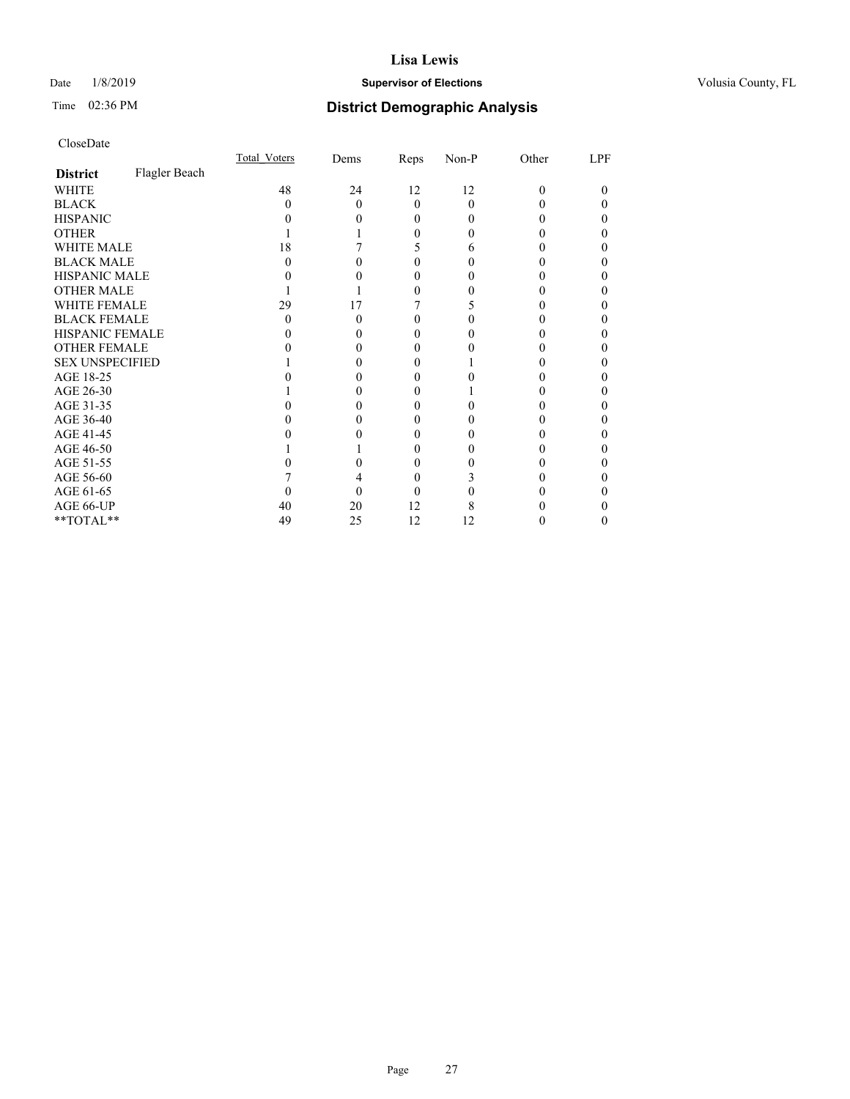## Date  $1/8/2019$  **Supervisor of Elections Supervisor of Elections** Volusia County, FL

# Time 02:36 PM **District Demographic Analysis**

|                        |               | Total Voters | Dems | Reps     | Non-P | Other | LPF |
|------------------------|---------------|--------------|------|----------|-------|-------|-----|
| <b>District</b>        | Flagler Beach |              |      |          |       |       |     |
| WHITE                  |               | 48           | 24   | 12       | 12    | 0     | 0   |
| <b>BLACK</b>           |               | 0            | 0    | $\Omega$ | 0     |       |     |
| <b>HISPANIC</b>        |               |              |      | 0        | 0     |       |     |
| <b>OTHER</b>           |               |              |      | 0        |       |       |     |
| <b>WHITE MALE</b>      |               | 18           |      | C        | 6     |       |     |
| <b>BLACK MALE</b>      |               |              |      |          |       |       |     |
| <b>HISPANIC MALE</b>   |               |              |      |          |       |       |     |
| <b>OTHER MALE</b>      |               |              |      |          |       |       |     |
| <b>WHITE FEMALE</b>    |               | 29           | 17   |          |       |       |     |
| <b>BLACK FEMALE</b>    |               | 0            |      | 0        |       |       |     |
| <b>HISPANIC FEMALE</b> |               |              |      |          |       |       |     |
| <b>OTHER FEMALE</b>    |               |              |      | $\theta$ |       |       |     |
| <b>SEX UNSPECIFIED</b> |               |              |      |          |       |       |     |
| AGE 18-25              |               |              |      |          |       |       |     |
| AGE 26-30              |               |              |      |          |       |       |     |
| AGE 31-35              |               |              |      |          |       |       |     |
| AGE 36-40              |               |              |      | $\theta$ |       |       |     |
| AGE 41-45              |               |              |      | $\theta$ |       |       |     |
| AGE 46-50              |               |              |      | 0        |       |       |     |
| AGE 51-55              |               |              |      |          |       |       |     |
| AGE 56-60              |               |              |      | 0        |       |       |     |
| AGE 61-65              |               |              |      |          |       |       |     |
| AGE 66-UP              |               | 40           | 20   | 12       | 8     |       |     |
| **TOTAL**              |               | 49           | 25   | 12       | 12    |       | 0   |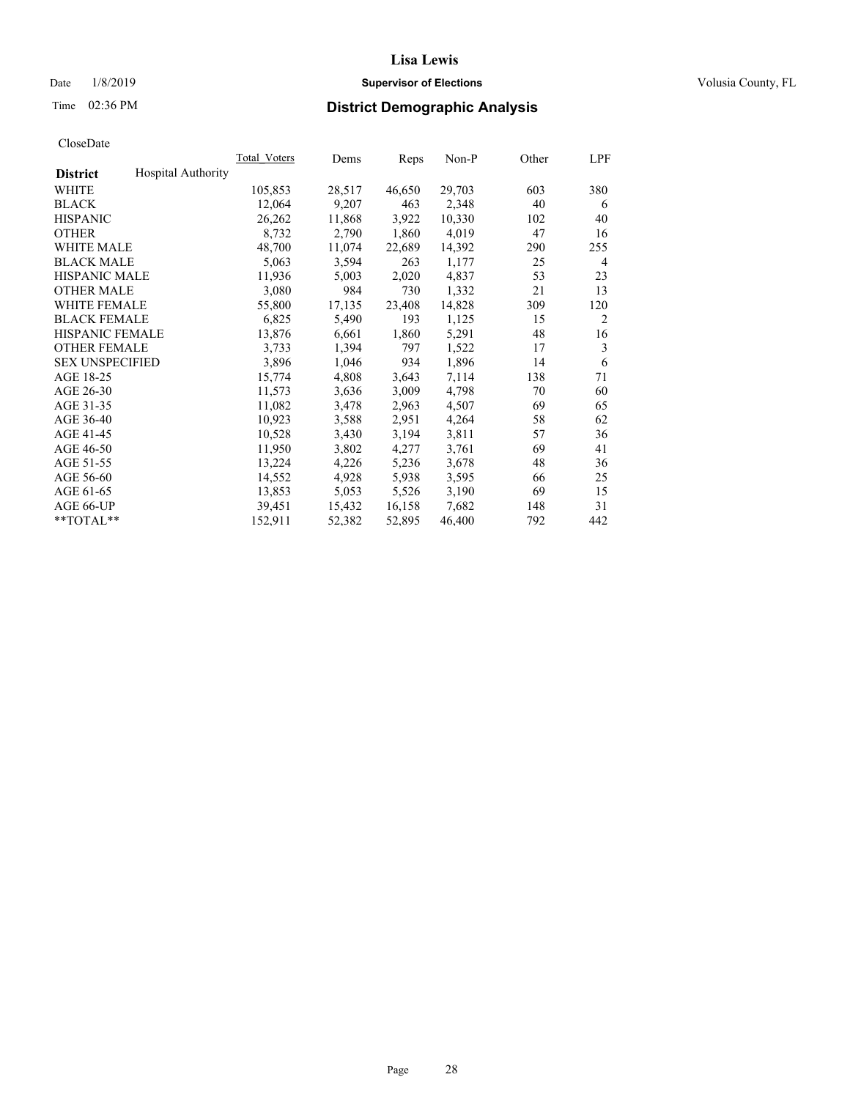## Date  $1/8/2019$  **Supervisor of Elections Supervisor of Elections** Volusia County, FL

# Time 02:36 PM **District Demographic Analysis**

|                        |                           | Total Voters | Dems   | Reps   | Non-P  | Other | LPF            |
|------------------------|---------------------------|--------------|--------|--------|--------|-------|----------------|
| <b>District</b>        | <b>Hospital Authority</b> |              |        |        |        |       |                |
| WHITE                  |                           | 105,853      | 28,517 | 46,650 | 29,703 | 603   | 380            |
| <b>BLACK</b>           |                           | 12,064       | 9,207  | 463    | 2,348  | 40    | 6              |
| <b>HISPANIC</b>        |                           | 26,262       | 11,868 | 3,922  | 10,330 | 102   | 40             |
| <b>OTHER</b>           |                           | 8,732        | 2,790  | 1,860  | 4,019  | 47    | 16             |
| WHITE MALE             |                           | 48,700       | 11,074 | 22,689 | 14,392 | 290   | 255            |
| <b>BLACK MALE</b>      |                           | 5,063        | 3,594  | 263    | 1,177  | 25    | 4              |
| <b>HISPANIC MALE</b>   |                           | 11,936       | 5,003  | 2,020  | 4,837  | 53    | 23             |
| <b>OTHER MALE</b>      |                           | 3,080        | 984    | 730    | 1,332  | 21    | 13             |
| <b>WHITE FEMALE</b>    |                           | 55,800       | 17,135 | 23,408 | 14,828 | 309   | 120            |
| <b>BLACK FEMALE</b>    |                           | 6,825        | 5,490  | 193    | 1,125  | 15    | $\overline{c}$ |
| <b>HISPANIC FEMALE</b> |                           | 13,876       | 6,661  | 1,860  | 5,291  | 48    | 16             |
| <b>OTHER FEMALE</b>    |                           | 3,733        | 1,394  | 797    | 1,522  | 17    | 3              |
| <b>SEX UNSPECIFIED</b> |                           | 3,896        | 1,046  | 934    | 1,896  | 14    | 6              |
| AGE 18-25              |                           | 15,774       | 4,808  | 3,643  | 7,114  | 138   | 71             |
| AGE 26-30              |                           | 11,573       | 3,636  | 3,009  | 4,798  | 70    | 60             |
| AGE 31-35              |                           | 11,082       | 3,478  | 2,963  | 4,507  | 69    | 65             |
| AGE 36-40              |                           | 10,923       | 3,588  | 2,951  | 4,264  | 58    | 62             |
| AGE 41-45              |                           | 10,528       | 3,430  | 3,194  | 3,811  | 57    | 36             |
| AGE 46-50              |                           | 11,950       | 3,802  | 4,277  | 3,761  | 69    | 41             |
| AGE 51-55              |                           | 13,224       | 4,226  | 5,236  | 3,678  | 48    | 36             |
| AGE 56-60              |                           | 14,552       | 4,928  | 5,938  | 3,595  | 66    | 25             |
| AGE 61-65              |                           | 13,853       | 5,053  | 5,526  | 3,190  | 69    | 15             |
| AGE 66-UP              |                           | 39,451       | 15,432 | 16,158 | 7,682  | 148   | 31             |
| $*$ TOTAL $*$          |                           | 152,911      | 52,382 | 52,895 | 46,400 | 792   | 442            |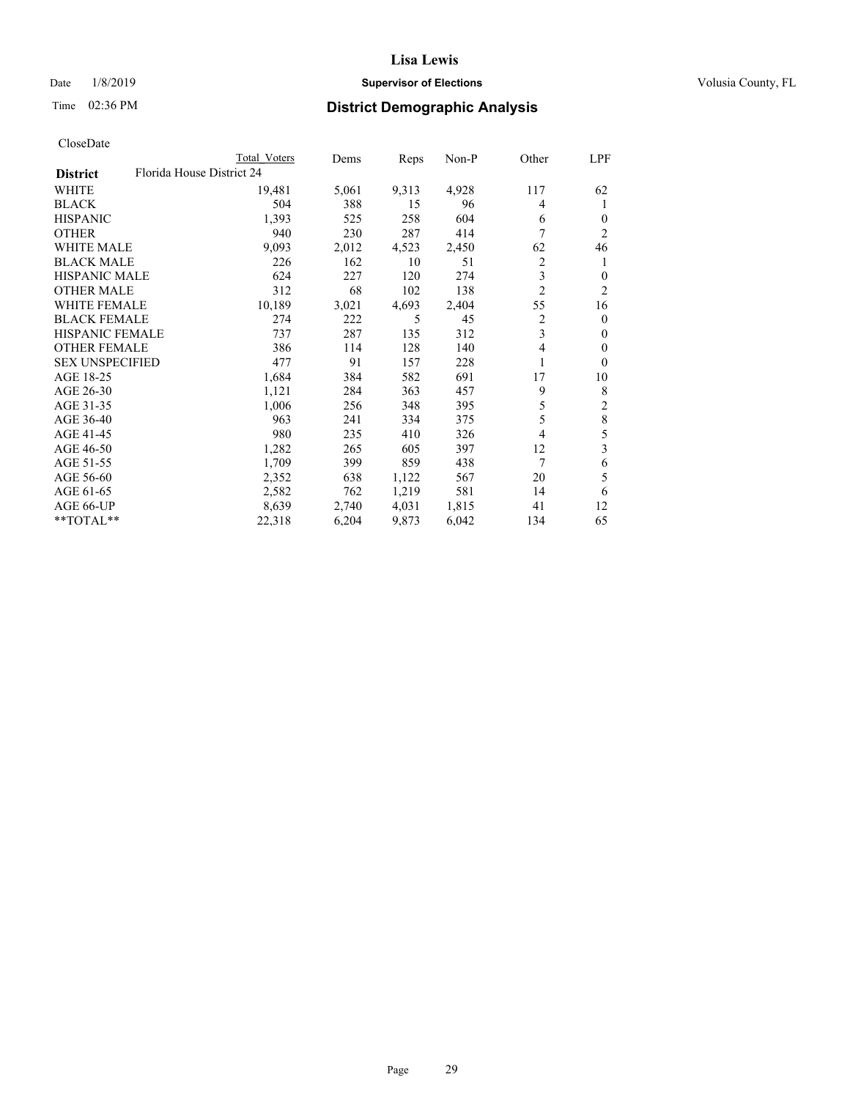## Date  $1/8/2019$  **Supervisor of Elections Supervisor of Elections** Volusia County, FL

| CloseDate |
|-----------|
|-----------|

|                        | Total Voters              | Dems  | Reps  | Non-P | Other          | LPF            |
|------------------------|---------------------------|-------|-------|-------|----------------|----------------|
| <b>District</b>        | Florida House District 24 |       |       |       |                |                |
| WHITE                  | 19,481                    | 5,061 | 9,313 | 4,928 | 117            | 62             |
| BLACK                  | 504                       | 388   | 15    | 96    | 4              | 1              |
| HISPANIC               | 1,393                     | 525   | 258   | 604   | 6              | $\theta$       |
| OTHER                  | 940                       | 230   | 287   | 414   | 7              | $\overline{c}$ |
| WHITE MALE             | 9,093                     | 2,012 | 4,523 | 2,450 | 62             | 46             |
| BLACK MALE             | 226                       | 162   | 10    | 51    | 2              | 1              |
| HISPANIC MALE          | 624                       | 227   | 120   | 274   | 3              | $\Omega$       |
| OTHER MALE             | 312                       | 68    | 102   | 138   | $\overline{2}$ | $\overline{c}$ |
| WHITE FEMALE           | 10,189                    | 3,021 | 4,693 | 2,404 | 55             | 16             |
| BLACK FEMALE           | 274                       | 222   | 5     | 45    | 2              | $\overline{0}$ |
| HISPANIC FEMALE        | 737                       | 287   | 135   | 312   | 3              | 0              |
| OTHER FEMALE           | 386                       | 114   | 128   | 140   | $\overline{4}$ | $\theta$       |
| <b>SEX UNSPECIFIED</b> | 477                       | 91    | 157   | 228   |                | $\Omega$       |
| AGE 18-25              | 1,684                     | 384   | 582   | 691   | 17             | 10             |
| AGE 26-30              | 1,121                     | 284   | 363   | 457   | 9              | 8              |
| AGE 31-35              | 1,006                     | 256   | 348   | 395   | 5              | 2              |
| AGE 36-40              | 963                       | 241   | 334   | 375   | 5              | 8              |
| AGE 41-45              | 980                       | 235   | 410   | 326   | 4              | 5              |
| AGE 46-50              | 1,282                     | 265   | 605   | 397   | 12             | 3              |
| AGE 51-55              | 1,709                     | 399   | 859   | 438   | 7              | 6              |
| AGE 56-60              | 2,352                     | 638   | 1,122 | 567   | 20             | 5              |
| AGE 61-65              | 2,582                     | 762   | 1,219 | 581   | 14             | 6              |
| AGE 66-UP              | 8,639                     | 2,740 | 4,031 | 1,815 | 41             | 12             |
| $*$ $TOTAL**$          | 22,318                    | 6,204 | 9,873 | 6,042 | 134            | 65             |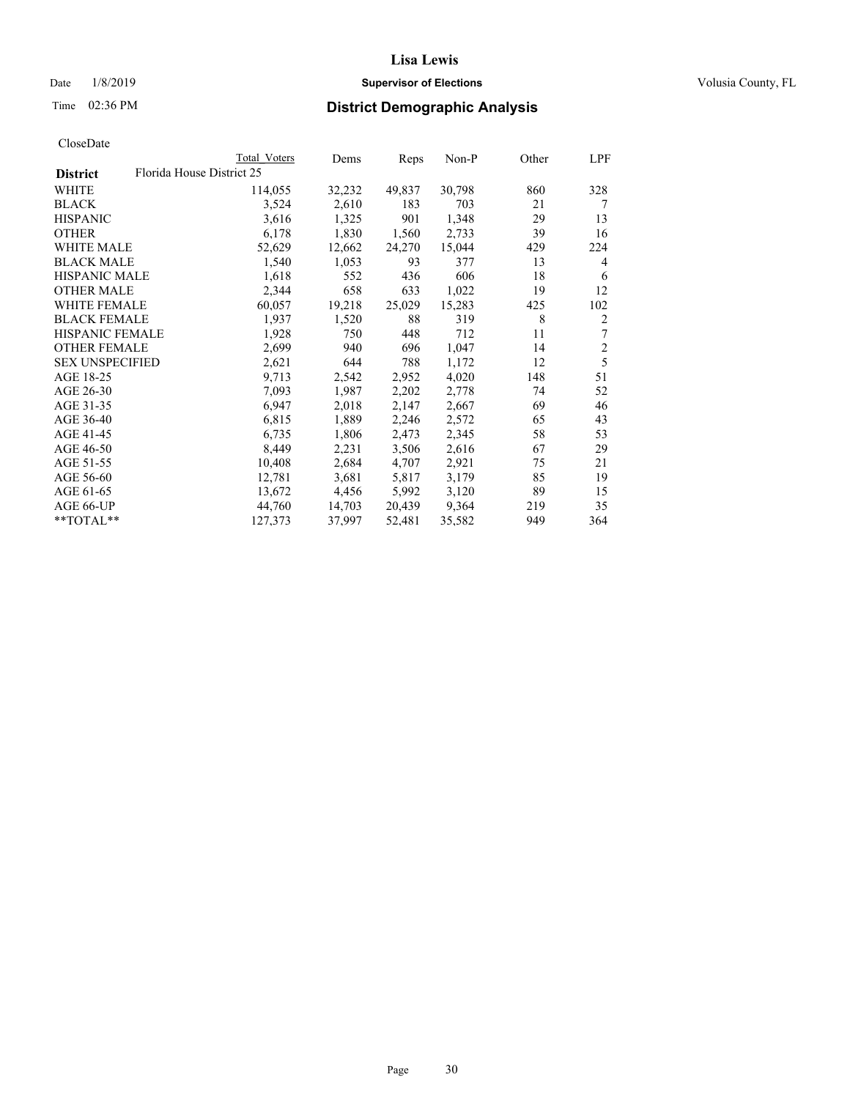## Date  $1/8/2019$  **Supervisor of Elections Supervisor of Elections** Volusia County, FL

| CloseDate |
|-----------|
|-----------|

|                        |                           | Total Voters | Dems   | Reps   | $Non-P$ | Other | LPF            |
|------------------------|---------------------------|--------------|--------|--------|---------|-------|----------------|
| <b>District</b>        | Florida House District 25 |              |        |        |         |       |                |
| WHITE                  |                           | 114,055      | 32,232 | 49,837 | 30,798  | 860   | 328            |
| <b>BLACK</b>           |                           | 3,524        | 2,610  | 183    | 703     | 21    | 7              |
| <b>HISPANIC</b>        |                           | 3,616        | 1,325  | 901    | 1,348   | 29    | 13             |
| <b>OTHER</b>           |                           | 6,178        | 1,830  | 1,560  | 2,733   | 39    | 16             |
| <b>WHITE MALE</b>      |                           | 52,629       | 12,662 | 24,270 | 15,044  | 429   | 224            |
| <b>BLACK MALE</b>      |                           | 1,540        | 1,053  | 93     | 377     | 13    | 4              |
| <b>HISPANIC MALE</b>   |                           | 1,618        | 552    | 436    | 606     | 18    | 6              |
| <b>OTHER MALE</b>      |                           | 2,344        | 658    | 633    | 1,022   | 19    | 12             |
| <b>WHITE FEMALE</b>    |                           | 60,057       | 19,218 | 25,029 | 15,283  | 425   | 102            |
| <b>BLACK FEMALE</b>    |                           | 1,937        | 1,520  | 88     | 319     | 8     | $\overline{2}$ |
| HISPANIC FEMALE        |                           | 1,928        | 750    | 448    | 712     | 11    | 7              |
| <b>OTHER FEMALE</b>    |                           | 2,699        | 940    | 696    | 1,047   | 14    | $\overline{c}$ |
| <b>SEX UNSPECIFIED</b> |                           | 2,621        | 644    | 788    | 1,172   | 12    | 5              |
| AGE 18-25              |                           | 9,713        | 2,542  | 2,952  | 4,020   | 148   | 51             |
| AGE 26-30              |                           | 7,093        | 1,987  | 2,202  | 2,778   | 74    | 52             |
| AGE 31-35              |                           | 6,947        | 2,018  | 2,147  | 2,667   | 69    | 46             |
| AGE 36-40              |                           | 6,815        | 1,889  | 2,246  | 2,572   | 65    | 43             |
| AGE 41-45              |                           | 6,735        | 1,806  | 2,473  | 2,345   | 58    | 53             |
| AGE 46-50              |                           | 8,449        | 2,231  | 3,506  | 2,616   | 67    | 29             |
| AGE 51-55              |                           | 10,408       | 2,684  | 4,707  | 2,921   | 75    | 21             |
| AGE 56-60              |                           | 12,781       | 3,681  | 5,817  | 3,179   | 85    | 19             |
| AGE 61-65              |                           | 13,672       | 4,456  | 5,992  | 3,120   | 89    | 15             |
| AGE 66-UP              |                           | 44.760       | 14,703 | 20,439 | 9,364   | 219   | 35             |
| $*$ TOTAL $*$          |                           | 127,373      | 37,997 | 52,481 | 35,582  | 949   | 364            |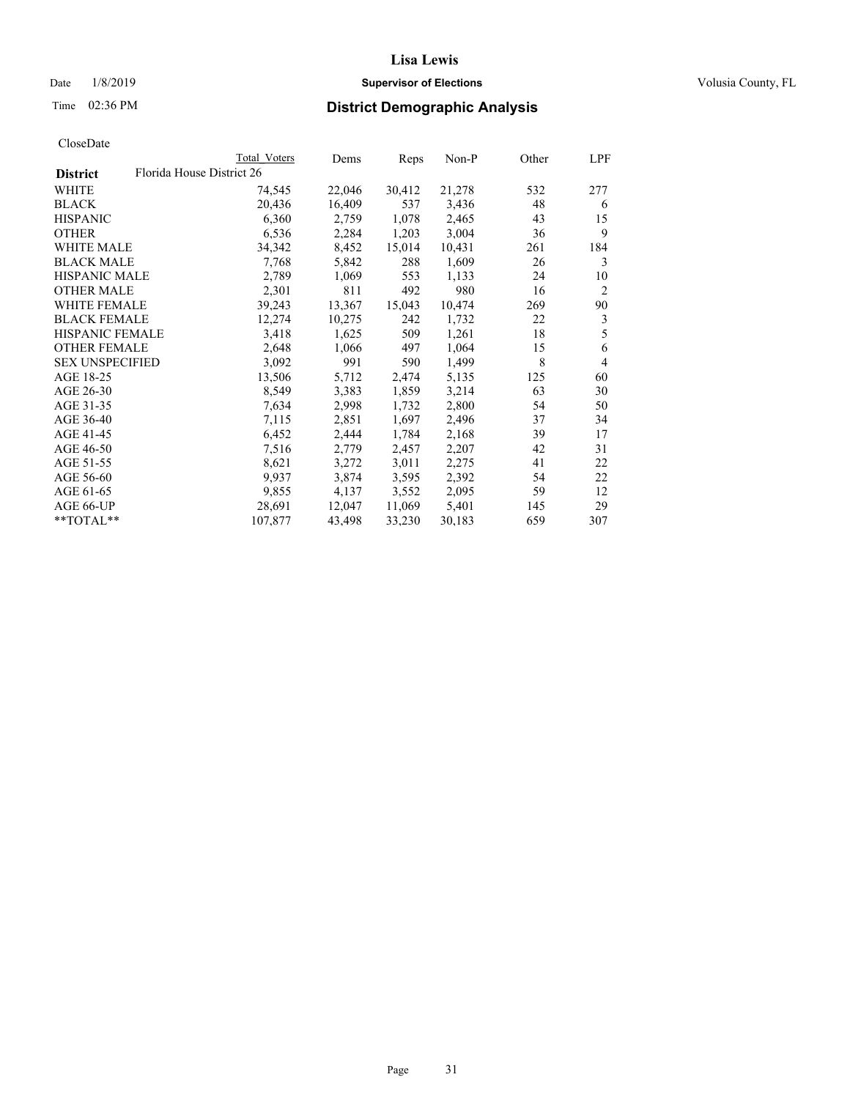## Date  $1/8/2019$  **Supervisor of Elections Supervisor of Elections** Volusia County, FL

| CloseDate |
|-----------|
|-----------|

|                        | Total Voters              | Dems   | Reps   | Non-P  | Other | LPF            |
|------------------------|---------------------------|--------|--------|--------|-------|----------------|
| <b>District</b>        | Florida House District 26 |        |        |        |       |                |
| WHITE                  | 74,545                    | 22,046 | 30,412 | 21,278 | 532   | 277            |
| BLACK                  | 20,436                    | 16,409 | 537    | 3,436  | 48    | 6              |
| <b>HISPANIC</b>        | 6,360                     | 2,759  | 1,078  | 2,465  | 43    | 15             |
| <b>OTHER</b>           | 6,536                     | 2,284  | 1,203  | 3,004  | 36    | 9              |
| <b>WHITE MALE</b>      | 34,342                    | 8,452  | 15,014 | 10,431 | 261   | 184            |
| <b>BLACK MALE</b>      | 7,768                     | 5,842  | 288    | 1,609  | 26    | 3              |
| <b>HISPANIC MALE</b>   | 2,789                     | 1,069  | 553    | 1,133  | 24    | 10             |
| <b>OTHER MALE</b>      | 2,301                     | 811    | 492    | 980    | 16    | $\overline{2}$ |
| <b>WHITE FEMALE</b>    | 39,243                    | 13,367 | 15,043 | 10,474 | 269   | 90             |
| <b>BLACK FEMALE</b>    | 12,274                    | 10,275 | 242    | 1,732  | 22    | 3              |
| HISPANIC FEMALE        | 3,418                     | 1,625  | 509    | 1,261  | 18    | 5              |
| <b>OTHER FEMALE</b>    | 2,648                     | 1,066  | 497    | 1,064  | 15    | 6              |
| <b>SEX UNSPECIFIED</b> | 3,092                     | 991    | 590    | 1,499  | 8     | $\overline{4}$ |
| AGE 18-25              | 13,506                    | 5,712  | 2,474  | 5,135  | 125   | 60             |
| AGE 26-30              | 8,549                     | 3,383  | 1,859  | 3,214  | 63    | 30             |
| AGE 31-35              | 7,634                     | 2,998  | 1,732  | 2,800  | 54    | 50             |
| AGE 36-40              | 7,115                     | 2,851  | 1,697  | 2,496  | 37    | 34             |
| AGE 41-45              | 6,452                     | 2,444  | 1,784  | 2,168  | 39    | 17             |
| AGE 46-50              | 7,516                     | 2,779  | 2,457  | 2,207  | 42    | 31             |
| AGE 51-55              | 8,621                     | 3,272  | 3,011  | 2,275  | 41    | 22             |
| AGE 56-60              | 9,937                     | 3,874  | 3,595  | 2,392  | 54    | 22             |
| AGE 61-65              | 9,855                     | 4,137  | 3,552  | 2,095  | 59    | 12             |
| AGE 66-UP              | 28,691                    | 12,047 | 11,069 | 5,401  | 145   | 29             |
| **TOTAL**              | 107,877                   | 43,498 | 33,230 | 30,183 | 659   | 307            |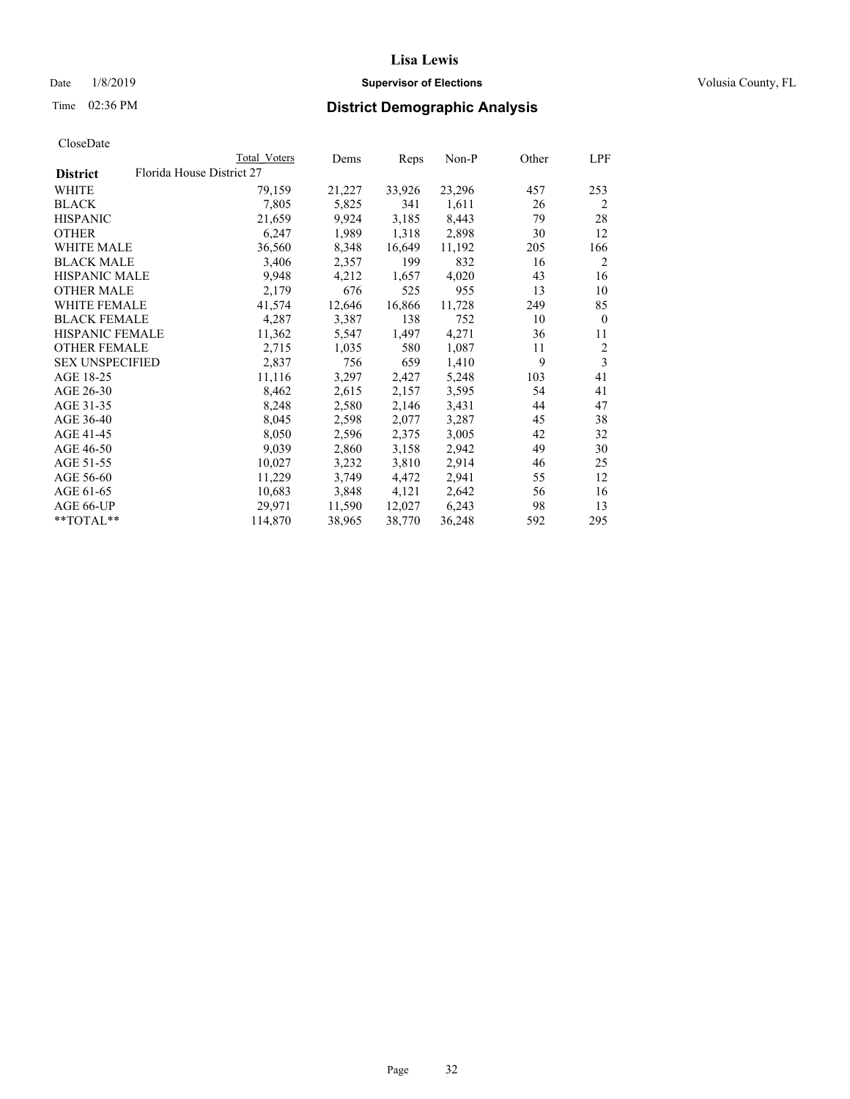## Date  $1/8/2019$  **Supervisor of Elections Supervisor of Elections** Volusia County, FL

|                        | Total Voters              | Dems   | Reps   | Non-P  | Other | LPF          |
|------------------------|---------------------------|--------|--------|--------|-------|--------------|
| <b>District</b>        | Florida House District 27 |        |        |        |       |              |
| WHITE                  | 79,159                    | 21,227 | 33,926 | 23,296 | 457   | 253          |
| BLACK                  | 7,805                     | 5,825  | 341    | 1,611  | 26    | 2            |
| HISPANIC               | 21,659                    | 9,924  | 3,185  | 8,443  | 79    | 28           |
| OTHER                  | 6,247                     | 1,989  | 1,318  | 2,898  | 30    | 12           |
| WHITE MALE             | 36,560                    | 8,348  | 16,649 | 11,192 | 205   | 166          |
| BLACK MALE             | 3,406                     | 2,357  | 199    | 832    | 16    | 2            |
| HISPANIC MALE          | 9,948                     | 4,212  | 1,657  | 4,020  | 43    | 16           |
| <b>OTHER MALE</b>      | 2,179                     | 676    | 525    | 955    | 13    | 10           |
| WHITE FEMALE           | 41,574                    | 12,646 | 16,866 | 11,728 | 249   | 85           |
| BLACK FEMALE           | 4,287                     | 3,387  | 138    | 752    | 10    | $\mathbf{0}$ |
| HISPANIC FEMALE        | 11,362                    | 5,547  | 1,497  | 4,271  | 36    | 11           |
| OTHER FEMALE           | 2,715                     | 1,035  | 580    | 1,087  | 11    | 2            |
| <b>SEX UNSPECIFIED</b> | 2,837                     | 756    | 659    | 1,410  | 9     | 3            |
| AGE 18-25              | 11,116                    | 3,297  | 2,427  | 5,248  | 103   | 41           |
| AGE 26-30              | 8,462                     | 2,615  | 2,157  | 3,595  | 54    | 41           |
| AGE 31-35              | 8,248                     | 2,580  | 2,146  | 3,431  | 44    | 47           |
| AGE 36-40              | 8,045                     | 2,598  | 2,077  | 3,287  | 45    | 38           |
| AGE 41-45              | 8,050                     | 2,596  | 2,375  | 3,005  | 42    | 32           |
| AGE 46-50              | 9,039                     | 2,860  | 3,158  | 2,942  | 49    | 30           |
| AGE 51-55              | 10,027                    | 3,232  | 3,810  | 2,914  | 46    | 25           |
| AGE 56-60              | 11,229                    | 3,749  | 4,472  | 2,941  | 55    | 12           |
| AGE 61-65              | 10,683                    | 3,848  | 4,121  | 2,642  | 56    | 16           |
| AGE 66-UP              | 29,971                    | 11,590 | 12,027 | 6,243  | 98    | 13           |
| **TOTAL**              | 114,870                   | 38,965 | 38,770 | 36,248 | 592   | 295          |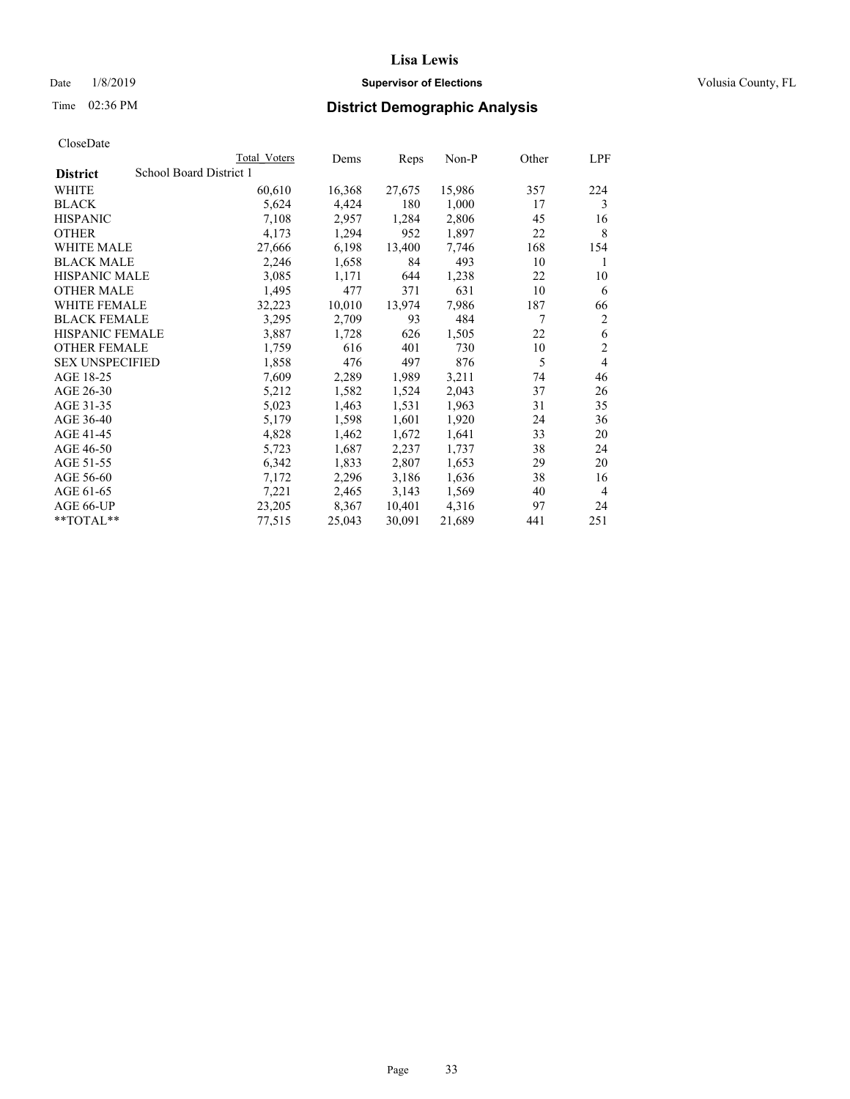## Date  $1/8/2019$  **Supervisor of Elections Supervisor of Elections** Volusia County, FL

# Time 02:36 PM **District Demographic Analysis**

|                                            | Total Voters | Dems   | Reps   | $Non-P$ | Other | LPF            |
|--------------------------------------------|--------------|--------|--------|---------|-------|----------------|
| School Board District 1<br><b>District</b> |              |        |        |         |       |                |
| WHITE                                      | 60,610       | 16,368 | 27,675 | 15,986  | 357   | 224            |
| <b>BLACK</b>                               | 5,624        | 4,424  | 180    | 1,000   | 17    | 3              |
| <b>HISPANIC</b>                            | 7,108        | 2,957  | 1,284  | 2,806   | 45    | 16             |
| <b>OTHER</b>                               | 4,173        | 1,294  | 952    | 1,897   | 22    | 8              |
| WHITE MALE                                 | 27,666       | 6,198  | 13,400 | 7,746   | 168   | 154            |
| <b>BLACK MALE</b>                          | 2,246        | 1,658  | 84     | 493     | 10    | 1              |
| <b>HISPANIC MALE</b>                       | 3,085        | 1,171  | 644    | 1,238   | 22    | 10             |
| <b>OTHER MALE</b>                          | 1,495        | 477    | 371    | 631     | 10    | 6              |
| WHITE FEMALE                               | 32,223       | 10,010 | 13,974 | 7,986   | 187   | 66             |
| <b>BLACK FEMALE</b>                        | 3,295        | 2,709  | 93     | 484     | 7     | 2              |
| HISPANIC FEMALE                            | 3,887        | 1,728  | 626    | 1,505   | 22    | 6              |
| <b>OTHER FEMALE</b>                        | 1,759        | 616    | 401    | 730     | 10    | 2              |
| <b>SEX UNSPECIFIED</b>                     | 1,858        | 476    | 497    | 876     | 5     | 4              |
| AGE 18-25                                  | 7,609        | 2,289  | 1,989  | 3,211   | 74    | 46             |
| AGE 26-30                                  | 5,212        | 1,582  | 1,524  | 2,043   | 37    | 26             |
| AGE 31-35                                  | 5,023        | 1,463  | 1,531  | 1,963   | 31    | 35             |
| AGE 36-40                                  | 5,179        | 1,598  | 1,601  | 1,920   | 24    | 36             |
| AGE 41-45                                  | 4,828        | 1,462  | 1,672  | 1,641   | 33    | 20             |
| AGE 46-50                                  | 5,723        | 1,687  | 2,237  | 1,737   | 38    | 24             |
| AGE 51-55                                  | 6,342        | 1,833  | 2,807  | 1,653   | 29    | 20             |
| AGE 56-60                                  | 7,172        | 2,296  | 3,186  | 1,636   | 38    | 16             |
| AGE 61-65                                  | 7,221        | 2,465  | 3,143  | 1,569   | 40    | $\overline{4}$ |
| AGE 66-UP                                  | 23,205       | 8,367  | 10,401 | 4,316   | 97    | 24             |
| **TOTAL**                                  | 77,515       | 25,043 | 30,091 | 21,689  | 441   | 251            |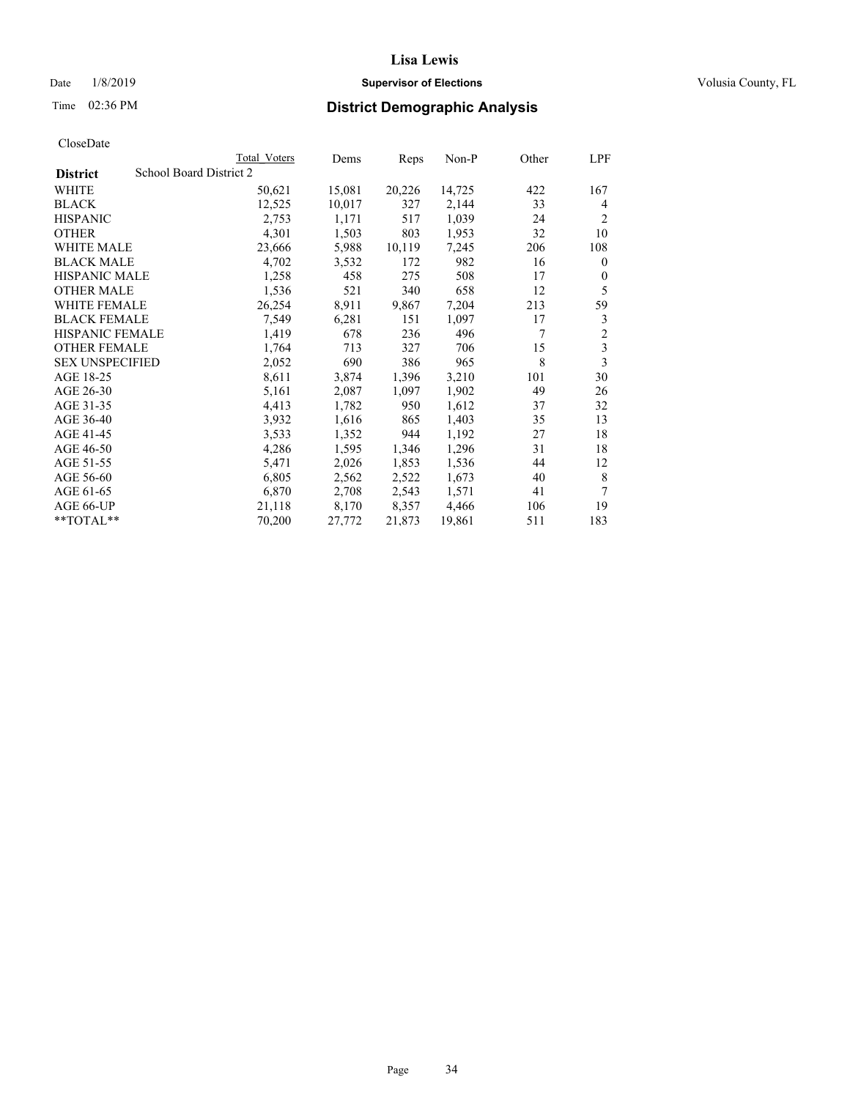## Date  $1/8/2019$  **Supervisor of Elections Supervisor of Elections** Volusia County, FL

## Time 02:36 PM **District Demographic Analysis**

|                        | Total Voters            | Dems   | Reps   | Non-P  | Other | LPF            |
|------------------------|-------------------------|--------|--------|--------|-------|----------------|
| <b>District</b>        | School Board District 2 |        |        |        |       |                |
| WHITE                  | 50,621                  | 15,081 | 20,226 | 14,725 | 422   | 167            |
| <b>BLACK</b>           | 12,525                  | 10,017 | 327    | 2,144  | 33    | 4              |
| <b>HISPANIC</b>        | 2,753                   | 1,171  | 517    | 1,039  | 24    | 2              |
| <b>OTHER</b>           | 4,301                   | 1,503  | 803    | 1,953  | 32    | 10             |
| WHITE MALE             | 23,666                  | 5,988  | 10,119 | 7,245  | 206   | 108            |
| <b>BLACK MALE</b>      | 4,702                   | 3,532  | 172    | 982    | 16    | $\mathbf{0}$   |
| <b>HISPANIC MALE</b>   | 1,258                   | 458    | 275    | 508    | 17    | $\mathbf{0}$   |
| <b>OTHER MALE</b>      | 1,536                   | 521    | 340    | 658    | 12    | 5              |
| WHITE FEMALE           | 26,254                  | 8,911  | 9,867  | 7,204  | 213   | 59             |
| <b>BLACK FEMALE</b>    | 7,549                   | 6,281  | 151    | 1,097  | 17    | 3              |
| <b>HISPANIC FEMALE</b> | 1,419                   | 678    | 236    | 496    | 7     | $\overline{c}$ |
| <b>OTHER FEMALE</b>    | 1,764                   | 713    | 327    | 706    | 15    | 3              |
| <b>SEX UNSPECIFIED</b> | 2,052                   | 690    | 386    | 965    | 8     | 3              |
| AGE 18-25              | 8,611                   | 3,874  | 1,396  | 3,210  | 101   | 30             |
| AGE 26-30              | 5,161                   | 2,087  | 1,097  | 1,902  | 49    | 26             |
| AGE 31-35              | 4,413                   | 1,782  | 950    | 1,612  | 37    | 32             |
| AGE 36-40              | 3,932                   | 1,616  | 865    | 1,403  | 35    | 13             |
| AGE 41-45              | 3,533                   | 1,352  | 944    | 1,192  | 27    | 18             |
| AGE 46-50              | 4,286                   | 1,595  | 1,346  | 1,296  | 31    | 18             |
| AGE 51-55              | 5,471                   | 2,026  | 1,853  | 1,536  | 44    | 12             |
| AGE 56-60              | 6,805                   | 2,562  | 2,522  | 1,673  | 40    | 8              |
| AGE 61-65              | 6,870                   | 2,708  | 2,543  | 1,571  | 41    | 7              |
| AGE 66-UP              | 21,118                  | 8,170  | 8,357  | 4,466  | 106   | 19             |
| $*$ $TOTAL**$          | 70,200                  | 27,772 | 21,873 | 19,861 | 511   | 183            |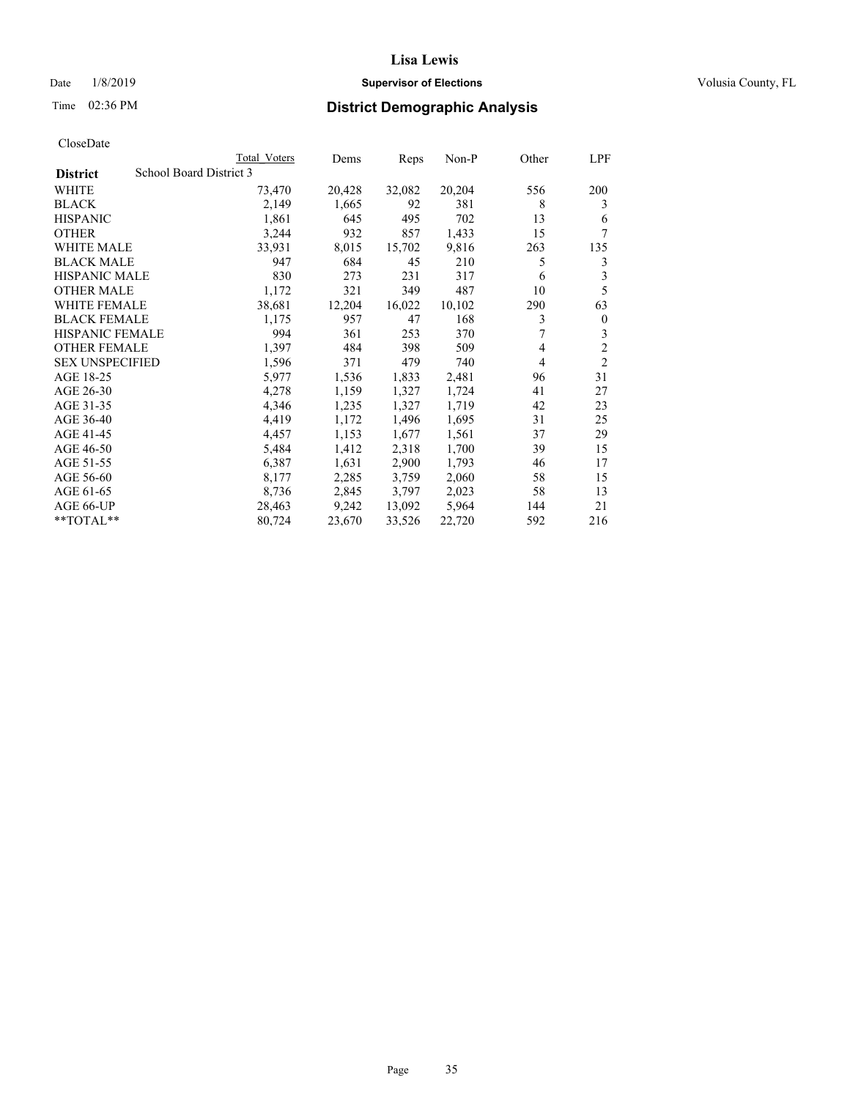## Date  $1/8/2019$  **Supervisor of Elections Supervisor of Elections** Volusia County, FL

## Time 02:36 PM **District Demographic Analysis**

|                        | Total Voters            | Dems   | Reps   | Non-P  | Other | LPF            |
|------------------------|-------------------------|--------|--------|--------|-------|----------------|
| <b>District</b>        | School Board District 3 |        |        |        |       |                |
| WHITE                  | 73,470                  | 20,428 | 32,082 | 20,204 | 556   | 200            |
| <b>BLACK</b>           | 2,149                   | 1,665  | 92     | 381    | 8     | 3              |
| <b>HISPANIC</b>        | 1,861                   | 645    | 495    | 702    | 13    | 6              |
| <b>OTHER</b>           | 3,244                   | 932    | 857    | 1,433  | 15    | 7              |
| WHITE MALE             | 33,931                  | 8,015  | 15,702 | 9,816  | 263   | 135            |
| <b>BLACK MALE</b>      | 947                     | 684    | 45     | 210    | 5     | 3              |
| <b>HISPANIC MALE</b>   | 830                     | 273    | 231    | 317    | 6     | 3              |
| <b>OTHER MALE</b>      | 1,172                   | 321    | 349    | 487    | 10    | 5              |
| <b>WHITE FEMALE</b>    | 38,681                  | 12,204 | 16,022 | 10,102 | 290   | 63             |
| <b>BLACK FEMALE</b>    | 1,175                   | 957    | 47     | 168    | 3     | $\mathbf{0}$   |
| <b>HISPANIC FEMALE</b> | 994                     | 361    | 253    | 370    |       | 3              |
| <b>OTHER FEMALE</b>    | 1,397                   | 484    | 398    | 509    | 4     | $\overline{c}$ |
| <b>SEX UNSPECIFIED</b> | 1,596                   | 371    | 479    | 740    | 4     | $\overline{2}$ |
| AGE 18-25              | 5,977                   | 1,536  | 1,833  | 2,481  | 96    | 31             |
| AGE 26-30              | 4,278                   | 1,159  | 1,327  | 1,724  | 41    | 27             |
| AGE 31-35              | 4,346                   | 1,235  | 1,327  | 1,719  | 42    | 23             |
| AGE 36-40              | 4,419                   | 1,172  | 1,496  | 1,695  | 31    | 25             |
| AGE 41-45              | 4,457                   | 1,153  | 1,677  | 1,561  | 37    | 29             |
| AGE 46-50              | 5,484                   | 1,412  | 2,318  | 1,700  | 39    | 15             |
| AGE 51-55              | 6,387                   | 1,631  | 2,900  | 1,793  | 46    | 17             |
| AGE 56-60              | 8,177                   | 2,285  | 3,759  | 2,060  | 58    | 15             |
| AGE 61-65              | 8,736                   | 2,845  | 3,797  | 2,023  | 58    | 13             |
| AGE 66-UP              | 28,463                  | 9,242  | 13,092 | 5,964  | 144   | 21             |
| $*$ $TOTAL**$          | 80,724                  | 23,670 | 33,526 | 22,720 | 592   | 216            |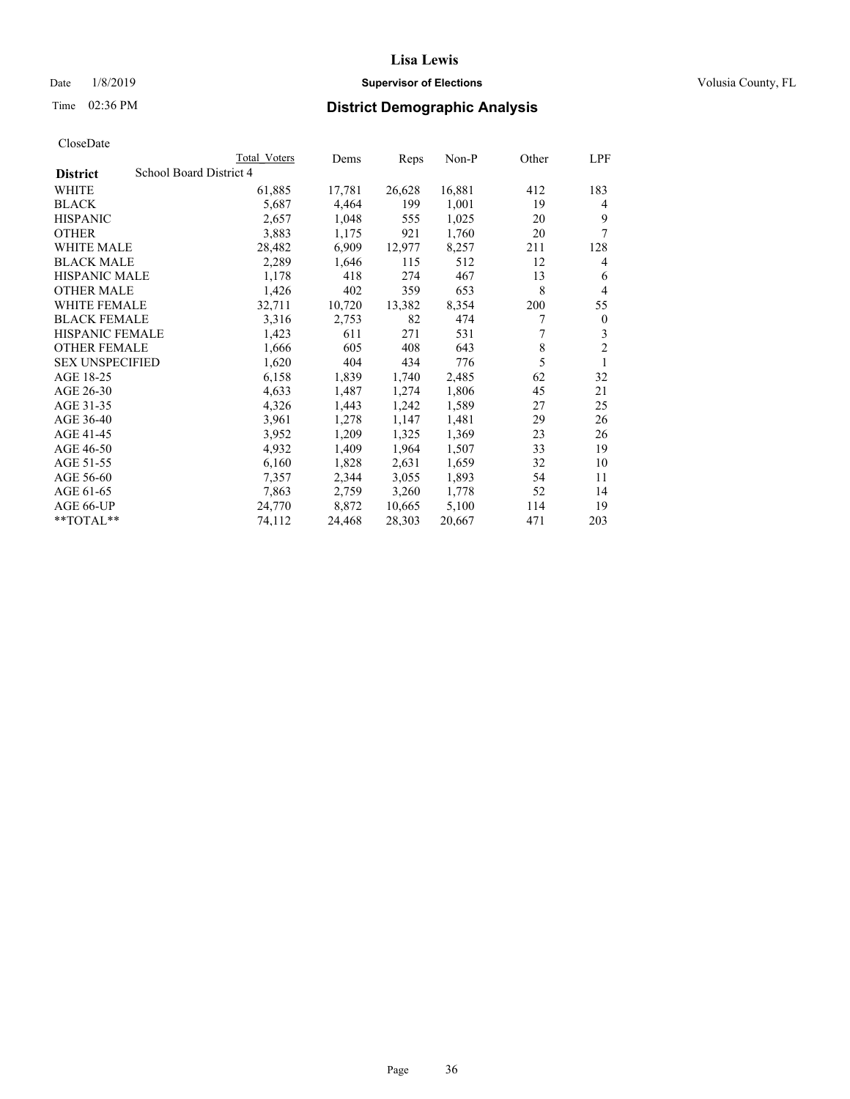## Date  $1/8/2019$  **Supervisor of Elections Supervisor of Elections** Volusia County, FL

## Time 02:36 PM **District Demographic Analysis**

|                        |                         | Total Voters | Dems   | Reps   | Non-P  | Other | LPF            |
|------------------------|-------------------------|--------------|--------|--------|--------|-------|----------------|
| <b>District</b>        | School Board District 4 |              |        |        |        |       |                |
| WHITE                  |                         | 61,885       | 17,781 | 26,628 | 16,881 | 412   | 183            |
| <b>BLACK</b>           |                         | 5,687        | 4,464  | 199    | 1,001  | 19    | 4              |
| <b>HISPANIC</b>        |                         | 2,657        | 1,048  | 555    | 1,025  | 20    | 9              |
| <b>OTHER</b>           |                         | 3,883        | 1,175  | 921    | 1,760  | 20    | 7              |
| WHITE MALE             |                         | 28,482       | 6,909  | 12,977 | 8,257  | 211   | 128            |
| <b>BLACK MALE</b>      |                         | 2,289        | 1,646  | 115    | 512    | 12    | 4              |
| <b>HISPANIC MALE</b>   |                         | 1,178        | 418    | 274    | 467    | 13    | 6              |
| <b>OTHER MALE</b>      |                         | 1,426        | 402    | 359    | 653    | 8     | $\overline{4}$ |
| WHITE FEMALE           |                         | 32,711       | 10,720 | 13,382 | 8,354  | 200   | 55             |
| <b>BLACK FEMALE</b>    |                         | 3,316        | 2,753  | 82     | 474    | 7     | $\mathbf{0}$   |
| <b>HISPANIC FEMALE</b> |                         | 1,423        | 611    | 271    | 531    |       | 3              |
| <b>OTHER FEMALE</b>    |                         | 1,666        | 605    | 408    | 643    | 8     | $\overline{c}$ |
| <b>SEX UNSPECIFIED</b> |                         | 1,620        | 404    | 434    | 776    | 5     | 1              |
| AGE 18-25              |                         | 6,158        | 1,839  | 1,740  | 2,485  | 62    | 32             |
| AGE 26-30              |                         | 4,633        | 1,487  | 1,274  | 1,806  | 45    | 21             |
| AGE 31-35              |                         | 4,326        | 1,443  | 1,242  | 1,589  | 27    | 25             |
| AGE 36-40              |                         | 3,961        | 1,278  | 1,147  | 1,481  | 29    | 26             |
| AGE 41-45              |                         | 3,952        | 1,209  | 1,325  | 1,369  | 23    | 26             |
| AGE 46-50              |                         | 4,932        | 1,409  | 1,964  | 1,507  | 33    | 19             |
| AGE 51-55              |                         | 6,160        | 1,828  | 2,631  | 1,659  | 32    | 10             |
| AGE 56-60              |                         | 7,357        | 2,344  | 3,055  | 1,893  | 54    | 11             |
| AGE 61-65              |                         | 7,863        | 2,759  | 3,260  | 1,778  | 52    | 14             |
| AGE 66-UP              |                         | 24,770       | 8,872  | 10,665 | 5,100  | 114   | 19             |
| $*$ $TOTAL**$          |                         | 74,112       | 24,468 | 28,303 | 20,667 | 471   | 203            |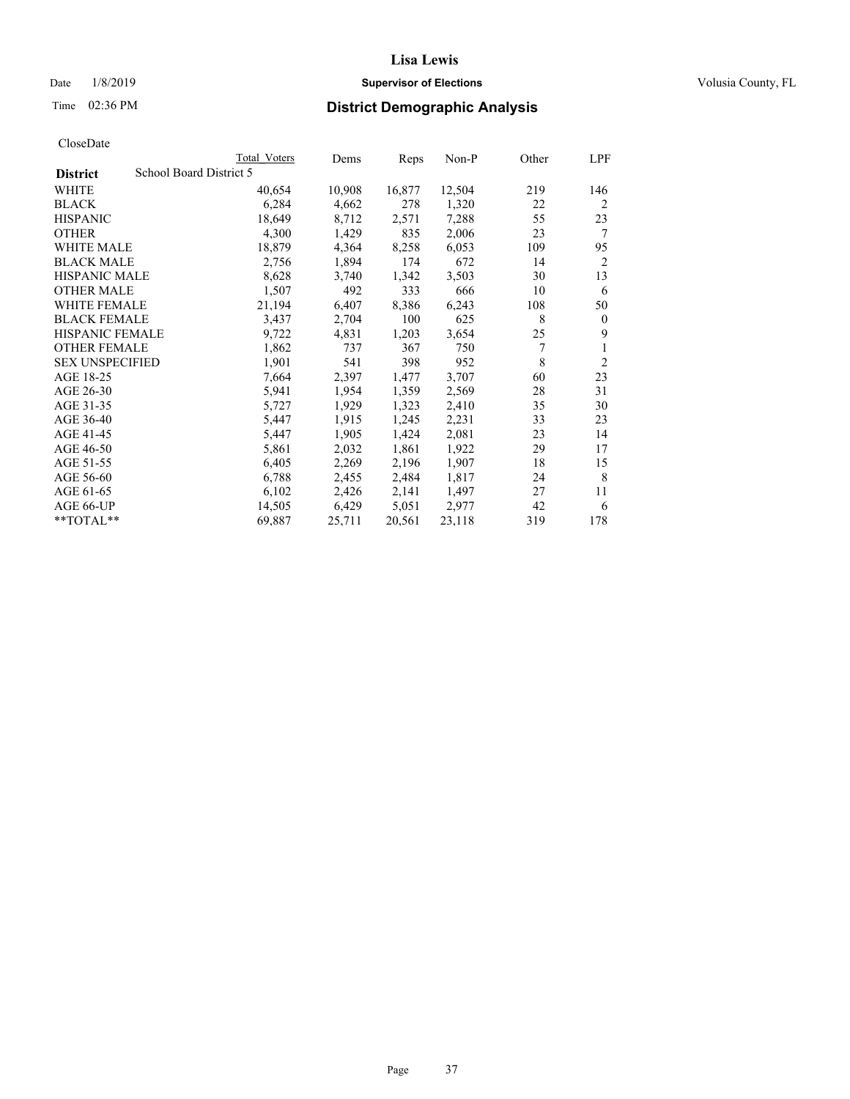#### Date  $1/8/2019$  **Supervisor of Elections Supervisor of Elections** Volusia County, FL

# Time 02:36 PM **District Demographic Analysis**

|                        | Total Voters            | Dems   | Reps   | Non-P  | Other | LPF            |
|------------------------|-------------------------|--------|--------|--------|-------|----------------|
| <b>District</b>        | School Board District 5 |        |        |        |       |                |
| WHITE                  | 40,654                  | 10,908 | 16,877 | 12,504 | 219   | 146            |
| <b>BLACK</b>           | 6,284                   | 4,662  | 278    | 1,320  | 22    | 2              |
| <b>HISPANIC</b>        | 18,649                  | 8,712  | 2,571  | 7,288  | 55    | 23             |
| <b>OTHER</b>           | 4,300                   | 1,429  | 835    | 2,006  | 23    | 7              |
| WHITE MALE             | 18,879                  | 4,364  | 8,258  | 6,053  | 109   | 95             |
| <b>BLACK MALE</b>      | 2,756                   | 1,894  | 174    | 672    | 14    | 2              |
| <b>HISPANIC MALE</b>   | 8,628                   | 3,740  | 1,342  | 3,503  | 30    | 13             |
| <b>OTHER MALE</b>      | 1,507                   | 492    | 333    | 666    | 10    | 6              |
| WHITE FEMALE           | 21,194                  | 6,407  | 8,386  | 6,243  | 108   | 50             |
| <b>BLACK FEMALE</b>    | 3,437                   | 2,704  | 100    | 625    | 8     | $\mathbf{0}$   |
| <b>HISPANIC FEMALE</b> | 9,722                   | 4,831  | 1,203  | 3,654  | 25    | 9              |
| <b>OTHER FEMALE</b>    | 1,862                   | 737    | 367    | 750    | 7     | 1              |
| <b>SEX UNSPECIFIED</b> | 1,901                   | 541    | 398    | 952    | 8     | $\overline{2}$ |
| AGE 18-25              | 7,664                   | 2,397  | 1,477  | 3,707  | 60    | 23             |
| AGE 26-30              | 5,941                   | 1,954  | 1,359  | 2,569  | 28    | 31             |
| AGE 31-35              | 5,727                   | 1,929  | 1,323  | 2,410  | 35    | 30             |
| AGE 36-40              | 5,447                   | 1,915  | 1,245  | 2,231  | 33    | 23             |
| AGE 41-45              | 5,447                   | 1,905  | 1,424  | 2,081  | 23    | 14             |
| AGE 46-50              | 5,861                   | 2,032  | 1,861  | 1,922  | 29    | 17             |
| AGE 51-55              | 6,405                   | 2,269  | 2,196  | 1,907  | 18    | 15             |
| AGE 56-60              | 6,788                   | 2,455  | 2,484  | 1,817  | 24    | 8              |
| AGE 61-65              | 6,102                   | 2,426  | 2,141  | 1,497  | 27    | 11             |
| AGE 66-UP              | 14,505                  | 6,429  | 5,051  | 2,977  | 42    | 6              |
| $*$ $TOTAL**$          | 69,887                  | 25,711 | 20,561 | 23,118 | 319   | 178            |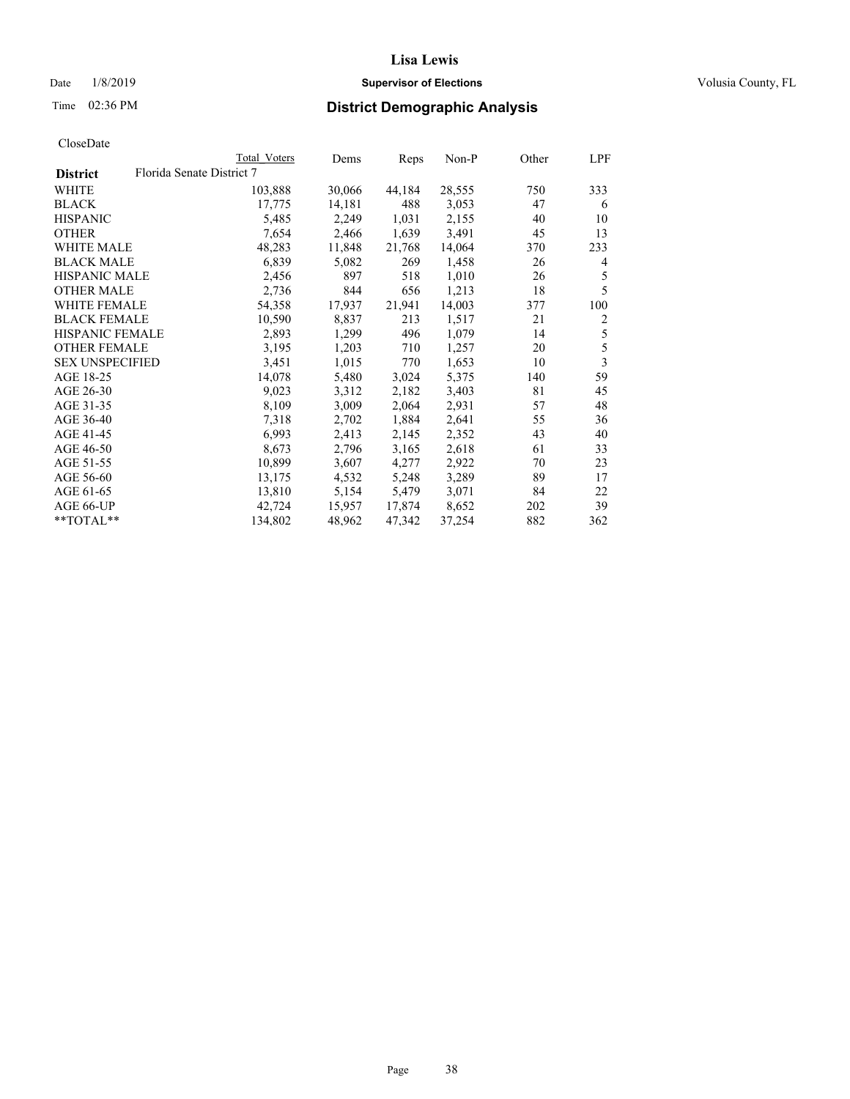## Date  $1/8/2019$  **Supervisor of Elections Supervisor of Elections** Volusia County, FL

# Time 02:36 PM **District Demographic Analysis**

|                        |                           | Total Voters | Dems   | Reps   | Non-P  | Other | LPF            |
|------------------------|---------------------------|--------------|--------|--------|--------|-------|----------------|
| <b>District</b>        | Florida Senate District 7 |              |        |        |        |       |                |
| WHITE                  |                           | 103,888      | 30,066 | 44,184 | 28,555 | 750   | 333            |
| <b>BLACK</b>           |                           | 17,775       | 14,181 | 488    | 3,053  | 47    | 6              |
| <b>HISPANIC</b>        |                           | 5,485        | 2,249  | 1,031  | 2,155  | 40    | 10             |
| <b>OTHER</b>           |                           | 7,654        | 2,466  | 1,639  | 3,491  | 45    | 13             |
| WHITE MALE             |                           | 48,283       | 11,848 | 21,768 | 14,064 | 370   | 233            |
| <b>BLACK MALE</b>      |                           | 6,839        | 5,082  | 269    | 1,458  | 26    | 4              |
| <b>HISPANIC MALE</b>   |                           | 2,456        | 897    | 518    | 1,010  | 26    | 5              |
| <b>OTHER MALE</b>      |                           | 2,736        | 844    | 656    | 1,213  | 18    | 5              |
| <b>WHITE FEMALE</b>    |                           | 54,358       | 17,937 | 21,941 | 14,003 | 377   | 100            |
| <b>BLACK FEMALE</b>    |                           | 10,590       | 8,837  | 213    | 1,517  | 21    | $\overline{c}$ |
| <b>HISPANIC FEMALE</b> |                           | 2,893        | 1,299  | 496    | 1,079  | 14    | $\mathfrak s$  |
| <b>OTHER FEMALE</b>    |                           | 3,195        | 1,203  | 710    | 1,257  | 20    | 5              |
| <b>SEX UNSPECIFIED</b> |                           | 3,451        | 1,015  | 770    | 1,653  | 10    | $\overline{3}$ |
| AGE 18-25              |                           | 14,078       | 5,480  | 3,024  | 5,375  | 140   | 59             |
| AGE 26-30              |                           | 9,023        | 3,312  | 2,182  | 3,403  | 81    | 45             |
| AGE 31-35              |                           | 8,109        | 3,009  | 2,064  | 2,931  | 57    | 48             |
| AGE 36-40              |                           | 7,318        | 2,702  | 1,884  | 2,641  | 55    | 36             |
| AGE 41-45              |                           | 6,993        | 2,413  | 2,145  | 2,352  | 43    | 40             |
| AGE 46-50              |                           | 8,673        | 2,796  | 3,165  | 2,618  | 61    | 33             |
| AGE 51-55              |                           | 10,899       | 3,607  | 4,277  | 2,922  | 70    | 23             |
| AGE 56-60              |                           | 13,175       | 4,532  | 5,248  | 3,289  | 89    | 17             |
| AGE 61-65              |                           | 13,810       | 5,154  | 5,479  | 3,071  | 84    | 22             |
| AGE 66-UP              |                           | 42,724       | 15,957 | 17,874 | 8,652  | 202   | 39             |
| $*$ TOTAL $*$          |                           | 134,802      | 48,962 | 47,342 | 37,254 | 882   | 362            |
|                        |                           |              |        |        |        |       |                |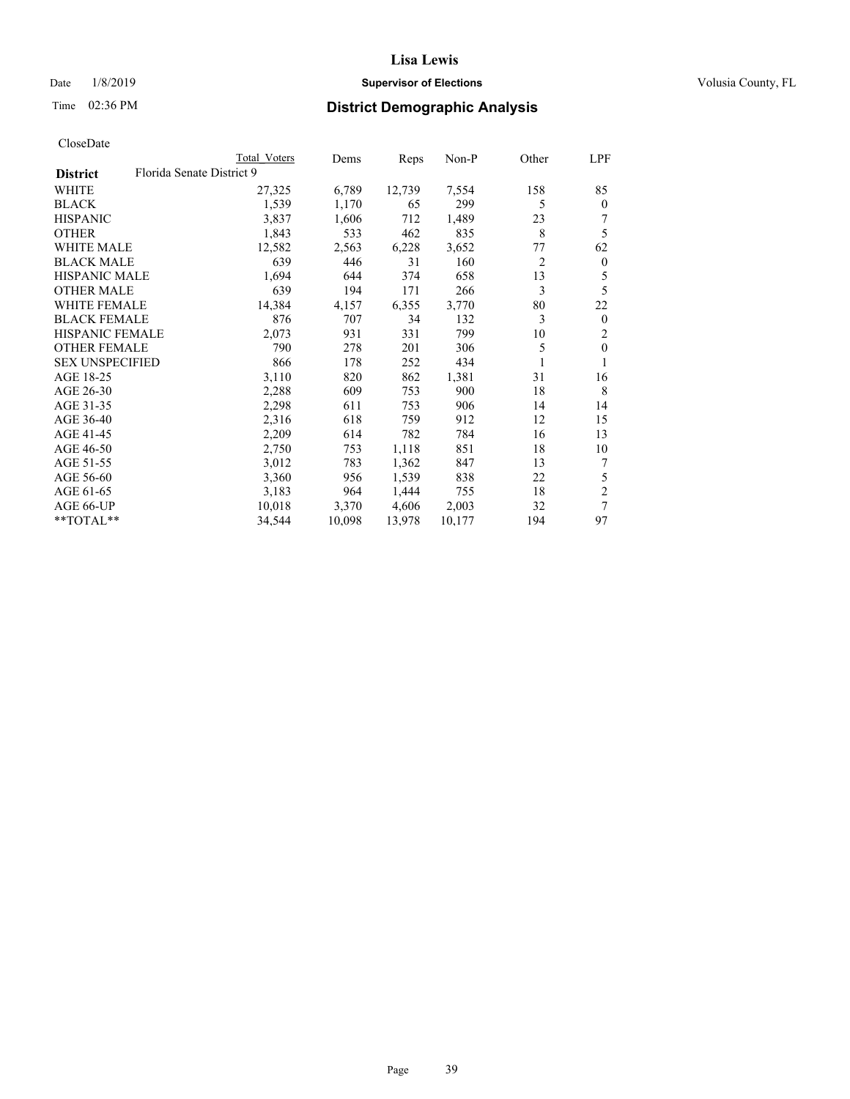## Date  $1/8/2019$  **Supervisor of Elections Supervisor of Elections** Volusia County, FL

# Time 02:36 PM **District Demographic Analysis**

|                        |                           | Total Voters | Dems   | Reps   | Non-P  | Other | LPF            |
|------------------------|---------------------------|--------------|--------|--------|--------|-------|----------------|
| <b>District</b>        | Florida Senate District 9 |              |        |        |        |       |                |
| WHITE                  |                           | 27,325       | 6,789  | 12,739 | 7,554  | 158   | 85             |
| <b>BLACK</b>           |                           | 1,539        | 1,170  | 65     | 299    | 5     | $\mathbf{0}$   |
| <b>HISPANIC</b>        |                           | 3,837        | 1,606  | 712    | 1,489  | 23    |                |
| <b>OTHER</b>           |                           | 1,843        | 533    | 462    | 835    | 8     | 5              |
| WHITE MALE             |                           | 12,582       | 2,563  | 6,228  | 3,652  | 77    | 62             |
| <b>BLACK MALE</b>      |                           | 639          | 446    | 31     | 160    | 2     | $\mathbf{0}$   |
| <b>HISPANIC MALE</b>   |                           | 1,694        | 644    | 374    | 658    | 13    | 5              |
| <b>OTHER MALE</b>      |                           | 639          | 194    | 171    | 266    | 3     | 5              |
| <b>WHITE FEMALE</b>    |                           | 14,384       | 4,157  | 6,355  | 3,770  | 80    | 22             |
| <b>BLACK FEMALE</b>    |                           | 876          | 707    | 34     | 132    | 3     | $\mathbf{0}$   |
| <b>HISPANIC FEMALE</b> |                           | 2,073        | 931    | 331    | 799    | 10    | 2              |
| <b>OTHER FEMALE</b>    |                           | 790          | 278    | 201    | 306    | 5     | $\theta$       |
| <b>SEX UNSPECIFIED</b> |                           | 866          | 178    | 252    | 434    |       | 1              |
| AGE 18-25              |                           | 3,110        | 820    | 862    | 1,381  | 31    | 16             |
| AGE 26-30              |                           | 2,288        | 609    | 753    | 900    | 18    | 8              |
| AGE 31-35              |                           | 2,298        | 611    | 753    | 906    | 14    | 14             |
| AGE 36-40              |                           | 2,316        | 618    | 759    | 912    | 12    | 15             |
| AGE 41-45              |                           | 2,209        | 614    | 782    | 784    | 16    | 13             |
| AGE 46-50              |                           | 2,750        | 753    | 1,118  | 851    | 18    | 10             |
| AGE 51-55              |                           | 3,012        | 783    | 1,362  | 847    | 13    | 7              |
| AGE 56-60              |                           | 3,360        | 956    | 1,539  | 838    | 22    | 5              |
| AGE 61-65              |                           | 3,183        | 964    | 1,444  | 755    | 18    | $\overline{2}$ |
| AGE 66-UP              |                           | 10,018       | 3,370  | 4,606  | 2,003  | 32    | 7              |
| $*$ TOTAL $*$          |                           | 34,544       | 10,098 | 13,978 | 10,177 | 194   | 97             |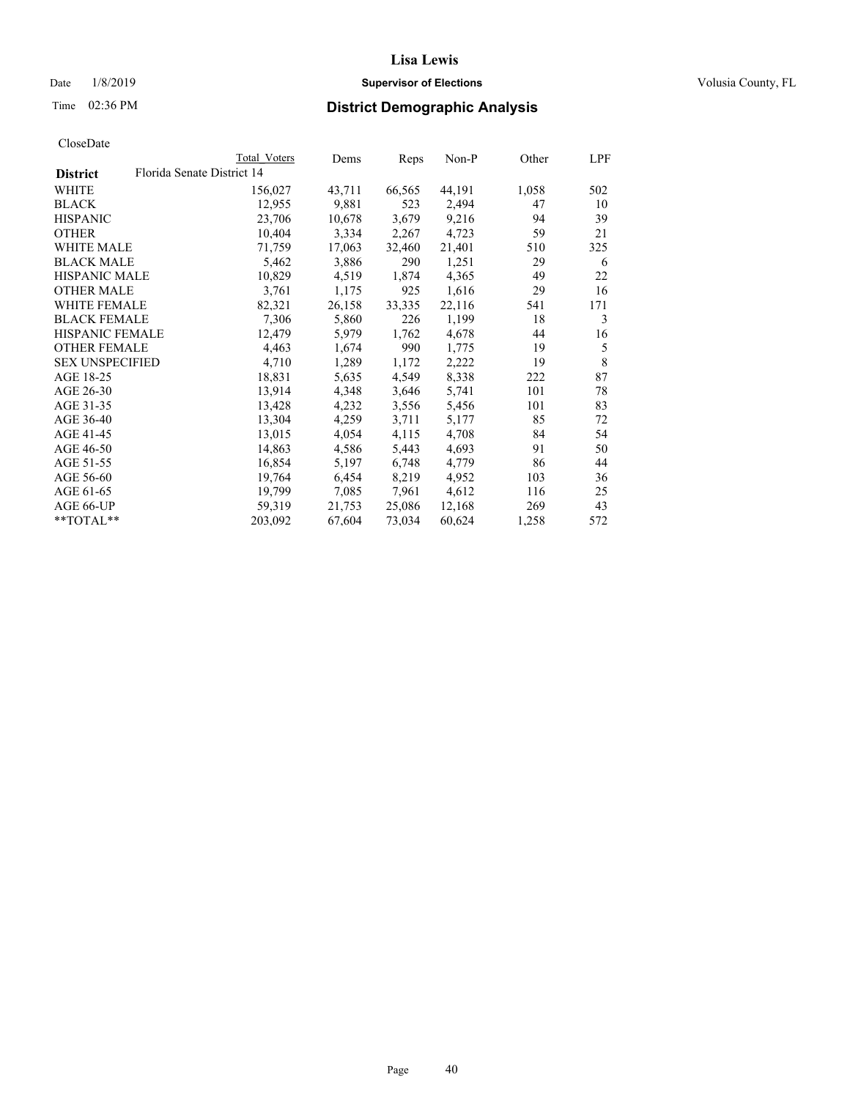## Date  $1/8/2019$  **Supervisor of Elections Supervisor of Elections** Volusia County, FL

| CloseDate |
|-----------|
|-----------|

| Total Voters | Dems                       |        | Non-P  | Other | LPF |
|--------------|----------------------------|--------|--------|-------|-----|
|              |                            |        |        |       |     |
| 156,027      | 43,711                     | 66,565 | 44,191 | 1,058 | 502 |
| 12,955       | 9,881                      | 523    | 2,494  | 47    | 10  |
| 23,706       | 10,678                     | 3,679  | 9,216  | 94    | 39  |
| 10,404       | 3,334                      | 2,267  | 4,723  | 59    | 21  |
| 71,759       | 17,063                     | 32,460 | 21,401 | 510   | 325 |
| 5,462        | 3,886                      | 290    | 1,251  | 29    | 6   |
| 10,829       | 4,519                      | 1,874  | 4,365  | 49    | 22  |
| 3,761        | 1,175                      | 925    | 1,616  | 29    | 16  |
| 82,321       | 26,158                     | 33,335 | 22,116 | 541   | 171 |
| 7,306        | 5,860                      | 226    | 1,199  | 18    | 3   |
| 12,479       | 5,979                      | 1,762  | 4,678  | 44    | 16  |
| 4,463        | 1,674                      | 990    | 1,775  | 19    | 5   |
| 4,710        | 1,289                      | 1,172  | 2,222  | 19    | 8   |
| 18,831       | 5,635                      | 4,549  | 8,338  | 222   | 87  |
| 13,914       | 4,348                      | 3,646  | 5,741  | 101   | 78  |
| 13,428       | 4,232                      | 3,556  | 5,456  | 101   | 83  |
| 13,304       | 4,259                      | 3,711  | 5,177  | 85    | 72  |
| 13,015       | 4,054                      | 4,115  | 4,708  | 84    | 54  |
| 14,863       | 4,586                      | 5,443  | 4,693  | 91    | 50  |
| 16,854       | 5,197                      | 6,748  | 4,779  | 86    | 44  |
| 19,764       | 6,454                      | 8,219  | 4,952  | 103   | 36  |
| 19,799       | 7,085                      | 7,961  | 4,612  | 116   | 25  |
| 59,319       | 21,753                     | 25,086 | 12,168 | 269   | 43  |
| 203,092      | 67,604                     | 73,034 | 60,624 | 1,258 | 572 |
|              | Florida Senate District 14 |        | Reps   |       |     |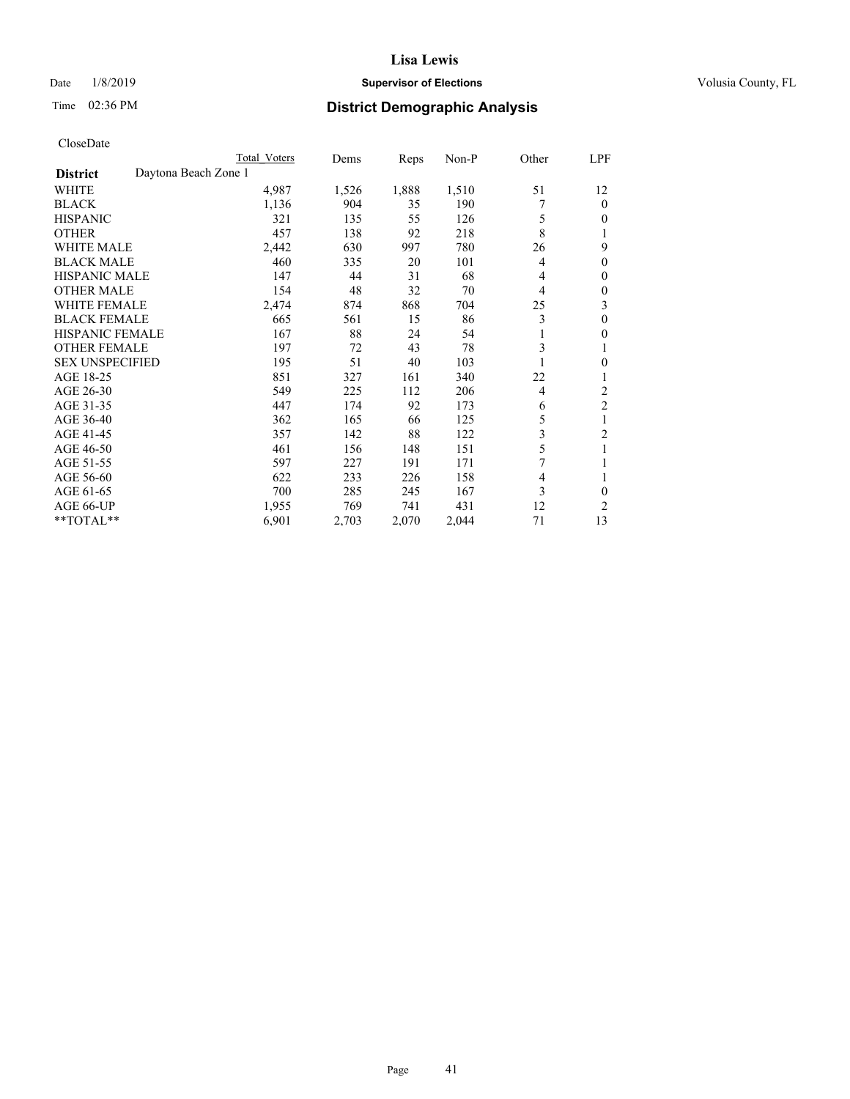## Date  $1/8/2019$  **Supervisor of Elections Supervisor of Elections** Volusia County, FL

# Time 02:36 PM **District Demographic Analysis**

|                                         | Total Voters | Dems  | Reps  | $Non-P$ | Other          | LPF            |
|-----------------------------------------|--------------|-------|-------|---------|----------------|----------------|
| Daytona Beach Zone 1<br><b>District</b> |              |       |       |         |                |                |
| WHITE                                   | 4,987        | 1,526 | 1,888 | 1,510   | 51             | 12             |
| <b>BLACK</b>                            | 1,136        | 904   | 35    | 190     |                | $\Omega$       |
| <b>HISPANIC</b>                         | 321          | 135   | 55    | 126     | 5              | $\theta$       |
| <b>OTHER</b>                            | 457          | 138   | 92    | 218     | 8              |                |
| <b>WHITE MALE</b>                       | 2,442        | 630   | 997   | 780     | 26             | 9              |
| <b>BLACK MALE</b>                       | 460          | 335   | 20    | 101     | $\overline{4}$ | $\theta$       |
| <b>HISPANIC MALE</b>                    | 147          | 44    | 31    | 68      | 4              | $\theta$       |
| <b>OTHER MALE</b>                       | 154          | 48    | 32    | 70      | 4              | $\mathbf{0}$   |
| <b>WHITE FEMALE</b>                     | 2,474        | 874   | 868   | 704     | 25             | 3              |
| <b>BLACK FEMALE</b>                     | 665          | 561   | 15    | 86      | 3              | $\theta$       |
| <b>HISPANIC FEMALE</b>                  | 167          | 88    | 24    | 54      | 1              | $\theta$       |
| <b>OTHER FEMALE</b>                     | 197          | 72    | 43    | 78      | 3              | 1              |
| <b>SEX UNSPECIFIED</b>                  | 195          | 51    | 40    | 103     |                | $\theta$       |
| AGE 18-25                               | 851          | 327   | 161   | 340     | 22             |                |
| AGE 26-30                               | 549          | 225   | 112   | 206     | 4              | $\overline{c}$ |
| AGE 31-35                               | 447          | 174   | 92    | 173     | 6              | $\overline{c}$ |
| AGE 36-40                               | 362          | 165   | 66    | 125     | 5              |                |
| AGE 41-45                               | 357          | 142   | 88    | 122     | 3              | 2              |
| AGE 46-50                               | 461          | 156   | 148   | 151     | 5              |                |
| AGE 51-55                               | 597          | 227   | 191   | 171     | 7              |                |
| AGE 56-60                               | 622          | 233   | 226   | 158     | 4              | 1              |
| AGE 61-65                               | 700          | 285   | 245   | 167     | 3              | $\theta$       |
| AGE 66-UP                               | 1,955        | 769   | 741   | 431     | 12             | $\overline{2}$ |
| **TOTAL**                               | 6,901        | 2,703 | 2,070 | 2,044   | 71             | 13             |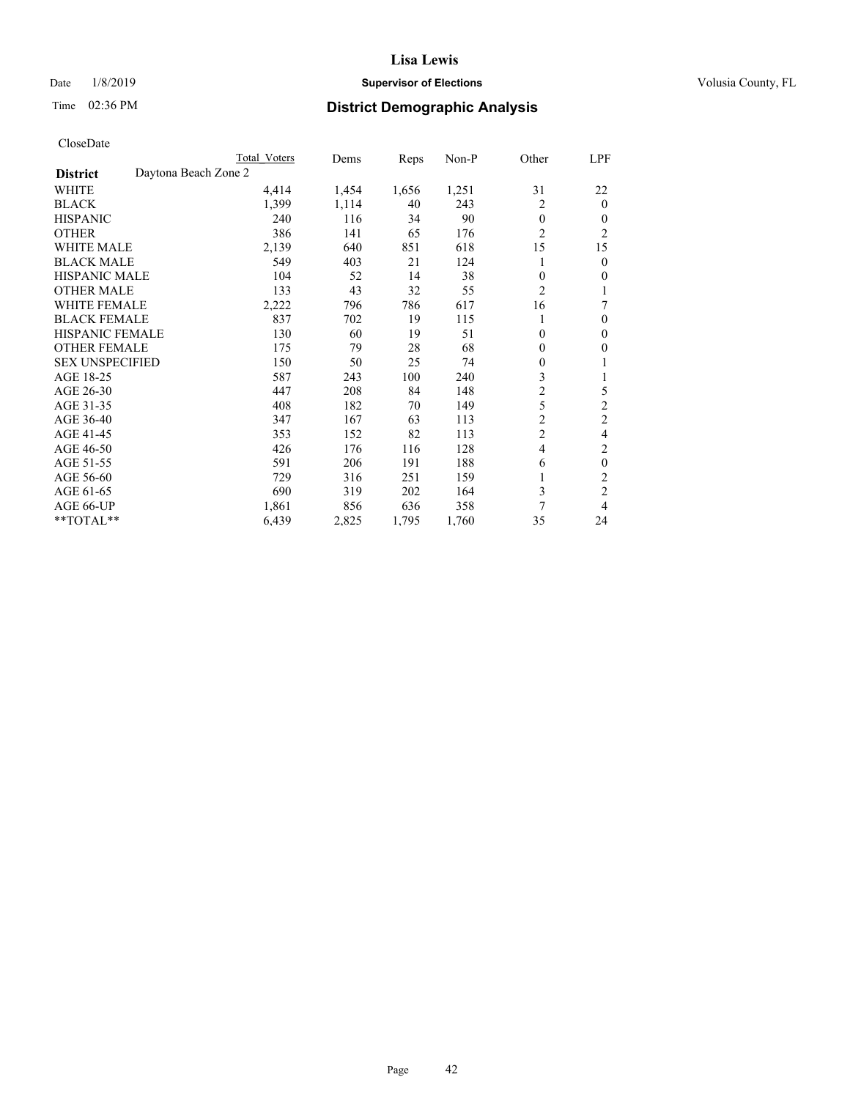## Date  $1/8/2019$  **Supervisor of Elections Supervisor of Elections** Volusia County, FL

# Time 02:36 PM **District Demographic Analysis**

|                                         | Total Voters | Dems  | Reps  | $Non-P$ | Other          | LPF            |
|-----------------------------------------|--------------|-------|-------|---------|----------------|----------------|
| Daytona Beach Zone 2<br><b>District</b> |              |       |       |         |                |                |
| WHITE                                   | 4,414        | 1,454 | 1,656 | 1,251   | 31             | 22             |
| <b>BLACK</b>                            | 1,399        | 1,114 | 40    | 243     | $\overline{2}$ | $\theta$       |
| <b>HISPANIC</b>                         | 240          | 116   | 34    | 90      | $\theta$       | $\theta$       |
| <b>OTHER</b>                            | 386          | 141   | 65    | 176     | $\overline{c}$ | $\overline{2}$ |
| <b>WHITE MALE</b>                       | 2,139        | 640   | 851   | 618     | 15             | 15             |
| <b>BLACK MALE</b>                       | 549          | 403   | 21    | 124     | 1              | $\theta$       |
| <b>HISPANIC MALE</b>                    | 104          | 52    | 14    | 38      | $\theta$       | $\theta$       |
| <b>OTHER MALE</b>                       | 133          | 43    | 32    | 55      | $\overline{c}$ |                |
| <b>WHITE FEMALE</b>                     | 2,222        | 796   | 786   | 617     | 16             | 7              |
| <b>BLACK FEMALE</b>                     | 837          | 702   | 19    | 115     | 1              | $\theta$       |
| <b>HISPANIC FEMALE</b>                  | 130          | 60    | 19    | 51      | $\overline{0}$ | $\theta$       |
| <b>OTHER FEMALE</b>                     | 175          | 79    | 28    | 68      | $\mathbf{0}$   | $\theta$       |
| <b>SEX UNSPECIFIED</b>                  | 150          | 50    | 25    | 74      | $\theta$       |                |
| AGE 18-25                               | 587          | 243   | 100   | 240     | 3              |                |
| AGE 26-30                               | 447          | 208   | 84    | 148     | $\overline{c}$ | 5              |
| AGE 31-35                               | 408          | 182   | 70    | 149     | 5              | $\overline{2}$ |
| AGE 36-40                               | 347          | 167   | 63    | 113     | $\overline{c}$ | $\overline{c}$ |
| AGE 41-45                               | 353          | 152   | 82    | 113     | $\overline{c}$ | 4              |
| AGE 46-50                               | 426          | 176   | 116   | 128     | $\overline{4}$ | 2              |
| AGE 51-55                               | 591          | 206   | 191   | 188     | 6              | $\mathbf{0}$   |
| AGE 56-60                               | 729          | 316   | 251   | 159     | 1              | $\overline{c}$ |
| AGE 61-65                               | 690          | 319   | 202   | 164     | 3              | $\overline{c}$ |
| AGE 66-UP                               | 1,861        | 856   | 636   | 358     | 7              | 4              |
| $*$ TOTAL $*$                           | 6,439        | 2,825 | 1,795 | 1,760   | 35             | 24             |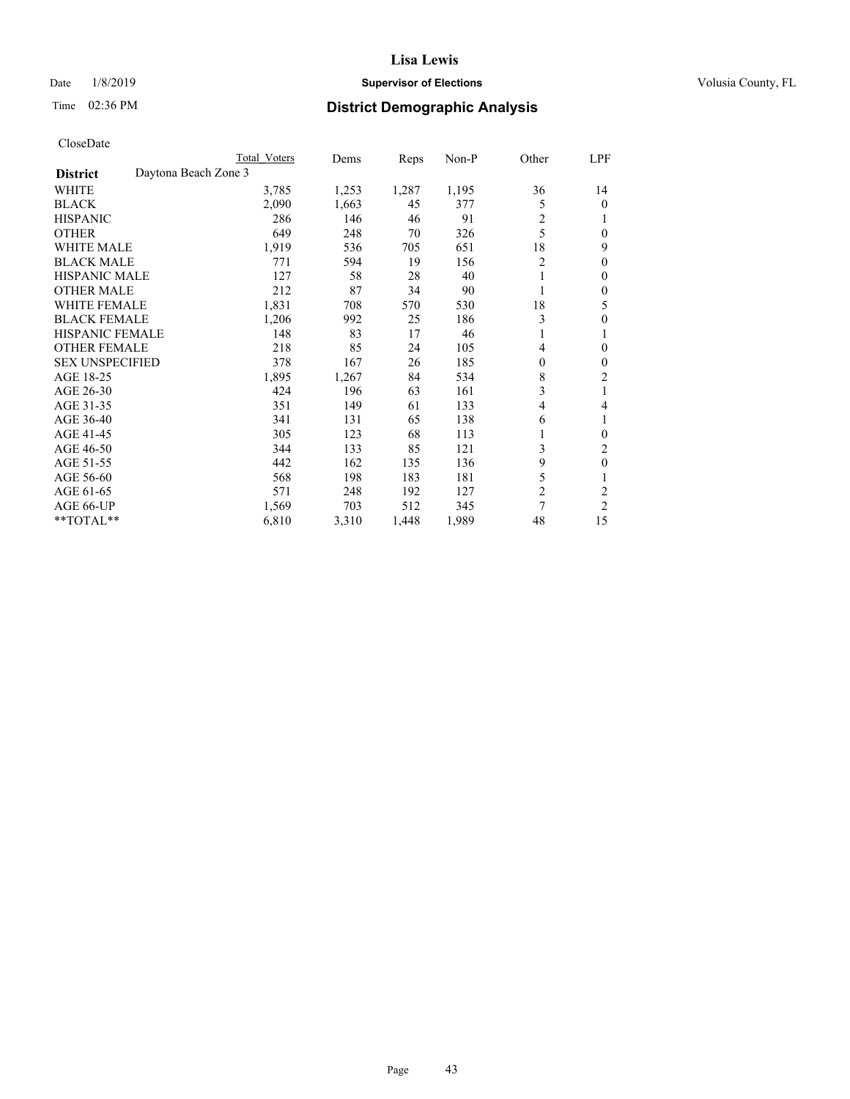## Date  $1/8/2019$  **Supervisor of Elections Supervisor of Elections** Volusia County, FL

# Time 02:36 PM **District Demographic Analysis**

|                                         | Total Voters | Dems  | Reps  | $Non-P$ | Other          | LPF            |
|-----------------------------------------|--------------|-------|-------|---------|----------------|----------------|
| Daytona Beach Zone 3<br><b>District</b> |              |       |       |         |                |                |
| WHITE                                   | 3,785        | 1,253 | 1,287 | 1,195   | 36             | 14             |
| <b>BLACK</b>                            | 2,090        | 1,663 | 45    | 377     | 5              | 0              |
| <b>HISPANIC</b>                         | 286          | 146   | 46    | 91      | $\overline{c}$ |                |
| <b>OTHER</b>                            | 649          | 248   | 70    | 326     | 5              | 0              |
| <b>WHITE MALE</b>                       | 1,919        | 536   | 705   | 651     | 18             | 9              |
| <b>BLACK MALE</b>                       | 771          | 594   | 19    | 156     | $\overline{2}$ | 0              |
| <b>HISPANIC MALE</b>                    | 127          | 58    | 28    | 40      | 1              | 0              |
| <b>OTHER MALE</b>                       | 212          | 87    | 34    | 90      | 1              | 0              |
| WHITE FEMALE                            | 1,831        | 708   | 570   | 530     | 18             | 5              |
| <b>BLACK FEMALE</b>                     | 1,206        | 992   | 25    | 186     | 3              | 0              |
| <b>HISPANIC FEMALE</b>                  | 148          | 83    | 17    | 46      | 1              | 1              |
| <b>OTHER FEMALE</b>                     | 218          | 85    | 24    | 105     | 4              | 0              |
| <b>SEX UNSPECIFIED</b>                  | 378          | 167   | 26    | 185     | 0              | 0              |
| AGE 18-25                               | 1,895        | 1,267 | 84    | 534     | 8              | 2              |
| AGE 26-30                               | 424          | 196   | 63    | 161     | 3              | 1              |
| AGE 31-35                               | 351          | 149   | 61    | 133     | 4              | 4              |
| AGE 36-40                               | 341          | 131   | 65    | 138     | 6              |                |
| AGE 41-45                               | 305          | 123   | 68    | 113     | 1              | 0              |
| AGE 46-50                               | 344          | 133   | 85    | 121     | 3              | 2              |
| AGE 51-55                               | 442          | 162   | 135   | 136     | 9              | $\mathbf{0}$   |
| AGE 56-60                               | 568          | 198   | 183   | 181     | 5              | 1              |
| AGE 61-65                               | 571          | 248   | 192   | 127     | $\overline{c}$ | $\overline{c}$ |
| AGE 66-UP                               | 1,569        | 703   | 512   | 345     | 7              | 2              |
| $*$ TOTAL $*$                           | 6,810        | 3,310 | 1,448 | 1,989   | 48             | 15             |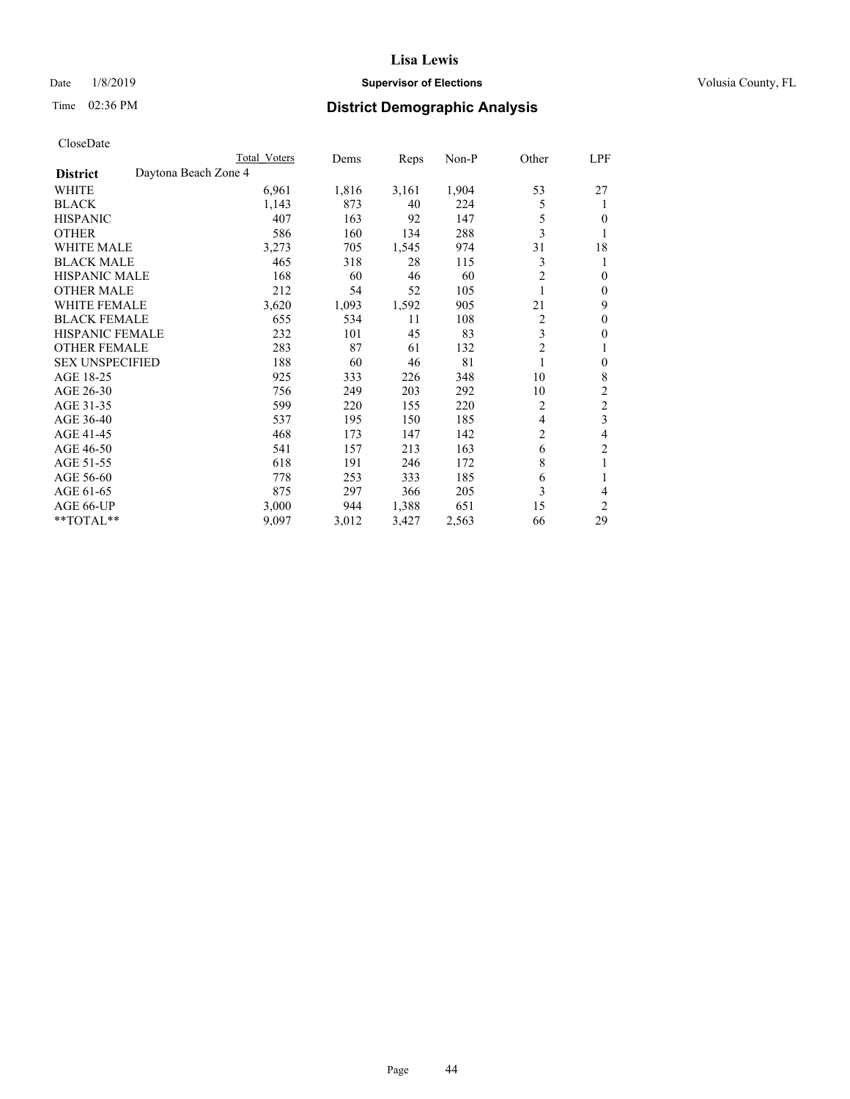## Date  $1/8/2019$  **Supervisor of Elections Supervisor of Elections** Volusia County, FL

# Time 02:36 PM **District Demographic Analysis**

|                        |                      | Total Voters | Dems  | Reps  | Non-P | Other          | LPF            |
|------------------------|----------------------|--------------|-------|-------|-------|----------------|----------------|
| <b>District</b>        | Daytona Beach Zone 4 |              |       |       |       |                |                |
| WHITE                  |                      | 6,961        | 1,816 | 3,161 | 1,904 | 53             | 27             |
| <b>BLACK</b>           |                      | 1,143        | 873   | 40    | 224   | 5              | 1              |
| <b>HISPANIC</b>        |                      | 407          | 163   | 92    | 147   | 5              | 0              |
| <b>OTHER</b>           |                      | 586          | 160   | 134   | 288   | 3              |                |
| <b>WHITE MALE</b>      |                      | 3,273        | 705   | 1,545 | 974   | 31             | 18             |
| <b>BLACK MALE</b>      |                      | 465          | 318   | 28    | 115   | 3              | 1              |
| <b>HISPANIC MALE</b>   |                      | 168          | 60    | 46    | 60    | 2              | $\theta$       |
| <b>OTHER MALE</b>      |                      | 212          | 54    | 52    | 105   | 1              | $\mathbf{0}$   |
| WHITE FEMALE           |                      | 3,620        | 1,093 | 1,592 | 905   | 21             | 9              |
| <b>BLACK FEMALE</b>    |                      | 655          | 534   | 11    | 108   | 2              | $\theta$       |
| <b>HISPANIC FEMALE</b> |                      | 232          | 101   | 45    | 83    | 3              | $\theta$       |
| <b>OTHER FEMALE</b>    |                      | 283          | 87    | 61    | 132   | $\mathfrak{2}$ | 1              |
| <b>SEX UNSPECIFIED</b> |                      | 188          | 60    | 46    | 81    | 1              | $\theta$       |
| AGE 18-25              |                      | 925          | 333   | 226   | 348   | 10             | 8              |
| AGE 26-30              |                      | 756          | 249   | 203   | 292   | 10             | $\overline{2}$ |
| AGE 31-35              |                      | 599          | 220   | 155   | 220   | 2              | $\overline{2}$ |
| AGE 36-40              |                      | 537          | 195   | 150   | 185   | 4              | 3              |
| AGE 41-45              |                      | 468          | 173   | 147   | 142   | 2              | 4              |
| AGE 46-50              |                      | 541          | 157   | 213   | 163   | 6              | 2              |
| AGE 51-55              |                      | 618          | 191   | 246   | 172   | 8              | 1              |
| AGE 56-60              |                      | 778          | 253   | 333   | 185   | 6              |                |
| AGE 61-65              |                      | 875          | 297   | 366   | 205   | 3              | 4              |
| AGE 66-UP              |                      | 3,000        | 944   | 1,388 | 651   | 15             | $\overline{2}$ |
| **TOTAL**              |                      | 9,097        | 3,012 | 3,427 | 2,563 | 66             | 29             |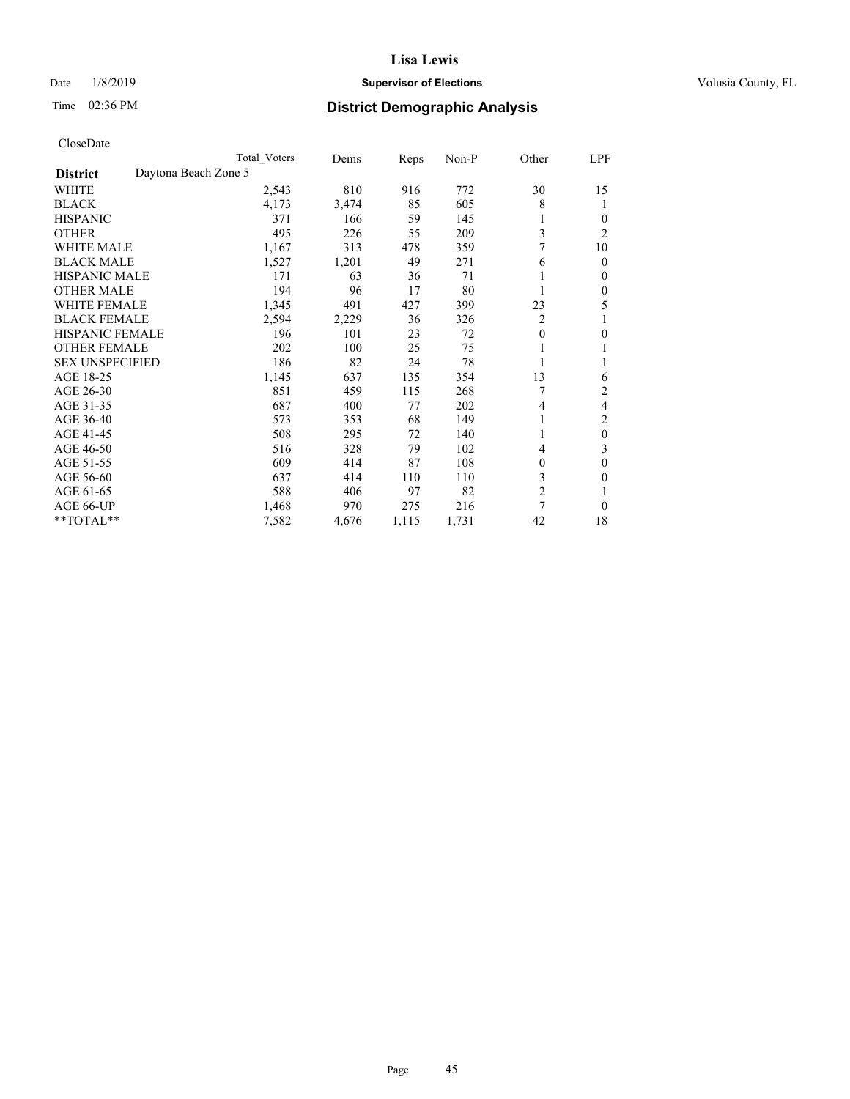## Date  $1/8/2019$  **Supervisor of Elections Supervisor of Elections** Volusia County, FL

| CloseDate |
|-----------|
|-----------|

|                        |                      | Total Voters | Dems  | Reps  | $Non-P$ | Other          | LPF            |
|------------------------|----------------------|--------------|-------|-------|---------|----------------|----------------|
| <b>District</b>        | Daytona Beach Zone 5 |              |       |       |         |                |                |
| WHITE                  |                      | 2,543        | 810   | 916   | 772     | 30             | 15             |
| <b>BLACK</b>           |                      | 4,173        | 3,474 | 85    | 605     | 8              | 1              |
| <b>HISPANIC</b>        |                      | 371          | 166   | 59    | 145     | 1              | $\Omega$       |
| <b>OTHER</b>           |                      | 495          | 226   | 55    | 209     | 3              | $\overline{c}$ |
| <b>WHITE MALE</b>      |                      | 1,167        | 313   | 478   | 359     | 7              | 10             |
| <b>BLACK MALE</b>      |                      | 1,527        | 1,201 | 49    | 271     | 6              | 0              |
| <b>HISPANIC MALE</b>   |                      | 171          | 63    | 36    | 71      |                | 0              |
| <b>OTHER MALE</b>      |                      | 194          | 96    | 17    | 80      | 1              | 0              |
| <b>WHITE FEMALE</b>    |                      | 1,345        | 491   | 427   | 399     | 23             | 5              |
| <b>BLACK FEMALE</b>    |                      | 2,594        | 2,229 | 36    | 326     | 2              |                |
| HISPANIC FEMALE        |                      | 196          | 101   | 23    | 72      | $\mathbf{0}$   | 0              |
| <b>OTHER FEMALE</b>    |                      | 202          | 100   | 25    | 75      | 1              |                |
| <b>SEX UNSPECIFIED</b> |                      | 186          | 82    | 24    | 78      | 1              |                |
| AGE 18-25              |                      | 1,145        | 637   | 135   | 354     | 13             | 6              |
| AGE 26-30              |                      | 851          | 459   | 115   | 268     |                | 2              |
| AGE 31-35              |                      | 687          | 400   | 77    | 202     | 4              | 4              |
| AGE 36-40              |                      | 573          | 353   | 68    | 149     | 1              | 2              |
| AGE 41-45              |                      | 508          | 295   | 72    | 140     | 1              | $\mathbf{0}$   |
| AGE 46-50              |                      | 516          | 328   | 79    | 102     | 4              | 3              |
| AGE 51-55              |                      | 609          | 414   | 87    | 108     | $\mathbf{0}$   | 0              |
| AGE 56-60              |                      | 637          | 414   | 110   | 110     | 3              | 0              |
| AGE 61-65              |                      | 588          | 406   | 97    | 82      | $\mathfrak{2}$ |                |
| AGE 66-UP              |                      | 1,468        | 970   | 275   | 216     | 7              | $\Omega$       |
| **TOTAL**              |                      | 7,582        | 4,676 | 1,115 | 1,731   | 42             | 18             |
|                        |                      |              |       |       |         |                |                |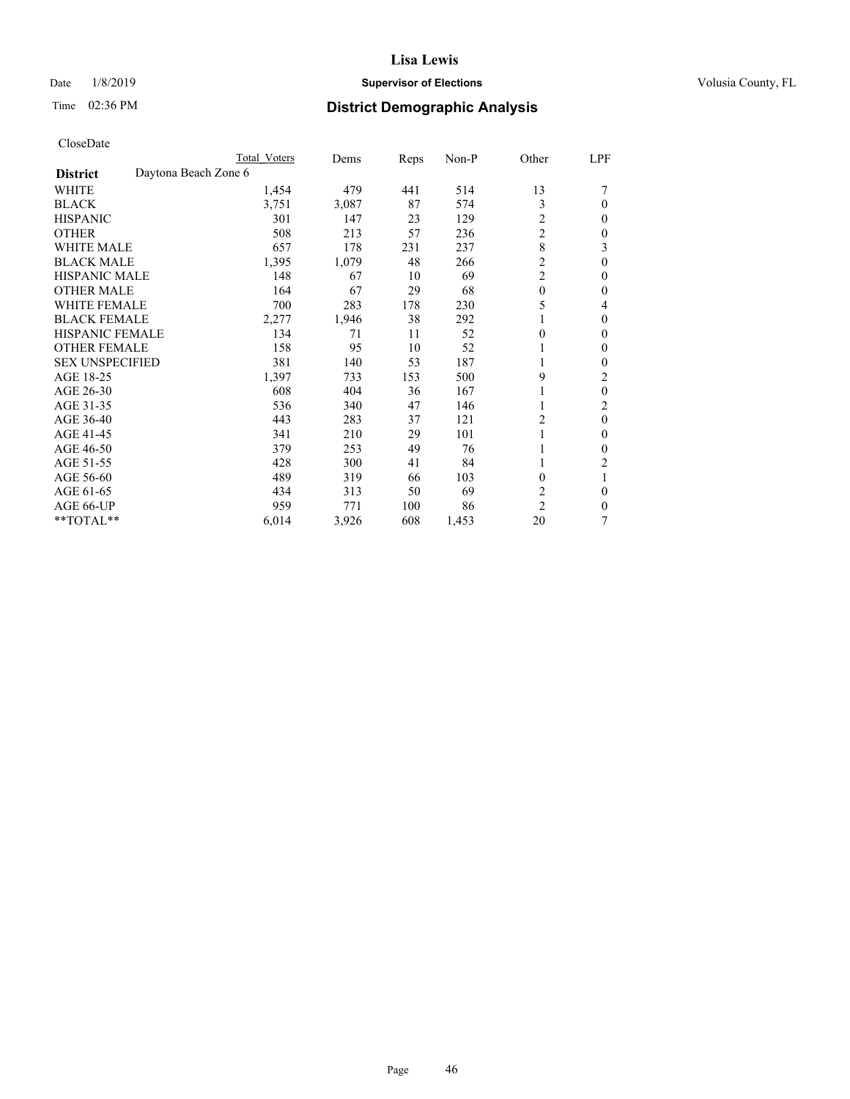## Date  $1/8/2019$  **Supervisor of Elections Supervisor of Elections** Volusia County, FL

| CloseDate |
|-----------|
|-----------|

|                                         | Total Voters | Dems  | Reps | $Non-P$ | Other          | LPF          |
|-----------------------------------------|--------------|-------|------|---------|----------------|--------------|
| Daytona Beach Zone 6<br><b>District</b> |              |       |      |         |                |              |
| WHITE                                   | 1,454        | 479   | 441  | 514     | 13             |              |
| <b>BLACK</b>                            | 3,751        | 3,087 | 87   | 574     | 3              | $\theta$     |
| <b>HISPANIC</b>                         | 301          | 147   | 23   | 129     | 2              | $\mathbf{0}$ |
| <b>OTHER</b>                            | 508          | 213   | 57   | 236     | $\overline{c}$ | $\theta$     |
| <b>WHITE MALE</b>                       | 657          | 178   | 231  | 237     | 8              | 3            |
| <b>BLACK MALE</b>                       | 1,395        | 1,079 | 48   | 266     | $\overline{2}$ | $\theta$     |
| <b>HISPANIC MALE</b>                    | 148          | 67    | 10   | 69      | $\overline{c}$ | $\theta$     |
| <b>OTHER MALE</b>                       | 164          | 67    | 29   | 68      | $\mathbf{0}$   | $\mathbf{0}$ |
| <b>WHITE FEMALE</b>                     | 700          | 283   | 178  | 230     | 5              | 4            |
| <b>BLACK FEMALE</b>                     | 2,277        | 1,946 | 38   | 292     | 1              | $\mathbf{0}$ |
| <b>HISPANIC FEMALE</b>                  | 134          | 71    | 11   | 52      | $\theta$       | $\theta$     |
| <b>OTHER FEMALE</b>                     | 158          | 95    | 10   | 52      | 1              | $\theta$     |
| <b>SEX UNSPECIFIED</b>                  | 381          | 140   | 53   | 187     | 1              | $\theta$     |
| AGE 18-25                               | 1,397        | 733   | 153  | 500     | 9              | 2            |
| AGE 26-30                               | 608          | 404   | 36   | 167     |                | $\mathbf{0}$ |
| AGE 31-35                               | 536          | 340   | 47   | 146     |                | 2            |
| AGE 36-40                               | 443          | 283   | 37   | 121     | 2              | $\theta$     |
| AGE 41-45                               | 341          | 210   | 29   | 101     |                | $\theta$     |
| AGE 46-50                               | 379          | 253   | 49   | 76      | 1              | $\theta$     |
| AGE 51-55                               | 428          | 300   | 41   | 84      | 1              | 2            |
| AGE 56-60                               | 489          | 319   | 66   | 103     | $\theta$       | 1            |
| AGE 61-65                               | 434          | 313   | 50   | 69      | 2              | $\mathbf{0}$ |
| AGE 66-UP                               | 959          | 771   | 100  | 86      | $\overline{2}$ | $\theta$     |
| **TOTAL**                               | 6,014        | 3,926 | 608  | 1,453   | 20             | 7            |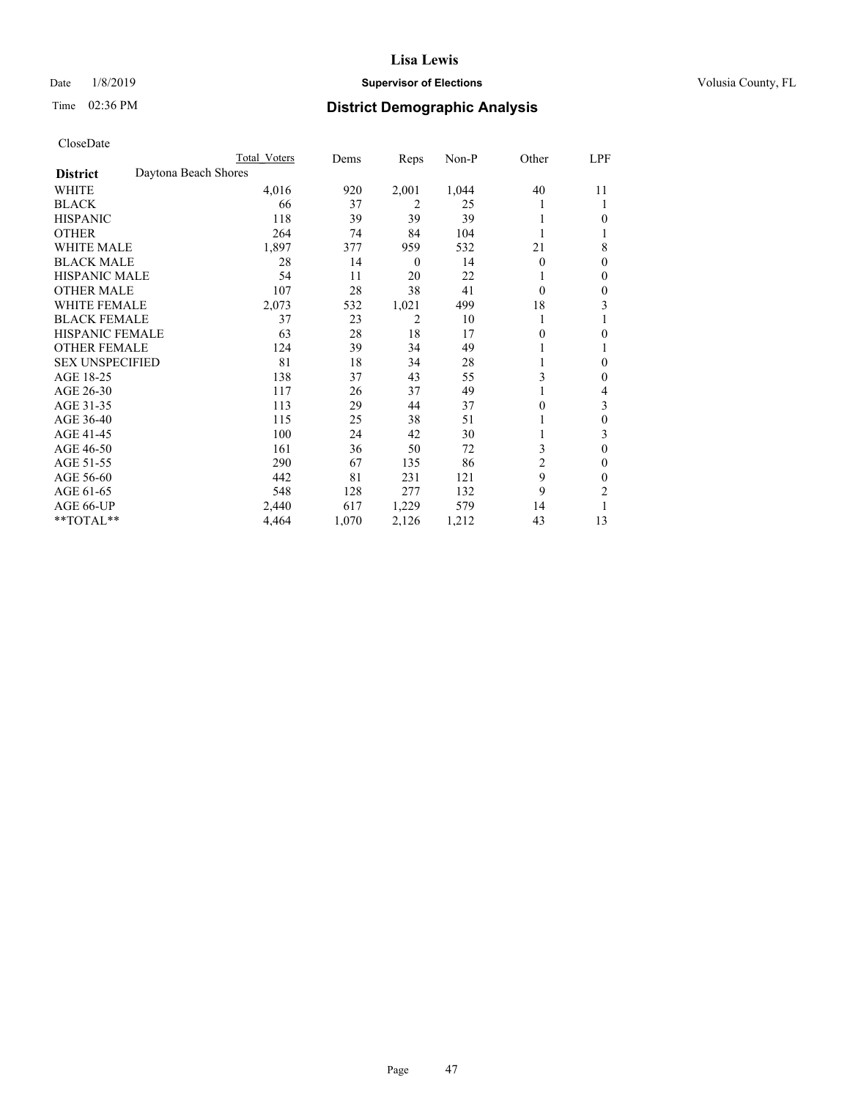## Date  $1/8/2019$  **Supervisor of Elections Supervisor of Elections** Volusia County, FL

# Time 02:36 PM **District Demographic Analysis**

|                        |                      | Total Voters | Dems  | Reps     | Non-P | Other          | LPF          |
|------------------------|----------------------|--------------|-------|----------|-------|----------------|--------------|
| <b>District</b>        | Daytona Beach Shores |              |       |          |       |                |              |
| WHITE                  |                      | 4,016        | 920   | 2,001    | 1,044 | 40             | 11           |
| <b>BLACK</b>           |                      | 66           | 37    | 2        | 25    |                | 1            |
| <b>HISPANIC</b>        |                      | 118          | 39    | 39       | 39    |                | $\theta$     |
| <b>OTHER</b>           |                      | 264          | 74    | 84       | 104   |                |              |
| <b>WHITE MALE</b>      |                      | 1,897        | 377   | 959      | 532   | 21             | 8            |
| <b>BLACK MALE</b>      |                      | 28           | 14    | $\theta$ | 14    | $\theta$       | $\theta$     |
| <b>HISPANIC MALE</b>   |                      | 54           | 11    | 20       | 22    |                | $\theta$     |
| <b>OTHER MALE</b>      |                      | 107          | 28    | 38       | 41    | $\theta$       | $\theta$     |
| <b>WHITE FEMALE</b>    |                      | 2,073        | 532   | 1,021    | 499   | 18             | 3            |
| <b>BLACK FEMALE</b>    |                      | 37           | 23    | 2        | 10    |                |              |
| <b>HISPANIC FEMALE</b> |                      | 63           | 28    | 18       | 17    | 0              | $\theta$     |
| <b>OTHER FEMALE</b>    |                      | 124          | 39    | 34       | 49    |                | 1            |
| <b>SEX UNSPECIFIED</b> |                      | 81           | 18    | 34       | 28    |                | $\mathbf{0}$ |
| AGE 18-25              |                      | 138          | 37    | 43       | 55    | 3              | $\theta$     |
| AGE 26-30              |                      | 117          | 26    | 37       | 49    |                | 4            |
| AGE 31-35              |                      | 113          | 29    | 44       | 37    | 0              | 3            |
| AGE 36-40              |                      | 115          | 25    | 38       | 51    |                | $\theta$     |
| AGE 41-45              |                      | 100          | 24    | 42       | 30    |                | 3            |
| AGE 46-50              |                      | 161          | 36    | 50       | 72    | 3              | $\theta$     |
| AGE 51-55              |                      | 290          | 67    | 135      | 86    | $\overline{c}$ | $\theta$     |
| AGE 56-60              |                      | 442          | 81    | 231      | 121   | 9              | $\theta$     |
| AGE 61-65              |                      | 548          | 128   | 277      | 132   | 9              | 2            |
| AGE 66-UP              |                      | 2,440        | 617   | 1,229    | 579   | 14             |              |
| **TOTAL**              |                      | 4,464        | 1,070 | 2,126    | 1,212 | 43             | 13           |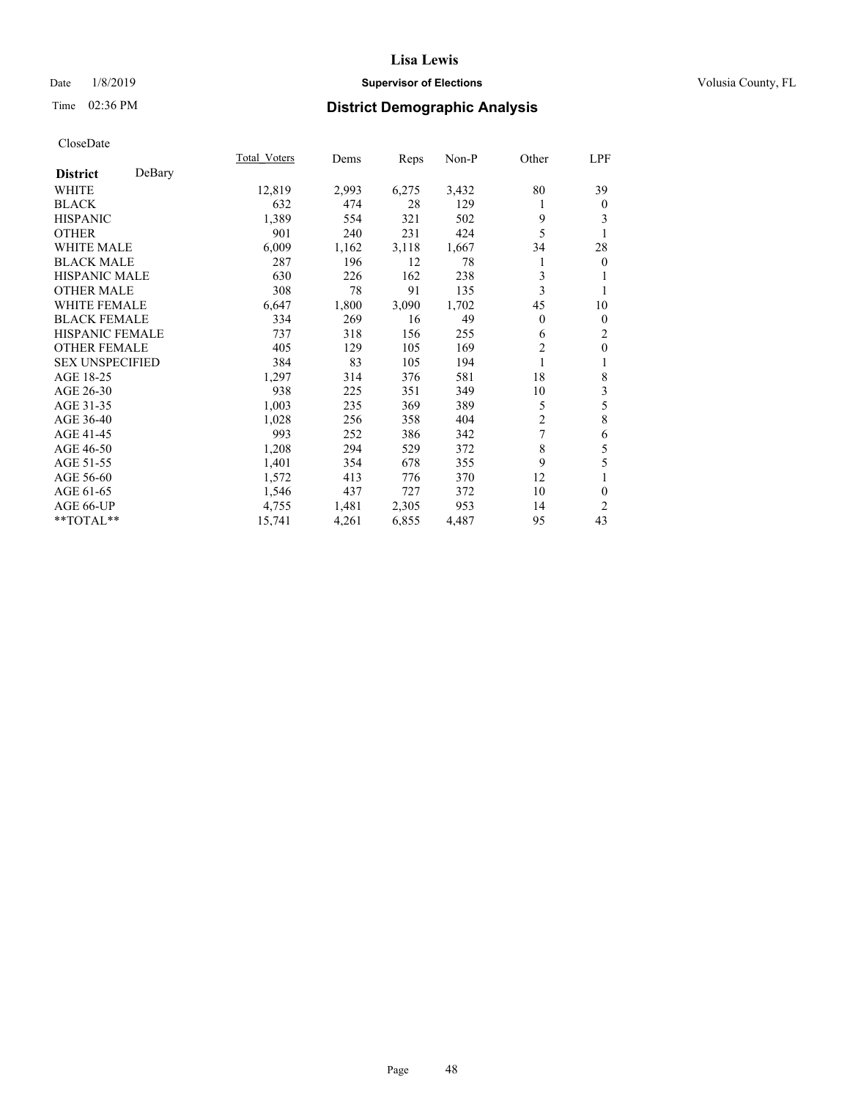## Date  $1/8/2019$  **Supervisor of Elections Supervisor of Elections** Volusia County, FL

# Time 02:36 PM **District Demographic Analysis**

|                        |        | Total Voters | Dems  | Reps  | Non-P | Other          | LPF            |
|------------------------|--------|--------------|-------|-------|-------|----------------|----------------|
| <b>District</b>        | DeBary |              |       |       |       |                |                |
| <b>WHITE</b>           |        | 12,819       | 2,993 | 6,275 | 3,432 | 80             | 39             |
| <b>BLACK</b>           |        | 632          | 474   | 28    | 129   | 1              | $\theta$       |
| <b>HISPANIC</b>        |        | 1,389        | 554   | 321   | 502   | 9              | 3              |
| <b>OTHER</b>           |        | 901          | 240   | 231   | 424   | 5              |                |
| WHITE MALE             |        | 6,009        | 1,162 | 3,118 | 1,667 | 34             | 28             |
| <b>BLACK MALE</b>      |        | 287          | 196   | 12    | 78    | 1              | $\overline{0}$ |
| <b>HISPANIC MALE</b>   |        | 630          | 226   | 162   | 238   | 3              |                |
| <b>OTHER MALE</b>      |        | 308          | 78    | 91    | 135   | 3              | 1              |
| <b>WHITE FEMALE</b>    |        | 6,647        | 1,800 | 3,090 | 1,702 | 45             | 10             |
| <b>BLACK FEMALE</b>    |        | 334          | 269   | 16    | 49    | 0              | $\mathbf{0}$   |
| <b>HISPANIC FEMALE</b> |        | 737          | 318   | 156   | 255   | 6              | $\overline{2}$ |
| <b>OTHER FEMALE</b>    |        | 405          | 129   | 105   | 169   | $\overline{c}$ | $\mathbf{0}$   |
| <b>SEX UNSPECIFIED</b> |        | 384          | 83    | 105   | 194   | 1              | 1              |
| AGE 18-25              |        | 1,297        | 314   | 376   | 581   | 18             | 8              |
| AGE 26-30              |        | 938          | 225   | 351   | 349   | 10             | 3              |
| AGE 31-35              |        | 1,003        | 235   | 369   | 389   | 5              | 5              |
| AGE 36-40              |        | 1,028        | 256   | 358   | 404   | 2              | 8              |
| AGE 41-45              |        | 993          | 252   | 386   | 342   | 7              | 6              |
| AGE 46-50              |        | 1,208        | 294   | 529   | 372   | 8              | 5              |
| AGE 51-55              |        | 1,401        | 354   | 678   | 355   | 9              | 5              |
| AGE 56-60              |        | 1,572        | 413   | 776   | 370   | 12             |                |
| AGE 61-65              |        | 1,546        | 437   | 727   | 372   | 10             | $\mathbf{0}$   |
| AGE 66-UP              |        | 4,755        | 1,481 | 2,305 | 953   | 14             | $\overline{2}$ |
| **TOTAL**              |        | 15,741       | 4,261 | 6,855 | 4,487 | 95             | 43             |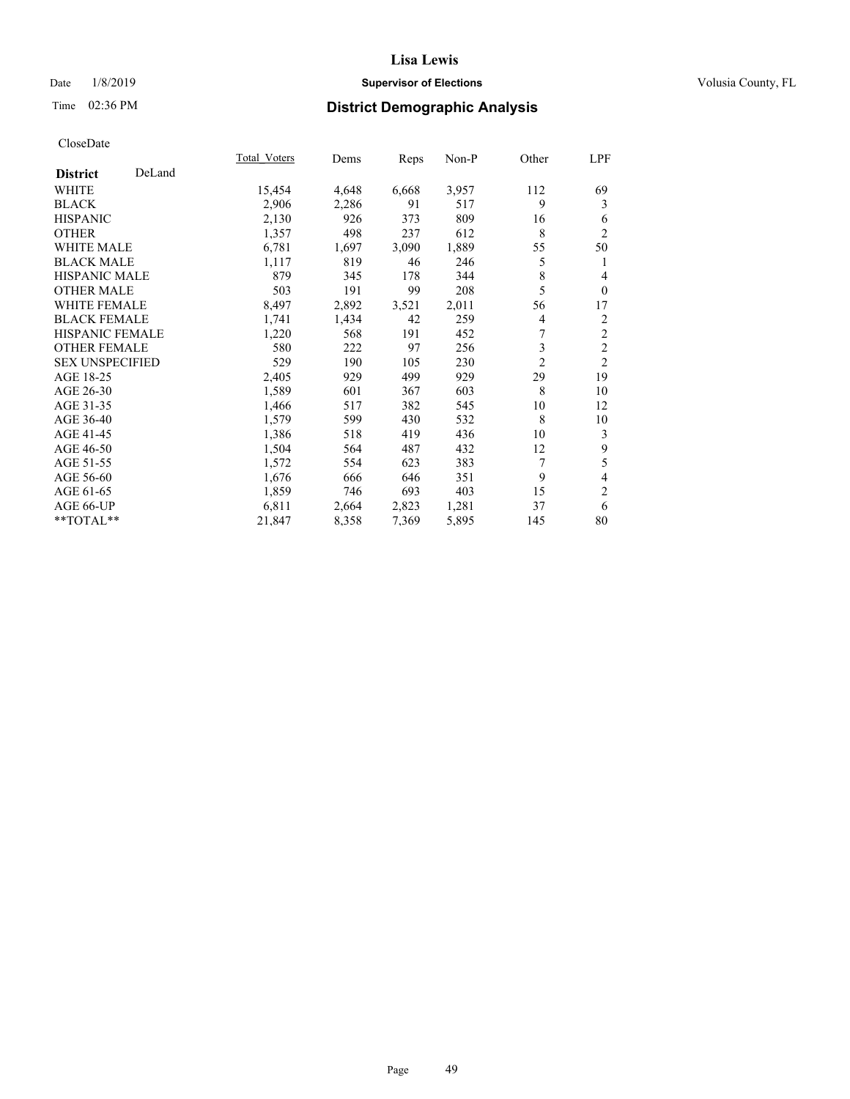## Date  $1/8/2019$  **Supervisor of Elections Supervisor of Elections** Volusia County, FL

# Time 02:36 PM **District Demographic Analysis**

|                        |        | Total Voters | Dems  | Reps  | Non-P | Other          | LPF                      |
|------------------------|--------|--------------|-------|-------|-------|----------------|--------------------------|
| <b>District</b>        | DeLand |              |       |       |       |                |                          |
| WHITE                  |        | 15,454       | 4,648 | 6,668 | 3,957 | 112            | 69                       |
| <b>BLACK</b>           |        | 2,906        | 2,286 | 91    | 517   | 9              | 3                        |
| <b>HISPANIC</b>        |        | 2,130        | 926   | 373   | 809   | 16             | 6                        |
| <b>OTHER</b>           |        | 1,357        | 498   | 237   | 612   | 8              | $\overline{2}$           |
| <b>WHITE MALE</b>      |        | 6,781        | 1,697 | 3,090 | 1,889 | 55             | 50                       |
| <b>BLACK MALE</b>      |        | 1,117        | 819   | 46    | 246   | 5              | 1                        |
| <b>HISPANIC MALE</b>   |        | 879          | 345   | 178   | 344   | 8              | 4                        |
| <b>OTHER MALE</b>      |        | 503          | 191   | 99    | 208   | 5              | $\theta$                 |
| <b>WHITE FEMALE</b>    |        | 8,497        | 2,892 | 3,521 | 2,011 | 56             | 17                       |
| <b>BLACK FEMALE</b>    |        | 1,741        | 1,434 | 42    | 259   | 4              | $\overline{c}$           |
| <b>HISPANIC FEMALE</b> |        | 1,220        | 568   | 191   | 452   | 7              | $\overline{2}$           |
| <b>OTHER FEMALE</b>    |        | 580          | 222   | 97    | 256   | 3              | $\overline{2}$           |
| <b>SEX UNSPECIFIED</b> |        | 529          | 190   | 105   | 230   | $\overline{2}$ | $\overline{2}$           |
| AGE 18-25              |        | 2,405        | 929   | 499   | 929   | 29             | 19                       |
| AGE 26-30              |        | 1,589        | 601   | 367   | 603   | 8              | 10                       |
| AGE 31-35              |        | 1,466        | 517   | 382   | 545   | 10             | 12                       |
| AGE 36-40              |        | 1,579        | 599   | 430   | 532   | 8              | 10                       |
| AGE 41-45              |        | 1,386        | 518   | 419   | 436   | 10             | 3                        |
| AGE 46-50              |        | 1,504        | 564   | 487   | 432   | 12             | $\mathbf{9}$             |
| AGE 51-55              |        | 1,572        | 554   | 623   | 383   | 7              | 5                        |
| AGE 56-60              |        | 1,676        | 666   | 646   | 351   | 9              | $\overline{\mathcal{L}}$ |
| AGE 61-65              |        | 1,859        | 746   | 693   | 403   | 15             | $\mathbf{2}$             |
| AGE 66-UP              |        | 6,811        | 2,664 | 2,823 | 1,281 | 37             | 6                        |
| **TOTAL**              |        | 21,847       | 8,358 | 7,369 | 5,895 | 145            | 80                       |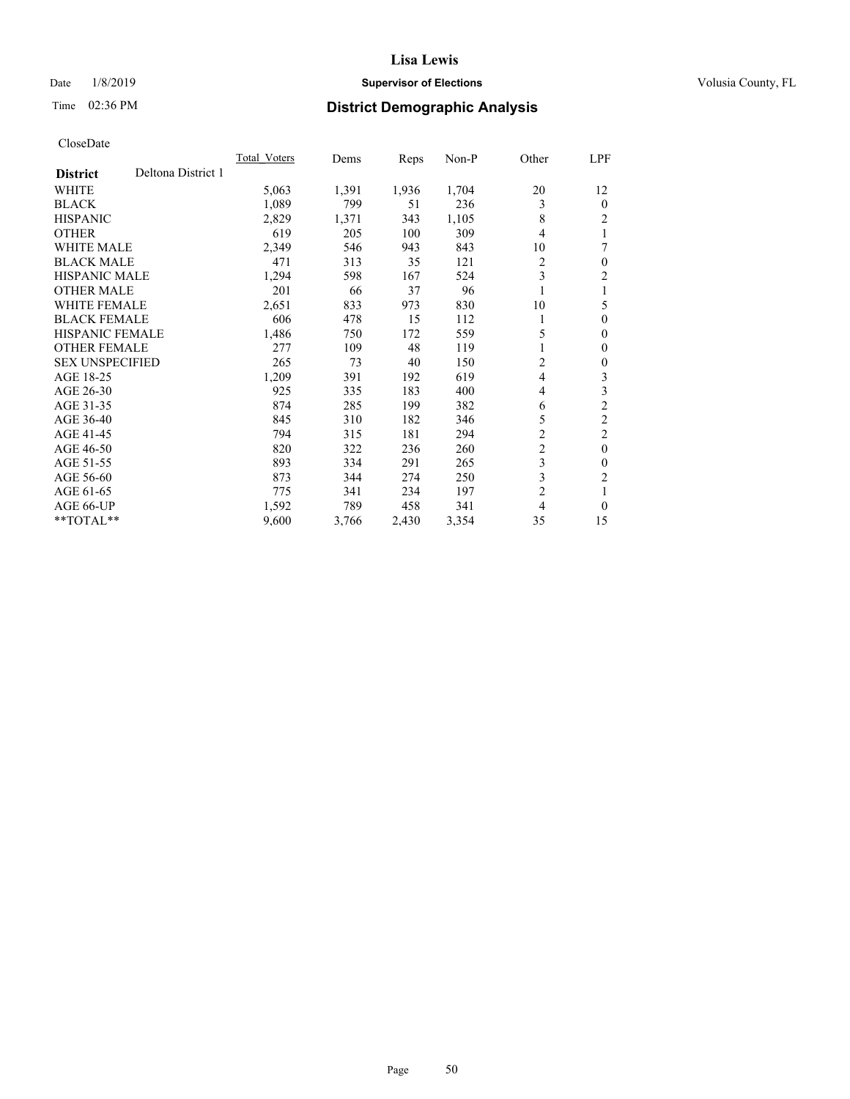## Date  $1/8/2019$  **Supervisor of Elections Supervisor of Elections** Volusia County, FL

# Time 02:36 PM **District Demographic Analysis**

|                                       | <b>Total Voters</b> | Dems  | Reps  | $Non-P$ | Other          | LPF            |
|---------------------------------------|---------------------|-------|-------|---------|----------------|----------------|
| Deltona District 1<br><b>District</b> |                     |       |       |         |                |                |
| WHITE                                 | 5,063               | 1,391 | 1,936 | 1,704   | 20             | 12             |
| <b>BLACK</b>                          | 1,089               | 799   | 51    | 236     | 3              | $\theta$       |
| <b>HISPANIC</b>                       | 2,829               | 1,371 | 343   | 1,105   | 8              | 2              |
| <b>OTHER</b>                          | 619                 | 205   | 100   | 309     | 4              |                |
| <b>WHITE MALE</b>                     | 2,349               | 546   | 943   | 843     | 10             | 7              |
| <b>BLACK MALE</b>                     | 471                 | 313   | 35    | 121     | 2              | $\theta$       |
| HISPANIC MALE                         | 1,294               | 598   | 167   | 524     | 3              | 2              |
| <b>OTHER MALE</b>                     | 201                 | 66    | 37    | 96      | 1              | 1              |
| <b>WHITE FEMALE</b>                   | 2,651               | 833   | 973   | 830     | 10             | 5              |
| <b>BLACK FEMALE</b>                   | 606                 | 478   | 15    | 112     | 1              | $\theta$       |
| <b>HISPANIC FEMALE</b>                | 1,486               | 750   | 172   | 559     | 5              | $\mathbf{0}$   |
| <b>OTHER FEMALE</b>                   | 277                 | 109   | 48    | 119     | 1              | $\mathbf{0}$   |
| <b>SEX UNSPECIFIED</b>                | 265                 | 73    | 40    | 150     | 2              | $\theta$       |
| AGE 18-25                             | 1,209               | 391   | 192   | 619     | 4              | 3              |
| AGE 26-30                             | 925                 | 335   | 183   | 400     | 4              | 3              |
| AGE 31-35                             | 874                 | 285   | 199   | 382     | 6              | $\overline{c}$ |
| AGE 36-40                             | 845                 | 310   | 182   | 346     | 5              | $\overline{c}$ |
| AGE 41-45                             | 794                 | 315   | 181   | 294     | $\overline{c}$ | 2              |
| AGE 46-50                             | 820                 | 322   | 236   | 260     | $\overline{c}$ | $\theta$       |
| AGE 51-55                             | 893                 | 334   | 291   | 265     | 3              | $\theta$       |
| AGE 56-60                             | 873                 | 344   | 274   | 250     | 3              | 2              |
| AGE 61-65                             | 775                 | 341   | 234   | 197     | $\overline{c}$ | 1              |
| AGE 66-UP                             | 1,592               | 789   | 458   | 341     | 4              | $\theta$       |
| **TOTAL**                             | 9,600               | 3,766 | 2,430 | 3,354   | 35             | 15             |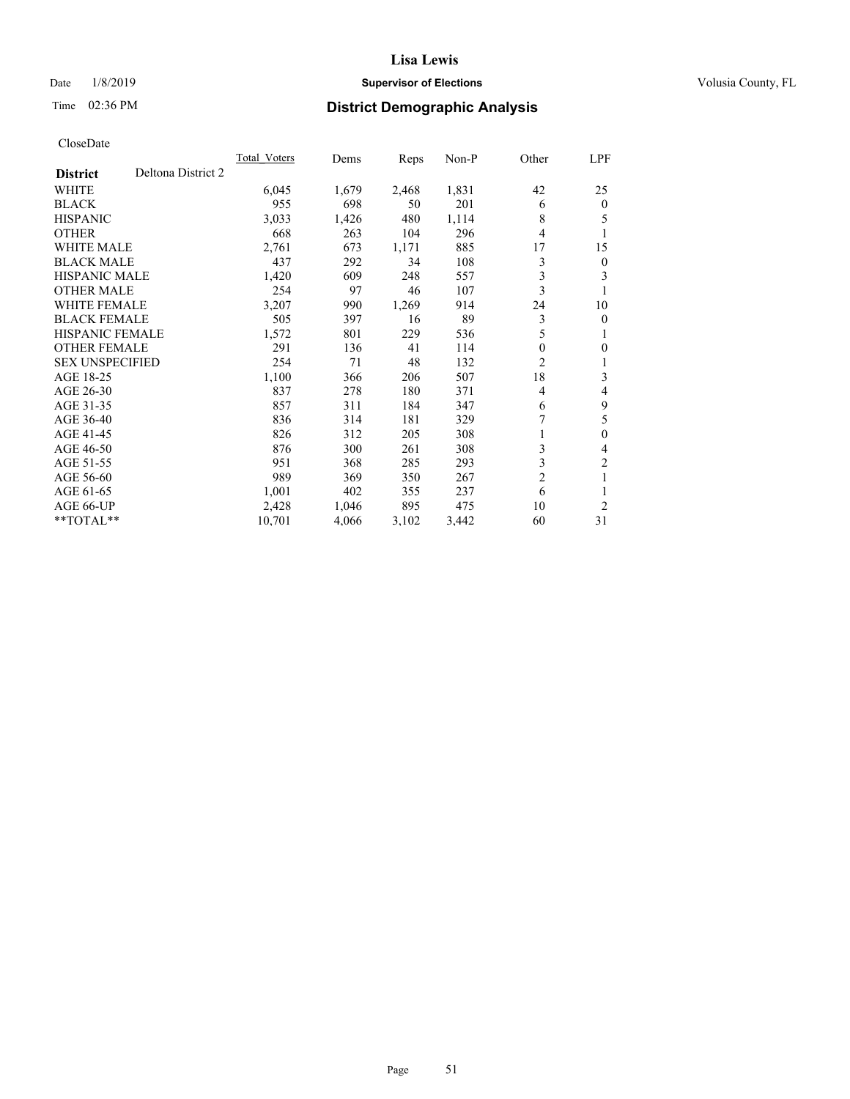## Date  $1/8/2019$  **Supervisor of Elections Supervisor of Elections** Volusia County, FL

# Time 02:36 PM **District Demographic Analysis**

|                                       | <b>Total Voters</b> | Dems  | Reps  | $Non-P$ | Other          | LPF            |
|---------------------------------------|---------------------|-------|-------|---------|----------------|----------------|
| Deltona District 2<br><b>District</b> |                     |       |       |         |                |                |
| <b>WHITE</b>                          | 6,045               | 1,679 | 2,468 | 1,831   | 42             | 25             |
| <b>BLACK</b>                          | 955                 | 698   | 50    | 201     | 6              | $\mathbf{0}$   |
| <b>HISPANIC</b>                       | 3,033               | 1,426 | 480   | 1,114   | 8              | 5              |
| <b>OTHER</b>                          | 668                 | 263   | 104   | 296     | 4              | 1              |
| <b>WHITE MALE</b>                     | 2,761               | 673   | 1,171 | 885     | 17             | 15             |
| <b>BLACK MALE</b>                     | 437                 | 292   | 34    | 108     | 3              | $\mathbf{0}$   |
| <b>HISPANIC MALE</b>                  | 1,420               | 609   | 248   | 557     | 3              | 3              |
| <b>OTHER MALE</b>                     | 254                 | 97    | 46    | 107     | 3              | 1              |
| <b>WHITE FEMALE</b>                   | 3,207               | 990   | 1,269 | 914     | 24             | 10             |
| <b>BLACK FEMALE</b>                   | 505                 | 397   | 16    | 89      | 3              | $\mathbf{0}$   |
| <b>HISPANIC FEMALE</b>                | 1,572               | 801   | 229   | 536     | 5              | 1              |
| <b>OTHER FEMALE</b>                   | 291                 | 136   | 41    | 114     | 0              | 0              |
| <b>SEX UNSPECIFIED</b>                | 254                 | 71    | 48    | 132     | 2              | 1              |
| AGE 18-25                             | 1,100               | 366   | 206   | 507     | 18             | 3              |
| AGE 26-30                             | 837                 | 278   | 180   | 371     | 4              | 4              |
| AGE 31-35                             | 857                 | 311   | 184   | 347     | 6              | 9              |
| AGE 36-40                             | 836                 | 314   | 181   | 329     | 7              | 5              |
| AGE 41-45                             | 826                 | 312   | 205   | 308     | 1              | $\theta$       |
| AGE 46-50                             | 876                 | 300   | 261   | 308     | 3              | 4              |
| AGE 51-55                             | 951                 | 368   | 285   | 293     | 3              | $\overline{c}$ |
| AGE 56-60                             | 989                 | 369   | 350   | 267     | $\overline{2}$ | 1              |
| AGE 61-65                             | 1,001               | 402   | 355   | 237     | 6              |                |
| AGE 66-UP                             | 2,428               | 1,046 | 895   | 475     | 10             | $\overline{2}$ |
| $*$ TOTAL $*$                         | 10,701              | 4,066 | 3,102 | 3,442   | 60             | 31             |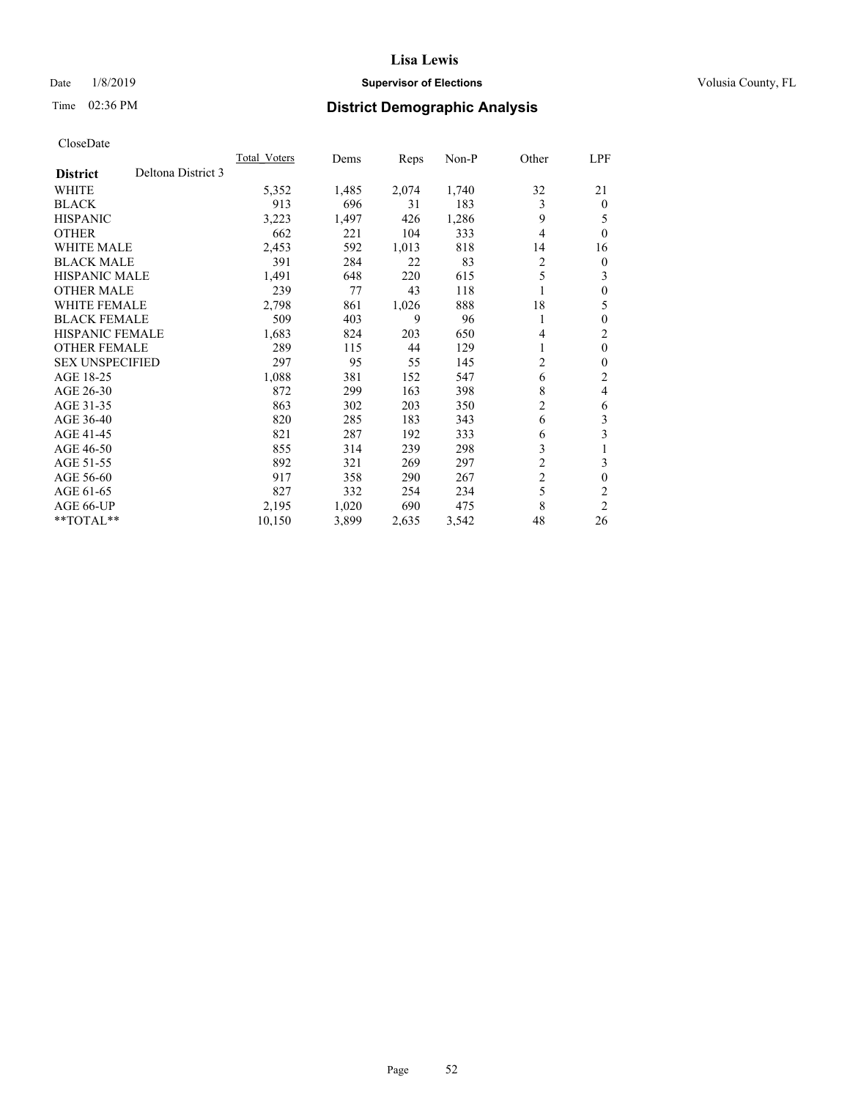## Date  $1/8/2019$  **Supervisor of Elections Supervisor of Elections** Volusia County, FL

# Time 02:36 PM **District Demographic Analysis**

|                        |                    | Total Voters | Dems  | Reps  | Non-P | Other          | LPF            |
|------------------------|--------------------|--------------|-------|-------|-------|----------------|----------------|
| <b>District</b>        | Deltona District 3 |              |       |       |       |                |                |
| <b>WHITE</b>           |                    | 5,352        | 1,485 | 2,074 | 1,740 | 32             | 21             |
| <b>BLACK</b>           |                    | 913          | 696   | 31    | 183   | 3              | $\Omega$       |
| <b>HISPANIC</b>        |                    | 3,223        | 1,497 | 426   | 1,286 | 9              | 5              |
| <b>OTHER</b>           |                    | 662          | 221   | 104   | 333   | 4              | $\theta$       |
| <b>WHITE MALE</b>      |                    | 2,453        | 592   | 1,013 | 818   | 14             | 16             |
| <b>BLACK MALE</b>      |                    | 391          | 284   | 22    | 83    | 2              | $\theta$       |
| HISPANIC MALE          |                    | 1,491        | 648   | 220   | 615   | 5              | 3              |
| <b>OTHER MALE</b>      |                    | 239          | 77    | 43    | 118   |                | $\theta$       |
| <b>WHITE FEMALE</b>    |                    | 2,798        | 861   | 1,026 | 888   | 18             | 5              |
| <b>BLACK FEMALE</b>    |                    | 509          | 403   | 9     | 96    | 1              | $\theta$       |
| <b>HISPANIC FEMALE</b> |                    | 1,683        | 824   | 203   | 650   | 4              | $\overline{c}$ |
| <b>OTHER FEMALE</b>    |                    | 289          | 115   | 44    | 129   | 1              | $\theta$       |
| <b>SEX UNSPECIFIED</b> |                    | 297          | 95    | 55    | 145   | 2              | $\theta$       |
| AGE 18-25              |                    | 1,088        | 381   | 152   | 547   | 6              | 2              |
| AGE 26-30              |                    | 872          | 299   | 163   | 398   | 8              | 4              |
| AGE 31-35              |                    | 863          | 302   | 203   | 350   | $\overline{c}$ | 6              |
| AGE 36-40              |                    | 820          | 285   | 183   | 343   | 6              | 3              |
| AGE 41-45              |                    | 821          | 287   | 192   | 333   | 6              | 3              |
| AGE 46-50              |                    | 855          | 314   | 239   | 298   | 3              |                |
| AGE 51-55              |                    | 892          | 321   | 269   | 297   | $\overline{2}$ | 3              |
| AGE 56-60              |                    | 917          | 358   | 290   | 267   | $\overline{c}$ | $\theta$       |
| AGE 61-65              |                    | 827          | 332   | 254   | 234   | 5              | $\overline{c}$ |
| AGE 66-UP              |                    | 2,195        | 1,020 | 690   | 475   | 8              | $\overline{c}$ |
| $*$ TOTAL $*$          |                    | 10,150       | 3,899 | 2,635 | 3,542 | 48             | 26             |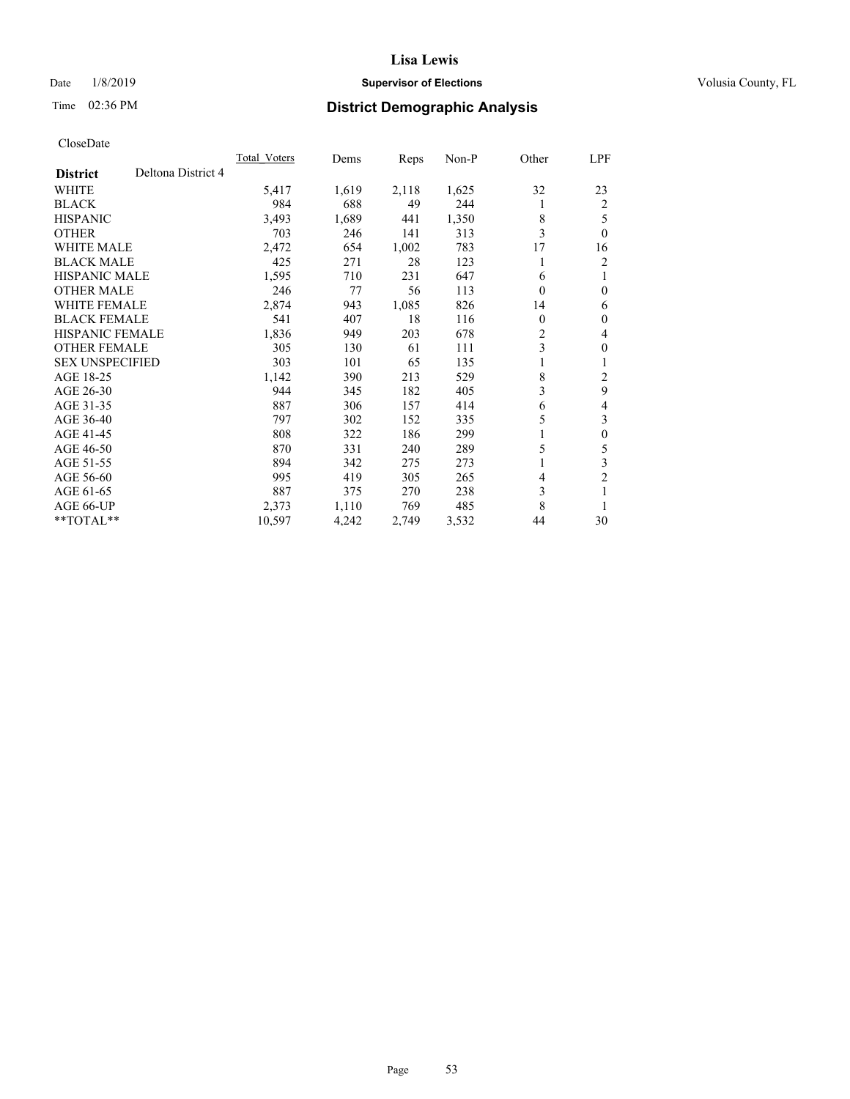## Date  $1/8/2019$  **Supervisor of Elections Supervisor of Elections** Volusia County, FL

# Time 02:36 PM **District Demographic Analysis**

|                        |                    | <b>Total Voters</b> | Dems  | Reps  | $Non-P$ | Other | LPF            |
|------------------------|--------------------|---------------------|-------|-------|---------|-------|----------------|
| <b>District</b>        | Deltona District 4 |                     |       |       |         |       |                |
| <b>WHITE</b>           |                    | 5,417               | 1,619 | 2,118 | 1,625   | 32    | 23             |
| <b>BLACK</b>           |                    | 984                 | 688   | 49    | 244     | 1     | $\overline{2}$ |
| <b>HISPANIC</b>        |                    | 3,493               | 1,689 | 441   | 1,350   | 8     | 5              |
| <b>OTHER</b>           |                    | 703                 | 246   | 141   | 313     | 3     | $\theta$       |
| <b>WHITE MALE</b>      |                    | 2,472               | 654   | 1,002 | 783     | 17    | 16             |
| <b>BLACK MALE</b>      |                    | 425                 | 271   | 28    | 123     |       | 2              |
| <b>HISPANIC MALE</b>   |                    | 1,595               | 710   | 231   | 647     | 6     | 1              |
| <b>OTHER MALE</b>      |                    | 246                 | 77    | 56    | 113     | 0     | $\theta$       |
| <b>WHITE FEMALE</b>    |                    | 2,874               | 943   | 1,085 | 826     | 14    | 6              |
| <b>BLACK FEMALE</b>    |                    | 541                 | 407   | 18    | 116     | 0     | $\theta$       |
| <b>HISPANIC FEMALE</b> |                    | 1,836               | 949   | 203   | 678     | 2     | 4              |
| <b>OTHER FEMALE</b>    |                    | 305                 | 130   | 61    | 111     | 3     | $\theta$       |
| <b>SEX UNSPECIFIED</b> |                    | 303                 | 101   | 65    | 135     |       | 1              |
| AGE 18-25              |                    | 1,142               | 390   | 213   | 529     | 8     | $\overline{c}$ |
| AGE 26-30              |                    | 944                 | 345   | 182   | 405     | 3     | 9              |
| AGE 31-35              |                    | 887                 | 306   | 157   | 414     | 6     | 4              |
| AGE 36-40              |                    | 797                 | 302   | 152   | 335     | 5     | 3              |
| AGE 41-45              |                    | 808                 | 322   | 186   | 299     | 1     | $\theta$       |
| AGE 46-50              |                    | 870                 | 331   | 240   | 289     | 5     | 5              |
| AGE 51-55              |                    | 894                 | 342   | 275   | 273     | 1     | 3              |
| AGE 56-60              |                    | 995                 | 419   | 305   | 265     | 4     | $\overline{c}$ |
| AGE 61-65              |                    | 887                 | 375   | 270   | 238     | 3     |                |
| AGE 66-UP              |                    | 2,373               | 1,110 | 769   | 485     | 8     | 1              |
| $*$ TOTAL $*$          |                    | 10,597              | 4,242 | 2,749 | 3,532   | 44    | 30             |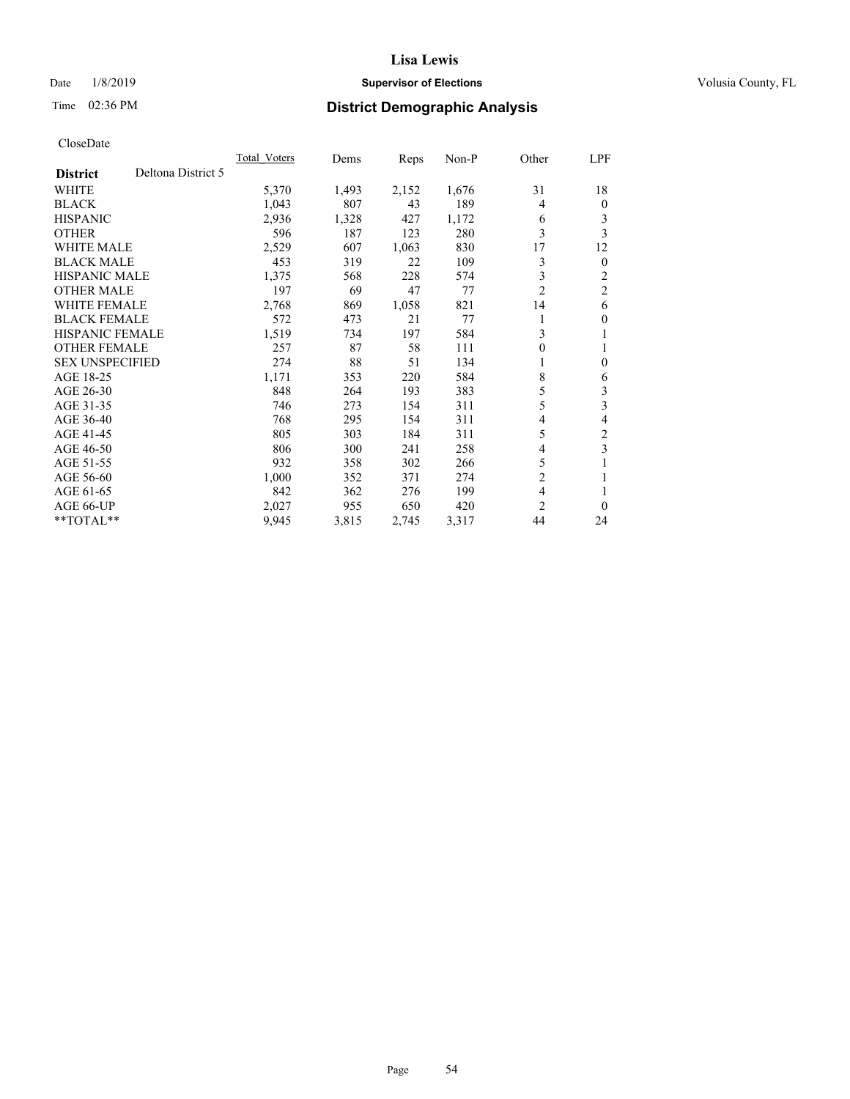## Date  $1/8/2019$  **Supervisor of Elections Supervisor of Elections** Volusia County, FL

# Time 02:36 PM **District Demographic Analysis**

|                                       | <b>Total Voters</b> | Dems  | Reps  | $Non-P$ | Other          | LPF            |
|---------------------------------------|---------------------|-------|-------|---------|----------------|----------------|
| Deltona District 5<br><b>District</b> |                     |       |       |         |                |                |
| <b>WHITE</b>                          | 5,370               | 1,493 | 2,152 | 1,676   | 31             | 18             |
| <b>BLACK</b>                          | 1,043               | 807   | 43    | 189     | 4              | $\theta$       |
| <b>HISPANIC</b>                       | 2,936               | 1,328 | 427   | 1,172   | 6              | 3              |
| <b>OTHER</b>                          | 596                 | 187   | 123   | 280     | 3              | 3              |
| <b>WHITE MALE</b>                     | 2,529               | 607   | 1,063 | 830     | 17             | 12             |
| <b>BLACK MALE</b>                     | 453                 | 319   | 22    | 109     | 3              | $\mathbf{0}$   |
| <b>HISPANIC MALE</b>                  | 1,375               | 568   | 228   | 574     | 3              | 2              |
| <b>OTHER MALE</b>                     | 197                 | 69    | 47    | 77      | $\overline{2}$ | $\overline{2}$ |
| <b>WHITE FEMALE</b>                   | 2,768               | 869   | 1,058 | 821     | 14             | 6              |
| <b>BLACK FEMALE</b>                   | 572                 | 473   | 21    | 77      |                | $\theta$       |
| <b>HISPANIC FEMALE</b>                | 1,519               | 734   | 197   | 584     | 3              | 1              |
| <b>OTHER FEMALE</b>                   | 257                 | 87    | 58    | 111     | 0              | 1              |
| <b>SEX UNSPECIFIED</b>                | 274                 | 88    | 51    | 134     | 1              | $\theta$       |
| AGE 18-25                             | 1,171               | 353   | 220   | 584     | 8              | 6              |
| AGE 26-30                             | 848                 | 264   | 193   | 383     | 5              | 3              |
| AGE 31-35                             | 746                 | 273   | 154   | 311     | 5              | 3              |
| AGE 36-40                             | 768                 | 295   | 154   | 311     | 4              | 4              |
| AGE 41-45                             | 805                 | 303   | 184   | 311     | 5              | $\mathfrak{2}$ |
| AGE 46-50                             | 806                 | 300   | 241   | 258     | 4              | 3              |
| AGE 51-55                             | 932                 | 358   | 302   | 266     | 5              | 1              |
| AGE 56-60                             | 1,000               | 352   | 371   | 274     | $\overline{2}$ | 1              |
| AGE 61-65                             | 842                 | 362   | 276   | 199     | $\overline{4}$ |                |
| AGE 66-UP                             | 2,027               | 955   | 650   | 420     | 2              | $\theta$       |
| $*$ TOTAL $*$                         | 9,945               | 3,815 | 2,745 | 3,317   | 44             | 24             |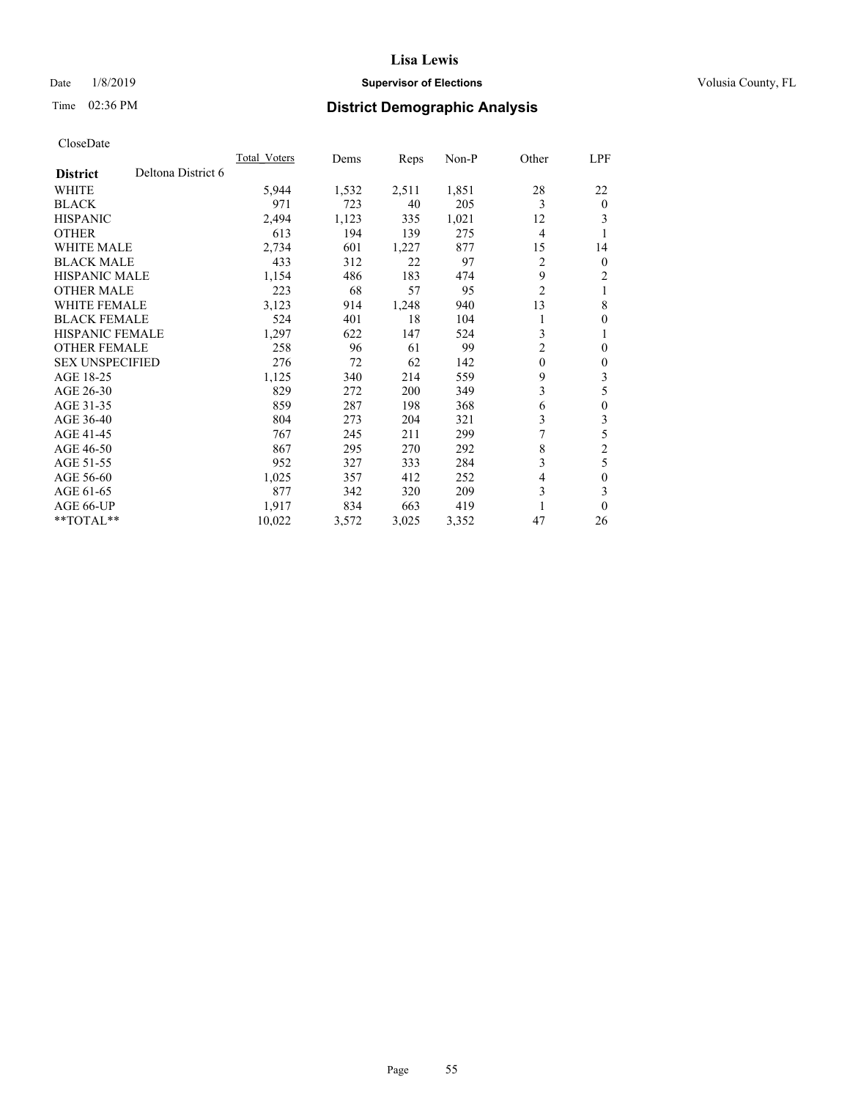## Date  $1/8/2019$  **Supervisor of Elections Supervisor of Elections** Volusia County, FL

# Time 02:36 PM **District Demographic Analysis**

|                        |                    | Total Voters | Dems  | Reps  | $Non-P$ | Other          | LPF            |
|------------------------|--------------------|--------------|-------|-------|---------|----------------|----------------|
| <b>District</b>        | Deltona District 6 |              |       |       |         |                |                |
| WHITE                  |                    | 5,944        | 1,532 | 2,511 | 1,851   | 28             | 22             |
| <b>BLACK</b>           |                    | 971          | 723   | 40    | 205     | 3              | $\theta$       |
| <b>HISPANIC</b>        |                    | 2,494        | 1,123 | 335   | 1,021   | 12             | 3              |
| <b>OTHER</b>           |                    | 613          | 194   | 139   | 275     | $\overline{4}$ | 1              |
| <b>WHITE MALE</b>      |                    | 2,734        | 601   | 1,227 | 877     | 15             | 14             |
| <b>BLACK MALE</b>      |                    | 433          | 312   | 22    | 97      | 2              | $\overline{0}$ |
| HISPANIC MALE          |                    | 1,154        | 486   | 183   | 474     | 9              | 2              |
| <b>OTHER MALE</b>      |                    | 223          | 68    | 57    | 95      | $\overline{2}$ | 1              |
| <b>WHITE FEMALE</b>    |                    | 3,123        | 914   | 1,248 | 940     | 13             | 8              |
| <b>BLACK FEMALE</b>    |                    | 524          | 401   | 18    | 104     |                | $\theta$       |
| <b>HISPANIC FEMALE</b> |                    | 1,297        | 622   | 147   | 524     | 3              | 1              |
| <b>OTHER FEMALE</b>    |                    | 258          | 96    | 61    | 99      | 2              | $\mathbf{0}$   |
| <b>SEX UNSPECIFIED</b> |                    | 276          | 72    | 62    | 142     | $\mathbf{0}$   | $\theta$       |
| AGE 18-25              |                    | 1,125        | 340   | 214   | 559     | 9              | 3              |
| AGE 26-30              |                    | 829          | 272   | 200   | 349     | 3              | 5              |
| AGE 31-35              |                    | 859          | 287   | 198   | 368     | 6              | $\theta$       |
| AGE 36-40              |                    | 804          | 273   | 204   | 321     | 3              | 3              |
| AGE 41-45              |                    | 767          | 245   | 211   | 299     | 7              | 5              |
| AGE 46-50              |                    | 867          | 295   | 270   | 292     | 8              | $\overline{2}$ |
| AGE 51-55              |                    | 952          | 327   | 333   | 284     | 3              | 5              |
| AGE 56-60              |                    | 1,025        | 357   | 412   | 252     | 4              | 0              |
| AGE 61-65              |                    | 877          | 342   | 320   | 209     | 3              | 3              |
| AGE 66-UP              |                    | 1.917        | 834   | 663   | 419     | 1              | $\theta$       |
| **TOTAL**              |                    | 10,022       | 3,572 | 3,025 | 3,352   | 47             | 26             |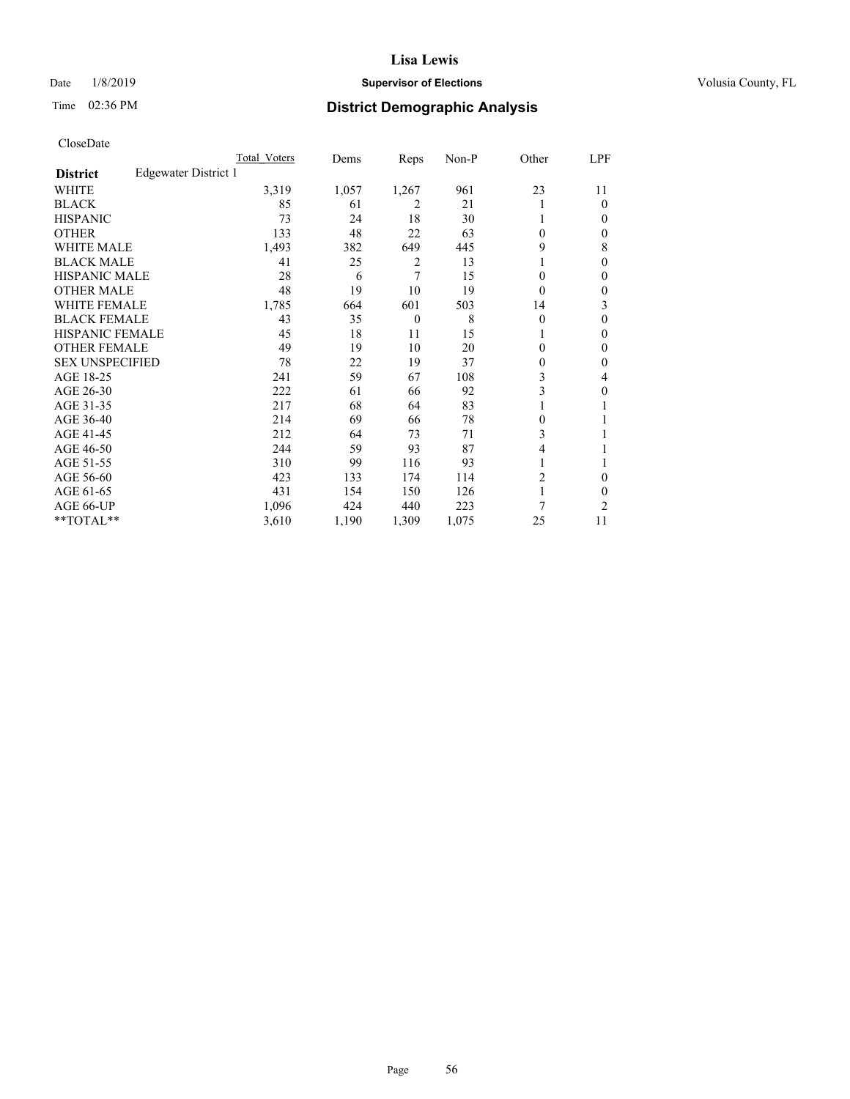## Date  $1/8/2019$  **Supervisor of Elections Supervisor of Elections** Volusia County, FL

# Time 02:36 PM **District Demographic Analysis**

|                        |                      | Total Voters | Dems  | Reps           | Non-P | Other          | LPF    |
|------------------------|----------------------|--------------|-------|----------------|-------|----------------|--------|
| <b>District</b>        | Edgewater District 1 |              |       |                |       |                |        |
| WHITE                  |                      | 3,319        | 1,057 | 1,267          | 961   | 23             | 11     |
| <b>BLACK</b>           |                      | 85           | 61    | 2              | 21    |                | 0      |
| <b>HISPANIC</b>        |                      | 73           | 24    | 18             | 30    | 1              | $_{0}$ |
| <b>OTHER</b>           |                      | 133          | 48    | 22             | 63    | 0              | 0      |
| WHITE MALE             |                      | 1,493        | 382   | 649            | 445   | 9              | 8      |
| <b>BLACK MALE</b>      |                      | 41           | 25    | $\overline{2}$ | 13    |                | 0      |
| <b>HISPANIC MALE</b>   |                      | 28           | 6     | 7              | 15    | 0              | 0      |
| <b>OTHER MALE</b>      |                      | 48           | 19    | 10             | 19    | 0              | 0      |
| WHITE FEMALE           |                      | 1,785        | 664   | 601            | 503   | 14             | 3      |
| <b>BLACK FEMALE</b>    |                      | 43           | 35    | $\theta$       | 8     | $\theta$       | 0      |
| <b>HISPANIC FEMALE</b> |                      | 45           | 18    | 11             | 15    |                | 0      |
| <b>OTHER FEMALE</b>    |                      | 49           | 19    | 10             | 20    | 0              | 0      |
| <b>SEX UNSPECIFIED</b> |                      | 78           | 22    | 19             | 37    | 0              | 0      |
| AGE 18-25              |                      | 241          | 59    | 67             | 108   | 3              | 4      |
| AGE 26-30              |                      | 222          | 61    | 66             | 92    | 3              | 0      |
| AGE 31-35              |                      | 217          | 68    | 64             | 83    |                |        |
| AGE 36-40              |                      | 214          | 69    | 66             | 78    | 0              |        |
| AGE 41-45              |                      | 212          | 64    | 73             | 71    | 3              |        |
| AGE 46-50              |                      | 244          | 59    | 93             | 87    | 4              |        |
| AGE 51-55              |                      | 310          | 99    | 116            | 93    |                |        |
| AGE 56-60              |                      | 423          | 133   | 174            | 114   | $\overline{2}$ | 0      |
| AGE 61-65              |                      | 431          | 154   | 150            | 126   |                | 0      |
| AGE 66-UP              |                      | 1,096        | 424   | 440            | 223   | 7              | 2      |
| **TOTAL**              |                      | 3,610        | 1,190 | 1,309          | 1,075 | 25             | 11     |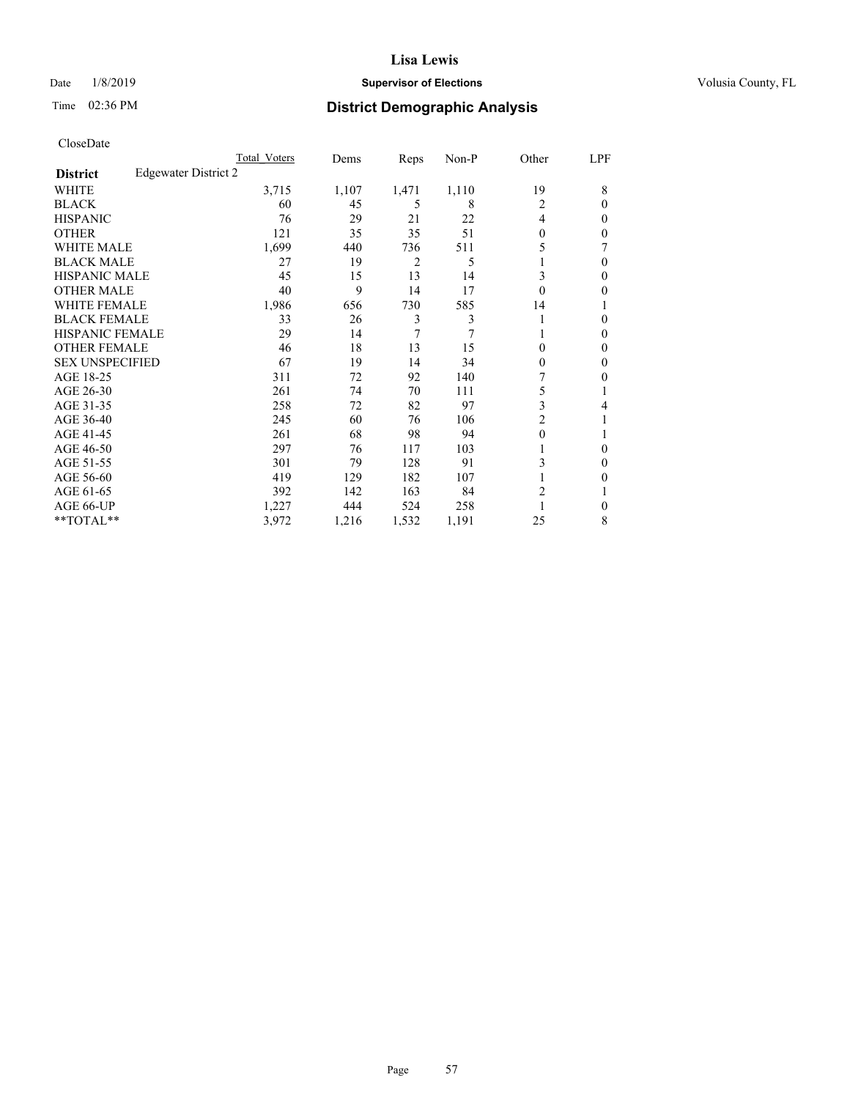## Date  $1/8/2019$  **Supervisor of Elections Supervisor of Elections** Volusia County, FL

# Time 02:36 PM **District Demographic Analysis**

|                        |                      | Total Voters | Dems  | Reps  | Non-P | Other          | LPF      |
|------------------------|----------------------|--------------|-------|-------|-------|----------------|----------|
| <b>District</b>        | Edgewater District 2 |              |       |       |       |                |          |
| WHITE                  |                      | 3,715        | 1,107 | 1,471 | 1,110 | 19             | 8        |
| <b>BLACK</b>           |                      | 60           | 45    | 5     | 8     | 2              | $\Omega$ |
| <b>HISPANIC</b>        |                      | 76           | 29    | 21    | 22    | 4              | 0        |
| <b>OTHER</b>           |                      | 121          | 35    | 35    | 51    | $\Omega$       | 0        |
| WHITE MALE             |                      | 1,699        | 440   | 736   | 511   | 5              |          |
| <b>BLACK MALE</b>      |                      | 27           | 19    | 2     | 5     |                | $\Omega$ |
| <b>HISPANIC MALE</b>   |                      | 45           | 15    | 13    | 14    | 3              | 0        |
| <b>OTHER MALE</b>      |                      | 40           | 9     | 14    | 17    | $\theta$       | 0        |
| WHITE FEMALE           |                      | 1,986        | 656   | 730   | 585   | 14             |          |
| <b>BLACK FEMALE</b>    |                      | 33           | 26    | 3     | 3     |                | 0        |
| <b>HISPANIC FEMALE</b> |                      | 29           | 14    | 7     | 7     |                | 0        |
| <b>OTHER FEMALE</b>    |                      | 46           | 18    | 13    | 15    | 0              | 0        |
| <b>SEX UNSPECIFIED</b> |                      | 67           | 19    | 14    | 34    | $\Omega$       | 0        |
| AGE 18-25              |                      | 311          | 72    | 92    | 140   |                | 0        |
| AGE 26-30              |                      | 261          | 74    | 70    | 111   | 5              |          |
| AGE 31-35              |                      | 258          | 72    | 82    | 97    | 3              | 4        |
| AGE 36-40              |                      | 245          | 60    | 76    | 106   | $\overline{c}$ |          |
| AGE 41-45              |                      | 261          | 68    | 98    | 94    | $\theta$       |          |
| AGE 46-50              |                      | 297          | 76    | 117   | 103   |                | $\Omega$ |
| AGE 51-55              |                      | 301          | 79    | 128   | 91    | 3              | 0        |
| AGE 56-60              |                      | 419          | 129   | 182   | 107   |                | 0        |
| AGE 61-65              |                      | 392          | 142   | 163   | 84    | 2              |          |
| AGE 66-UP              |                      | 1,227        | 444   | 524   | 258   |                | 0        |
| **TOTAL**              |                      | 3,972        | 1,216 | 1,532 | 1,191 | 25             | 8        |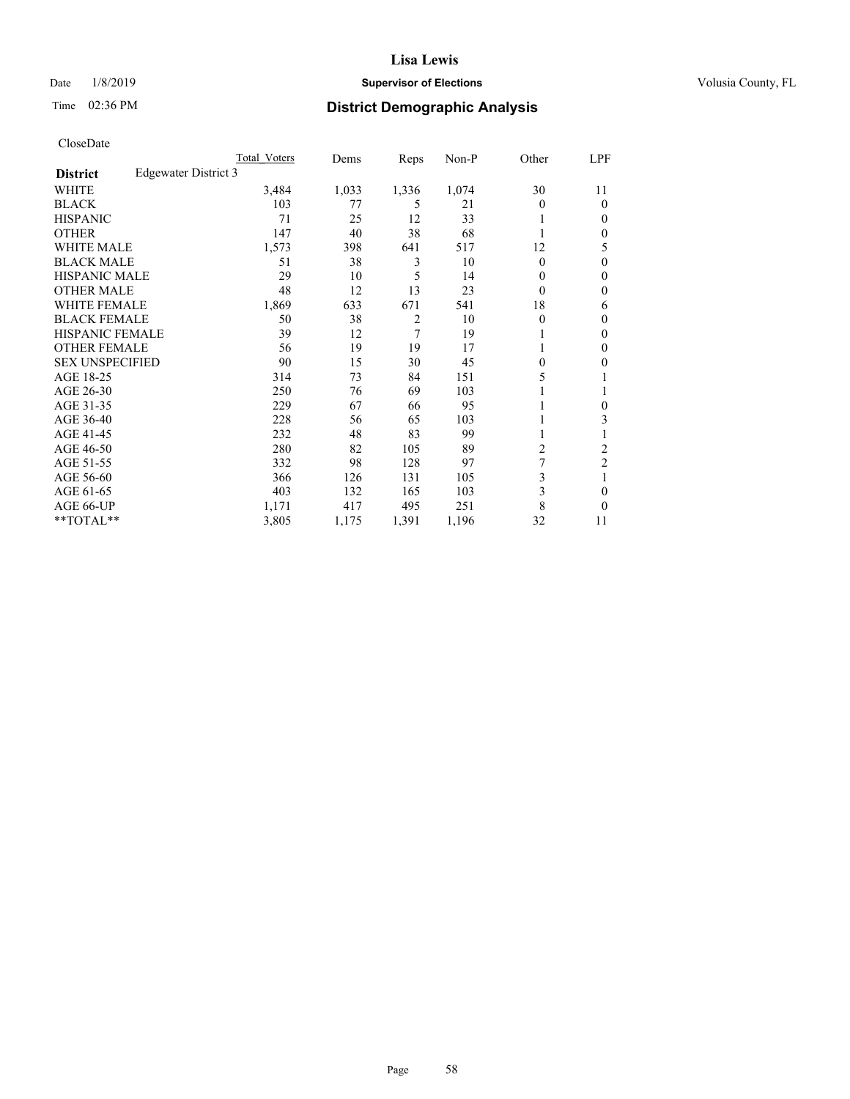## Date  $1/8/2019$  **Supervisor of Elections Supervisor of Elections** Volusia County, FL

# Time 02:36 PM **District Demographic Analysis**

|                        |                      | Total Voters | Dems  | Reps           | Non-P | Other        | LPF            |
|------------------------|----------------------|--------------|-------|----------------|-------|--------------|----------------|
| <b>District</b>        | Edgewater District 3 |              |       |                |       |              |                |
| WHITE                  |                      | 3,484        | 1,033 | 1,336          | 1,074 | 30           | 11             |
| <b>BLACK</b>           |                      | 103          | 77    | 5              | 21    | 0            | $\theta$       |
| <b>HISPANIC</b>        |                      | 71           | 25    | 12             | 33    |              | $\Omega$       |
| <b>OTHER</b>           |                      | 147          | 40    | 38             | 68    |              | $\Omega$       |
| <b>WHITE MALE</b>      |                      | 1,573        | 398   | 641            | 517   | 12           | 5              |
| <b>BLACK MALE</b>      |                      | 51           | 38    | 3              | 10    | $\mathbf{0}$ | $\theta$       |
| <b>HISPANIC MALE</b>   |                      | 29           | 10    | 5              | 14    | 0            | $\theta$       |
| <b>OTHER MALE</b>      |                      | 48           | 12    | 13             | 23    | 0            | $\mathbf{0}$   |
| WHITE FEMALE           |                      | 1,869        | 633   | 671            | 541   | 18           | 6              |
| <b>BLACK FEMALE</b>    |                      | 50           | 38    | $\overline{2}$ | 10    | 0            | $\mathbf{0}$   |
| <b>HISPANIC FEMALE</b> |                      | 39           | 12    | $\overline{7}$ | 19    |              | 0              |
| <b>OTHER FEMALE</b>    |                      | 56           | 19    | 19             | 17    |              | 0              |
| <b>SEX UNSPECIFIED</b> |                      | 90           | 15    | 30             | 45    | 0            | 0              |
| AGE 18-25              |                      | 314          | 73    | 84             | 151   | 5            |                |
| AGE 26-30              |                      | 250          | 76    | 69             | 103   |              | 1              |
| AGE 31-35              |                      | 229          | 67    | 66             | 95    |              | 0              |
| AGE 36-40              |                      | 228          | 56    | 65             | 103   |              | 3              |
| AGE 41-45              |                      | 232          | 48    | 83             | 99    |              |                |
| AGE 46-50              |                      | 280          | 82    | 105            | 89    | 2            | 2              |
| AGE 51-55              |                      | 332          | 98    | 128            | 97    | 7            | $\overline{c}$ |
| AGE 56-60              |                      | 366          | 126   | 131            | 105   | 3            |                |
| AGE 61-65              |                      | 403          | 132   | 165            | 103   | 3            | 0              |
| AGE 66-UP              |                      | 1,171        | 417   | 495            | 251   | 8            | $\Omega$       |
| **TOTAL**              |                      | 3,805        | 1,175 | 1,391          | 1,196 | 32           | 11             |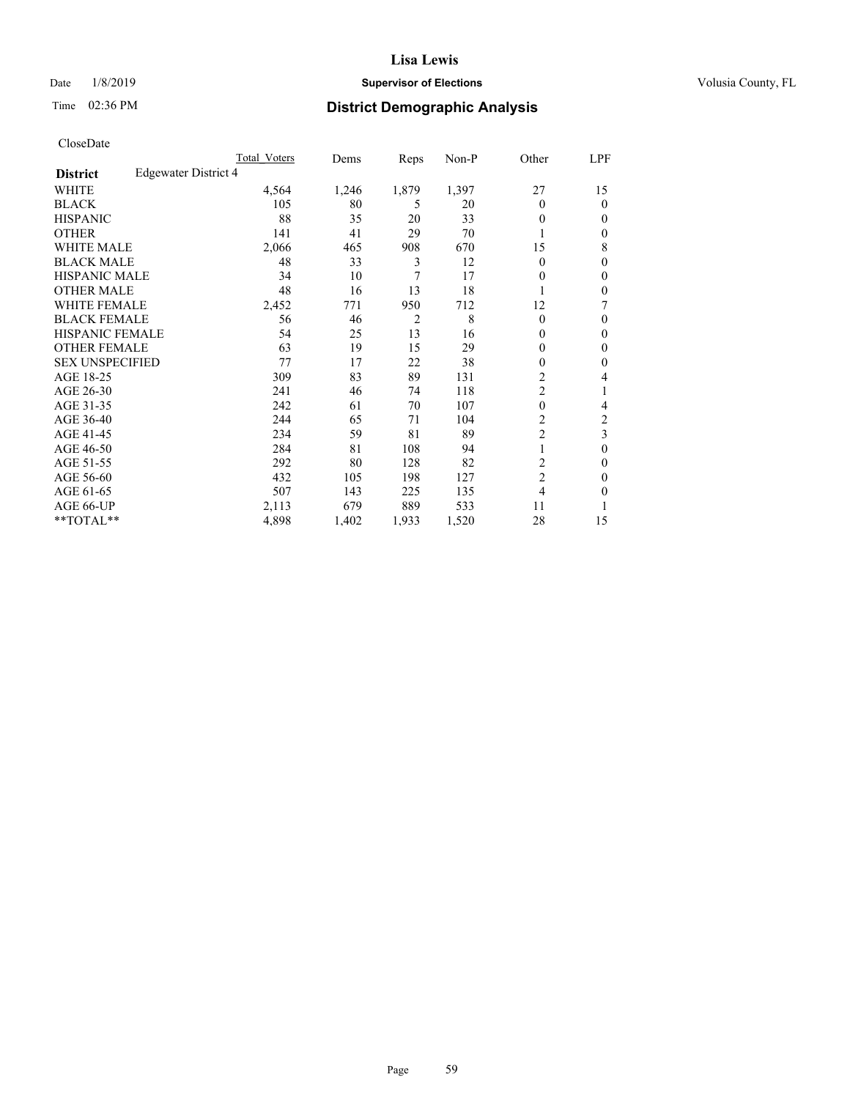## Date  $1/8/2019$  **Supervisor of Elections Supervisor of Elections** Volusia County, FL

# Time 02:36 PM **District Demographic Analysis**

|                        |                      | Total Voters | Dems  | Reps           | Non-P | Other          | LPF    |
|------------------------|----------------------|--------------|-------|----------------|-------|----------------|--------|
| <b>District</b>        | Edgewater District 4 |              |       |                |       |                |        |
| WHITE                  |                      | 4,564        | 1,246 | 1,879          | 1,397 | 27             | 15     |
| <b>BLACK</b>           |                      | 105          | 80    | 5              | 20    | $\Omega$       | 0      |
| <b>HISPANIC</b>        |                      | 88           | 35    | 20             | 33    | 0              | $_{0}$ |
| <b>OTHER</b>           |                      | 141          | 41    | 29             | 70    |                | 0      |
| WHITE MALE             |                      | 2,066        | 465   | 908            | 670   | 15             | 8      |
| <b>BLACK MALE</b>      |                      | 48           | 33    | 3              | 12    | $\Omega$       | 0      |
| <b>HISPANIC MALE</b>   |                      | 34           | 10    | 7              | 17    | $_{0}$         | 0      |
| <b>OTHER MALE</b>      |                      | 48           | 16    | 13             | 18    | 1              | 0      |
| WHITE FEMALE           |                      | 2,452        | 771   | 950            | 712   | 12             | 7      |
| <b>BLACK FEMALE</b>    |                      | 56           | 46    | $\overline{2}$ | 8     | $\Omega$       | 0      |
| <b>HISPANIC FEMALE</b> |                      | 54           | 25    | 13             | 16    | 0              | 0      |
| <b>OTHER FEMALE</b>    |                      | 63           | 19    | 15             | 29    | 0              | 0      |
| <b>SEX UNSPECIFIED</b> |                      | 77           | 17    | 22             | 38    | 0              | 0      |
| AGE 18-25              |                      | 309          | 83    | 89             | 131   | $\overline{c}$ | 4      |
| AGE 26-30              |                      | 241          | 46    | 74             | 118   | 2              | 1      |
| AGE 31-35              |                      | 242          | 61    | 70             | 107   | $\theta$       | 4      |
| AGE 36-40              |                      | 244          | 65    | 71             | 104   | 2              | 2      |
| AGE 41-45              |                      | 234          | 59    | 81             | 89    | $\overline{c}$ | 3      |
| AGE 46-50              |                      | 284          | 81    | 108            | 94    | 1              | 0      |
| AGE 51-55              |                      | 292          | 80    | 128            | 82    | 2              | 0      |
| AGE 56-60              |                      | 432          | 105   | 198            | 127   | $\overline{c}$ | 0      |
| AGE 61-65              |                      | 507          | 143   | 225            | 135   | 4              | 0      |
| AGE 66-UP              |                      | 2,113        | 679   | 889            | 533   | 11             |        |
| $*$ TOTAL $**$         |                      | 4,898        | 1,402 | 1,933          | 1,520 | 28             | 15     |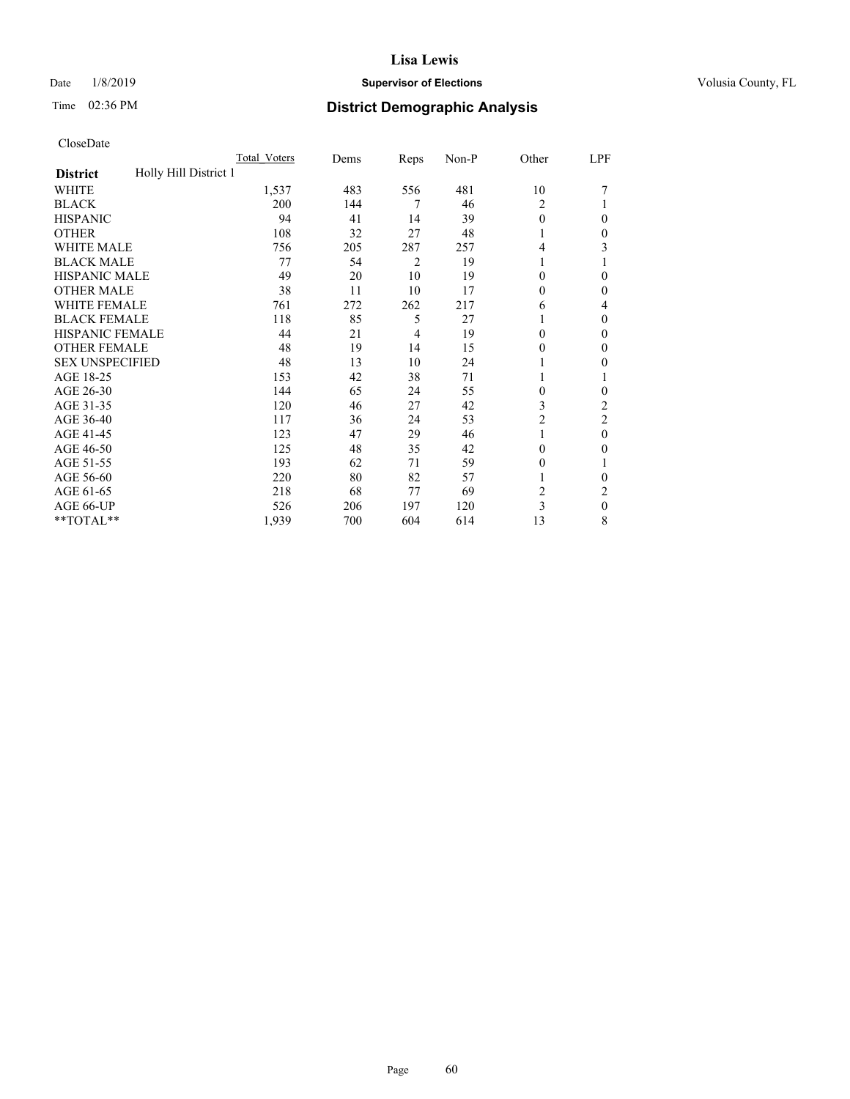#### Date  $1/8/2019$  **Supervisor of Elections Supervisor of Elections** Volusia County, FL

# Time 02:36 PM **District Demographic Analysis**

|                                          | Total Voters | Dems | Reps           | Non-P | Other          | LPF            |
|------------------------------------------|--------------|------|----------------|-------|----------------|----------------|
| Holly Hill District 1<br><b>District</b> |              |      |                |       |                |                |
| WHITE                                    | 1,537        | 483  | 556            | 481   | 10             |                |
| <b>BLACK</b>                             | 200          | 144  | 7              | 46    | 2              |                |
| <b>HISPANIC</b>                          | 94           | 41   | 14             | 39    | 0              | 0              |
| <b>OTHER</b>                             | 108          | 32   | 27             | 48    |                | 0              |
| WHITE MALE                               | 756          | 205  | 287            | 257   | 4              | 3              |
| <b>BLACK MALE</b>                        | 77           | 54   | $\overline{2}$ | 19    | 1              |                |
| <b>HISPANIC MALE</b>                     | 49           | 20   | 10             | 19    | 0              | 0              |
| <b>OTHER MALE</b>                        | 38           | 11   | 10             | 17    | 0              | 0              |
| WHITE FEMALE                             | 761          | 272  | 262            | 217   | 6              | 4              |
| <b>BLACK FEMALE</b>                      | 118          | 85   | 5              | 27    |                | 0              |
| <b>HISPANIC FEMALE</b>                   | 44           | 21   | 4              | 19    | 0              | 0              |
| <b>OTHER FEMALE</b>                      | 48           | 19   | 14             | 15    | 0              | 0              |
| <b>SEX UNSPECIFIED</b>                   | 48           | 13   | 10             | 24    |                | 0              |
| AGE 18-25                                | 153          | 42   | 38             | 71    |                |                |
| AGE 26-30                                | 144          | 65   | 24             | 55    | 0              | 0              |
| AGE 31-35                                | 120          | 46   | 27             | 42    | 3              | $\overline{c}$ |
| AGE 36-40                                | 117          | 36   | 24             | 53    | $\overline{c}$ | 2              |
| AGE 41-45                                | 123          | 47   | 29             | 46    |                | 0              |
| AGE 46-50                                | 125          | 48   | 35             | 42    | $\Omega$       | 0              |
| AGE 51-55                                | 193          | 62   | 71             | 59    | $_{0}$         |                |
| AGE 56-60                                | 220          | 80   | 82             | 57    |                | 0              |
| AGE 61-65                                | 218          | 68   | 77             | 69    | 2              | 2              |
| AGE 66-UP                                | 526          | 206  | 197            | 120   | 3              | $\mathbf{0}$   |
| **TOTAL**                                | 1,939        | 700  | 604            | 614   | 13             | 8              |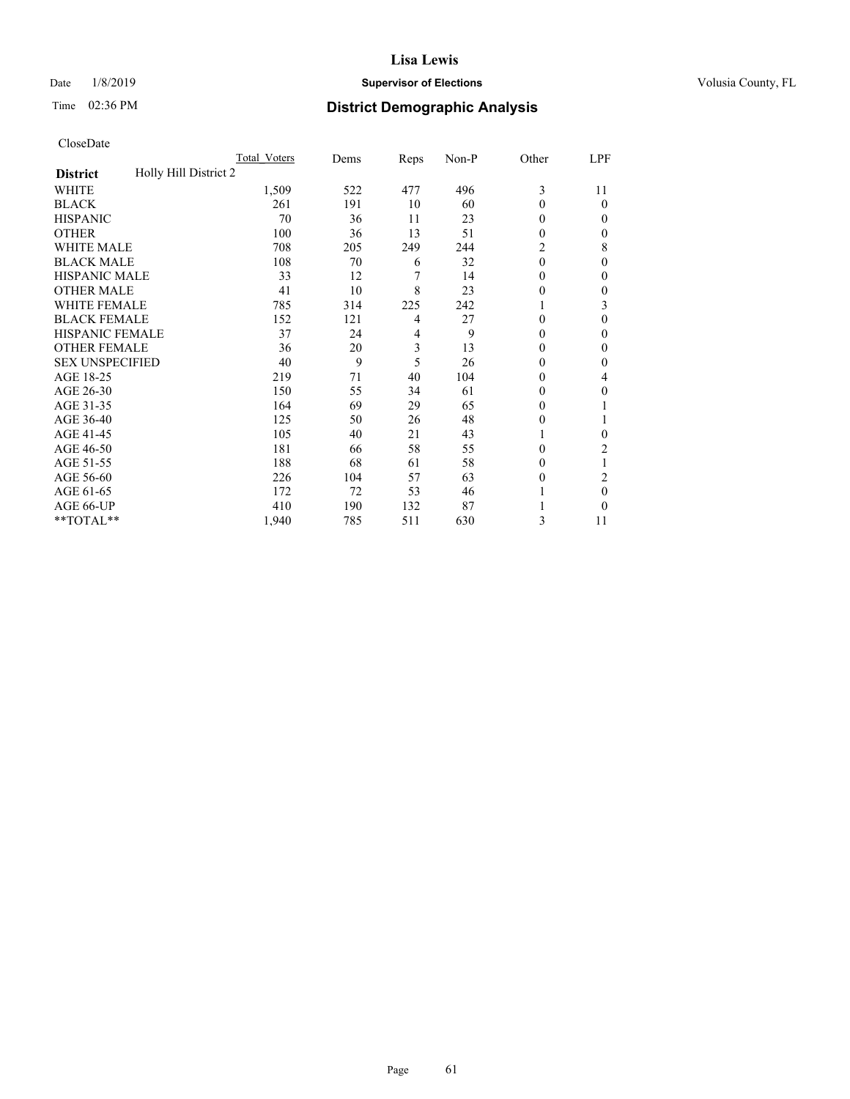## Date  $1/8/2019$  **Supervisor of Elections Supervisor of Elections** Volusia County, FL

# Time 02:36 PM **District Demographic Analysis**

|                                          | Total Voters | Dems | Reps | Non-P | Other    | LPF    |
|------------------------------------------|--------------|------|------|-------|----------|--------|
| Holly Hill District 2<br><b>District</b> |              |      |      |       |          |        |
| WHITE                                    | 1,509        | 522  | 477  | 496   | 3        | 11     |
| <b>BLACK</b>                             | 261          | 191  | 10   | 60    | 0        | 0      |
| <b>HISPANIC</b>                          | 70           | 36   | 11   | 23    | 0        | $_{0}$ |
| <b>OTHER</b>                             | 100          | 36   | 13   | 51    | 0        | 0      |
| WHITE MALE                               | 708          | 205  | 249  | 244   | 2        | 8      |
| <b>BLACK MALE</b>                        | 108          | 70   | 6    | 32    | $\theta$ | 0      |
| <b>HISPANIC MALE</b>                     | 33           | 12   | 7    | 14    | 0        | 0      |
| <b>OTHER MALE</b>                        | 41           | 10   | 8    | 23    | 0        | 0      |
| WHITE FEMALE                             | 785          | 314  | 225  | 242   |          | 3      |
| <b>BLACK FEMALE</b>                      | 152          | 121  | 4    | 27    | 0        | 0      |
| <b>HISPANIC FEMALE</b>                   | 37           | 24   | 4    | 9     | 0        | 0      |
| <b>OTHER FEMALE</b>                      | 36           | 20   | 3    | 13    | 0        | 0      |
| <b>SEX UNSPECIFIED</b>                   | 40           | 9    | 5    | 26    | 0        | 0      |
| AGE 18-25                                | 219          | 71   | 40   | 104   | 0        | 4      |
| AGE 26-30                                | 150          | 55   | 34   | 61    | 0        | 0      |
| AGE 31-35                                | 164          | 69   | 29   | 65    | 0        |        |
| AGE 36-40                                | 125          | 50   | 26   | 48    | 0        |        |
| AGE 41-45                                | 105          | 40   | 21   | 43    |          | 0      |
| AGE 46-50                                | 181          | 66   | 58   | 55    | 0        | 2      |
| AGE 51-55                                | 188          | 68   | 61   | 58    | $_{0}$   | 1      |
| AGE 56-60                                | 226          | 104  | 57   | 63    | $_{0}$   | 2      |
| AGE 61-65                                | 172          | 72   | 53   | 46    |          | 0      |
| AGE 66-UP                                | 410          | 190  | 132  | 87    |          | 0      |
| **TOTAL**                                | 1,940        | 785  | 511  | 630   | 3        | 11     |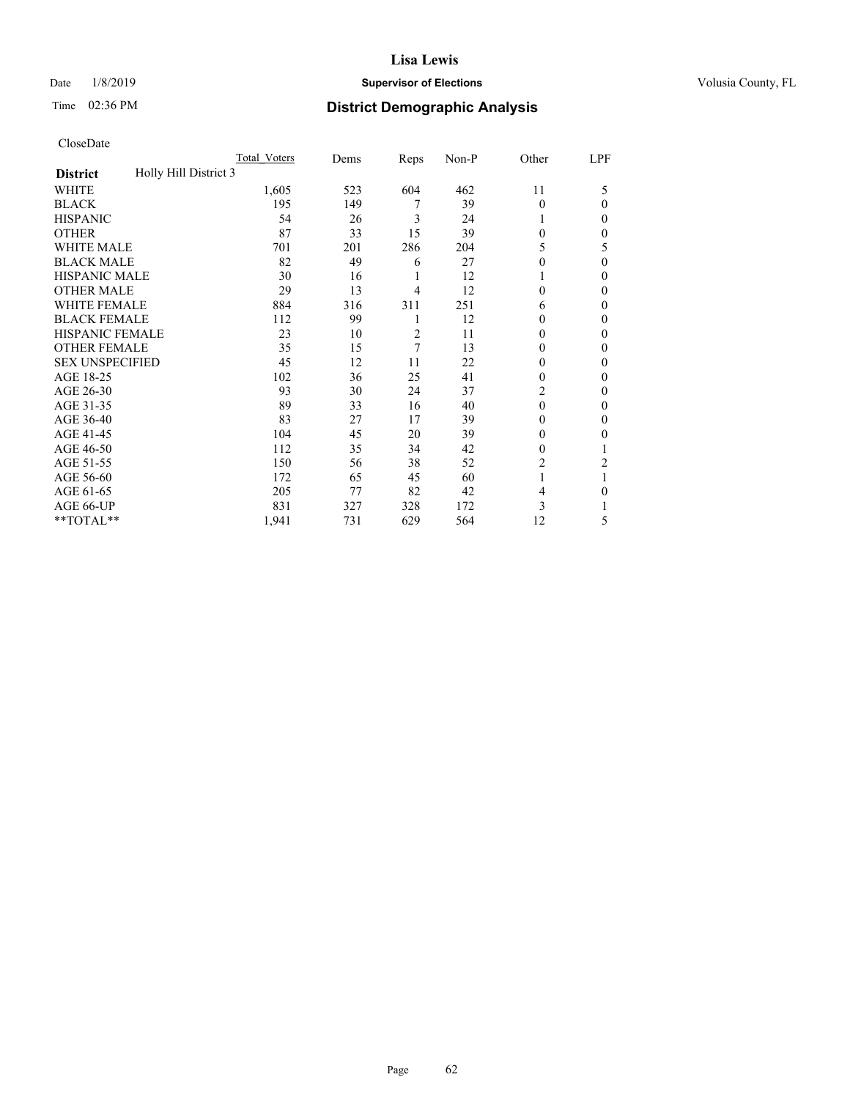## Date  $1/8/2019$  **Supervisor of Elections Supervisor of Elections** Volusia County, FL

# Time 02:36 PM **District Demographic Analysis**

|                                          | Total Voters | Dems | Reps           | Non-P | Other          | LPF          |
|------------------------------------------|--------------|------|----------------|-------|----------------|--------------|
| Holly Hill District 3<br><b>District</b> |              |      |                |       |                |              |
| WHITE                                    | 1,605        | 523  | 604            | 462   | 11             | 5            |
| <b>BLACK</b>                             | 195          | 149  | 7              | 39    | $\Omega$       | $\Omega$     |
| <b>HISPANIC</b>                          | 54           | 26   | 3              | 24    | 1              | 0            |
| <b>OTHER</b>                             | 87           | 33   | 15             | 39    | $\theta$       | 0            |
| WHITE MALE                               | 701          | 201  | 286            | 204   | 5              | 5            |
| <b>BLACK MALE</b>                        | 82           | 49   | 6              | 27    | $\Omega$       | $\Omega$     |
| <b>HISPANIC MALE</b>                     | 30           | 16   | 1              | 12    |                | 0            |
| <b>OTHER MALE</b>                        | 29           | 13   | 4              | 12    | $\Omega$       | 0            |
| WHITE FEMALE                             | 884          | 316  | 311            | 251   | 6              | 0            |
| <b>BLACK FEMALE</b>                      | 112          | 99   | 1              | 12    | $\Omega$       | 0            |
| <b>HISPANIC FEMALE</b>                   | 23           | 10   | $\overline{2}$ | 11    | $\Omega$       | 0            |
| <b>OTHER FEMALE</b>                      | 35           | 15   | 7              | 13    | $\Omega$       | 0            |
| <b>SEX UNSPECIFIED</b>                   | 45           | 12   | 11             | 22    | 0              | 0            |
| AGE 18-25                                | 102          | 36   | 25             | 41    | $\Omega$       | 0            |
| AGE 26-30                                | 93           | 30   | 24             | 37    | $\overline{c}$ | $\mathbf{0}$ |
| AGE 31-35                                | 89           | 33   | 16             | 40    | $\theta$       | 0            |
| AGE 36-40                                | 83           | 27   | 17             | 39    | $\theta$       | 0            |
| AGE 41-45                                | 104          | 45   | 20             | 39    | $\Omega$       | 0            |
| AGE 46-50                                | 112          | 35   | 34             | 42    | $\Omega$       |              |
| AGE 51-55                                | 150          | 56   | 38             | 52    | 2              | 2            |
| AGE 56-60                                | 172          | 65   | 45             | 60    |                |              |
| AGE 61-65                                | 205          | 77   | 82             | 42    | 4              | 0            |
| AGE 66-UP                                | 831          | 327  | 328            | 172   | 3              |              |
| **TOTAL**                                | 1,941        | 731  | 629            | 564   | 12             | 5            |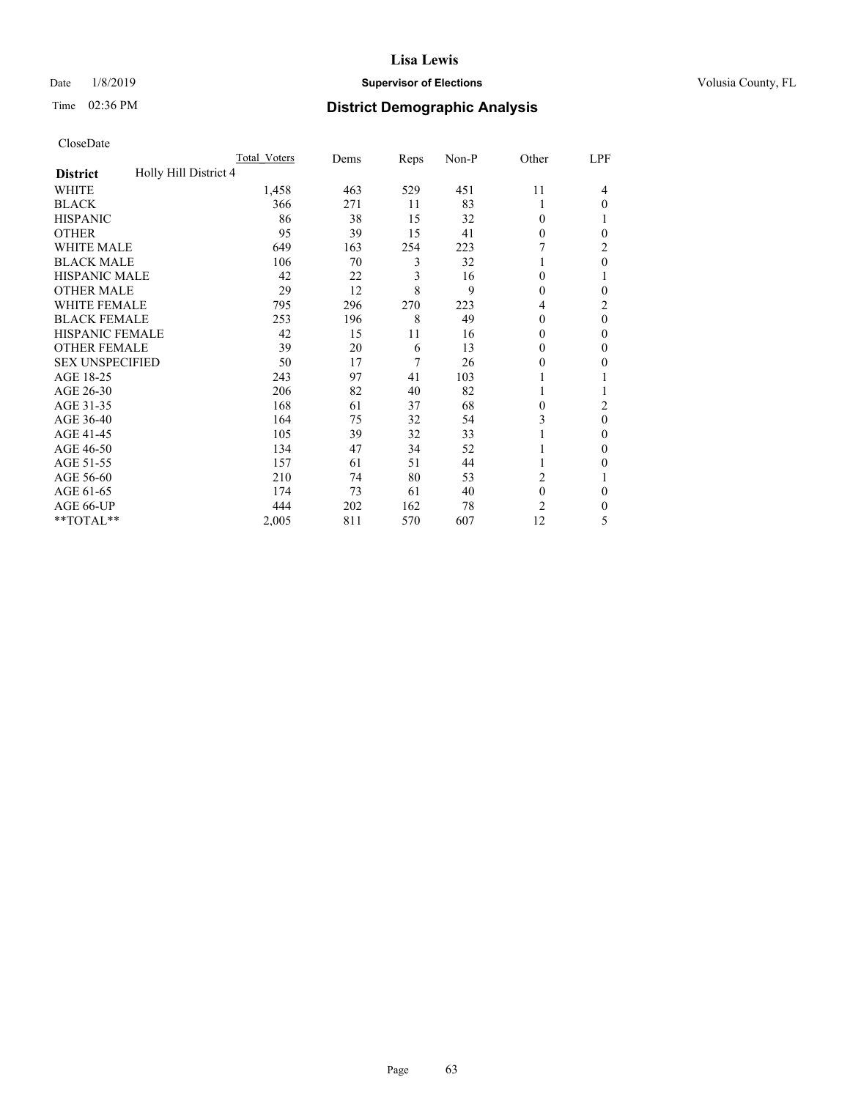## Date  $1/8/2019$  **Supervisor of Elections Supervisor of Elections** Volusia County, FL

# Time 02:36 PM **District Demographic Analysis**

|                                          | Total Voters | Dems | Reps | Non-P | Other          | LPF      |
|------------------------------------------|--------------|------|------|-------|----------------|----------|
| Holly Hill District 4<br><b>District</b> |              |      |      |       |                |          |
| WHITE                                    | 1,458        | 463  | 529  | 451   | 11             | 4        |
| <b>BLACK</b>                             | 366          | 271  | 11   | 83    | 1              | $\Omega$ |
| <b>HISPANIC</b>                          | 86           | 38   | 15   | 32    | $\Omega$       |          |
| <b>OTHER</b>                             | 95           | 39   | 15   | 41    | $\Omega$       | 0        |
| WHITE MALE                               | 649          | 163  | 254  | 223   |                | 2        |
| <b>BLACK MALE</b>                        | 106          | 70   | 3    | 32    | 1              | $\theta$ |
| <b>HISPANIC MALE</b>                     | 42           | 22   | 3    | 16    | $\Omega$       |          |
| <b>OTHER MALE</b>                        | 29           | 12   | 8    | 9     | $\Omega$       | 0        |
| WHITE FEMALE                             | 795          | 296  | 270  | 223   | 4              | 2        |
| <b>BLACK FEMALE</b>                      | 253          | 196  | 8    | 49    | $\Omega$       | $\theta$ |
| <b>HISPANIC FEMALE</b>                   | 42           | 15   | 11   | 16    | $\Omega$       | 0        |
| <b>OTHER FEMALE</b>                      | 39           | 20   | 6    | 13    | $\Omega$       | $\Omega$ |
| <b>SEX UNSPECIFIED</b>                   | 50           | 17   | 7    | 26    | 0              | 0        |
| AGE 18-25                                | 243          | 97   | 41   | 103   |                |          |
| AGE 26-30                                | 206          | 82   | 40   | 82    | 1              |          |
| AGE 31-35                                | 168          | 61   | 37   | 68    | 0              | 2        |
| AGE 36-40                                | 164          | 75   | 32   | 54    | 3              | $\theta$ |
| AGE 41-45                                | 105          | 39   | 32   | 33    |                | 0        |
| AGE 46-50                                | 134          | 47   | 34   | 52    | 1              | 0        |
| AGE 51-55                                | 157          | 61   | 51   | 44    |                | 0        |
| AGE 56-60                                | 210          | 74   | 80   | 53    | 2              |          |
| AGE 61-65                                | 174          | 73   | 61   | 40    | $\theta$       | $\theta$ |
| AGE 66-UP                                | 444          | 202  | 162  | 78    | $\overline{c}$ | 0        |
| **TOTAL**                                | 2,005        | 811  | 570  | 607   | 12             | 5        |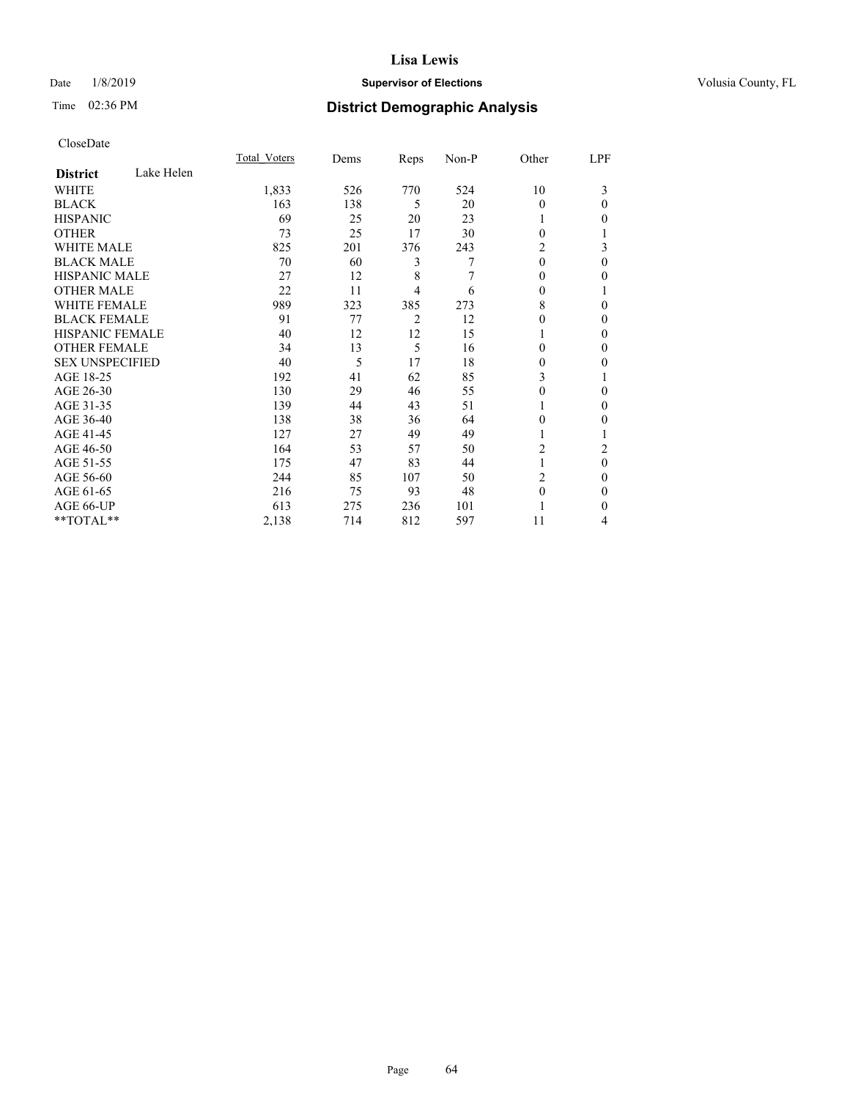## Date  $1/8/2019$  **Supervisor of Elections Supervisor of Elections** Volusia County, FL

# Time 02:36 PM **District Demographic Analysis**

|                        |            | Total Voters | Dems | Reps | Non-P | Other        | LPF    |
|------------------------|------------|--------------|------|------|-------|--------------|--------|
| <b>District</b>        | Lake Helen |              |      |      |       |              |        |
| WHITE                  |            | 1,833        | 526  | 770  | 524   | 10           | 3      |
| <b>BLACK</b>           |            | 163          | 138  | 5    | 20    | 0            | 0      |
| <b>HISPANIC</b>        |            | 69           | 25   | 20   | 23    | 1            | 0      |
| <b>OTHER</b>           |            | 73           | 25   | 17   | 30    | $\Omega$     |        |
| <b>WHITE MALE</b>      |            | 825          | 201  | 376  | 243   | 2            | 3      |
| <b>BLACK MALE</b>      |            | 70           | 60   | 3    | 7     | $\mathbf{0}$ | 0      |
| <b>HISPANIC MALE</b>   |            | 27           | 12   | 8    | 7     | 0            | 0      |
| <b>OTHER MALE</b>      |            | 22           | 11   | 4    | 6     | 0            |        |
| <b>WHITE FEMALE</b>    |            | 989          | 323  | 385  | 273   | 8            | 0      |
| <b>BLACK FEMALE</b>    |            | 91           | 77   | 2    | 12    | 0            | 0      |
| <b>HISPANIC FEMALE</b> |            | 40           | 12   | 12   | 15    | 1            | 0      |
| <b>OTHER FEMALE</b>    |            | 34           | 13   | 5    | 16    | $\Omega$     | 0      |
| <b>SEX UNSPECIFIED</b> |            | 40           | 5    | 17   | 18    | $\theta$     | 0      |
| AGE 18-25              |            | 192          | 41   | 62   | 85    | 3            |        |
| AGE 26-30              |            | 130          | 29   | 46   | 55    | 0            | 0      |
| AGE 31-35              |            | 139          | 44   | 43   | 51    |              | 0      |
| AGE 36-40              |            | 138          | 38   | 36   | 64    | $\Omega$     | 0      |
| AGE 41-45              |            | 127          | 27   | 49   | 49    | 1            |        |
| AGE 46-50              |            | 164          | 53   | 57   | 50    | 2            | 2      |
| AGE 51-55              |            | 175          | 47   | 83   | 44    | 1            | 0      |
| AGE 56-60              |            | 244          | 85   | 107  | 50    | 2            | $_{0}$ |
| AGE 61-65              |            | 216          | 75   | 93   | 48    | $\theta$     | 0      |
| AGE 66-UP              |            | 613          | 275  | 236  | 101   |              | 0      |
| **TOTAL**              |            | 2,138        | 714  | 812  | 597   | 11           | 4      |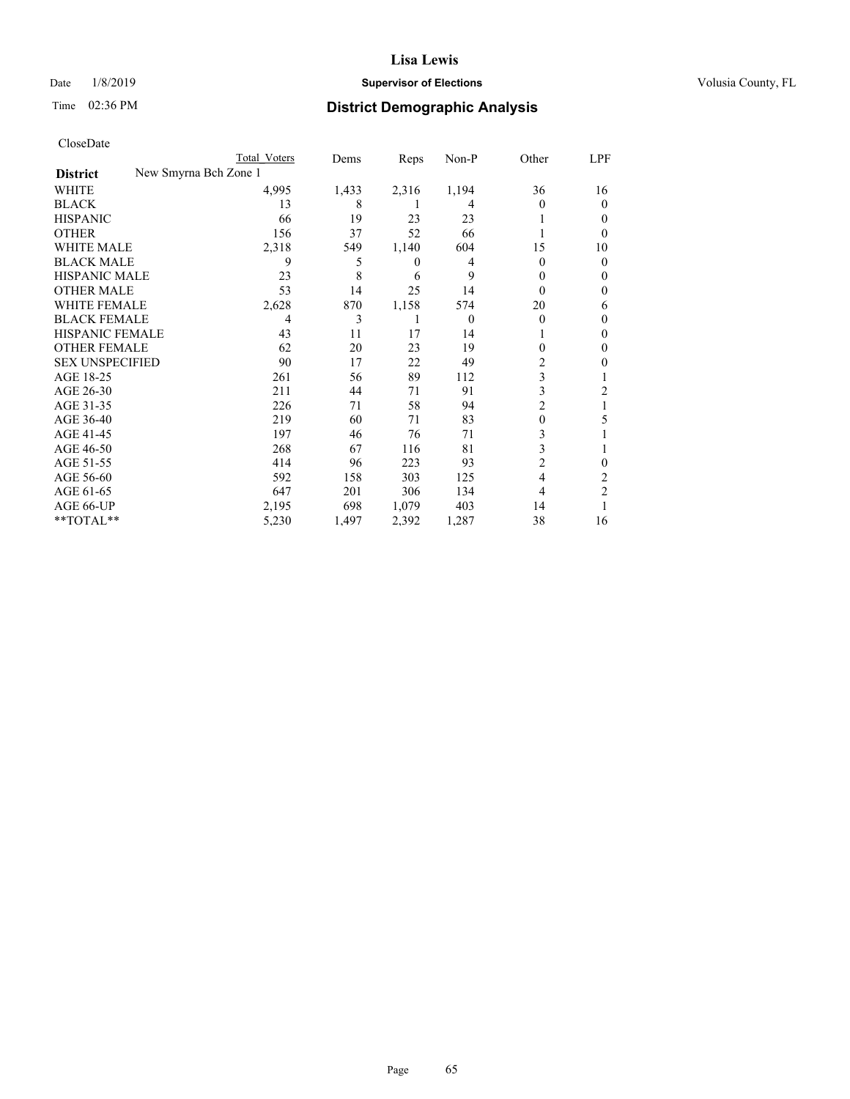## Date  $1/8/2019$  **Supervisor of Elections Supervisor of Elections** Volusia County, FL

| CloseDate |
|-----------|
|-----------|

|                                          | Total Voters | Dems  | Reps  | Non-P    | Other    | LPF    |
|------------------------------------------|--------------|-------|-------|----------|----------|--------|
| New Smyrna Bch Zone 1<br><b>District</b> |              |       |       |          |          |        |
| WHITE                                    | 4,995        | 1,433 | 2,316 | 1,194    | 36       | 16     |
| <b>BLACK</b>                             | 13           | 8     |       | 4        | 0        | 0      |
| <b>HISPANIC</b>                          | 66           | 19    | 23    | 23       |          | $_{0}$ |
| <b>OTHER</b>                             | 156          | 37    | 52    | 66       |          | 0      |
| <b>WHITE MALE</b>                        | 2,318        | 549   | 1,140 | 604      | 15       | 10     |
| <b>BLACK MALE</b>                        | 9            | 5     | 0     | 4        | 0        | 0      |
| <b>HISPANIC MALE</b>                     | 23           | 8     | 6     | 9        | 0        | 0      |
| <b>OTHER MALE</b>                        | 53           | 14    | 25    | 14       | 0        | 0      |
| WHITE FEMALE                             | 2,628        | 870   | 1,158 | 574      | 20       | 6      |
| <b>BLACK FEMALE</b>                      | 4            | 3     |       | $\theta$ | $\theta$ | 0      |
| <b>HISPANIC FEMALE</b>                   | 43           | 11    | 17    | 14       |          | 0      |
| <b>OTHER FEMALE</b>                      | 62           | 20    | 23    | 19       | 0        | 0      |
| <b>SEX UNSPECIFIED</b>                   | 90           | 17    | 22    | 49       | 2        | 0      |
| AGE 18-25                                | 261          | 56    | 89    | 112      | 3        |        |
| AGE 26-30                                | 211          | 44    | 71    | 91       | 3        | 2      |
| AGE 31-35                                | 226          | 71    | 58    | 94       | 2        |        |
| AGE 36-40                                | 219          | 60    | 71    | 83       | 0        | 5      |
| AGE 41-45                                | 197          | 46    | 76    | 71       | 3        |        |
| AGE 46-50                                | 268          | 67    | 116   | 81       | 3        |        |
| AGE 51-55                                | 414          | 96    | 223   | 93       | 2        | 0      |
| AGE 56-60                                | 592          | 158   | 303   | 125      | 4        | 2      |
| AGE 61-65                                | 647          | 201   | 306   | 134      | 4        | 2      |
| AGE 66-UP                                | 2,195        | 698   | 1,079 | 403      | 14       |        |
| **TOTAL**                                | 5,230        | 1,497 | 2,392 | 1,287    | 38       | 16     |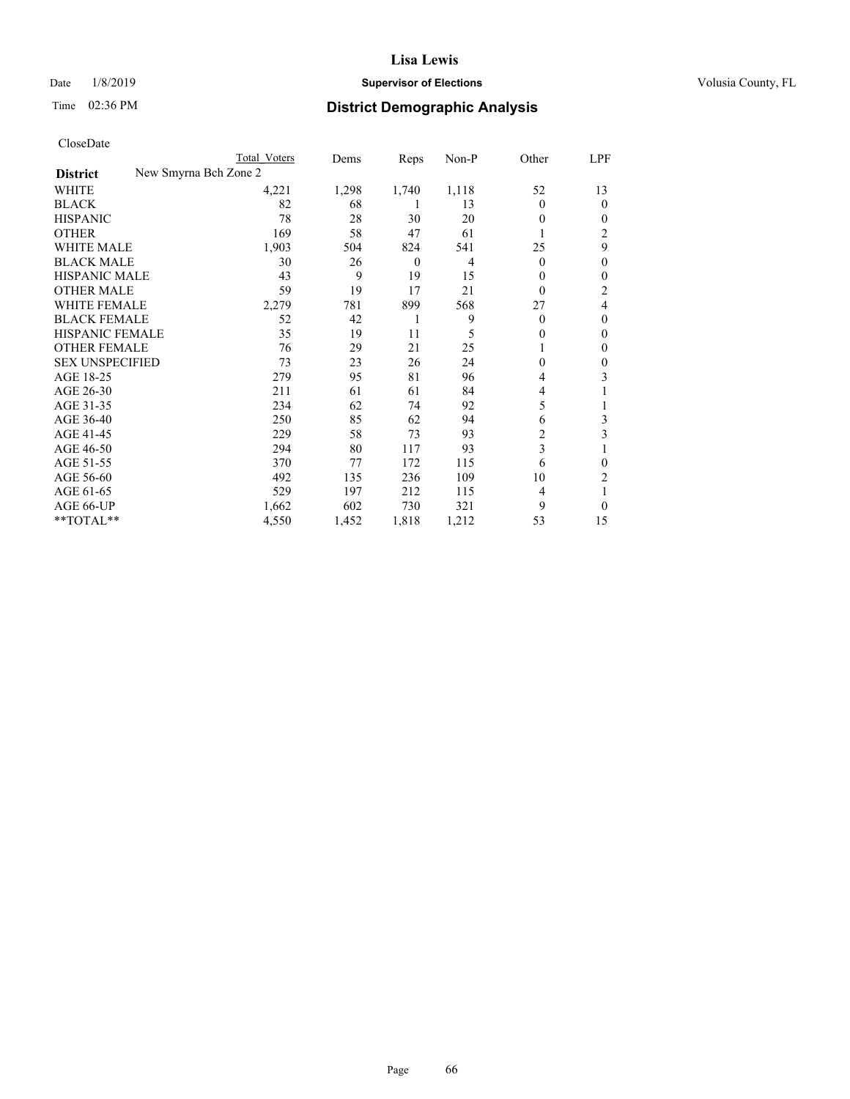## Date  $1/8/2019$  **Supervisor of Elections Supervisor of Elections** Volusia County, FL

| CloseDate |
|-----------|
|-----------|

|                        |                       | Total Voters | Dems  | Reps           | Non-P | Other        | LPF          |
|------------------------|-----------------------|--------------|-------|----------------|-------|--------------|--------------|
| <b>District</b>        | New Smyrna Bch Zone 2 |              |       |                |       |              |              |
| WHITE                  |                       | 4,221        | 1,298 | 1,740          | 1,118 | 52           | 13           |
| <b>BLACK</b>           |                       | 82           | 68    | 1              | 13    | $\Omega$     | $\theta$     |
| <b>HISPANIC</b>        |                       | 78           | 28    | 30             | 20    | 0            | 0            |
| <b>OTHER</b>           |                       | 169          | 58    | 47             | 61    |              | 2            |
| <b>WHITE MALE</b>      |                       | 1,903        | 504   | 824            | 541   | 25           | 9            |
| <b>BLACK MALE</b>      |                       | 30           | 26    | $\overline{0}$ | 4     | $\mathbf{0}$ | $\mathbf{0}$ |
| <b>HISPANIC MALE</b>   |                       | 43           | 9     | 19             | 15    | 0            | 0            |
| <b>OTHER MALE</b>      |                       | 59           | 19    | 17             | 21    | $\Omega$     | 2            |
| <b>WHITE FEMALE</b>    |                       | 2,279        | 781   | 899            | 568   | 27           | 4            |
| <b>BLACK FEMALE</b>    |                       | 52           | 42    | 1              | 9     | 0            | $\theta$     |
| HISPANIC FEMALE        |                       | 35           | 19    | 11             | 5     | $\Omega$     | $\mathbf{0}$ |
| <b>OTHER FEMALE</b>    |                       | 76           | 29    | 21             | 25    |              | 0            |
| <b>SEX UNSPECIFIED</b> |                       | 73           | 23    | 26             | 24    | 0            | 0            |
| AGE 18-25              |                       | 279          | 95    | 81             | 96    | 4            | 3            |
| AGE 26-30              |                       | 211          | 61    | 61             | 84    | 4            |              |
| AGE 31-35              |                       | 234          | 62    | 74             | 92    | 5            |              |
| AGE 36-40              |                       | 250          | 85    | 62             | 94    | 6            | 3            |
| AGE 41-45              |                       | 229          | 58    | 73             | 93    | 2            | 3            |
| AGE 46-50              |                       | 294          | 80    | 117            | 93    | 3            |              |
| AGE 51-55              |                       | 370          | 77    | 172            | 115   | 6            | 0            |
| AGE 56-60              |                       | 492          | 135   | 236            | 109   | 10           | 2            |
| AGE 61-65              |                       | 529          | 197   | 212            | 115   | 4            |              |
| AGE 66-UP              |                       | 1,662        | 602   | 730            | 321   | 9            | 0            |
| **TOTAL**              |                       | 4,550        | 1,452 | 1,818          | 1,212 | 53           | 15           |
|                        |                       |              |       |                |       |              |              |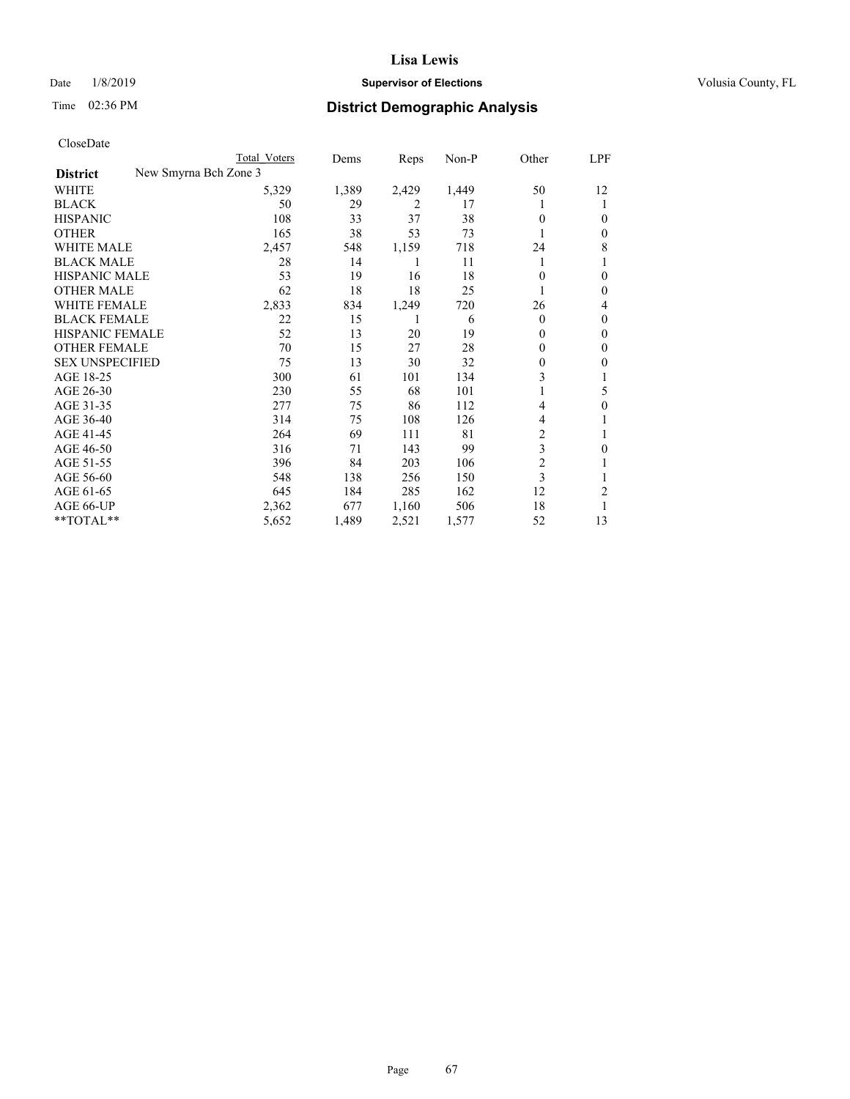## Date  $1/8/2019$  **Supervisor of Elections Supervisor of Elections** Volusia County, FL

| CloseDate |  |
|-----------|--|
|-----------|--|

|                                          | Total Voters | Dems  | Reps  | Non-P | Other          | LPF    |
|------------------------------------------|--------------|-------|-------|-------|----------------|--------|
| New Smyrna Bch Zone 3<br><b>District</b> |              |       |       |       |                |        |
| WHITE                                    | 5,329        | 1,389 | 2,429 | 1,449 | 50             | 12     |
| BLACK                                    | 50           | 29    | 2     | 17    |                |        |
| HISPANIC                                 | 108          | 33    | 37    | 38    | $\Omega$       | $_{0}$ |
| OTHER                                    | 165          | 38    | 53    | 73    |                | $_{0}$ |
| WHITE MALE                               | 2,457        | 548   | 1,159 | 718   | 24             | 8      |
| BLACK MALE                               | 28           | 14    |       | 11    |                |        |
| HISPANIC MALE                            | 53           | 19    | 16    | 18    | $\Omega$       | $_{0}$ |
| OTHER MALE                               | 62           | 18    | 18    | 25    |                | $_{0}$ |
| WHITE FEMALE                             | 2,833        | 834   | 1,249 | 720   | 26             | 4      |
| BLACK FEMALE                             | 22           | 15    |       | 6     | $\Omega$       | $_{0}$ |
| HISPANIC FEMALE                          | 52           | 13    | 20    | 19    | $\Omega$       | $_{0}$ |
| OTHER FEMALE                             | 70           | 15    | 27    | 28    | $\Omega$       | $_{0}$ |
| <b>SEX UNSPECIFIED</b>                   | 75           | 13    | 30    | 32    | 0              | 0      |
| AGE 18-25                                | 300          | 61    | 101   | 134   | 3              |        |
| AGE 26-30                                | 230          | 55    | 68    | 101   |                | 5      |
| AGE 31-35                                | 277          | 75    | 86    | 112   | 4              | 0      |
| AGE 36-40                                | 314          | 75    | 108   | 126   | 4              |        |
| AGE 41-45                                | 264          | 69    | 111   | 81    | 2              |        |
| AGE 46-50                                | 316          | 71    | 143   | 99    | 3              | $_{0}$ |
| AGE 51-55                                | 396          | 84    | 203   | 106   | $\overline{2}$ |        |
| AGE 56-60                                | 548          | 138   | 256   | 150   | 3              |        |
| AGE 61-65                                | 645          | 184   | 285   | 162   | 12             | 2      |
| AGE 66-UP                                | 2,362        | 677   | 1,160 | 506   | 18             |        |
| **TOTAL**                                | 5,652        | 1,489 | 2,521 | 1,577 | 52             | 13     |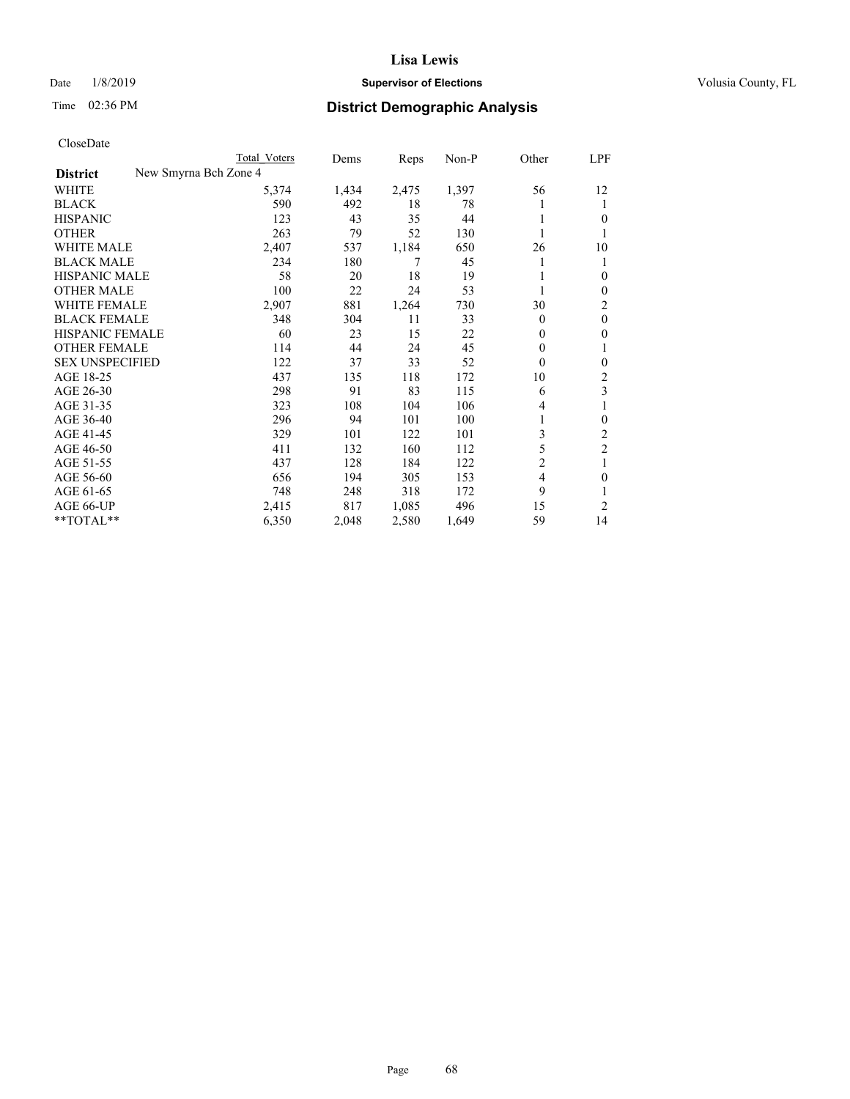## Date  $1/8/2019$  **Supervisor of Elections Supervisor of Elections** Volusia County, FL

|                        |                       | Total Voters | Dems  | Reps  | $Non-P$ | Other          | LPF            |
|------------------------|-----------------------|--------------|-------|-------|---------|----------------|----------------|
| <b>District</b>        | New Smyrna Bch Zone 4 |              |       |       |         |                |                |
| WHITE                  |                       | 5,374        | 1,434 | 2,475 | 1,397   | 56             | 12             |
| <b>BLACK</b>           |                       | 590          | 492   | 18    | 78      |                | 1              |
| <b>HISPANIC</b>        |                       | 123          | 43    | 35    | 44      |                | $\theta$       |
| <b>OTHER</b>           |                       | 263          | 79    | 52    | 130     |                | 1              |
| <b>WHITE MALE</b>      |                       | 2,407        | 537   | 1,184 | 650     | 26             | 10             |
| <b>BLACK MALE</b>      |                       | 234          | 180   | 7     | 45      |                | 1              |
| <b>HISPANIC MALE</b>   |                       | 58           | 20    | 18    | 19      |                | $\theta$       |
| <b>OTHER MALE</b>      |                       | 100          | 22    | 24    | 53      |                | $\mathbf{0}$   |
| <b>WHITE FEMALE</b>    |                       | 2,907        | 881   | 1,264 | 730     | 30             | 2              |
| <b>BLACK FEMALE</b>    |                       | 348          | 304   | 11    | 33      | $\theta$       | $\mathbf{0}$   |
| HISPANIC FEMALE        |                       | 60           | 23    | 15    | 22      | $\theta$       | $\mathbf{0}$   |
| <b>OTHER FEMALE</b>    |                       | 114          | 44    | 24    | 45      | 0              | 1              |
| <b>SEX UNSPECIFIED</b> |                       | 122          | 37    | 33    | 52      | $\theta$       | $\mathbf{0}$   |
| AGE 18-25              |                       | 437          | 135   | 118   | 172     | 10             | 2              |
| AGE 26-30              |                       | 298          | 91    | 83    | 115     | 6              | 3              |
| AGE 31-35              |                       | 323          | 108   | 104   | 106     | 4              | 1              |
| AGE 36-40              |                       | 296          | 94    | 101   | 100     |                | $\mathbf{0}$   |
| AGE 41-45              |                       | 329          | 101   | 122   | 101     | 3              | 2              |
| AGE 46-50              |                       | 411          | 132   | 160   | 112     | 5              | $\overline{c}$ |
| AGE 51-55              |                       | 437          | 128   | 184   | 122     | $\overline{c}$ | 1              |
| AGE 56-60              |                       | 656          | 194   | 305   | 153     | $\overline{4}$ | $\theta$       |
| AGE 61-65              |                       | 748          | 248   | 318   | 172     | 9              | 1              |
| AGE 66-UP              |                       | 2,415        | 817   | 1,085 | 496     | 15             | 2              |
| $*$ TOTAL $*$          |                       | 6,350        | 2,048 | 2,580 | 1,649   | 59             | 14             |
|                        |                       |              |       |       |         |                |                |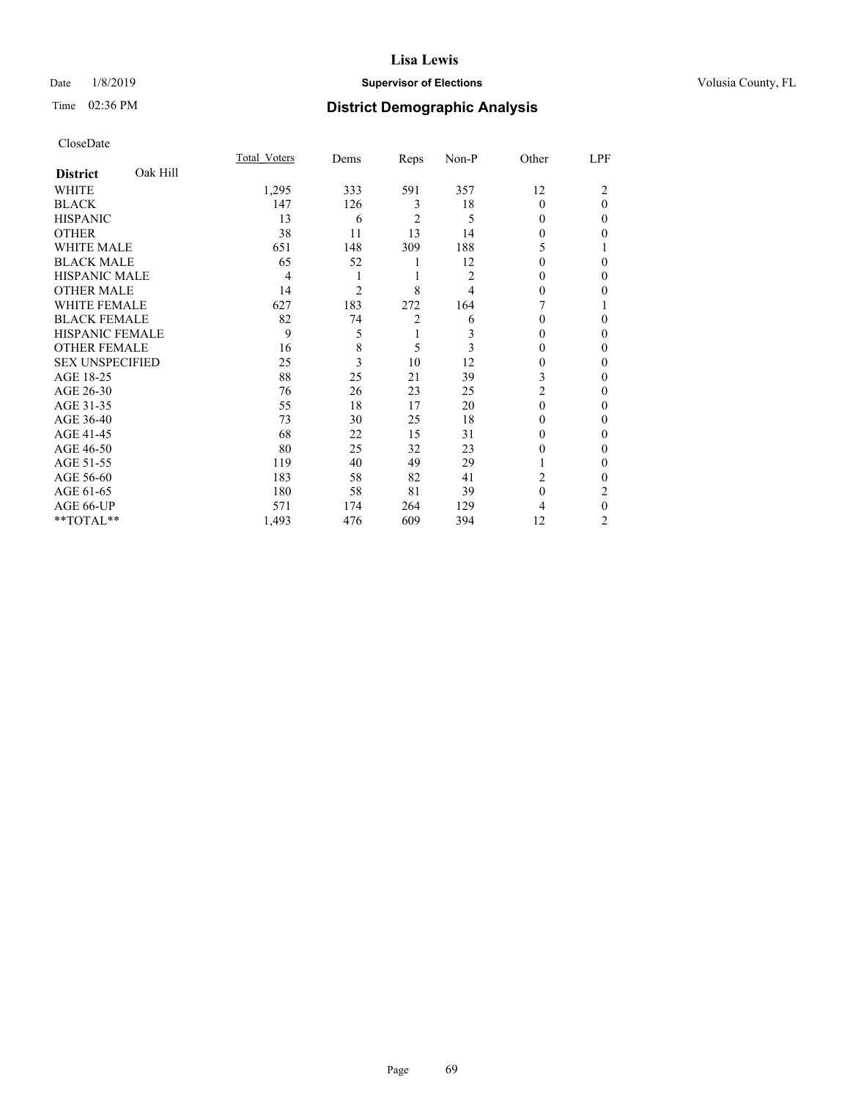## Date  $1/8/2019$  **Supervisor of Elections Supervisor of Elections** Volusia County, FL

# Time 02:36 PM **District Demographic Analysis**

|                        |          | Total Voters | Dems           | Reps           | Non-P | Other    | LPF          |
|------------------------|----------|--------------|----------------|----------------|-------|----------|--------------|
| <b>District</b>        | Oak Hill |              |                |                |       |          |              |
| WHITE                  |          | 1,295        | 333            | 591            | 357   | 12       | 2            |
| <b>BLACK</b>           |          | 147          | 126            | 3              | 18    | $\theta$ | $\theta$     |
| <b>HISPANIC</b>        |          | 13           | 6              | $\overline{2}$ | 5     | 0        | $\Omega$     |
| <b>OTHER</b>           |          | 38           | 11             | 13             | 14    | 0        | 0            |
| WHITE MALE             |          | 651          | 148            | 309            | 188   | 5        |              |
| <b>BLACK MALE</b>      |          | 65           | 52             |                | 12    | 0        | 0            |
| <b>HISPANIC MALE</b>   |          | 4            | 1              | 1              | 2     | 0        | 0            |
| <b>OTHER MALE</b>      |          | 14           | $\overline{c}$ | 8              | 4     | 0        | 0            |
| <b>WHITE FEMALE</b>    |          | 627          | 183            | 272            | 164   |          |              |
| <b>BLACK FEMALE</b>    |          | 82           | 74             | $\overline{2}$ | 6     | 0        | 0            |
| <b>HISPANIC FEMALE</b> |          | 9            | 5              | 1              | 3     | 0        | 0            |
| <b>OTHER FEMALE</b>    |          | 16           | 8              | 5              | 3     | 0        | 0            |
| <b>SEX UNSPECIFIED</b> |          | 25           | 3              | 10             | 12    | $\Omega$ | 0            |
| AGE 18-25              |          | 88           | 25             | 21             | 39    | 3        | 0            |
| AGE 26-30              |          | 76           | 26             | 23             | 25    | 2        | 0            |
| AGE 31-35              |          | 55           | 18             | 17             | 20    | $\Omega$ | 0            |
| AGE 36-40              |          | 73           | 30             | 25             | 18    | 0        | 0            |
| AGE 41-45              |          | 68           | 22             | 15             | 31    | 0        | 0            |
| AGE 46-50              |          | 80           | 25             | 32             | 23    | 0        | 0            |
| AGE 51-55              |          | 119          | 40             | 49             | 29    |          | $\mathbf{0}$ |
| AGE 56-60              |          | 183          | 58             | 82             | 41    | 2        | 0            |
| AGE 61-65              |          | 180          | 58             | 81             | 39    | $\theta$ | 2            |
| AGE 66-UP              |          | 571          | 174            | 264            | 129   | 4        | $\theta$     |
| **TOTAL**              |          | 1,493        | 476            | 609            | 394   | 12       | 2            |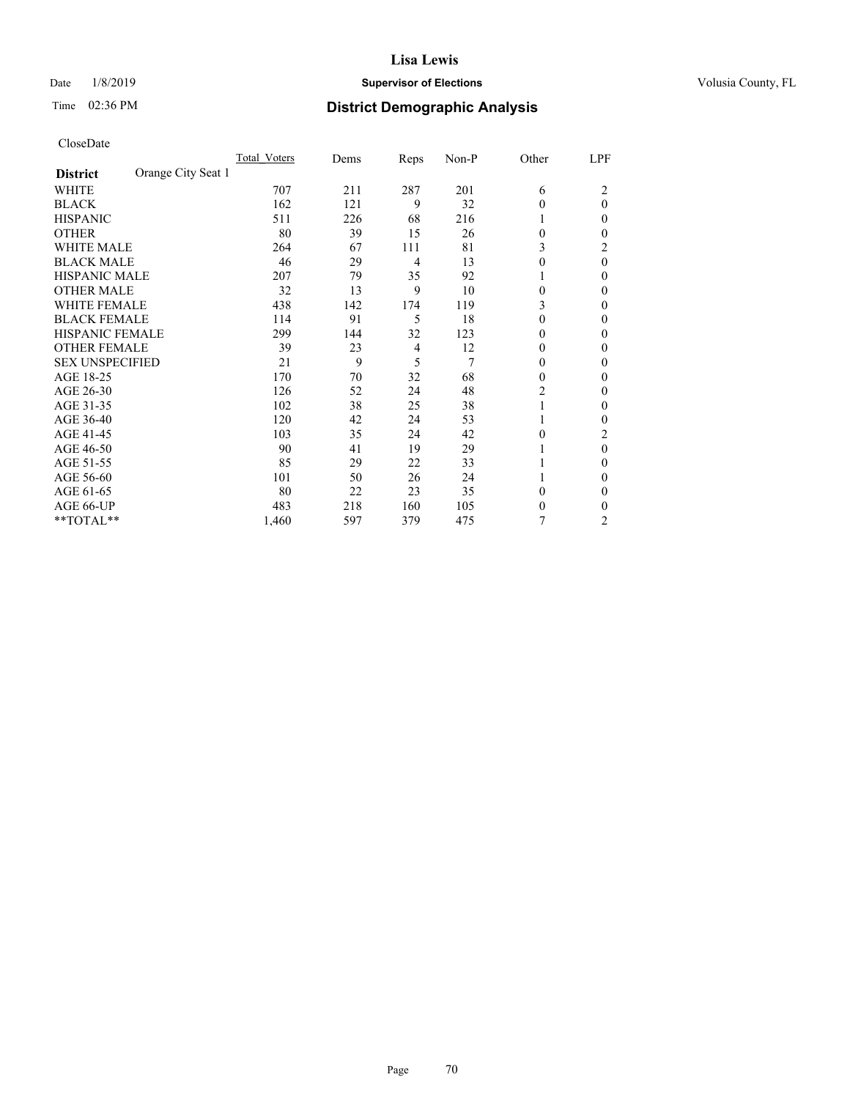## Date  $1/8/2019$  **Supervisor of Elections Supervisor of Elections** Volusia County, FL

| CloseDate |
|-----------|
|-----------|

|                                       | Total Voters | Dems | Reps | Non-P | Other    | LPF            |
|---------------------------------------|--------------|------|------|-------|----------|----------------|
| Orange City Seat 1<br><b>District</b> |              |      |      |       |          |                |
| WHITE                                 | 707          | 211  | 287  | 201   | 6        | 2              |
| <b>BLACK</b>                          | 162          | 121  | 9    | 32    | $\theta$ | $\theta$       |
| <b>HISPANIC</b>                       | 511          | 226  | 68   | 216   |          | 0              |
| <b>OTHER</b>                          | 80           | 39   | 15   | 26    | $\Omega$ | 0              |
| <b>WHITE MALE</b>                     | 264          | 67   | 111  | 81    | 3        | 2              |
| <b>BLACK MALE</b>                     | 46           | 29   | 4    | 13    | $\theta$ | $\theta$       |
| <b>HISPANIC MALE</b>                  | 207          | 79   | 35   | 92    |          | 0              |
| <b>OTHER MALE</b>                     | 32           | 13   | 9    | 10    | $\theta$ | 0              |
| <b>WHITE FEMALE</b>                   | 438          | 142  | 174  | 119   | 3        | 0              |
| <b>BLACK FEMALE</b>                   | 114          | 91   | 5    | 18    | $\theta$ | 0              |
| <b>HISPANIC FEMALE</b>                | 299          | 144  | 32   | 123   | $\Omega$ | 0              |
| <b>OTHER FEMALE</b>                   | 39           | 23   | 4    | 12    | $\theta$ | 0              |
| <b>SEX UNSPECIFIED</b>                | 21           | 9    | 5    | 7     | $\Omega$ | 0              |
| AGE 18-25                             | 170          | 70   | 32   | 68    | $\theta$ | 0              |
| AGE 26-30                             | 126          | 52   | 24   | 48    | 2        | 0              |
| AGE 31-35                             | 102          | 38   | 25   | 38    |          | 0              |
| AGE 36-40                             | 120          | 42   | 24   | 53    |          | 0              |
| AGE 41-45                             | 103          | 35   | 24   | 42    | $\Omega$ | 2              |
| AGE 46-50                             | 90           | 41   | 19   | 29    |          | $\theta$       |
| AGE 51-55                             | 85           | 29   | 22   | 33    |          | 0              |
| AGE 56-60                             | 101          | 50   | 26   | 24    |          | 0              |
| AGE 61-65                             | 80           | 22   | 23   | 35    | $\theta$ | 0              |
| AGE 66-UP                             | 483          | 218  | 160  | 105   | $\theta$ | 0              |
| **TOTAL**                             | 1,460        | 597  | 379  | 475   | 7        | $\overline{c}$ |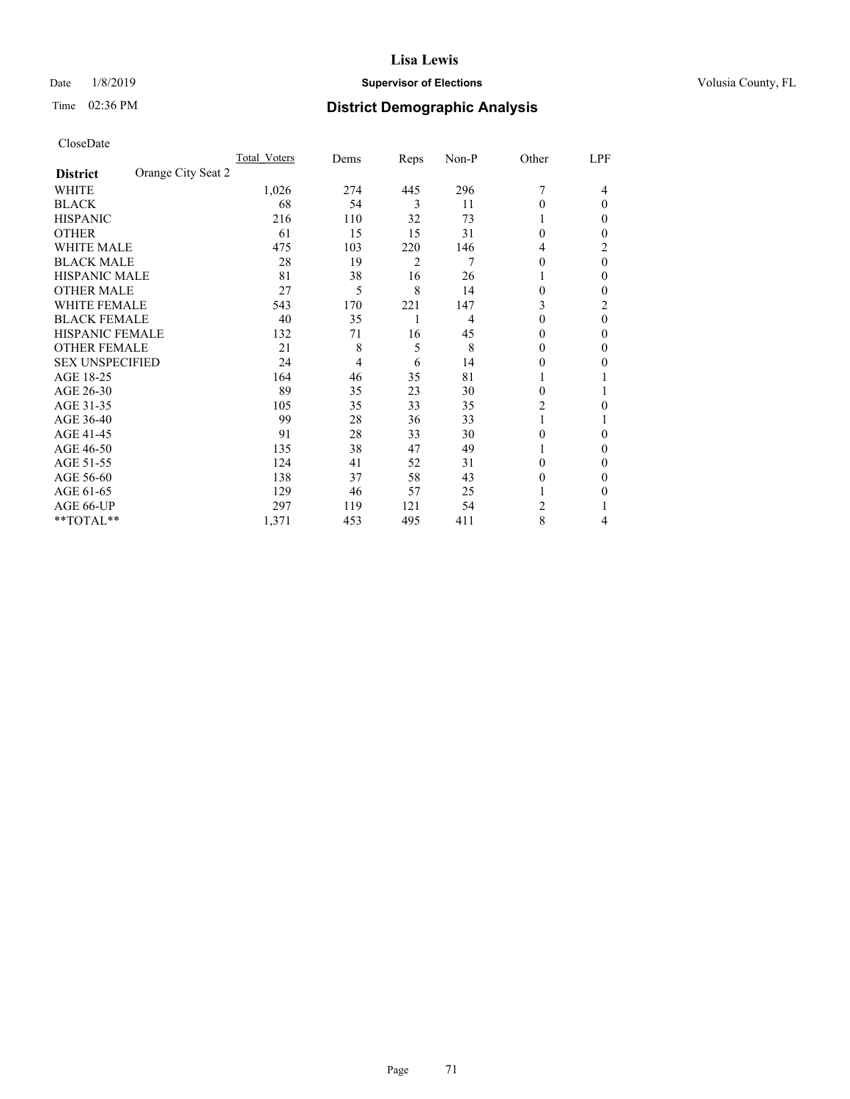## Date  $1/8/2019$  **Supervisor of Elections Supervisor of Elections** Volusia County, FL

# Time 02:36 PM **District Demographic Analysis**

|                                       | Total Voters | Dems | Reps | Non-P | Other          | LPF      |
|---------------------------------------|--------------|------|------|-------|----------------|----------|
| Orange City Seat 2<br><b>District</b> |              |      |      |       |                |          |
| WHITE                                 | 1,026        | 274  | 445  | 296   |                | 4        |
| <b>BLACK</b>                          | 68           | 54   | 3    | 11    | $\Omega$       | $\Omega$ |
| <b>HISPANIC</b>                       | 216          | 110  | 32   | 73    | 1              | 0        |
| <b>OTHER</b>                          | 61           | 15   | 15   | 31    | $\Omega$       | 0        |
| WHITE MALE                            | 475          | 103  | 220  | 146   | 4              | 2        |
| <b>BLACK MALE</b>                     | 28           | 19   | 2    | 7     | $\Omega$       | $\theta$ |
| <b>HISPANIC MALE</b>                  | 81           | 38   | 16   | 26    |                | 0        |
| <b>OTHER MALE</b>                     | 27           | 5    | 8    | 14    | $\theta$       | 0        |
| WHITE FEMALE                          | 543          | 170  | 221  | 147   | 3              | 2        |
| <b>BLACK FEMALE</b>                   | 40           | 35   | 1    | 4     | $\Omega$       | $\theta$ |
| <b>HISPANIC FEMALE</b>                | 132          | 71   | 16   | 45    | 0              | 0        |
| <b>OTHER FEMALE</b>                   | 21           | 8    | 5    | 8     | $\Omega$       | 0        |
| <b>SEX UNSPECIFIED</b>                | 24           | 4    | 6    | 14    | 0              | 0        |
| AGE 18-25                             | 164          | 46   | 35   | 81    |                |          |
| AGE 26-30                             | 89           | 35   | 23   | 30    | $\theta$       |          |
| AGE 31-35                             | 105          | 35   | 33   | 35    | $\overline{2}$ | 0        |
| AGE 36-40                             | 99           | 28   | 36   | 33    | 1              |          |
| AGE 41-45                             | 91           | 28   | 33   | 30    | $\Omega$       | 0        |
| AGE 46-50                             | 135          | 38   | 47   | 49    | 1              | 0        |
| AGE 51-55                             | 124          | 41   | 52   | 31    | 0              | 0        |
| AGE 56-60                             | 138          | 37   | 58   | 43    | $\theta$       | 0        |
| AGE 61-65                             | 129          | 46   | 57   | 25    |                | 0        |
| AGE 66-UP                             | 297          | 119  | 121  | 54    | 2              |          |
| **TOTAL**                             | 1,371        | 453  | 495  | 411   | 8              | 4        |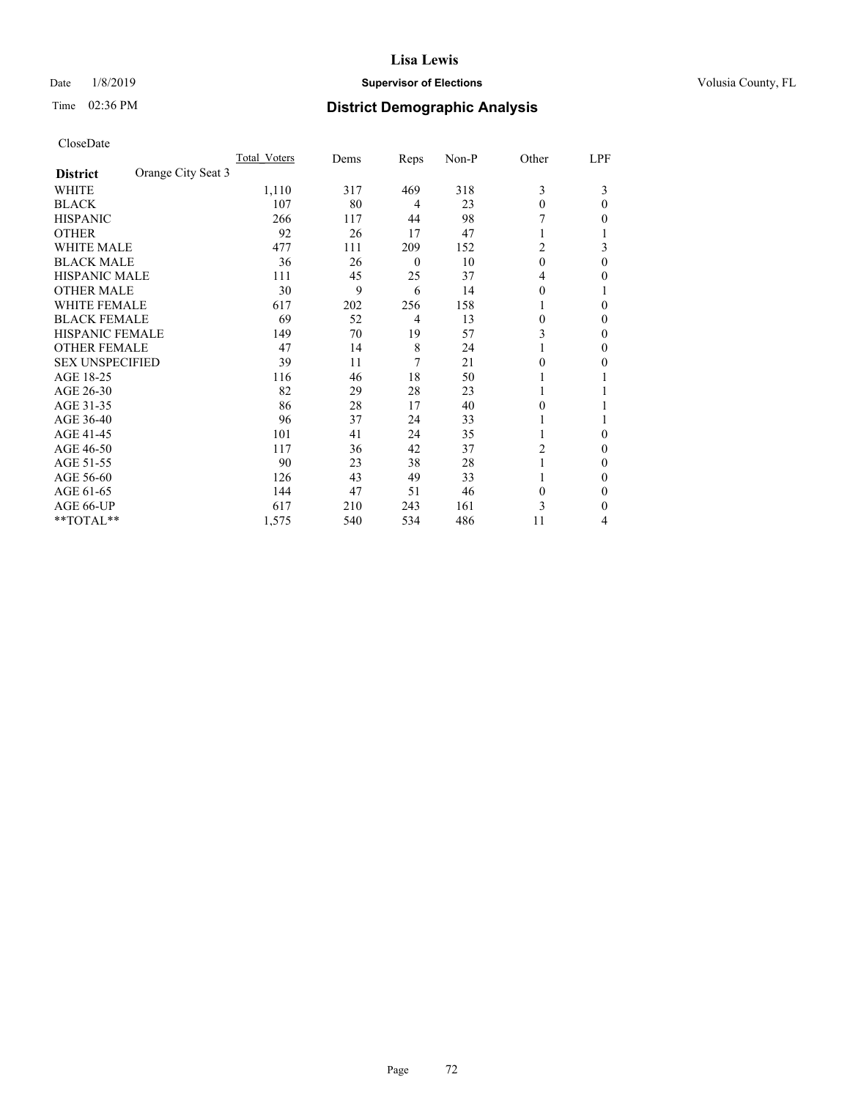## Date  $1/8/2019$  **Supervisor of Elections Supervisor of Elections** Volusia County, FL

# Time 02:36 PM **District Demographic Analysis**

|                        | Total Voters       | Dems | Reps           | Non-P | Other    | LPF      |
|------------------------|--------------------|------|----------------|-------|----------|----------|
| <b>District</b>        | Orange City Seat 3 |      |                |       |          |          |
| WHITE                  | 1,110              | 317  | 469            | 318   | 3        | 3        |
| <b>BLACK</b>           | 107                | 80   | 4              | 23    | $\theta$ | 0        |
| <b>HISPANIC</b>        | 266                | 117  | 44             | 98    |          | 0        |
| <b>OTHER</b>           | 92                 | 26   | 17             | 47    |          |          |
| WHITE MALE             | 477                | 111  | 209            | 152   | 2        | 3        |
| <b>BLACK MALE</b>      | 36                 | 26   | $\overline{0}$ | 10    | $\theta$ | $\Omega$ |
| <b>HISPANIC MALE</b>   | 111                | 45   | 25             | 37    | 4        | 0        |
| <b>OTHER MALE</b>      | 30                 | 9    | 6              | 14    | $\theta$ |          |
| WHITE FEMALE           | 617                | 202  | 256            | 158   |          | 0        |
| <b>BLACK FEMALE</b>    | 69                 | 52   | 4              | 13    | $\Omega$ | 0        |
| <b>HISPANIC FEMALE</b> | 149                | 70   | 19             | 57    | 3        | 0        |
| <b>OTHER FEMALE</b>    | 47                 | 14   | 8              | 24    |          | 0        |
| <b>SEX UNSPECIFIED</b> | 39                 | 11   | 7              | 21    | $\Omega$ | 0        |
| AGE 18-25              | 116                | 46   | 18             | 50    |          |          |
| AGE 26-30              | 82                 | 29   | 28             | 23    | 1        |          |
| AGE 31-35              | 86                 | 28   | 17             | 40    | 0        |          |
| AGE 36-40              | 96                 | 37   | 24             | 33    |          |          |
| AGE 41-45              | 101                | 41   | 24             | 35    |          | 0        |
| AGE 46-50              | 117                | 36   | 42             | 37    | 2        | 0        |
| AGE 51-55              | 90                 | 23   | 38             | 28    |          | 0        |
| AGE 56-60              | 126                | 43   | 49             | 33    |          | 0        |
| AGE 61-65              | 144                | 47   | 51             | 46    | $\theta$ | 0        |
| AGE 66-UP              | 617                | 210  | 243            | 161   | 3        | 0        |
| **TOTAL**              | 1,575              | 540  | 534            | 486   | 11       | 4        |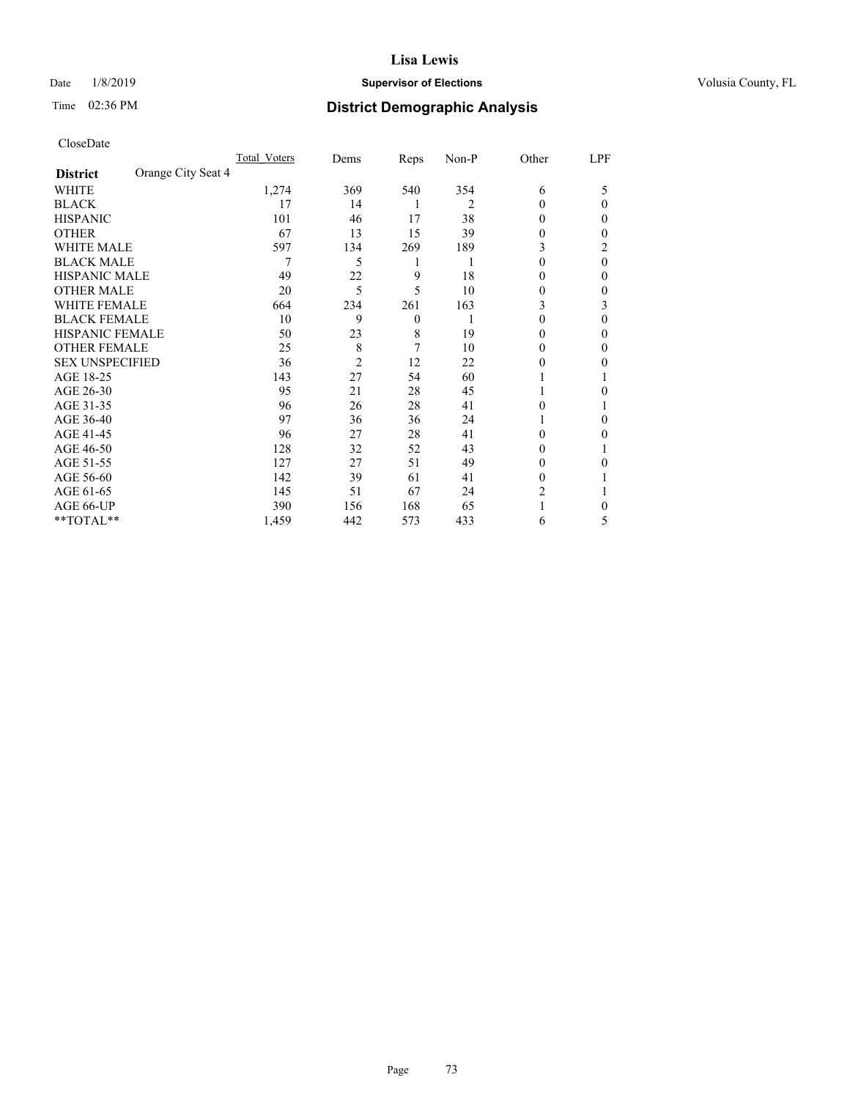## Date  $1/8/2019$  **Supervisor of Elections Supervisor of Elections** Volusia County, FL

# Time 02:36 PM **District Demographic Analysis**

| CloseDate |
|-----------|
|-----------|

| Total Voters       |                | Reps     | Non-P | Other  | LPF      |
|--------------------|----------------|----------|-------|--------|----------|
| Orange City Seat 4 |                |          |       |        |          |
| 1,274              | 369            | 540      | 354   | 6      | 5        |
| 17                 | 14             | 1        | 2     | 0      | $_{0}$   |
| 101                | 46             | 17       | 38    | 0      | $_{0}$   |
| 67                 | 13             | 15       | 39    | 0      | 0        |
| 597                | 134            | 269      | 189   | 3      |          |
| 7                  | 5              | 1        | 1     | 0      | $\theta$ |
| 49                 | 22             | 9        | 18    | 0      | $_{0}$   |
| 20                 | 5              | 5        | 10    | 0      | 0        |
| 664                | 234            | 261      | 163   | 3      | 3        |
| 10                 | 9              | $\theta$ | 1     | 0      | 0        |
| 50                 | 23             | 8        | 19    | 0      | 0        |
| 25                 | 8              | 7        | 10    | 0      | 0        |
| 36                 | $\overline{2}$ | 12       | 22    | 0      | 0        |
| 143                | 27             | 54       | 60    |        |          |
| 95                 | 21             | 28       | 45    |        | 0        |
| 96                 | 26             | 28       | 41    | 0      |          |
| 97                 | 36             | 36       | 24    |        | 0        |
| 96                 | 27             | 28       | 41    | 0      | 0        |
| 128                | 32             | 52       | 43    | 0      |          |
| 127                | 27             | 51       | 49    | 0      |          |
| 142                | 39             | 61       | 41    | $_{0}$ |          |
| 145                | 51             | 67       | 24    | 2      |          |
| 390                | 156            | 168      | 65    |        | 0        |
| 1,459              | 442            | 573      | 433   | 6      | 5        |
|                    |                | Dems     |       |        |          |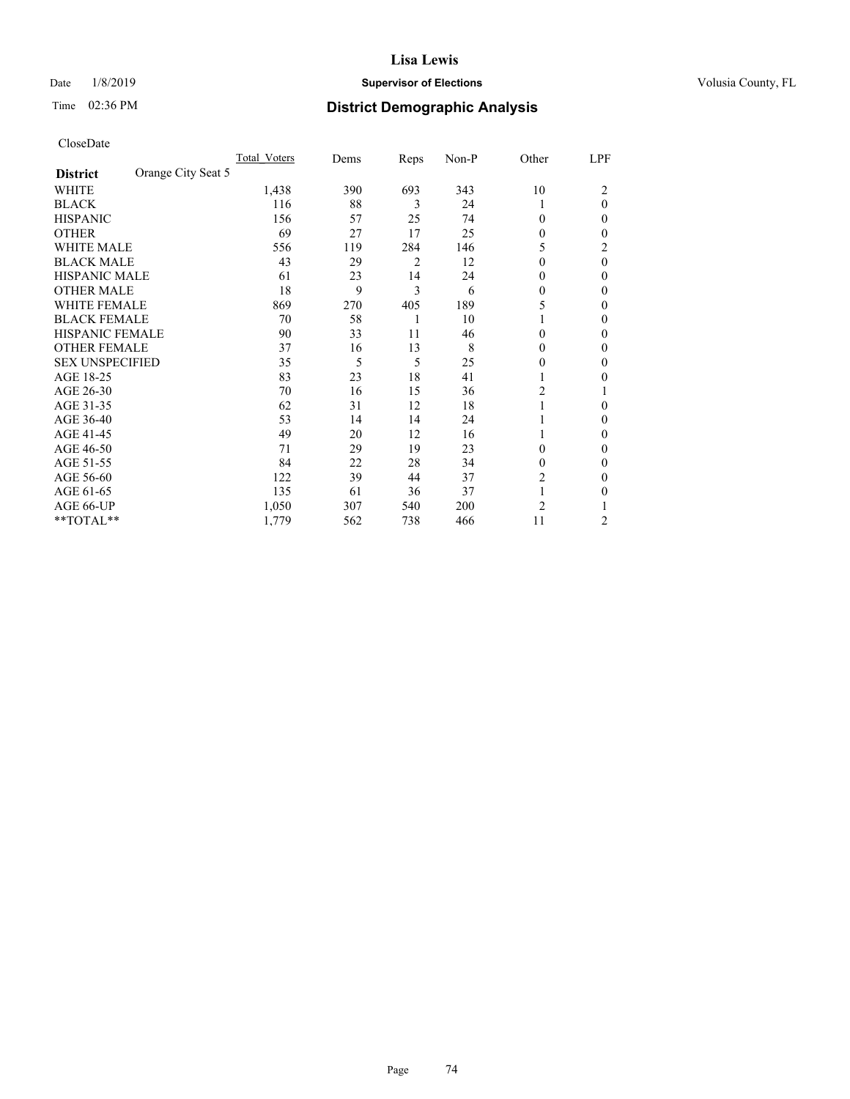## Date  $1/8/2019$  **Supervisor of Elections Supervisor of Elections** Volusia County, FL

## Time 02:36 PM **District Demographic Analysis**

|                        | Total Voters       | Dems | Reps | Non-P | Other          | LPF      |
|------------------------|--------------------|------|------|-------|----------------|----------|
| <b>District</b>        | Orange City Seat 5 |      |      |       |                |          |
| WHITE                  | 1,438              | 390  | 693  | 343   | 10             | 2        |
| <b>BLACK</b>           | 116                | 88   | 3    | 24    |                | $\theta$ |
| <b>HISPANIC</b>        | 156                | 57   | 25   | 74    | $\Omega$       | 0        |
| <b>OTHER</b>           | 69                 | 27   | 17   | 25    | $\theta$       | 0        |
| WHITE MALE             | 556                | 119  | 284  | 146   | 5              | 2        |
| <b>BLACK MALE</b>      | 43                 | 29   | 2    | 12    | $\Omega$       | $\theta$ |
| <b>HISPANIC MALE</b>   | 61                 | 23   | 14   | 24    | $\theta$       | 0        |
| <b>OTHER MALE</b>      | 18                 | 9    | 3    | 6     | $\Omega$       | 0        |
| WHITE FEMALE           | 869                | 270  | 405  | 189   | 5              | 0        |
| <b>BLACK FEMALE</b>    | 70                 | 58   | 1    | 10    |                | 0        |
| <b>HISPANIC FEMALE</b> | 90                 | 33   | 11   | 46    | $\Omega$       | 0        |
| <b>OTHER FEMALE</b>    | 37                 | 16   | 13   | 8     | $\Omega$       | 0        |
| <b>SEX UNSPECIFIED</b> | 35                 | 5    | 5    | 25    | 0              | 0        |
| AGE 18-25              | 83                 | 23   | 18   | 41    |                | 0        |
| AGE 26-30              | 70                 | 16   | 15   | 36    | 2              |          |
| AGE 31-35              | 62                 | 31   | 12   | 18    |                | 0        |
| AGE 36-40              | 53                 | 14   | 14   | 24    |                | 0        |
| AGE 41-45              | 49                 | 20   | 12   | 16    |                | 0        |
| AGE 46-50              | 71                 | 29   | 19   | 23    | $\Omega$       | 0        |
| AGE 51-55              | 84                 | 22   | 28   | 34    | $\Omega$       | 0        |
| AGE 56-60              | 122                | 39   | 44   | 37    | 2              | 0        |
| AGE 61-65              | 135                | 61   | 36   | 37    | 1              | 0        |
| AGE 66-UP              | 1,050              | 307  | 540  | 200   | $\overline{c}$ |          |
| **TOTAL**              | 1,779              | 562  | 738  | 466   | 11             | 2        |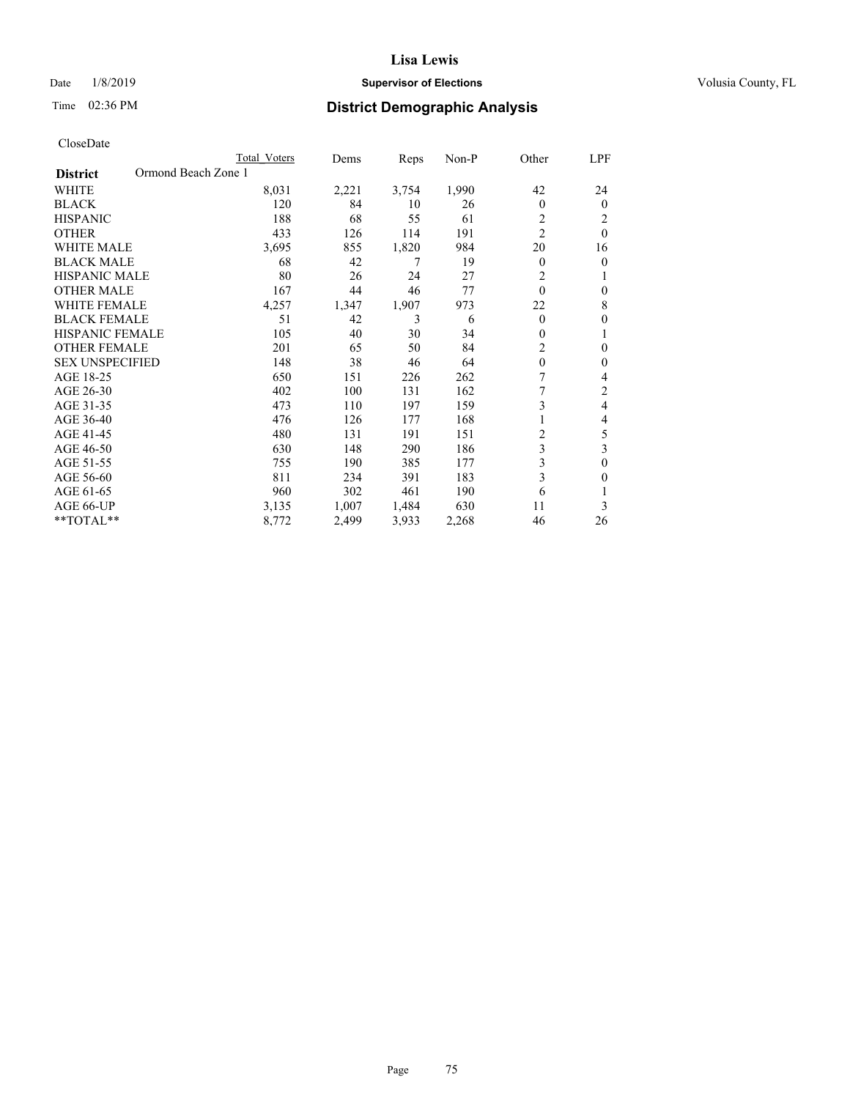## Date  $1/8/2019$  **Supervisor of Elections Supervisor of Elections** Volusia County, FL

# Time 02:36 PM **District Demographic Analysis**

|                                        | Total Voters | Dems  | Reps  | $Non-P$ | Other          | LPF            |
|----------------------------------------|--------------|-------|-------|---------|----------------|----------------|
| Ormond Beach Zone 1<br><b>District</b> |              |       |       |         |                |                |
| <b>WHITE</b>                           | 8,031        | 2,221 | 3,754 | 1,990   | 42             | 24             |
| <b>BLACK</b>                           | 120          | 84    | 10    | 26      | $\theta$       | $\theta$       |
| <b>HISPANIC</b>                        | 188          | 68    | 55    | 61      | $\overline{c}$ | 2              |
| <b>OTHER</b>                           | 433          | 126   | 114   | 191     | $\overline{2}$ | $\theta$       |
| <b>WHITE MALE</b>                      | 3,695        | 855   | 1,820 | 984     | 20             | 16             |
| <b>BLACK MALE</b>                      | 68           | 42    | 7     | 19      | $\theta$       | $\theta$       |
| HISPANIC MALE                          | 80           | 26    | 24    | 27      | 2              |                |
| <b>OTHER MALE</b>                      | 167          | 44    | 46    | 77      | $\theta$       | $\theta$       |
| <b>WHITE FEMALE</b>                    | 4,257        | 1,347 | 1,907 | 973     | 22             | 8              |
| <b>BLACK FEMALE</b>                    | 51           | 42    | 3     | 6       | $\theta$       | $\theta$       |
| <b>HISPANIC FEMALE</b>                 | 105          | 40    | 30    | 34      | $\mathbf{0}$   | 1              |
| <b>OTHER FEMALE</b>                    | 201          | 65    | 50    | 84      | 2              | $\theta$       |
| <b>SEX UNSPECIFIED</b>                 | 148          | 38    | 46    | 64      | $\mathbf{0}$   | $\theta$       |
| AGE 18-25                              | 650          | 151   | 226   | 262     | 7              | 4              |
| AGE 26-30                              | 402          | 100   | 131   | 162     |                | $\overline{2}$ |
| AGE 31-35                              | 473          | 110   | 197   | 159     | 3              | 4              |
| AGE 36-40                              | 476          | 126   | 177   | 168     |                | 4              |
| AGE 41-45                              | 480          | 131   | 191   | 151     | $\overline{c}$ | 5              |
| AGE 46-50                              | 630          | 148   | 290   | 186     | 3              | 3              |
| AGE 51-55                              | 755          | 190   | 385   | 177     | 3              | $\theta$       |
| AGE 56-60                              | 811          | 234   | 391   | 183     | 3              | $\theta$       |
| AGE 61-65                              | 960          | 302   | 461   | 190     | 6              |                |
| AGE 66-UP                              | 3,135        | 1,007 | 1,484 | 630     | 11             | 3              |
| $*$ TOTAL $*$                          | 8,772        | 2,499 | 3,933 | 2,268   | 46             | 26             |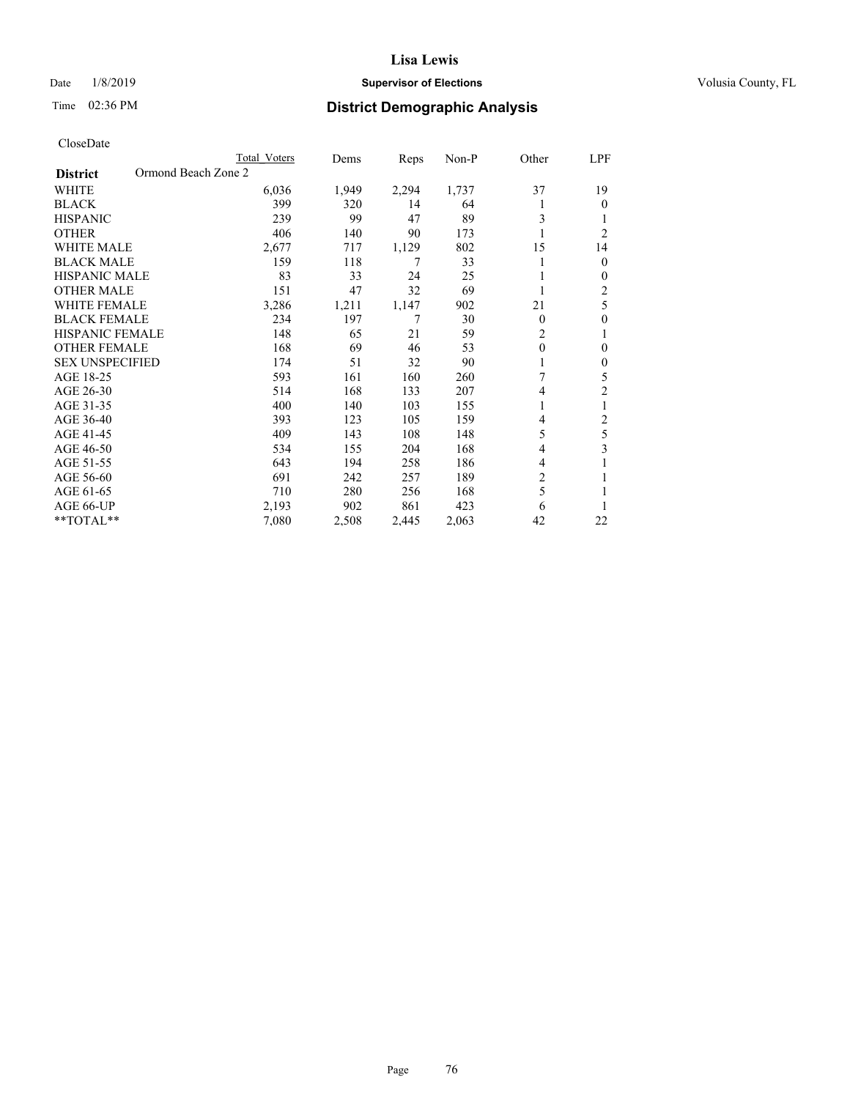## Date  $1/8/2019$  **Supervisor of Elections Supervisor of Elections** Volusia County, FL

# Time 02:36 PM **District Demographic Analysis**

|                                        | Total Voters | Dems  | Reps  | Non-P | Other          | LPF            |
|----------------------------------------|--------------|-------|-------|-------|----------------|----------------|
| Ormond Beach Zone 2<br><b>District</b> |              |       |       |       |                |                |
| WHITE                                  | 6,036        | 1,949 | 2,294 | 1,737 | 37             | 19             |
| <b>BLACK</b>                           | 399          | 320   | 14    | 64    |                | $\theta$       |
| <b>HISPANIC</b>                        | 239          | 99    | 47    | 89    | 3              |                |
| <b>OTHER</b>                           | 406          | 140   | 90    | 173   |                | $\overline{2}$ |
| <b>WHITE MALE</b>                      | 2,677        | 717   | 1,129 | 802   | 15             | 14             |
| <b>BLACK MALE</b>                      | 159          | 118   | 7     | 33    |                | $\mathbf{0}$   |
| HISPANIC MALE                          | 83           | 33    | 24    | 25    |                | $\mathbf{0}$   |
| <b>OTHER MALE</b>                      | 151          | 47    | 32    | 69    | 1              | 2              |
| <b>WHITE FEMALE</b>                    | 3,286        | 1,211 | 1,147 | 902   | 21             | 5              |
| <b>BLACK FEMALE</b>                    | 234          | 197   | 7     | 30    | 0              | $\theta$       |
| <b>HISPANIC FEMALE</b>                 | 148          | 65    | 21    | 59    | 2              | 1              |
| <b>OTHER FEMALE</b>                    | 168          | 69    | 46    | 53    | $\theta$       | 0              |
| <b>SEX UNSPECIFIED</b>                 | 174          | 51    | 32    | 90    |                | $\theta$       |
| AGE 18-25                              | 593          | 161   | 160   | 260   | 7              | 5              |
| AGE 26-30                              | 514          | 168   | 133   | 207   | 4              | $\overline{2}$ |
| AGE 31-35                              | 400          | 140   | 103   | 155   |                | 1              |
| AGE 36-40                              | 393          | 123   | 105   | 159   | 4              | 2              |
| AGE 41-45                              | 409          | 143   | 108   | 148   | 5              | 5              |
| AGE 46-50                              | 534          | 155   | 204   | 168   | 4              | 3              |
| AGE 51-55                              | 643          | 194   | 258   | 186   | 4              | 1              |
| AGE 56-60                              | 691          | 242   | 257   | 189   | $\overline{2}$ |                |
| AGE 61-65                              | 710          | 280   | 256   | 168   | 5              |                |
| AGE 66-UP                              | 2,193        | 902   | 861   | 423   | 6              |                |
| **TOTAL**                              | 7,080        | 2,508 | 2,445 | 2,063 | 42             | 22             |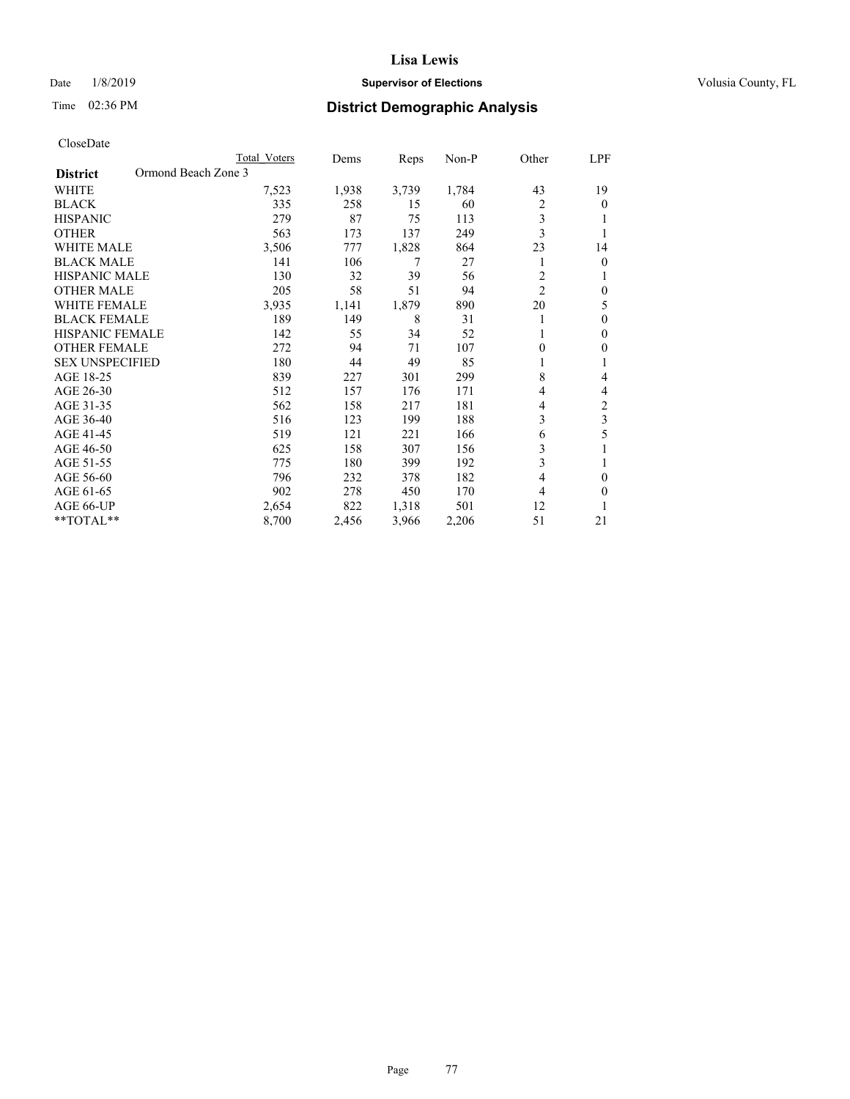## Date  $1/8/2019$  **Supervisor of Elections Supervisor of Elections** Volusia County, FL

# Time 02:36 PM **District Demographic Analysis**

|                                        | Total Voters | Dems  | Reps  | $Non-P$ | Other          | LPF |
|----------------------------------------|--------------|-------|-------|---------|----------------|-----|
| Ormond Beach Zone 3<br><b>District</b> |              |       |       |         |                |     |
| WHITE                                  | 7,523        | 1,938 | 3,739 | 1,784   | 43             | 19  |
| <b>BLACK</b>                           | 335          | 258   | 15    | 60      | 2              | 0   |
| <b>HISPANIC</b>                        | 279          | 87    | 75    | 113     | 3              |     |
| <b>OTHER</b>                           | 563          | 173   | 137   | 249     | 3              |     |
| <b>WHITE MALE</b>                      | 3,506        | 777   | 1,828 | 864     | 23             | 14  |
| <b>BLACK MALE</b>                      | 141          | 106   | 7     | 27      | 1              | 0   |
| <b>HISPANIC MALE</b>                   | 130          | 32    | 39    | 56      | $\overline{2}$ |     |
| <b>OTHER MALE</b>                      | 205          | 58    | 51    | 94      | $\overline{c}$ | 0   |
| WHITE FEMALE                           | 3,935        | 1,141 | 1,879 | 890     | 20             | 5   |
| <b>BLACK FEMALE</b>                    | 189          | 149   | 8     | 31      |                | 0   |
| <b>HISPANIC FEMALE</b>                 | 142          | 55    | 34    | 52      | 1              | 0   |
| <b>OTHER FEMALE</b>                    | 272          | 94    | 71    | 107     | 0              | 0   |
| <b>SEX UNSPECIFIED</b>                 | 180          | 44    | 49    | 85      | 1              |     |
| AGE 18-25                              | 839          | 227   | 301   | 299     | 8              | 4   |
| AGE 26-30                              | 512          | 157   | 176   | 171     | 4              | 4   |
| AGE 31-35                              | 562          | 158   | 217   | 181     | 4              | 2   |
| AGE 36-40                              | 516          | 123   | 199   | 188     | 3              | 3   |
| AGE 41-45                              | 519          | 121   | 221   | 166     | 6              | 5   |
| AGE 46-50                              | 625          | 158   | 307   | 156     | 3              |     |
| AGE 51-55                              | 775          | 180   | 399   | 192     | 3              |     |
| AGE 56-60                              | 796          | 232   | 378   | 182     | 4              | 0   |
| AGE 61-65                              | 902          | 278   | 450   | 170     | 4              | 0   |
| AGE 66-UP                              | 2,654        | 822   | 1,318 | 501     | 12             |     |
| $*$ TOTAL $*$                          | 8,700        | 2,456 | 3,966 | 2,206   | 51             | 21  |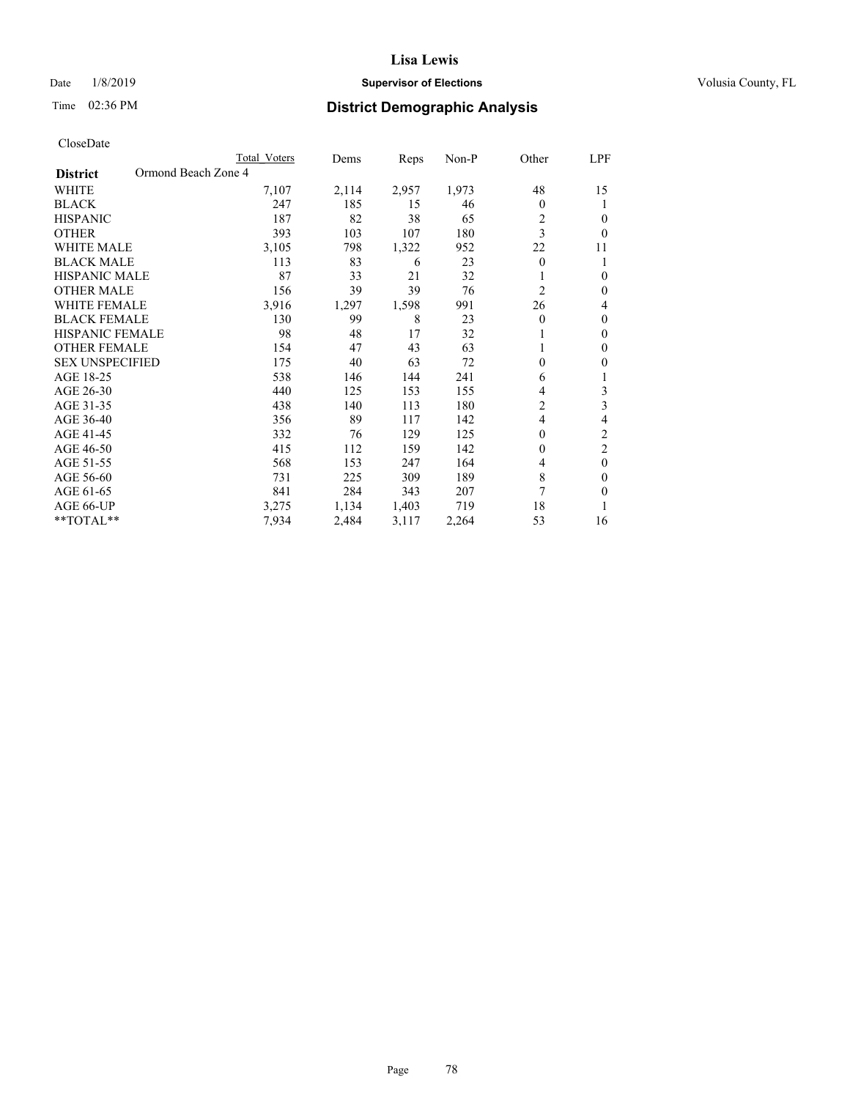## Date  $1/8/2019$  **Supervisor of Elections Supervisor of Elections** Volusia County, FL

# Time 02:36 PM **District Demographic Analysis**

|                                        | Total Voters | Dems  | Reps  | $Non-P$ | Other          | LPF            |
|----------------------------------------|--------------|-------|-------|---------|----------------|----------------|
| Ormond Beach Zone 4<br><b>District</b> |              |       |       |         |                |                |
| <b>WHITE</b>                           | 7,107        | 2,114 | 2,957 | 1,973   | 48             | 15             |
| <b>BLACK</b>                           | 247          | 185   | 15    | 46      | 0              | 1              |
| <b>HISPANIC</b>                        | 187          | 82    | 38    | 65      | 2              | 0              |
| <b>OTHER</b>                           | 393          | 103   | 107   | 180     | 3              | $\theta$       |
| <b>WHITE MALE</b>                      | 3,105        | 798   | 1,322 | 952     | 22             | 11             |
| <b>BLACK MALE</b>                      | 113          | 83    | 6     | 23      | 0              | 1              |
| HISPANIC MALE                          | 87           | 33    | 21    | 32      |                | $\theta$       |
| <b>OTHER MALE</b>                      | 156          | 39    | 39    | 76      | $\overline{c}$ | $\theta$       |
| <b>WHITE FEMALE</b>                    | 3,916        | 1,297 | 1,598 | 991     | 26             | 4              |
| <b>BLACK FEMALE</b>                    | 130          | 99    | 8     | 23      | 0              | $\theta$       |
| <b>HISPANIC FEMALE</b>                 | 98           | 48    | 17    | 32      | 1              | $\mathbf{0}$   |
| <b>OTHER FEMALE</b>                    | 154          | 47    | 43    | 63      |                | $\mathbf{0}$   |
| <b>SEX UNSPECIFIED</b>                 | 175          | 40    | 63    | 72      | $\theta$       | 0              |
| AGE 18-25                              | 538          | 146   | 144   | 241     | 6              | 1              |
| AGE 26-30                              | 440          | 125   | 153   | 155     | 4              | 3              |
| AGE 31-35                              | 438          | 140   | 113   | 180     | 2              | 3              |
| AGE 36-40                              | 356          | 89    | 117   | 142     | 4              | 4              |
| AGE 41-45                              | 332          | 76    | 129   | 125     | $\theta$       | $\mathfrak{2}$ |
| AGE 46-50                              | 415          | 112   | 159   | 142     | 0              | $\overline{2}$ |
| AGE 51-55                              | 568          | 153   | 247   | 164     | 4              | $\theta$       |
| AGE 56-60                              | 731          | 225   | 309   | 189     | 8              | $\Omega$       |
| AGE 61-65                              | 841          | 284   | 343   | 207     | 7              | 0              |
| AGE 66-UP                              | 3,275        | 1,134 | 1,403 | 719     | 18             | 1              |
| $*$ TOTAL $*$                          | 7,934        | 2,484 | 3,117 | 2,264   | 53             | 16             |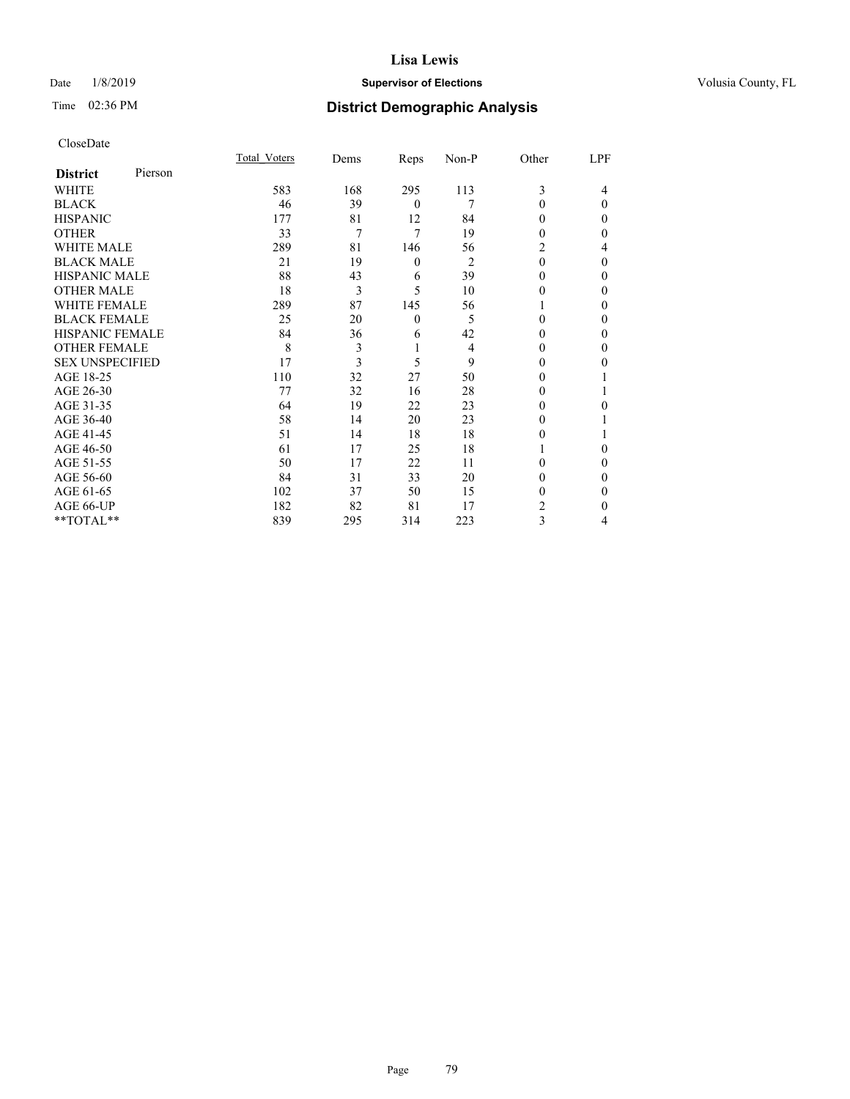## Date  $1/8/2019$  **Supervisor of Elections Supervisor of Elections** Volusia County, FL

# Time 02:36 PM **District Demographic Analysis**

| CloseDate |
|-----------|
|-----------|

|                        |         | Total Voters | Dems | Reps             | Non-P          | Other    | LPF      |
|------------------------|---------|--------------|------|------------------|----------------|----------|----------|
| <b>District</b>        | Pierson |              |      |                  |                |          |          |
| WHITE                  |         | 583          | 168  | 295              | 113            | 3        | 4        |
| <b>BLACK</b>           |         | 46           | 39   | $\mathbf{0}$     | 7              | $\Omega$ | $\Omega$ |
| <b>HISPANIC</b>        |         | 177          | 81   | 12               | 84             | 0        | 0        |
| <b>OTHER</b>           |         | 33           | 7    | 7                | 19             | $\Omega$ | 0        |
| <b>WHITE MALE</b>      |         | 289          | 81   | 146              | 56             | 2        | 4        |
| <b>BLACK MALE</b>      |         | 21           | 19   | $\boldsymbol{0}$ | $\overline{2}$ | $\theta$ | $\Omega$ |
| <b>HISPANIC MALE</b>   |         | 88           | 43   | 6                | 39             | 0        | 0        |
| <b>OTHER MALE</b>      |         | 18           | 3    | 5                | 10             | 0        | 0        |
| <b>WHITE FEMALE</b>    |         | 289          | 87   | 145              | 56             |          | 0        |
| <b>BLACK FEMALE</b>    |         | 25           | 20   | $\mathbf{0}$     | 5              | $\Omega$ | 0        |
| <b>HISPANIC FEMALE</b> |         | 84           | 36   | 6                | 42             | 0        | 0        |
| <b>OTHER FEMALE</b>    |         | 8            | 3    |                  | 4              | 0        | 0        |
| <b>SEX UNSPECIFIED</b> |         | 17           | 3    | 5                | 9              | 0        | 0        |
| AGE 18-25              |         | 110          | 32   | 27               | 50             | 0        |          |
| AGE 26-30              |         | 77           | 32   | 16               | 28             | $\theta$ |          |
| AGE 31-35              |         | 64           | 19   | 22               | 23             | $_{0}$   | 0        |
| AGE 36-40              |         | 58           | 14   | 20               | 23             | 0        |          |
| AGE 41-45              |         | 51           | 14   | 18               | 18             | 0        |          |
| AGE 46-50              |         | 61           | 17   | 25               | 18             |          | $\Omega$ |
| AGE 51-55              |         | 50           | 17   | 22               | 11             | 0        | $\Omega$ |
| AGE 56-60              |         | 84           | 31   | 33               | 20             | 0        | 0        |
| AGE 61-65              |         | 102          | 37   | 50               | 15             | 0        | 0        |
| AGE 66-UP              |         | 182          | 82   | 81               | 17             | 2        | 0        |
| **TOTAL**              |         | 839          | 295  | 314              | 223            | 3        | 4        |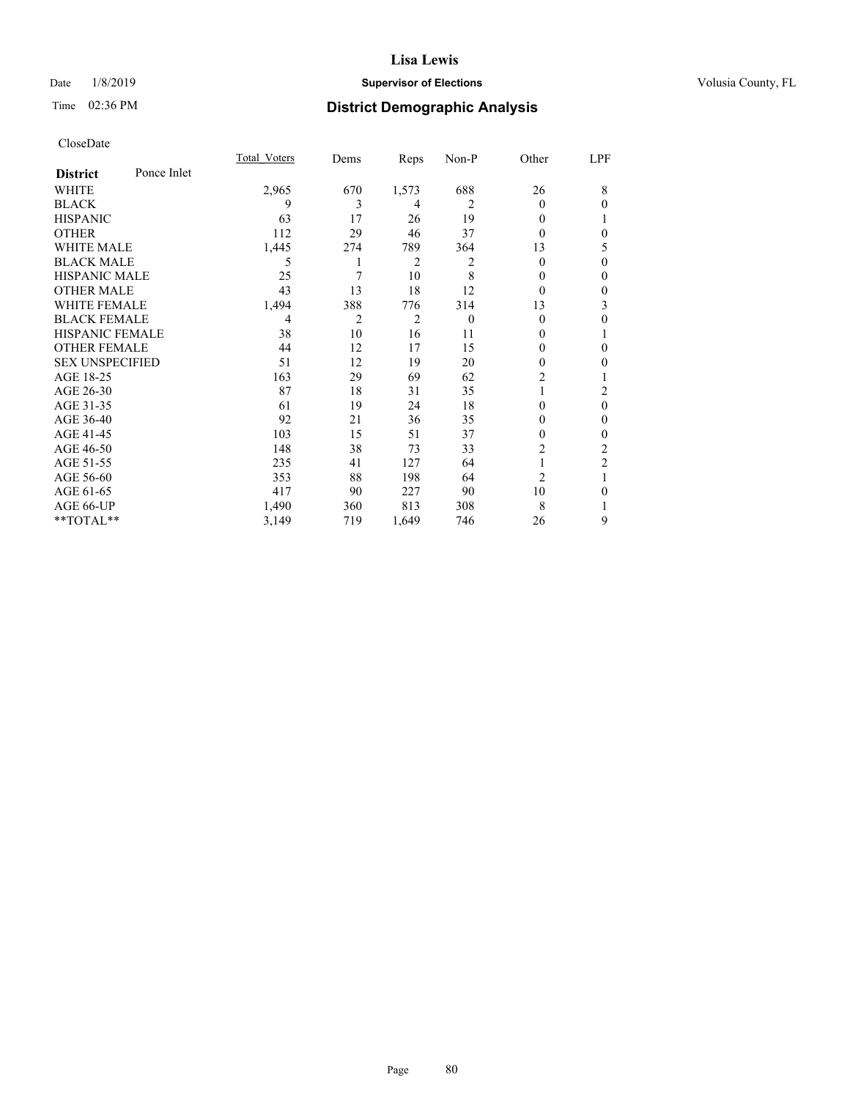## Date  $1/8/2019$  **Supervisor of Elections Supervisor of Elections** Volusia County, FL

## Time 02:36 PM **District Demographic Analysis**

|                        |             | Total Voters | Dems | Reps           | Non-P    | Other          | LPF          |
|------------------------|-------------|--------------|------|----------------|----------|----------------|--------------|
| <b>District</b>        | Ponce Inlet |              |      |                |          |                |              |
| WHITE                  |             | 2,965        | 670  | 1,573          | 688      | 26             | 8            |
| <b>BLACK</b>           |             | 9            | 3    | 4              | 2        | 0              | $\theta$     |
| <b>HISPANIC</b>        |             | 63           | 17   | 26             | 19       | 0              | 1            |
| <b>OTHER</b>           |             | 112          | 29   | 46             | 37       | 0              | $\mathbf{0}$ |
| <b>WHITE MALE</b>      |             | 1,445        | 274  | 789            | 364      | 13             | 5            |
| <b>BLACK MALE</b>      |             | 5            | 1    | 2              | 2        | 0              | $\theta$     |
| <b>HISPANIC MALE</b>   |             | 25           | 7    | 10             | 8        | $_{0}$         | $\theta$     |
| <b>OTHER MALE</b>      |             | 43           | 13   | 18             | 12       | 0              | $\mathbf{0}$ |
| <b>WHITE FEMALE</b>    |             | 1,494        | 388  | 776            | 314      | 13             | 3            |
| <b>BLACK FEMALE</b>    |             | 4            | 2    | $\overline{2}$ | $\theta$ | 0              | $\theta$     |
| <b>HISPANIC FEMALE</b> |             | 38           | 10   | 16             | 11       | 0              | 1            |
| <b>OTHER FEMALE</b>    |             | 44           | 12   | 17             | 15       | 0              | $\mathbf{0}$ |
| <b>SEX UNSPECIFIED</b> |             | 51           | 12   | 19             | 20       | 0              | $\mathbf{0}$ |
| AGE 18-25              |             | 163          | 29   | 69             | 62       | $\overline{2}$ |              |
| AGE 26-30              |             | 87           | 18   | 31             | 35       |                | 2            |
| AGE 31-35              |             | 61           | 19   | 24             | 18       | 0              | $\theta$     |
| AGE 36-40              |             | 92           | 21   | 36             | 35       | 0              | $\theta$     |
| AGE 41-45              |             | 103          | 15   | 51             | 37       | 0              | $\mathbf{0}$ |
| AGE 46-50              |             | 148          | 38   | 73             | 33       | $\overline{2}$ | 2            |
| AGE 51-55              |             | 235          | 41   | 127            | 64       | 1              | 2            |
| AGE 56-60              |             | 353          | 88   | 198            | 64       | $\overline{2}$ | 1            |
| AGE 61-65              |             | 417          | 90   | 227            | 90       | 10             | $\theta$     |
| AGE 66-UP              |             | 1,490        | 360  | 813            | 308      | 8              | 1            |
| **TOTAL**              |             | 3,149        | 719  | 1,649          | 746      | 26             | 9            |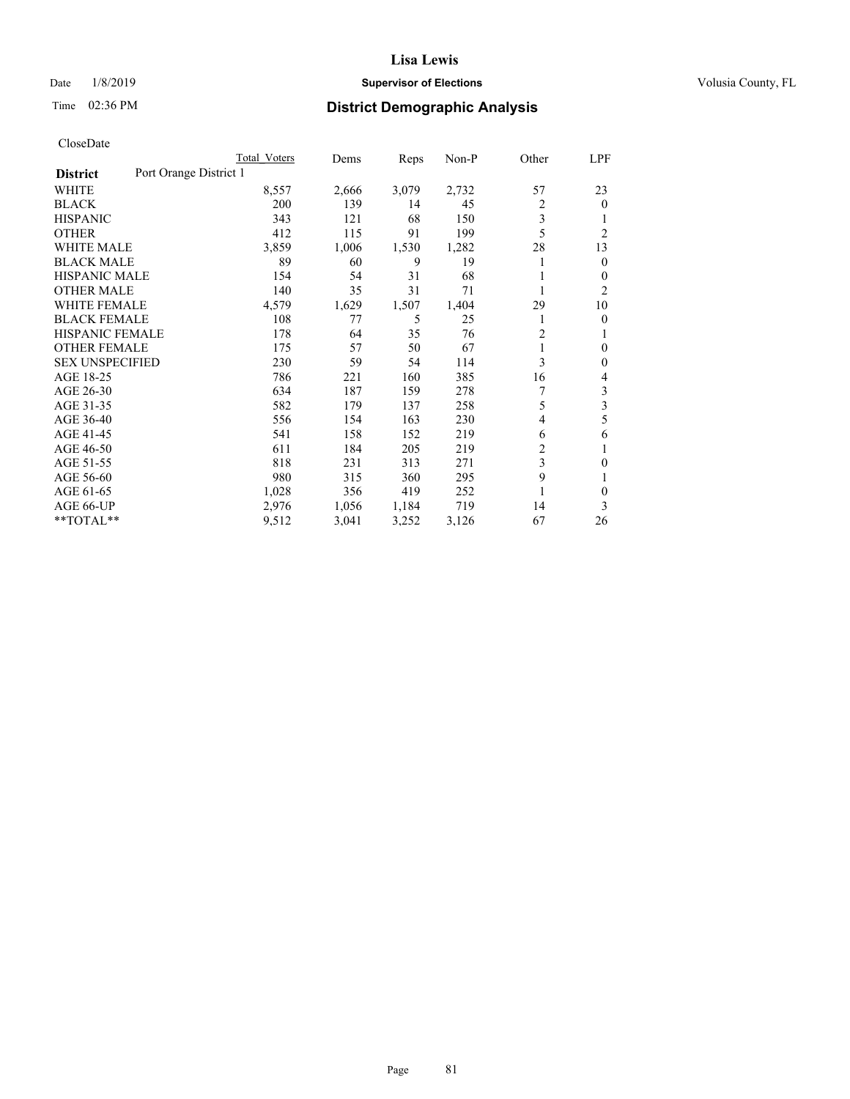## Date  $1/8/2019$  **Supervisor of Elections Supervisor of Elections** Volusia County, FL

# Time 02:36 PM **District Demographic Analysis**

|                        |                        | Total Voters | Dems  | Reps  | Non-P | Other          | LPF            |
|------------------------|------------------------|--------------|-------|-------|-------|----------------|----------------|
| <b>District</b>        | Port Orange District 1 |              |       |       |       |                |                |
| WHITE                  |                        | 8,557        | 2,666 | 3,079 | 2,732 | 57             | 23             |
| <b>BLACK</b>           |                        | 200          | 139   | 14    | 45    | 2              | $\overline{0}$ |
| <b>HISPANIC</b>        |                        | 343          | 121   | 68    | 150   | 3              |                |
| <b>OTHER</b>           |                        | 412          | 115   | 91    | 199   | 5              | $\overline{2}$ |
| <b>WHITE MALE</b>      |                        | 3,859        | 1,006 | 1,530 | 1,282 | 28             | 13             |
| <b>BLACK MALE</b>      |                        | 89           | 60    | 9     | 19    |                | $\mathbf{0}$   |
| <b>HISPANIC MALE</b>   |                        | 154          | 54    | 31    | 68    |                | 0              |
| <b>OTHER MALE</b>      |                        | 140          | 35    | 31    | 71    | 1              | 2              |
| WHITE FEMALE           |                        | 4,579        | 1,629 | 1,507 | 1,404 | 29             | 10             |
| <b>BLACK FEMALE</b>    |                        | 108          | 77    | 5     | 25    |                | 0              |
| <b>HISPANIC FEMALE</b> |                        | 178          | 64    | 35    | 76    | $\overline{c}$ | 1              |
| <b>OTHER FEMALE</b>    |                        | 175          | 57    | 50    | 67    | 1              | 0              |
| <b>SEX UNSPECIFIED</b> |                        | 230          | 59    | 54    | 114   | 3              | $\theta$       |
| AGE 18-25              |                        | 786          | 221   | 160   | 385   | 16             | 4              |
| AGE 26-30              |                        | 634          | 187   | 159   | 278   | 7              | 3              |
| AGE 31-35              |                        | 582          | 179   | 137   | 258   | 5              | 3              |
| AGE 36-40              |                        | 556          | 154   | 163   | 230   | 4              | 5              |
| AGE 41-45              |                        | 541          | 158   | 152   | 219   | 6              | 6              |
| AGE 46-50              |                        | 611          | 184   | 205   | 219   | 2              | 1              |
| AGE 51-55              |                        | 818          | 231   | 313   | 271   | 3              | 0              |
| AGE 56-60              |                        | 980          | 315   | 360   | 295   | 9              |                |
| AGE 61-65              |                        | 1,028        | 356   | 419   | 252   |                | $\theta$       |
| AGE 66-UP              |                        | 2,976        | 1,056 | 1,184 | 719   | 14             | 3              |
| **TOTAL**              |                        | 9,512        | 3,041 | 3,252 | 3,126 | 67             | 26             |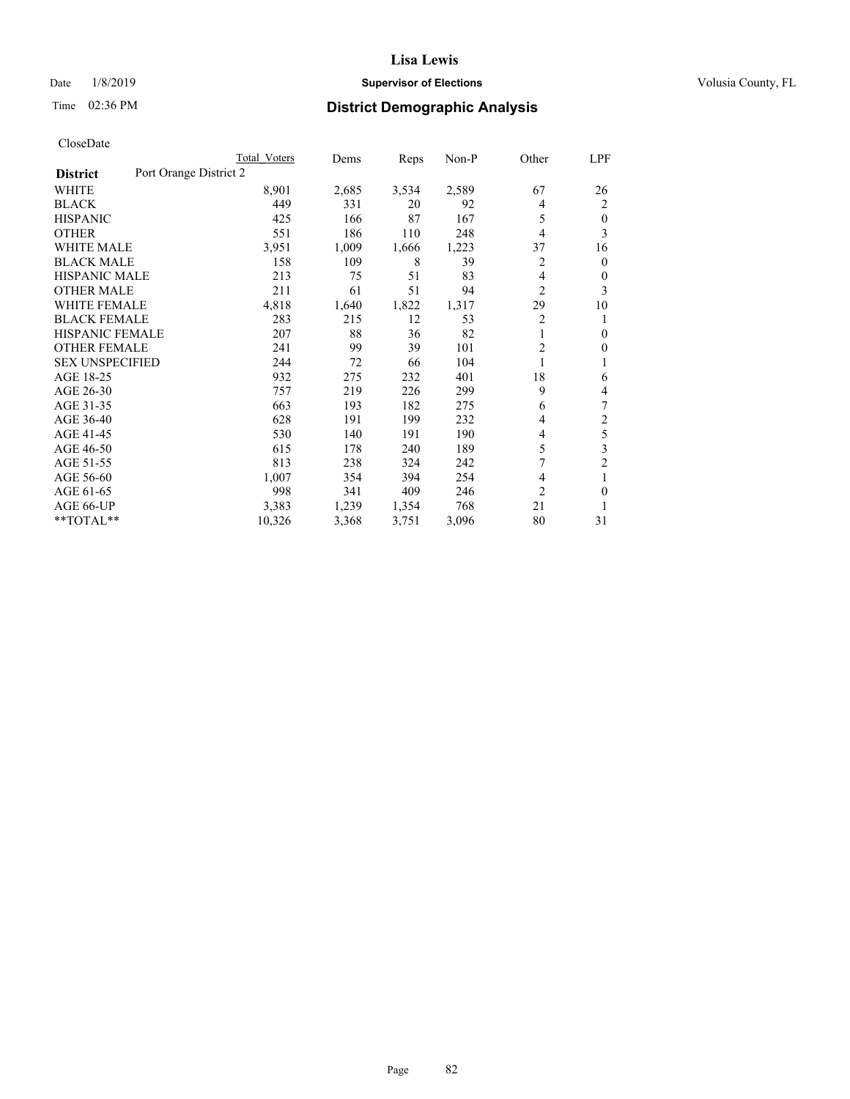## Date  $1/8/2019$  **Supervisor of Elections Supervisor of Elections** Volusia County, FL

# Time 02:36 PM **District Demographic Analysis**

|                                           | Total Voters | Dems  | Reps  | $Non-P$ | Other          | LPF            |
|-------------------------------------------|--------------|-------|-------|---------|----------------|----------------|
| Port Orange District 2<br><b>District</b> |              |       |       |         |                |                |
| WHITE                                     | 8,901        | 2,685 | 3,534 | 2,589   | 67             | 26             |
| <b>BLACK</b>                              | 449          | 331   | 20    | 92      | 4              | 2              |
| <b>HISPANIC</b>                           | 425          | 166   | 87    | 167     | 5              | $\theta$       |
| <b>OTHER</b>                              | 551          | 186   | 110   | 248     | 4              | 3              |
| <b>WHITE MALE</b>                         | 3,951        | 1,009 | 1,666 | 1,223   | 37             | 16             |
| <b>BLACK MALE</b>                         | 158          | 109   | 8     | 39      | 2              | $\overline{0}$ |
| <b>HISPANIC MALE</b>                      | 213          | 75    | 51    | 83      | 4              | 0              |
| <b>OTHER MALE</b>                         | 211          | 61    | 51    | 94      | 2              | 3              |
| <b>WHITE FEMALE</b>                       | 4,818        | 1,640 | 1,822 | 1,317   | 29             | 10             |
| <b>BLACK FEMALE</b>                       | 283          | 215   | 12    | 53      | $\overline{2}$ | 1              |
| <b>HISPANIC FEMALE</b>                    | 207          | 88    | 36    | 82      | 1              | $\mathbf{0}$   |
| <b>OTHER FEMALE</b>                       | 241          | 99    | 39    | 101     | 2              | 0              |
| <b>SEX UNSPECIFIED</b>                    | 244          | 72    | 66    | 104     |                |                |
| AGE 18-25                                 | 932          | 275   | 232   | 401     | 18             | 6              |
| AGE 26-30                                 | 757          | 219   | 226   | 299     | 9              | 4              |
| AGE 31-35                                 | 663          | 193   | 182   | 275     | 6              | 7              |
| AGE 36-40                                 | 628          | 191   | 199   | 232     | 4              | $\overline{2}$ |
| AGE 41-45                                 | 530          | 140   | 191   | 190     | 4              | 5              |
| AGE 46-50                                 | 615          | 178   | 240   | 189     | 5              | 3              |
| AGE 51-55                                 | 813          | 238   | 324   | 242     | 7              | $\overline{c}$ |
| AGE 56-60                                 | 1,007        | 354   | 394   | 254     | 4              | 1              |
| AGE 61-65                                 | 998          | 341   | 409   | 246     | $\overline{2}$ | $\theta$       |
| AGE 66-UP                                 | 3,383        | 1,239 | 1,354 | 768     | 21             | 1              |
| **TOTAL**                                 | 10,326       | 3,368 | 3,751 | 3,096   | 80             | 31             |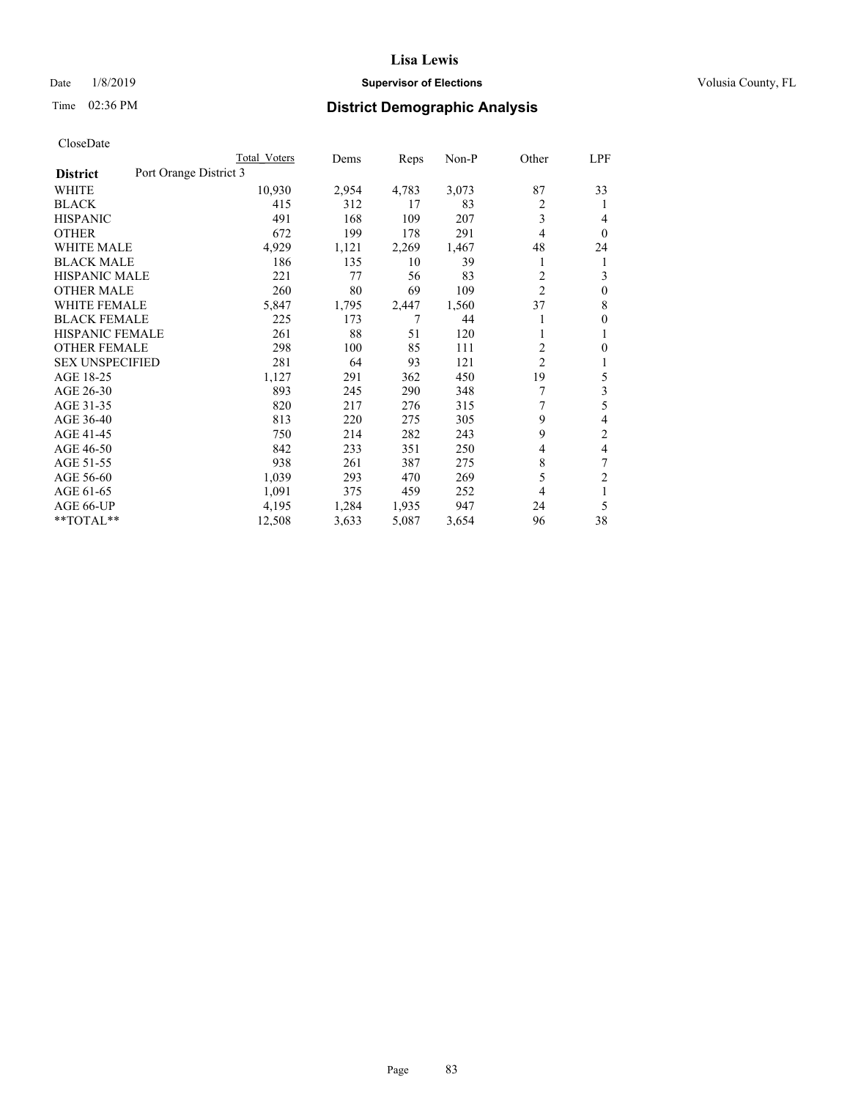## Date  $1/8/2019$  **Supervisor of Elections Supervisor of Elections** Volusia County, FL

# Time 02:36 PM **District Demographic Analysis**

| Total Voters           | Dems  | Reps  | $Non-P$ | Other          | LPF              |
|------------------------|-------|-------|---------|----------------|------------------|
| Port Orange District 3 |       |       |         |                |                  |
| 10,930                 | 2,954 | 4,783 | 3,073   | 87             | 33               |
| 415                    | 312   | 17    | 83      | 2              | 1                |
| 491                    | 168   | 109   | 207     | 3              | 4                |
| 672                    | 199   | 178   | 291     | 4              | $\theta$         |
| 4,929                  | 1,121 | 2,269 | 1,467   | 48             | 24               |
| 186                    | 135   | 10    | 39      |                | 1                |
| 221                    | 77    | 56    | 83      | 2              | 3                |
| 260                    | 80    | 69    | 109     | $\overline{c}$ | $\theta$         |
| 5,847                  | 1,795 | 2,447 | 1,560   | 37             | 8                |
| 225                    | 173   | 7     | 44      |                | $\boldsymbol{0}$ |
| 261                    | 88    | 51    | 120     | 1              | 1                |
| 298                    | 100   | 85    | 111     | 2              | 0                |
| 281                    | 64    | 93    | 121     |                | 1                |
| 1,127                  | 291   | 362   | 450     | 19             | 5                |
| 893                    | 245   | 290   | 348     | 7              | 3                |
| 820                    | 217   | 276   | 315     | 7              | 5                |
| 813                    | 220   | 275   | 305     | 9              | 4                |
| 750                    | 214   | 282   | 243     | 9              | $\overline{2}$   |
| 842                    | 233   | 351   | 250     | 4              | 4                |
| 938                    | 261   | 387   | 275     | 8              | 7                |
| 1,039                  | 293   | 470   | 269     | 5              | $\overline{c}$   |
| 1,091                  | 375   | 459   | 252     | 4              | 1                |
| 4,195                  | 1,284 | 1,935 | 947     | 24             | 5                |
| 12,508                 | 3,633 | 5,087 | 3,654   | 96             | 38               |
|                        |       |       |         |                | $\overline{c}$   |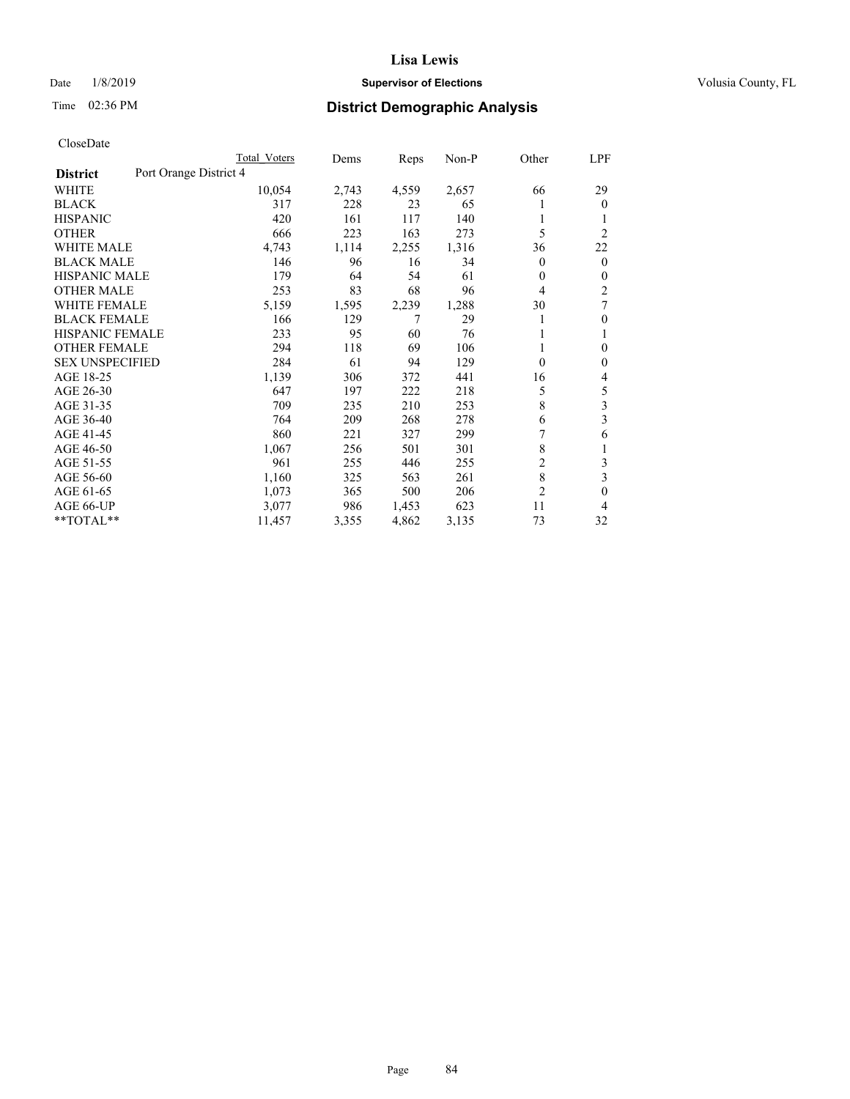## Date  $1/8/2019$  **Supervisor of Elections Supervisor of Elections** Volusia County, FL

# Time 02:36 PM **District Demographic Analysis**

|                        | Total Voters           | Dems  | Reps  | $Non-P$ | Other          | LPF            |
|------------------------|------------------------|-------|-------|---------|----------------|----------------|
| <b>District</b>        | Port Orange District 4 |       |       |         |                |                |
| WHITE                  | 10,054                 | 2,743 | 4,559 | 2,657   | 66             | 29             |
| <b>BLACK</b>           | 317                    | 228   | 23    | 65      |                | $\overline{0}$ |
| <b>HISPANIC</b>        | 420                    | 161   | 117   | 140     |                |                |
| <b>OTHER</b>           | 666                    | 223   | 163   | 273     | 5              | $\overline{2}$ |
| <b>WHITE MALE</b>      | 4,743                  | 1,114 | 2,255 | 1,316   | 36             | 22             |
| <b>BLACK MALE</b>      | 146                    | 96    | 16    | 34      | 0              | $\mathbf{0}$   |
| <b>HISPANIC MALE</b>   | 179                    | 64    | 54    | 61      | 0              | $\mathbf{0}$   |
| <b>OTHER MALE</b>      | 253                    | 83    | 68    | 96      | 4              | $\overline{2}$ |
| <b>WHITE FEMALE</b>    | 5,159                  | 1,595 | 2,239 | 1,288   | 30             | 7              |
| <b>BLACK FEMALE</b>    | 166                    | 129   | 7     | 29      |                | 0              |
| <b>HISPANIC FEMALE</b> | 233                    | 95    | 60    | 76      |                | 1              |
| <b>OTHER FEMALE</b>    | 294                    | 118   | 69    | 106     | 1              | 0              |
| <b>SEX UNSPECIFIED</b> | 284                    | 61    | 94    | 129     | 0              | 0              |
| AGE 18-25              | 1,139                  | 306   | 372   | 441     | 16             | 4              |
| AGE 26-30              | 647                    | 197   | 222   | 218     | 5              | 5              |
| AGE 31-35              | 709                    | 235   | 210   | 253     | 8              | 3              |
| AGE 36-40              | 764                    | 209   | 268   | 278     | 6              | 3              |
| AGE 41-45              | 860                    | 221   | 327   | 299     | 7              | 6              |
| AGE 46-50              | 1,067                  | 256   | 501   | 301     | 8              | 1              |
| AGE 51-55              | 961                    | 255   | 446   | 255     | $\overline{c}$ | 3              |
| AGE 56-60              | 1,160                  | 325   | 563   | 261     | 8              | 3              |
| AGE 61-65              | 1,073                  | 365   | 500   | 206     | 2              | 0              |
| AGE 66-UP              | 3,077                  | 986   | 1,453 | 623     | 11             | 4              |
| $*$ TOTAL $*$          | 11,457                 | 3,355 | 4,862 | 3,135   | 73             | 32             |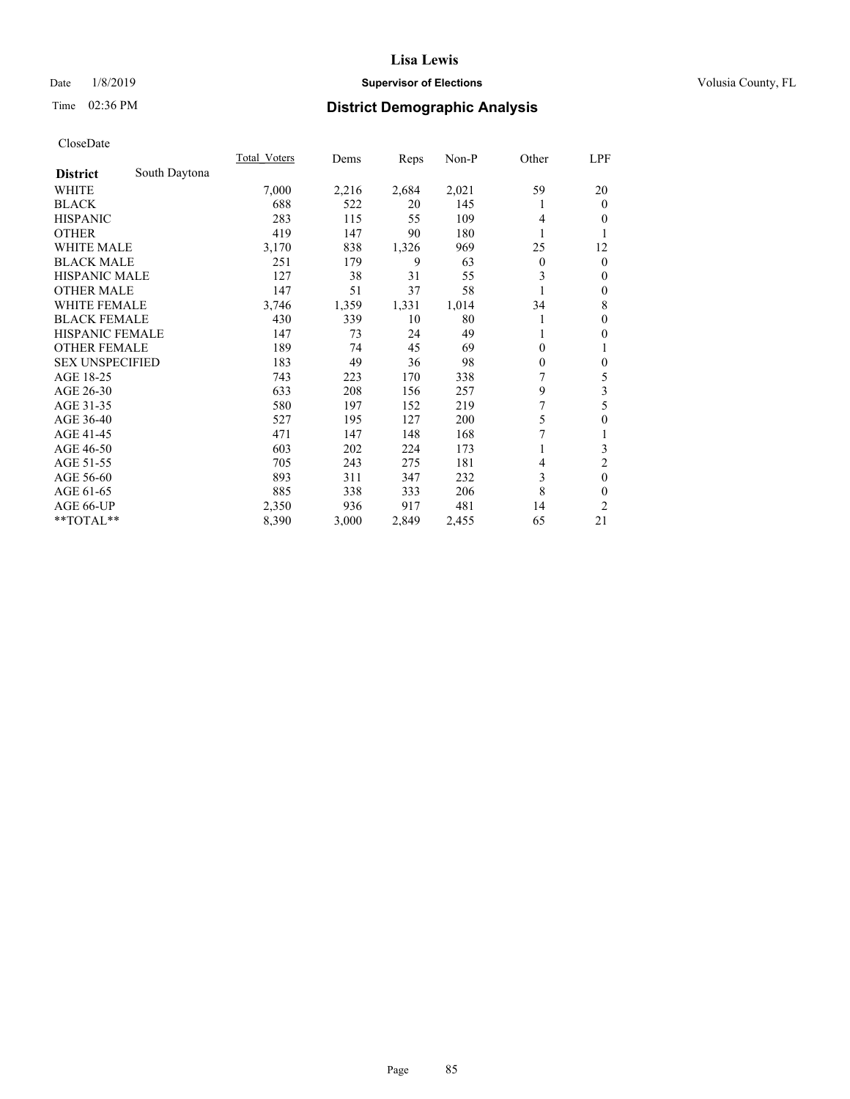## Date  $1/8/2019$  **Supervisor of Elections Supervisor of Elections** Volusia County, FL

## Time 02:36 PM **District Demographic Analysis**

|                        |               | Total Voters | Dems  | Reps  | Non-P | Other        | LPF              |
|------------------------|---------------|--------------|-------|-------|-------|--------------|------------------|
| <b>District</b>        | South Daytona |              |       |       |       |              |                  |
| WHITE                  |               | 7,000        | 2,216 | 2,684 | 2,021 | 59           | 20               |
| <b>BLACK</b>           |               | 688          | 522   | 20    | 145   |              | $\theta$         |
| <b>HISPANIC</b>        |               | 283          | 115   | 55    | 109   | 4            | $\theta$         |
| <b>OTHER</b>           |               | 419          | 147   | 90    | 180   | 1            | 1                |
| WHITE MALE             |               | 3,170        | 838   | 1,326 | 969   | 25           | 12               |
| <b>BLACK MALE</b>      |               | 251          | 179   | 9     | 63    | $\mathbf{0}$ | $\mathbf{0}$     |
| HISPANIC MALE          |               | 127          | 38    | 31    | 55    | 3            | $\theta$         |
| <b>OTHER MALE</b>      |               | 147          | 51    | 37    | 58    |              | $\mathbf{0}$     |
| <b>WHITE FEMALE</b>    |               | 3,746        | 1,359 | 1,331 | 1,014 | 34           | 8                |
| <b>BLACK FEMALE</b>    |               | 430          | 339   | 10    | 80    | 1            | $\mathbf{0}$     |
| <b>HISPANIC FEMALE</b> |               | 147          | 73    | 24    | 49    | 1            | $\mathbf{0}$     |
| <b>OTHER FEMALE</b>    |               | 189          | 74    | 45    | 69    | $\mathbf{0}$ | 1                |
| <b>SEX UNSPECIFIED</b> |               | 183          | 49    | 36    | 98    | $\theta$     | $\boldsymbol{0}$ |
| AGE 18-25              |               | 743          | 223   | 170   | 338   | 7            | 5                |
| AGE 26-30              |               | 633          | 208   | 156   | 257   | 9            | 3                |
| AGE 31-35              |               | 580          | 197   | 152   | 219   | 7            | 5                |
| AGE 36-40              |               | 527          | 195   | 127   | 200   | 5            | $\theta$         |
| AGE 41-45              |               | 471          | 147   | 148   | 168   | 7            | 1                |
| AGE 46-50              |               | 603          | 202   | 224   | 173   |              | 3                |
| AGE 51-55              |               | 705          | 243   | 275   | 181   | 4            | $\overline{c}$   |
| AGE 56-60              |               | 893          | 311   | 347   | 232   | 3            | $\mathbf{0}$     |
| AGE 61-65              |               | 885          | 338   | 333   | 206   | 8            | $\theta$         |
| AGE 66-UP              |               | 2,350        | 936   | 917   | 481   | 14           | 2                |
| **TOTAL**              |               | 8,390        | 3,000 | 2,849 | 2,455 | 65           | 21               |